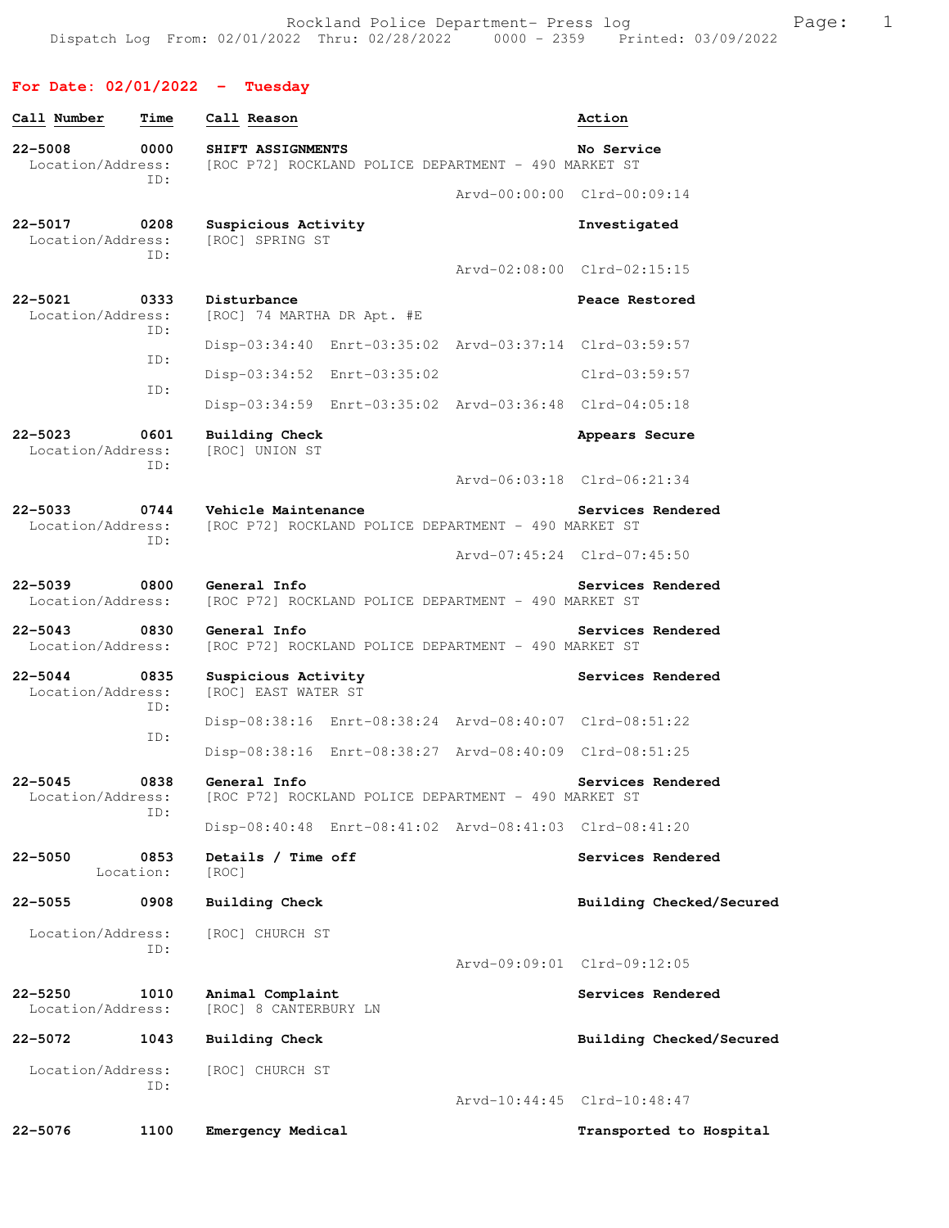## **For Date: 02/01/2022 - Tuesday**

| Call Number                      | Time        | Call Reason                                                                 | Action                      |
|----------------------------------|-------------|-----------------------------------------------------------------------------|-----------------------------|
| $22 - 5008$<br>Location/Address: | 0000<br>ID: | SHIFT ASSIGNMENTS<br>[ROC P72] ROCKLAND POLICE DEPARTMENT - 490 MARKET ST   | No Service                  |
|                                  |             |                                                                             | Arvd-00:00:00 Clrd-00:09:14 |
| $22 - 5017$<br>Location/Address: | 0208<br>ID: | Suspicious Activity<br>[ROC] SPRING ST                                      | Investigated                |
|                                  |             |                                                                             | Arvd-02:08:00 Clrd-02:15:15 |
| $22 - 5021$<br>Location/Address: | 0333<br>ID: | Disturbance<br>[ROC] 74 MARTHA DR Apt. #E                                   | Peace Restored              |
|                                  | ID:         | Disp-03:34:40 Enrt-03:35:02 Arvd-03:37:14 Clrd-03:59:57                     |                             |
|                                  | ID:         | Disp-03:34:52 Enrt-03:35:02                                                 | Clrd-03:59:57               |
|                                  |             | Disp-03:34:59 Enrt-03:35:02 Arvd-03:36:48 Clrd-04:05:18                     |                             |
| $22 - 5023$<br>Location/Address: | 0601<br>TD: | Building Check<br>[ROC] UNION ST                                            | Appears Secure              |
|                                  |             |                                                                             | Arvd-06:03:18 Clrd-06:21:34 |
| $22 - 5033$<br>Location/Address: | 0744<br>ID: | Vehicle Maintenance<br>[ROC P72] ROCKLAND POLICE DEPARTMENT - 490 MARKET ST | Services Rendered           |
|                                  |             |                                                                             | Arvd-07:45:24 Clrd-07:45:50 |
| $22 - 5039$<br>Location/Address: | 0800        | General Info<br>[ROC P72] ROCKLAND POLICE DEPARTMENT - 490 MARKET ST        | Services Rendered           |
| $22 - 5043$<br>Location/Address: | 0830        | General Info<br>[ROC P72] ROCKLAND POLICE DEPARTMENT - 490 MARKET ST        | Services Rendered           |
| $22 - 5044$<br>Location/Address: | 0835<br>ID: | Suspicious Activity<br>[ROC] EAST WATER ST                                  | Services Rendered           |
|                                  | ID:         | Disp-08:38:16 Enrt-08:38:24 Arvd-08:40:07 Clrd-08:51:22                     |                             |
|                                  |             | Disp-08:38:16 Enrt-08:38:27 Arvd-08:40:09 Clrd-08:51:25                     |                             |
| $22 - 5045$<br>Location/Address: | 0838<br>ID: | General Info<br>[ROC P72] ROCKLAND POLICE DEPARTMENT - 490 MARKET ST        | Services Rendered           |
|                                  |             | Disp-08:40:48 Enrt-08:41:02 Arvd-08:41:03 Clrd-08:41:20                     |                             |
| $22 - 5050$<br>Location:         | 0853        | Details / Time off<br>[ROC]                                                 | Services Rendered           |
| $22 - 5055$                      | 0908        | <b>Building Check</b>                                                       | Building Checked/Secured    |
| Location/Address:                | ID:         | [ROC] CHURCH ST                                                             |                             |
|                                  |             |                                                                             | Arvd-09:09:01 Clrd-09:12:05 |
| $22 - 5250$<br>Location/Address: | 1010        | Animal Complaint<br>[ROC] 8 CANTERBURY LN                                   | Services Rendered           |
| $22 - 5072$                      | 1043        | <b>Building Check</b>                                                       | Building Checked/Secured    |
| Location/Address:                | ID:         | [ROC] CHURCH ST                                                             |                             |
|                                  |             |                                                                             | Arvd-10:44:45 Clrd-10:48:47 |
| $22 - 5076$                      | 1100        | Emergency Medical                                                           | Transported to Hospital     |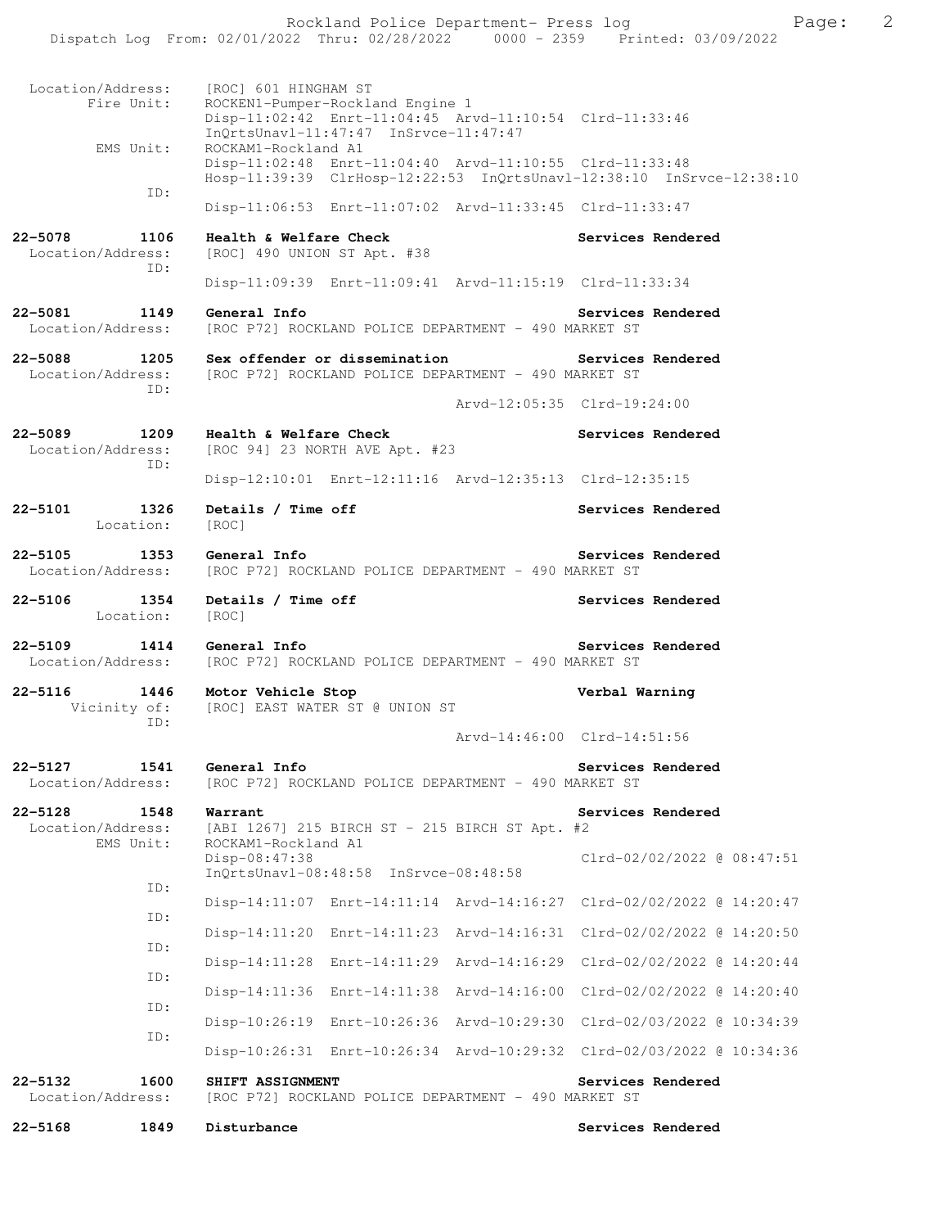Rockland Police Department- Press log Freed Page: 2 Dispatch Log From: 02/01/2022 Thru: 02/28/2022 0000 - 2359 Printed: 03/09/2022 Location/Address: [ROC] 601 HINGHAM ST Fire Unit: ROCKEN1-Pumper-Rockland Engine 1 Disp-11:02:42 Enrt-11:04:45 Arvd-11:10:54 Clrd-11:33:46 InQrtsUnavl-11:47:47 InSrvce-11:47:47 EMS Unit: ROCKAM1-Rockland A1 Disp-11:02:48 Enrt-11:04:40 Arvd-11:10:55 Clrd-11:33:48 Hosp-11:39:39 ClrHosp-12:22:53 InQrtsUnavl-12:38:10 InSrvce-12:38:10 ID: Disp-11:06:53 Enrt-11:07:02 Arvd-11:33:45 Clrd-11:33:47 **22-5078 1106 Health & Welfare Check Services Rendered**  Location/Address: [ROC] 490 UNION ST Apt. #38 ID: Disp-11:09:39 Enrt-11:09:41 Arvd-11:15:19 Clrd-11:33:34 **22-5081 1149 General Info Services Rendered**  Location/Address: [ROC P72] ROCKLAND POLICE DEPARTMENT - 490 MARKET ST **22-5088** 1205 Sex offender or dissemination **Services Rendered** Location/Address: [ROC P72] ROCKLAND POLICE DEPARTMENT - 490 MARKET ST [ROC P72] ROCKLAND POLICE DEPARTMENT - 490 MARKET ST ID: Arvd-12:05:35 Clrd-19:24:00 **22-5089 1209 Health & Welfare Check Services Rendered**  Location/Address: [ROC 94] 23 NORTH AVE Apt. #23 ID: Disp-12:10:01 Enrt-12:11:16 Arvd-12:35:13 Clrd-12:35:15 22-5101 1326 Details / Time off **Services Rendered**  Location: [ROC] **22-5105** 1353 General Info<br>
Location/Address: [ROC P72] ROCKLAND POLICE DEPARTMENT - 490 MARKET ST [ROC P72] ROCKLAND POLICE DEPARTMENT - 490 MARKET ST 22-5106 1354 Details / Time off **Services Rendered**  Location: [ROC] **22-5109 1414 General Info Services Rendered**  Location/Address: [ROC P72] ROCKLAND POLICE DEPARTMENT - 490 MARKET ST **22-5116 1446 Motor Vehicle Stop Verbal Warning**  Vicinity of: [ROC] EAST WATER ST @ UNION ST ID: Arvd-14:46:00 Clrd-14:51:56 **22-5127 1541 General Info Services Rendered**<br>Location/Address: [ROC P72] ROCKLAND POLICE DEPARTMENT - 490 MARKET ST [ROC P72] ROCKLAND POLICE DEPARTMENT - 490 MARKET ST **22-5128 1548 Warrant Services Rendered**<br>Location/Address: [ABI 1267] 215 BIRCH ST - 215 BIRCH ST Apt. #2 [ABI 1267] 215 BIRCH ST - 215 BIRCH ST Apt. #2 EMS Unit: ROCKAM1-Rockland A1 Disp-08:47:38 Clrd-02/02/2022 @ 08:47:51 InQrtsUnavl-08:48:58 InSrvce-08:48:58 ID: Disp-14:11:07 Enrt-14:11:14 Arvd-14:16:27 Clrd-02/02/2022 @ 14:20:47 ID: Disp-14:11:20 Enrt-14:11:23 Arvd-14:16:31 Clrd-02/02/2022 @ 14:20:50 ID: Disp-14:11:28 Enrt-14:11:29 Arvd-14:16:29 Clrd-02/02/2022 @ 14:20:44 ID: Disp-14:11:36 Enrt-14:11:38 Arvd-14:16:00 Clrd-02/02/2022 @ 14:20:40 ID: Disp-10:26:19 Enrt-10:26:36 Arvd-10:29:30 Clrd-02/03/2022 @ 10:34:39 ID: Disp-10:26:31 Enrt-10:26:34 Arvd-10:29:32 Clrd-02/03/2022 @ 10:34:36 **22-5132 1600 SHIFT ASSIGNMENT Services Rendered**  Location/Address: [ROC P72] ROCKLAND POLICE DEPARTMENT - 490 MARKET ST

**22-5168 1849 Disturbance Services Rendered**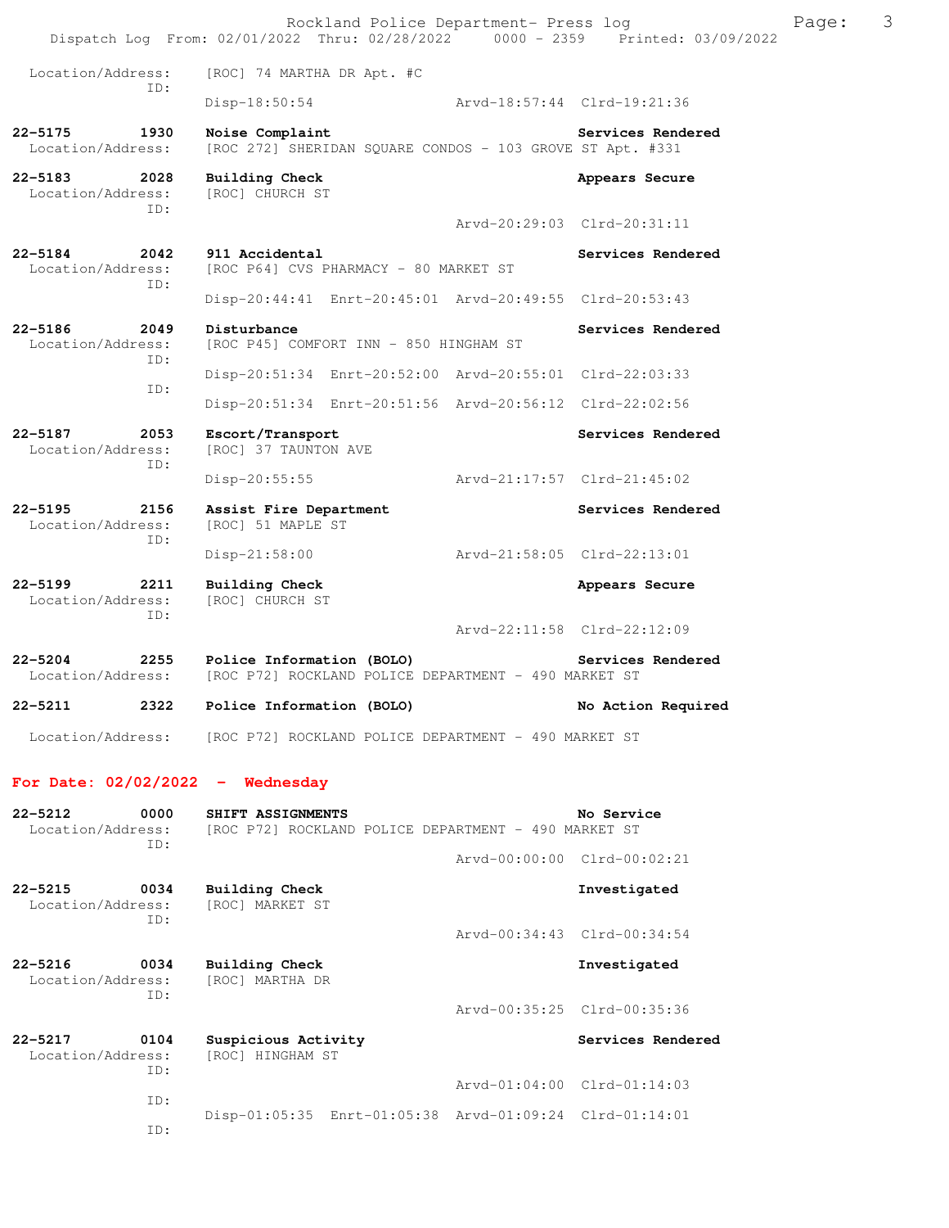|                                                 | Rockland Police Department- Press log<br>Dispatch Log From: 02/01/2022 Thru: 02/28/2022 0000 - 2359 Printed: 03/09/2022 |                             |                             | Page: | 3 |
|-------------------------------------------------|-------------------------------------------------------------------------------------------------------------------------|-----------------------------|-----------------------------|-------|---|
| Location/Address:                               | [ROC] 74 MARTHA DR Apt. #C                                                                                              |                             |                             |       |   |
| ID:                                             | Disp-18:50:54                                                                                                           |                             | Arvd-18:57:44 Clrd-19:21:36 |       |   |
| $22 - 5175$<br>1930<br>Location/Address:        | Noise Complaint<br>[ROC 272] SHERIDAN SQUARE CONDOS - 103 GROVE ST Apt. #331                                            |                             | Services Rendered           |       |   |
| 22-5183<br>2028<br>Location/Address:            | <b>Building Check</b><br>[ROC] CHURCH ST                                                                                |                             | Appears Secure              |       |   |
| ID:                                             |                                                                                                                         |                             | Arvd-20:29:03 Clrd-20:31:11 |       |   |
| $22 - 5184$<br>2042<br>Location/Address:<br>ID: | 911 Accidental<br>[ROC P64] CVS PHARMACY - 80 MARKET ST                                                                 |                             | Services Rendered           |       |   |
|                                                 | Disp-20:44:41 Enrt-20:45:01 Arvd-20:49:55 Clrd-20:53:43                                                                 |                             |                             |       |   |
| $22 - 5186$<br>2049<br>Location/Address:<br>ID: | Disturbance<br>[ROC P45] COMFORT INN - 850 HINGHAM ST                                                                   |                             | Services Rendered           |       |   |
| ID:                                             | Disp-20:51:34 Enrt-20:52:00 Arvd-20:55:01 Clrd-22:03:33                                                                 |                             |                             |       |   |
|                                                 | Disp-20:51:34 Enrt-20:51:56 Arvd-20:56:12 Clrd-22:02:56                                                                 |                             |                             |       |   |
| 22-5187<br>2053<br>Location/Address:<br>ID:     | Escort/Transport<br>[ROC] 37 TAUNTON AVE                                                                                |                             | Services Rendered           |       |   |
|                                                 | $Disp-20:55:55$                                                                                                         | Arvd-21:17:57 Clrd-21:45:02 |                             |       |   |
| $22 - 5195$<br>2156<br>Location/Address:<br>ID: | Assist Fire Department<br>[ROC] 51 MAPLE ST                                                                             |                             | Services Rendered           |       |   |
|                                                 | $Disp-21:58:00$                                                                                                         |                             | Arvd-21:58:05 Clrd-22:13:01 |       |   |
| $22 - 5199$<br>2211<br>Location/Address:<br>ID: | <b>Building Check</b><br>[ROC] CHURCH ST                                                                                |                             | Appears Secure              |       |   |
|                                                 |                                                                                                                         |                             | Arvd-22:11:58 Clrd-22:12:09 |       |   |
| $22 - 5204$<br>Location/Address:                | 2255 Police Information (BOLO)<br>[ROC P72] ROCKLAND POLICE DEPARTMENT - 490 MARKET ST                                  |                             | Services Rendered           |       |   |
| $22 - 5211$                                     | 2322 Police Information (BOLO)                                                                                          |                             | No Action Required          |       |   |
|                                                 | Location/Address: [ROC P72] ROCKLAND POLICE DEPARTMENT - 490 MARKET ST                                                  |                             |                             |       |   |
| For Date: $02/02/2022 -$ Wednesday              |                                                                                                                         |                             |                             |       |   |
| 0000<br>$22 - 5212$<br>Location/Address:<br>ID: | SHIFT ASSIGNMENTS<br>[ROC P72] ROCKLAND POLICE DEPARTMENT - 490 MARKET ST                                               |                             | No Service                  |       |   |
|                                                 |                                                                                                                         |                             | Arvd-00:00:00 Clrd-00:02:21 |       |   |
| $22 - 5215$<br>0034<br>Location/Address:<br>ID: | <b>Building Check</b><br>[ROC] MARKET ST                                                                                |                             | Investigated                |       |   |
|                                                 |                                                                                                                         |                             | Arvd-00:34:43 Clrd-00:34:54 |       |   |
| $22 - 5216$<br>0034<br>Location/Address:<br>ID: | Building Check<br>[ROC] MARTHA DR                                                                                       |                             | Investigated                |       |   |
|                                                 |                                                                                                                         |                             | Arvd-00:35:25 Clrd-00:35:36 |       |   |
| $22 - 5217$<br>0104<br>Location/Address:<br>ID: | Suspicious Activity<br>[ROC] HINGHAM ST                                                                                 |                             | Services Rendered           |       |   |
| ID:                                             |                                                                                                                         |                             | Arvd-01:04:00 Clrd-01:14:03 |       |   |
| ID:                                             | Disp-01:05:35 Enrt-01:05:38 Arvd-01:09:24 Clrd-01:14:01                                                                 |                             |                             |       |   |
|                                                 |                                                                                                                         |                             |                             |       |   |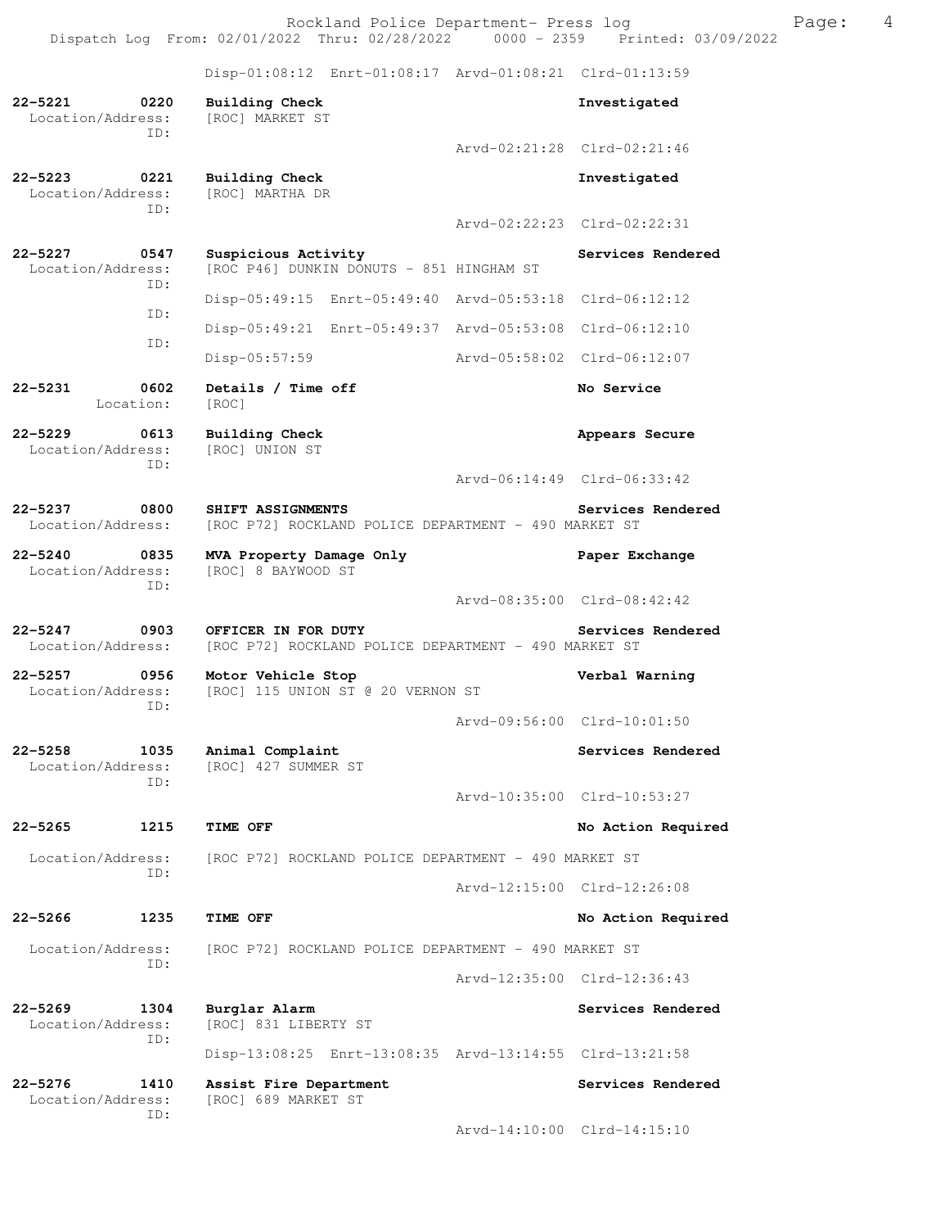Rockland Police Department- Press log example Press Page: 4 Dispatch Log From: 02/01/2022 Thru: 02/28/2022 0000 - 2359 Printed: 03/09/2022

 Disp-01:08:12 Enrt-01:08:17 Arvd-01:08:21 Clrd-01:13:59 **22-5221 0220 Building Check Investigated**  Location/Address: [ROC] MARKET ST ID: Arvd-02:21:28 Clrd-02:21:46 **22-5223 0221 Building Check Investigated**  Location/Address: [ROC] MARTHA DR ID: Arvd-02:22:23 Clrd-02:22:31 22-5227 0547 Suspicious Activity **Services Rendered Services Rendered**  Location/Address: [ROC P46] DUNKIN DONUTS - 851 HINGHAM ST ID: Disp-05:49:15 Enrt-05:49:40 Arvd-05:53:18 Clrd-06:12:12 ID: Disp-05:49:21 Enrt-05:49:37 Arvd-05:53:08 Clrd-06:12:10 ID: Disp-05:57:59 Arvd-05:58:02 Clrd-06:12:07 **22-5231 0602 Details / Time off No Service**  Location: [ROC] **22-5229 0613 Building Check Appears Secure**  Location/Address: [ROC] UNION ST ID: Arvd-06:14:49 Clrd-06:33:42 **22-5237 0800 SHIFT ASSIGNMENTS Services Rendered** Location/Address: [ROC P72] ROCKLAND POLICE DEPARTMENT - 490 MARKET ST [ROC P72] ROCKLAND POLICE DEPARTMENT - 490 MARKET ST **22-5240 0835 MVA Property Damage Only Paper Exchange**  [ROC] 8 BAYWOOD ST ID: Arvd-08:35:00 Clrd-08:42:42 **22-5247 0903 OFFICER IN FOR DUTY Services Rendered**  Location/Address: [ROC P72] ROCKLAND POLICE DEPARTMENT - 490 MARKET ST **22-5257 0956 Motor Vehicle Stop Verbal Warning**  Location/Address: [ROC] 115 UNION ST @ 20 VERNON ST ID: Arvd-09:56:00 Clrd-10:01:50 **22-5258 1035 Animal Complaint Services Rendered Location/Address:** [ROC] 427 SUMMER ST [ROC] 427 SUMMER ST ID: Arvd-10:35:00 Clrd-10:53:27 **22-5265 1215 TIME OFF No Action Required**  Location/Address: [ROC P72] ROCKLAND POLICE DEPARTMENT - 490 MARKET ST ID: Arvd-12:15:00 Clrd-12:26:08 **22-5266 1235 TIME OFF No Action Required**  Location/Address: [ROC P72] ROCKLAND POLICE DEPARTMENT - 490 MARKET ST ID: Arvd-12:35:00 Clrd-12:36:43 **22-5269 1304 Burglar Alarm Services Rendered**  Location/Address: [ROC] 831 LIBERTY ST ID: Disp-13:08:25 Enrt-13:08:35 Arvd-13:14:55 Clrd-13:21:58

**22-5276 1410 Assist Fire Department Services Rendered**  [ROC] 689 MARKET ST ID:

Arvd-14:10:00 Clrd-14:15:10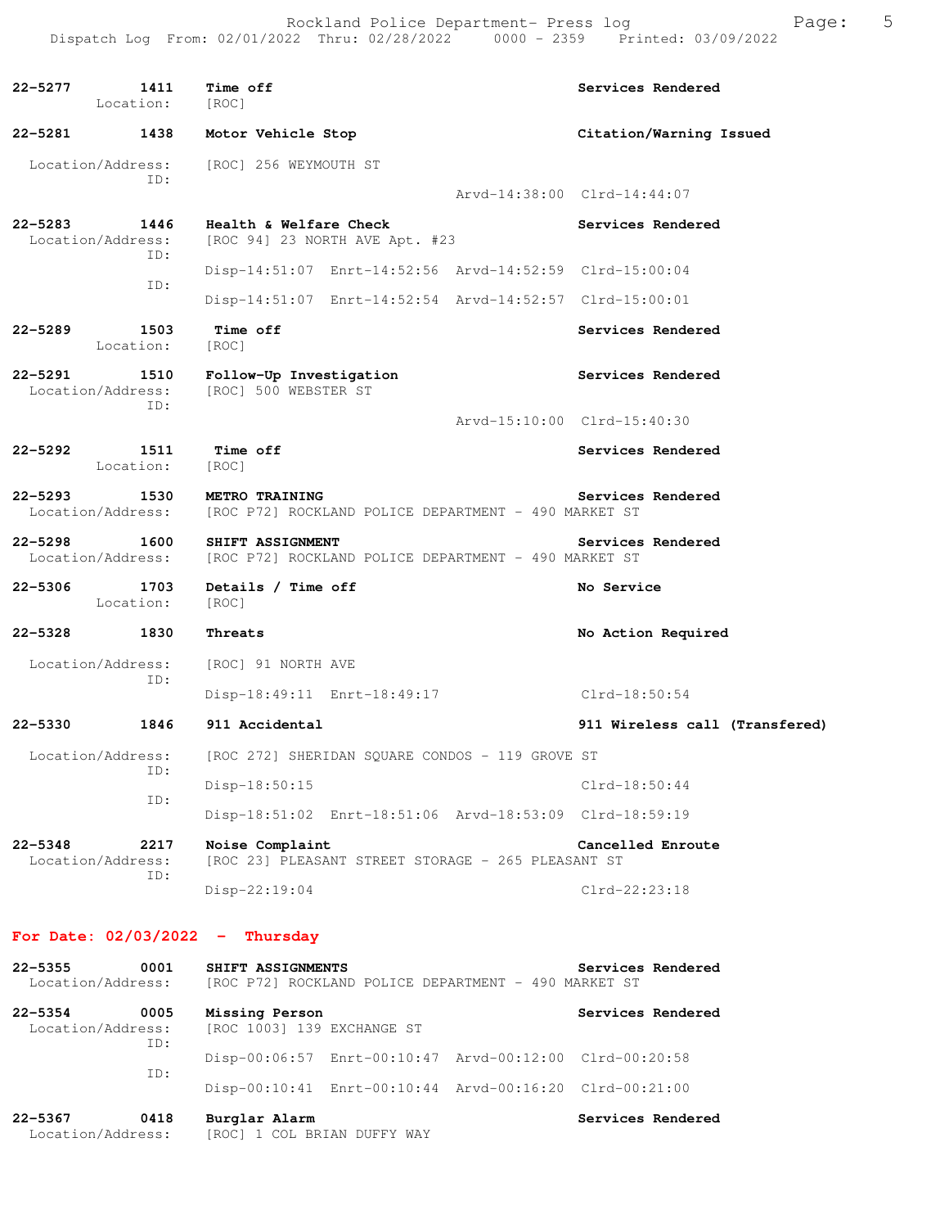| 22–5277     | 1411<br>Location:                        | Time off<br>[ROC]                                                             |                             | Services Rendered              |
|-------------|------------------------------------------|-------------------------------------------------------------------------------|-----------------------------|--------------------------------|
| 22-5281     | 1438                                     | Motor Vehicle Stop                                                            |                             | Citation/Warning Issued        |
|             | Location/Address:<br>TD:                 | [ROC] 256 WEYMOUTH ST                                                         |                             |                                |
|             |                                          |                                                                               | Arvd-14:38:00 Clrd-14:44:07 |                                |
|             | 22-5283 1446<br>Location/Address:<br>ID: | Health & Welfare Check<br>[ROC 94] 23 NORTH AVE Apt. #23                      |                             | Services Rendered              |
|             | ID:                                      | Disp-14:51:07 Enrt-14:52:56 Arvd-14:52:59 Clrd-15:00:04                       |                             |                                |
|             |                                          | Disp-14:51:07 Enrt-14:52:54 Arvd-14:52:57 Clrd-15:00:01                       |                             |                                |
| 22-5289     | 1503<br>Location:                        | <b>Time off</b><br>[ROC]                                                      |                             | Services Rendered              |
| 22-5291     | 1510<br>Location/Address:<br>ID:         | Follow-Up Investigation<br>[ROC] 500 WEBSTER ST                               |                             | Services Rendered              |
|             |                                          |                                                                               | Arvd-15:10:00 Clrd-15:40:30 |                                |
| 22–5292     | 1511<br>Location:                        | Time off<br>[ROC]                                                             |                             | Services Rendered              |
|             | 22–5293 1530<br>Location/Address:        | <b>METRO TRAINING</b><br>[ROC P72] ROCKLAND POLICE DEPARTMENT - 490 MARKET ST |                             | Services Rendered              |
| $22 - 5298$ | 1600<br>Location/Address:                | SHIFT ASSIGNMENT<br>[ROC P72] ROCKLAND POLICE DEPARTMENT - 490 MARKET ST      |                             | Services Rendered              |
| $22 - 5306$ | 1703<br>Location:                        | Details / Time off<br>[ROC]                                                   |                             | No Service                     |
| 22–5328     | 1830                                     | Threats                                                                       |                             | No Action Required             |
|             | Location/Address:                        | [ROC] 91 NORTH AVE                                                            |                             |                                |
|             | ID:                                      | Disp-18:49:11 Enrt-18:49:17                                                   |                             | Clrd-18:50:54                  |
|             | 22-5330 1846                             | 911 Accidental                                                                |                             | 911 Wireless call (Transfered) |
|             |                                          | Location/Address: [ROC 272] SHERIDAN SQUARE CONDOS - 119 GROVE ST             |                             |                                |
|             | ID:                                      | Disp-18:50:15                                                                 |                             | $Clrd-18:50:44$                |
|             | ID:                                      | Disp-18:51:02 Enrt-18:51:06 Arvd-18:53:09 Clrd-18:59:19                       |                             |                                |
| $22 - 5348$ | 2217<br>Location/Address:                | Noise Complaint<br>[ROC 23] PLEASANT STREET STORAGE - 265 PLEASANT ST         |                             | Cancelled Enroute              |
|             | ID:                                      | Disp-22:19:04                                                                 |                             | Clrd-22:23:18                  |

# **For Date: 02/03/2022 - Thursday**

| $22 - 5355$<br>Location/Address: | 0001 | SHIFT ASSIGNMENTS                            |                                                         | Services Rendered |
|----------------------------------|------|----------------------------------------------|---------------------------------------------------------|-------------------|
|                                  |      |                                              | [ROC P72] ROCKLAND POLICE DEPARTMENT - 490 MARKET ST    |                   |
| $22 - 5354$                      | 0005 | Missing Person                               |                                                         | Services Rendered |
| Location/Address:                | ID:  | [ROC 1003] 139 EXCHANGE ST                   |                                                         |                   |
|                                  | TD:  |                                              | Disp-00:06:57 Enrt-00:10:47 Arvd-00:12:00 Clrd-00:20:58 |                   |
|                                  |      |                                              | Disp-00:10:41 Enrt-00:10:44 Arvd-00:16:20 Clrd-00:21:00 |                   |
| $22 - 5367$<br>Location/Address: | 0418 | Burglar Alarm<br>[ROC] 1 COL BRIAN DUFFY WAY |                                                         | Services Rendered |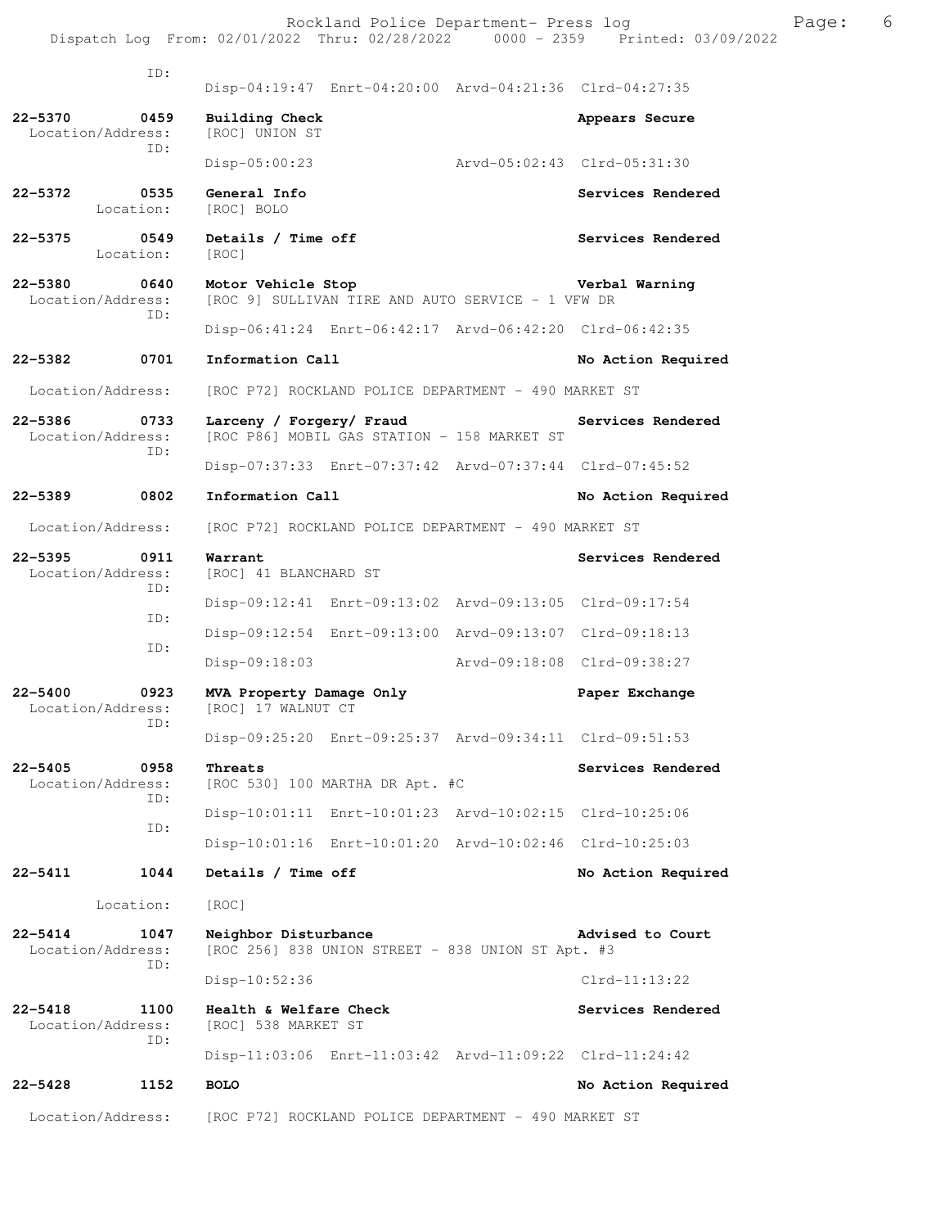ID: Disp-04:19:47 Enrt-04:20:00 Arvd-04:21:36 Clrd-04:27:35 **22-5370 0459 Building Check Appears Secure**  Location/Address: [ROC] UNION ST ID: Disp-05:00:23 Arvd-05:02:43 Clrd-05:31:30 **22-5372 0535 General Info Services Rendered**  Location: [ROC] BOLO 22-5375 0549 Details / Time off **Services Rendered Services** Rendered Location: [ROC] **22-5380 0640 Motor Vehicle Stop Verbal Warning**  Location/Address: [ROC 9] SULLIVAN TIRE AND AUTO SERVICE - 1 VFW DR ID: Disp-06:41:24 Enrt-06:42:17 Arvd-06:42:20 Clrd-06:42:35 22-5382 0701 Information Call **1.1 Contained Action Required** Required Location/Address: [ROC P72] ROCKLAND POLICE DEPARTMENT - 490 MARKET ST **22-5386 0733 Larceny / Forgery/ Fraud Services Rendered**  Location/Address: [ROC P86] MOBIL GAS STATION - 158 MARKET ST ID: Disp-07:37:33 Enrt-07:37:42 Arvd-07:37:44 Clrd-07:45:52 **22-5389 0802 Information Call No Action Required**  Location/Address: [ROC P72] ROCKLAND POLICE DEPARTMENT - 490 MARKET ST **22-5395 0911 Warrant Services Rendered Execution** Services Rendered Location/Address: [ROC] 41 BLANCHARD ST [ROC] 41 BLANCHARD ST ID: Disp-09:12:41 Enrt-09:13:02 Arvd-09:13:05 Clrd-09:17:54 ID: Disp-09:12:54 Enrt-09:13:00 Arvd-09:13:07 Clrd-09:18:13 ID: Disp-09:18:03 Arvd-09:18:08 Clrd-09:38:27 **22-5400 0923 MVA Property Damage Only Paper Exchange**  Location/Address: [ROC] 17 WALNUT CT ID: Disp-09:25:20 Enrt-09:25:37 Arvd-09:34:11 Clrd-09:51:53 **22-5405 0958 Threats Services Rendered** Location/Address: [ROC 530] 100 MARTHA DR Apt. #C  $[ROC 530] 100 MARTHA DR Apt. #C$  ID: Disp-10:01:11 Enrt-10:01:23 Arvd-10:02:15 Clrd-10:25:06 ID: Disp-10:01:16 Enrt-10:01:20 Arvd-10:02:46 Clrd-10:25:03 **22-5411 1044 Details / Time off No Action Required**  Location: [ROC] **22-5414 1047 Neighbor Disturbance Advised to Court**  Location/Address: [ROC 256] 838 UNION STREET - 838 UNION ST Apt. #3 ID: Disp-10:52:36 Clrd-11:13:22 **22-5418 1100 Health & Welfare Check Services Rendered** Location/Address: [ROC] 538 MARKET ST Location/Address: ID: Disp-11:03:06 Enrt-11:03:42 Arvd-11:09:22 Clrd-11:24:42 **22-5428 1152 BOLO No Action Required**  Location/Address: [ROC P72] ROCKLAND POLICE DEPARTMENT - 490 MARKET ST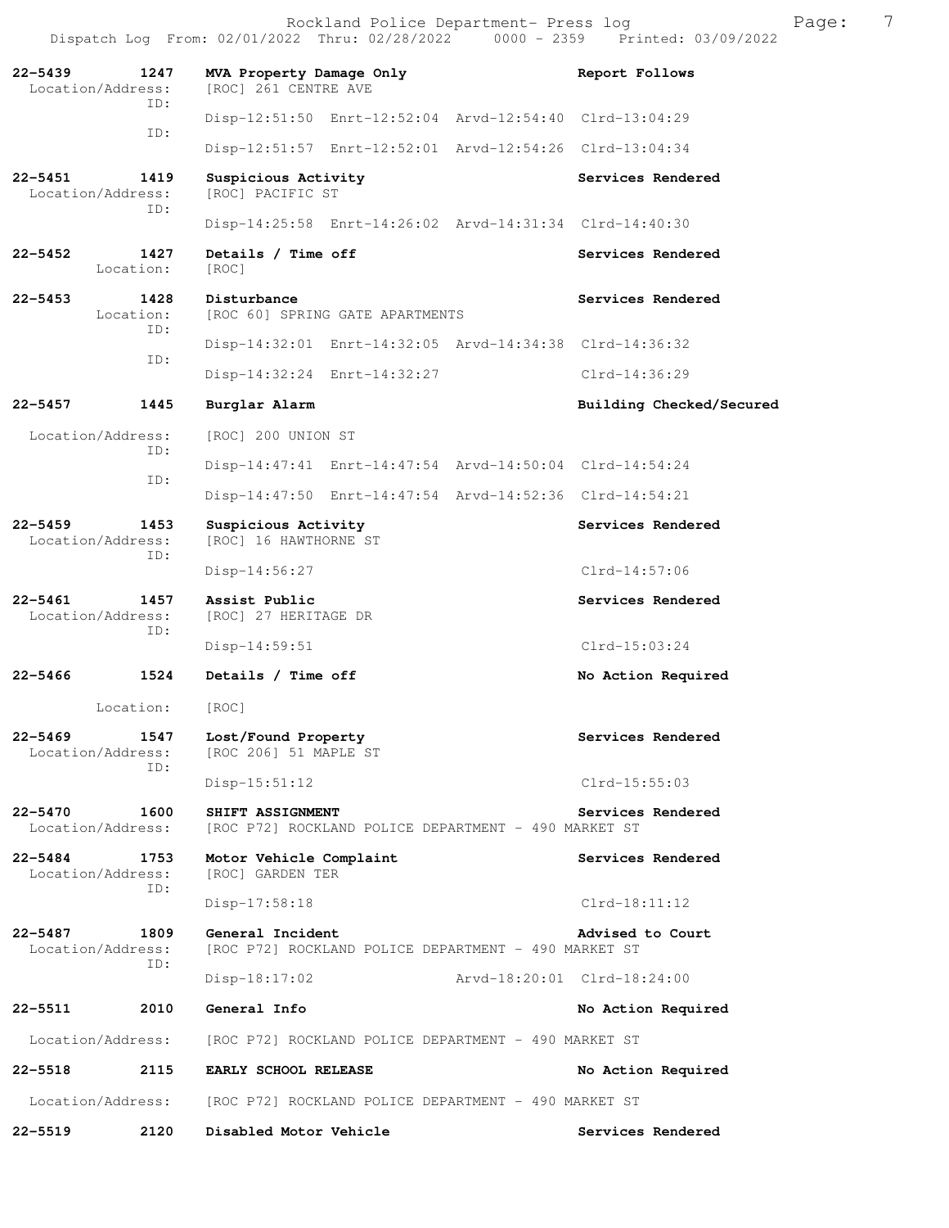**22-5439 1247 MVA Property Damage Only Report Follows**  Location/Address: [ROC] 261 CENTRE AVE ID: Disp-12:51:50 Enrt-12:52:04 Arvd-12:54:40 Clrd-13:04:29 ID: Disp-12:51:57 Enrt-12:52:01 Arvd-12:54:26 Clrd-13:04:34 22-5451 1419 Suspicious Activity **Services Rendered**  Location/Address: [ROC] PACIFIC ST ID: Disp-14:25:58 Enrt-14:26:02 Arvd-14:31:34 Clrd-14:40:30 22-5452 1427 Details / Time off **Services Rendered** Location: [ROC] **22-5453 1428 Disturbance 1428 Disturbance Services Rendered Indianal Bervices Services Rendered** [ROC 60] SPRING GATE APARTMENTS ID: Disp-14:32:01 Enrt-14:32:05 Arvd-14:34:38 Clrd-14:36:32 ID: Disp-14:32:24 Enrt-14:32:27 Clrd-14:36:29 **22-5457 1445 Burglar Alarm Building Checked/Secured**  Location/Address: [ROC] 200 UNION ST ID: Disp-14:47:41 Enrt-14:47:54 Arvd-14:50:04 Clrd-14:54:24 ID: Disp-14:47:50 Enrt-14:47:54 Arvd-14:52:36 Clrd-14:54:21 22-5459 1453 Suspicious Activity **1453** Suspicious Activity Location/Address: [ROC] 16 HAWTHORNE ST ID: Disp-14:56:27 Clrd-14:57:06 **22-5461 1457 Assist Public Services Rendered**  Location/Address: [ROC] 27 HERITAGE DR ID: Disp-14:59:51 Clrd-15:03:24 **22-5466 1524 Details / Time off No Action Required**  Location: [ROC] **22-5469 1547 Lost/Found Property Services Rendered**  Location/Address: [ROC 206] 51 MAPLE ST ID: Disp-15:51:12 Clrd-15:55:03 **22-5470 1600 SHIFT ASSIGNMENT** POLICE DEPARTMENT - 490 MARKET ST Location/Address: [ROC P72] ROCKLAND POLICE DEPARTMENT - 490 MARKET ST [ROC P72] ROCKLAND POLICE DEPARTMENT - 490 MARKET ST **22-5484 1753 Motor Vehicle Complaint Services Rendered**  Location/Address: [ROC] GARDEN TER ID: Disp-17:58:18 Clrd-18:11:12 **22-5487 1809 General Incident Advised to Court**  Location/Address: [ROC P72] ROCKLAND POLICE DEPARTMENT - 490 MARKET ST ID: Disp-18:17:02 Arvd-18:20:01 Clrd-18:24:00 **22-5511 2010 General Info No Action Required**  Location/Address: [ROC P72] ROCKLAND POLICE DEPARTMENT - 490 MARKET ST **22-5518 2115 EARLY SCHOOL RELEASE No Action Required**  Location/Address: [ROC P72] ROCKLAND POLICE DEPARTMENT - 490 MARKET ST **22-5519 2120 Disabled Motor Vehicle Services Rendered**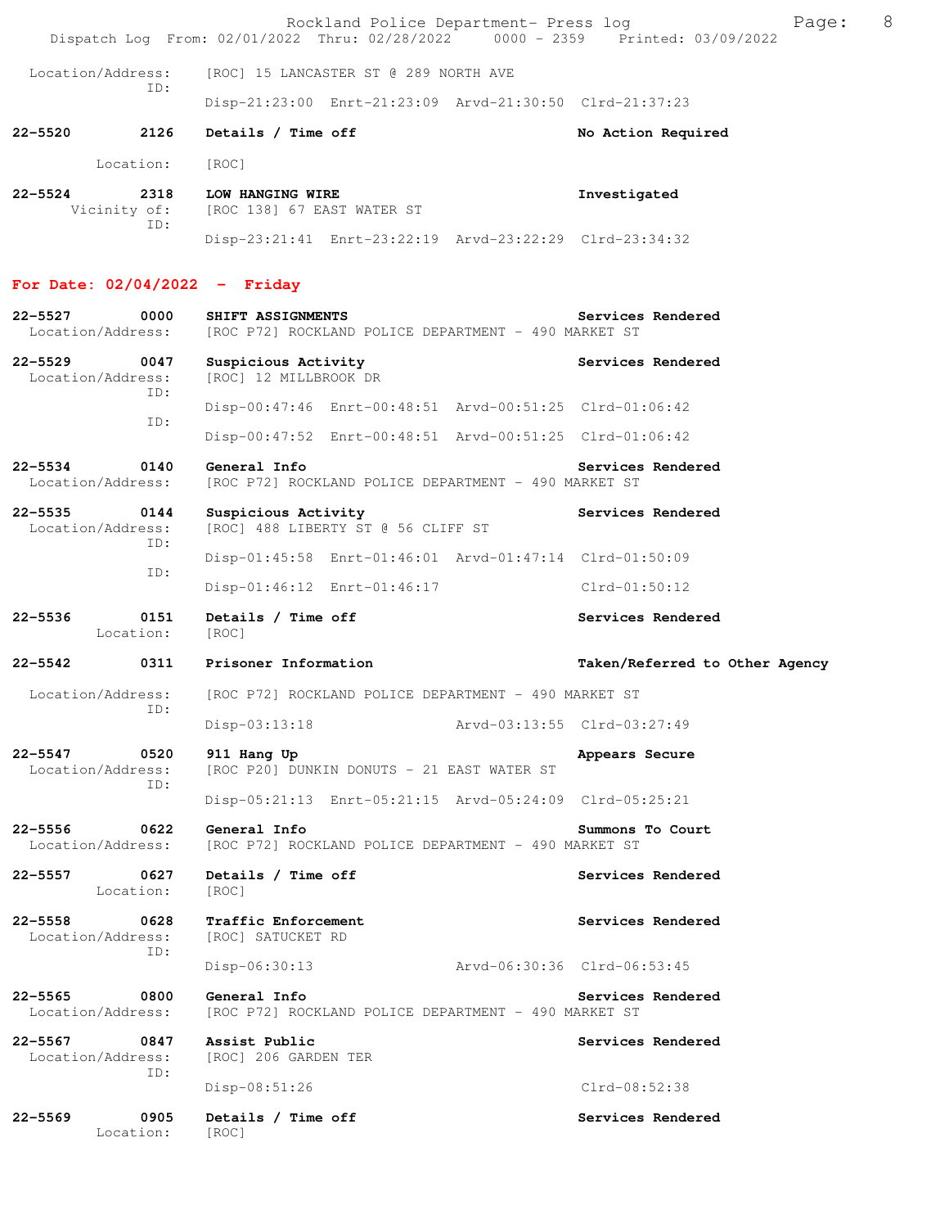Rockland Police Department- Press log entitled and Page: 8 Dispatch Log From: 02/01/2022 Thru: 02/28/2022 0000 - 2359 Printed: 03/09/2022

 Location/Address: [ROC] 15 LANCASTER ST @ 289 NORTH AVE ID: Disp-21:23:00 Enrt-21:23:09 Arvd-21:30:50 Clrd-21:37:23

22-5520 2126 Details / Time off No Action Required

Location: [ROC]

| 22–5524 | 2318         | LOW HANGING WIRE                                        | Investigated |
|---------|--------------|---------------------------------------------------------|--------------|
|         | Vicinity of: | [ROC 138] 67 EAST WATER ST                              |              |
|         |              |                                                         |              |
|         |              | Disp-23:21:41 Enrt-23:22:19 Arvd-23:22:29 Clrd-23:34:32 |              |

### **For Date: 02/04/2022 - Friday**

| $22 - 5527$<br>0000<br>Location/Address:        | SHIFT ASSIGNMENTS<br>[ROC P72] ROCKLAND POLICE DEPARTMENT - 490 MARKET ST | Services Rendered              |
|-------------------------------------------------|---------------------------------------------------------------------------|--------------------------------|
| $22 - 5529$<br>0047<br>Location/Address:<br>TD: | Suspicious Activity<br>[ROC] 12 MILLBROOK DR                              | Services Rendered              |
| ID:                                             | Disp-00:47:46 Enrt-00:48:51 Arvd-00:51:25 Clrd-01:06:42                   |                                |
|                                                 | Disp-00:47:52 Enrt-00:48:51 Arvd-00:51:25 Clrd-01:06:42                   |                                |
| 0140<br>22–5534<br>Location/Address:            | General Info<br>[ROC P72] ROCKLAND POLICE DEPARTMENT - 490 MARKET ST      | Services Rendered              |
| $22 - 5535$<br>0144<br>Location/Address:<br>TD: | Suspicious Activity<br>[ROC] 488 LIBERTY ST @ 56 CLIFF ST                 | Services Rendered              |
| ID:                                             | Disp-01:45:58 Enrt-01:46:01 Arvd-01:47:14 Clrd-01:50:09                   |                                |
|                                                 | Disp-01:46:12 Enrt-01:46:17                                               | Clrd-01:50:12                  |
| $22 - 5536$<br>0151<br>Location:                | Details / Time off<br>[ROC]                                               | Services Rendered              |
| 22–5542<br>0311                                 | Prisoner Information                                                      | Taken/Referred to Other Agency |
| Location/Address:<br>ID:                        | [ROC P72] ROCKLAND POLICE DEPARTMENT - 490 MARKET ST                      |                                |
|                                                 | Arvd-03:13:55 Clrd-03:27:49<br>Disp-03:13:18                              |                                |
| 22-5547<br>0520<br>Location/Address:<br>ID:     | 911 Hang Up<br>[ROC P20] DUNKIN DONUTS - 21 EAST WATER ST                 | Appears Secure                 |
|                                                 | Disp-05:21:13 Enrt-05:21:15 Arvd-05:24:09 Clrd-05:25:21                   |                                |
| 0622<br>22-5556<br>Location/Address:            | General Info<br>[ROC P72] ROCKLAND POLICE DEPARTMENT - 490 MARKET ST      | Summons To Court               |
| $22 - 5557$<br>0627<br>Location:                | Details / Time off<br>[ROC]                                               | Services Rendered              |
| $22 - 5558$<br>0628<br>Location/Address:        | Traffic Enforcement<br>[ROC] SATUCKET RD                                  | Services Rendered              |
| ID:                                             | Arvd-06:30:36 Clrd-06:53:45<br>$Disp-06:30:13$                            |                                |
| $22 - 5565$<br>0800<br>Location/Address:        | General Info<br>[ROC P72] ROCKLAND POLICE DEPARTMENT - 490 MARKET ST      | Services Rendered              |
| $22 - 5567$<br>0847<br>Location/Address:        | Assist Public<br>[ROC] 206 GARDEN TER                                     | Services Rendered              |
| ID:                                             | Disp-08:51:26                                                             | Clrd-08:52:38                  |
| 0905<br>$22 - 5569$<br>Location:                | Details / Time off<br>[ROC]                                               | Services Rendered              |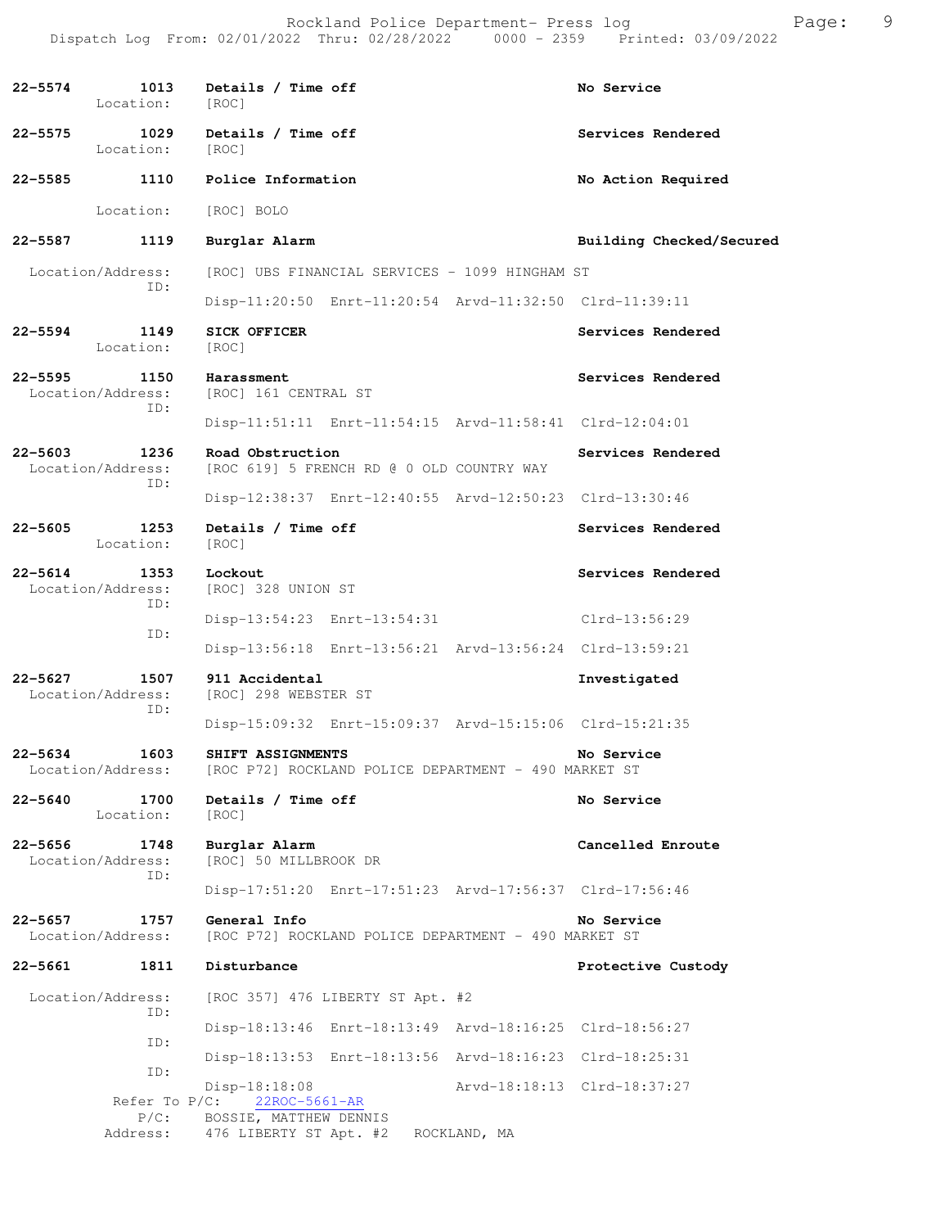| 22-5574 1013 Details / Time off<br>Location: [ROC] |                                                                                             | No Service                  |
|----------------------------------------------------|---------------------------------------------------------------------------------------------|-----------------------------|
| $22 - 5575$<br>Location: [ROC]                     | 1029 Details / Time off                                                                     | Services Rendered           |
| 22-5585 1110 Police Information                    |                                                                                             | No Action Required          |
|                                                    | Location: [ROC] BOLO                                                                        |                             |
| $22 - 5587$<br>1119                                | Burglar Alarm                                                                               | Building Checked/Secured    |
| Location/Address:<br>ID:                           | [ROC] UBS FINANCIAL SERVICES - 1099 HINGHAM ST                                              |                             |
|                                                    | Disp-11:20:50 Enrt-11:20:54 Arvd-11:32:50 Clrd-11:39:11                                     |                             |
| 22-5594<br>1149<br>Location:                       | <b>SICK OFFICER</b><br>[ROC]                                                                | Services Rendered           |
| 22-5595 1150<br>ID:                                | Harassment<br>Location/Address: [ROC] 161 CENTRAL ST                                        | Services Rendered           |
|                                                    | Disp-11:51:11 Enrt-11:54:15 Arvd-11:58:41 Clrd-12:04:01                                     |                             |
| 22-5603 1236<br>Location/Address:<br>ID:           | Road Obstruction<br>[ROC 619] 5 FRENCH RD @ 0 OLD COUNTRY WAY                               | Services Rendered           |
|                                                    | Disp-12:38:37 Enrt-12:40:55 Arvd-12:50:23 Clrd-13:30:46                                     |                             |
| 22-5605<br>1253<br>Location:                       | Details / Time off<br>[ROC]                                                                 | Services Rendered           |
| 22-5614 1353<br>Location/Address:<br>ID:           | Lockout<br>[ROC] 328 UNION ST                                                               | Services Rendered           |
| ID:                                                | Disp-13:54:23 Enrt-13:54:31 Clrd-13:56:29                                                   |                             |
|                                                    | Disp-13:56:18 Enrt-13:56:21 Arvd-13:56:24 Clrd-13:59:21                                     |                             |
| 1507<br>22-5627<br>Location/Address:<br>ID:        | 911 Accidental<br>[ROC] 298 WEBSTER ST                                                      | Investigated                |
|                                                    | Disp-15:09:32 Enrt-15:09:37 Arvd-15:15:06 Clrd-15:21:35                                     |                             |
| 1603<br>22-5634                                    | SHIFT ASSIGNMENTS<br>Location/Address: [ROC P72] ROCKLAND POLICE DEPARTMENT - 490 MARKET ST | No Service                  |
| $22 - 5640$<br>1700<br>Location:                   | Details / Time off<br>[ROC]                                                                 | No Service                  |
| $22 - 5656$<br>1748<br>Location/Address:<br>ID:    | Burglar Alarm<br>[ROC] 50 MILLBROOK DR                                                      | Cancelled Enroute           |
|                                                    | Disp-17:51:20 Enrt-17:51:23 Arvd-17:56:37 Clrd-17:56:46                                     |                             |
| $22 - 5657$<br>1757<br>Location/Address:           | General Info<br>[ROC P72] ROCKLAND POLICE DEPARTMENT - 490 MARKET ST                        | No Service                  |
| $22 - 5661$<br>1811                                | Disturbance                                                                                 | Protective Custody          |
| Location/Address:<br>ID:                           | [ROC 357] 476 LIBERTY ST Apt. #2                                                            |                             |
| ID:                                                | Disp-18:13:46 Enrt-18:13:49 Arvd-18:16:25 Clrd-18:56:27                                     |                             |
| ID:                                                | Disp-18:13:53 Enrt-18:13:56 Arvd-18:16:23 Clrd-18:25:31                                     |                             |
| Refer To $P/C$ :                                   | $Disp-18:18:08$<br>22ROC-5661-AR                                                            | Arvd-18:18:13 Clrd-18:37:27 |
| $P/C$ :<br>Address:                                | BOSSIE, MATTHEW DENNIS<br>476 LIBERTY ST Apt. #2 ROCKLAND, MA                               |                             |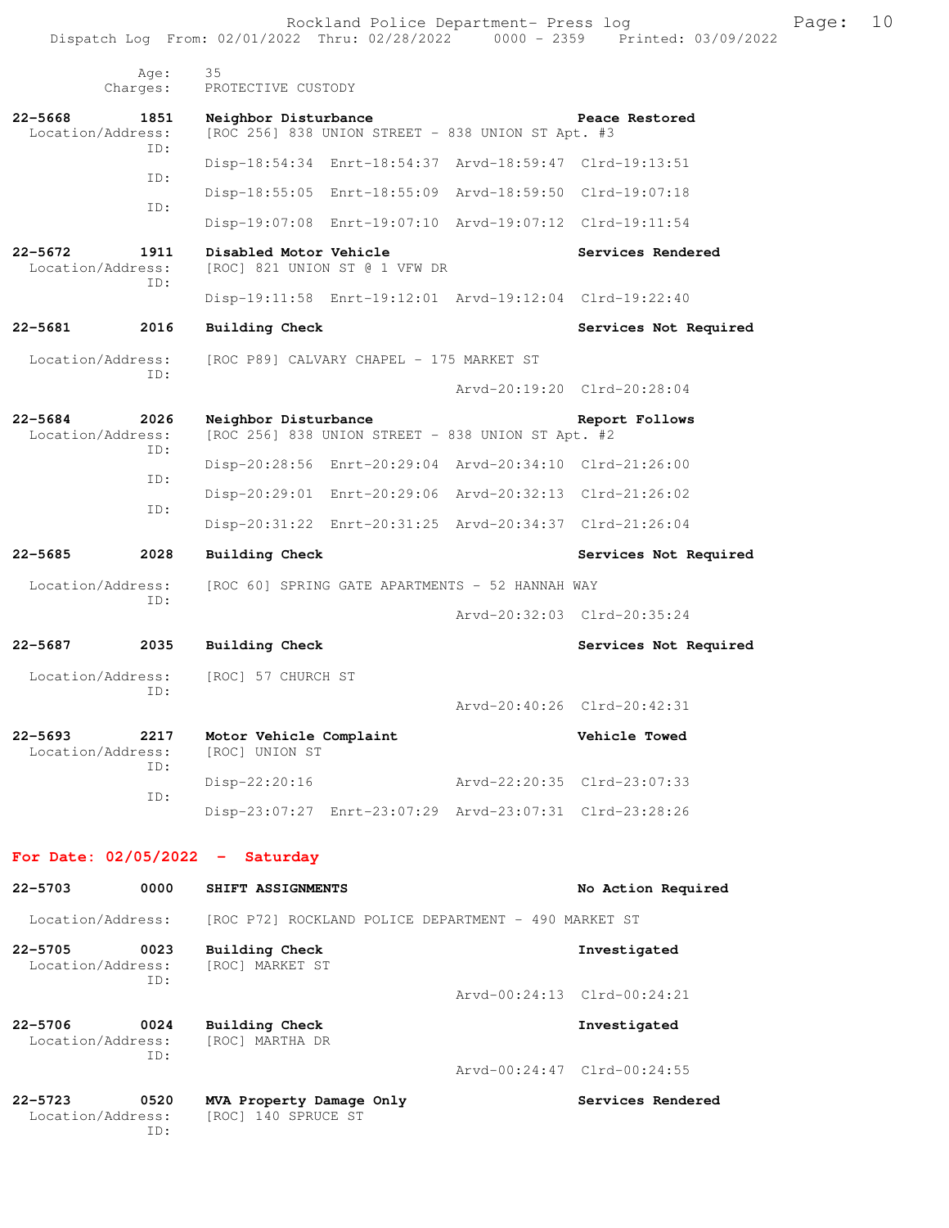Dispatch Log From: 02/01/2022 Thru: 02/28/2022 0000 - 2359 Printed: 03/09/2022 Age: 35 Charges: PROTECTIVE CUSTODY **22-5668 1851 Neighbor Disturbance Peace Restored Example 2561 Neighbor Disturbance Peace Restored Example 2561 1851 INCO** 2561 838 **UNION** STREET - 838 **UNION** ST Apt. #3  $[ROC 256]$  838 UNION STREET - 838 UNION ST Apt. #3 ID: Disp-18:54:34 Enrt-18:54:37 Arvd-18:59:47 Clrd-19:13:51 ID: Disp-18:55:05 Enrt-18:55:09 Arvd-18:59:50 Clrd-19:07:18 ID: Disp-19:07:08 Enrt-19:07:10 Arvd-19:07:12 Clrd-19:11:54 **22-5672 1911 Disabled Motor Vehicle Services Rendered** Location/Address: [ROC] 821 UNION ST @ 1 VFW DR [ROC] 821 UNION ST @ 1 VFW DR ID: Disp-19:11:58 Enrt-19:12:01 Arvd-19:12:04 Clrd-19:22:40 **22-5681 2016 Building Check Services Not Required**  Location/Address: [ROC P89] CALVARY CHAPEL - 175 MARKET ST ID: Arvd-20:19:20 Clrd-20:28:04 **22-5684 2026 Neighbor Disturbance Report Follows**  Location/Address: [ROC 256] 838 UNION STREET - 838 UNION ST Apt. #2 ID: Disp-20:28:56 Enrt-20:29:04 Arvd-20:34:10 Clrd-21:26:00 ID: Disp-20:29:01 Enrt-20:29:06 Arvd-20:32:13 Clrd-21:26:02 ID: Disp-20:31:22 Enrt-20:31:25 Arvd-20:34:37 Clrd-21:26:04 **22-5685 2028 Building Check Services Not Required**  Location/Address: [ROC 60] SPRING GATE APARTMENTS - 52 HANNAH WAY ID: Arvd-20:32:03 Clrd-20:35:24 **22-5687 2035 Building Check Services Not Required**  Location/Address: [ROC] 57 CHURCH ST ID: Arvd-20:40:26 Clrd-20:42:31 **22-5693 2217 Motor Vehicle Complaint Complaint Vehicle Towed Location/Address:** [ROC] UNION ST Location/Address: ID: Disp-22:20:16 Arvd-22:20:35 Clrd-23:07:33 ID: Disp-23:07:27 Enrt-23:07:29 Arvd-23:07:31 Clrd-23:28:26 **For Date: 02/05/2022 - Saturday 22-5703 0000 SHIFT ASSIGNMENTS No Action Required**  Location/Address: [ROC P72] ROCKLAND POLICE DEPARTMENT - 490 MARKET ST **22-5705 0023 Building Check Investigated**  Location/Address: [ROC] MARKET ST ID: Arvd-00:24:13 Clrd-00:24:21 **22-5706 0024 Building Check Investigated**  Location/Address: ID: Arvd-00:24:47 Clrd-00:24:55 **22-5723 0520 MVA Property Damage Only Services Rendered**  Location/Address: [ROC] 140 SPRUCE ST

ID:

Rockland Police Department- Press log Frank Page: 10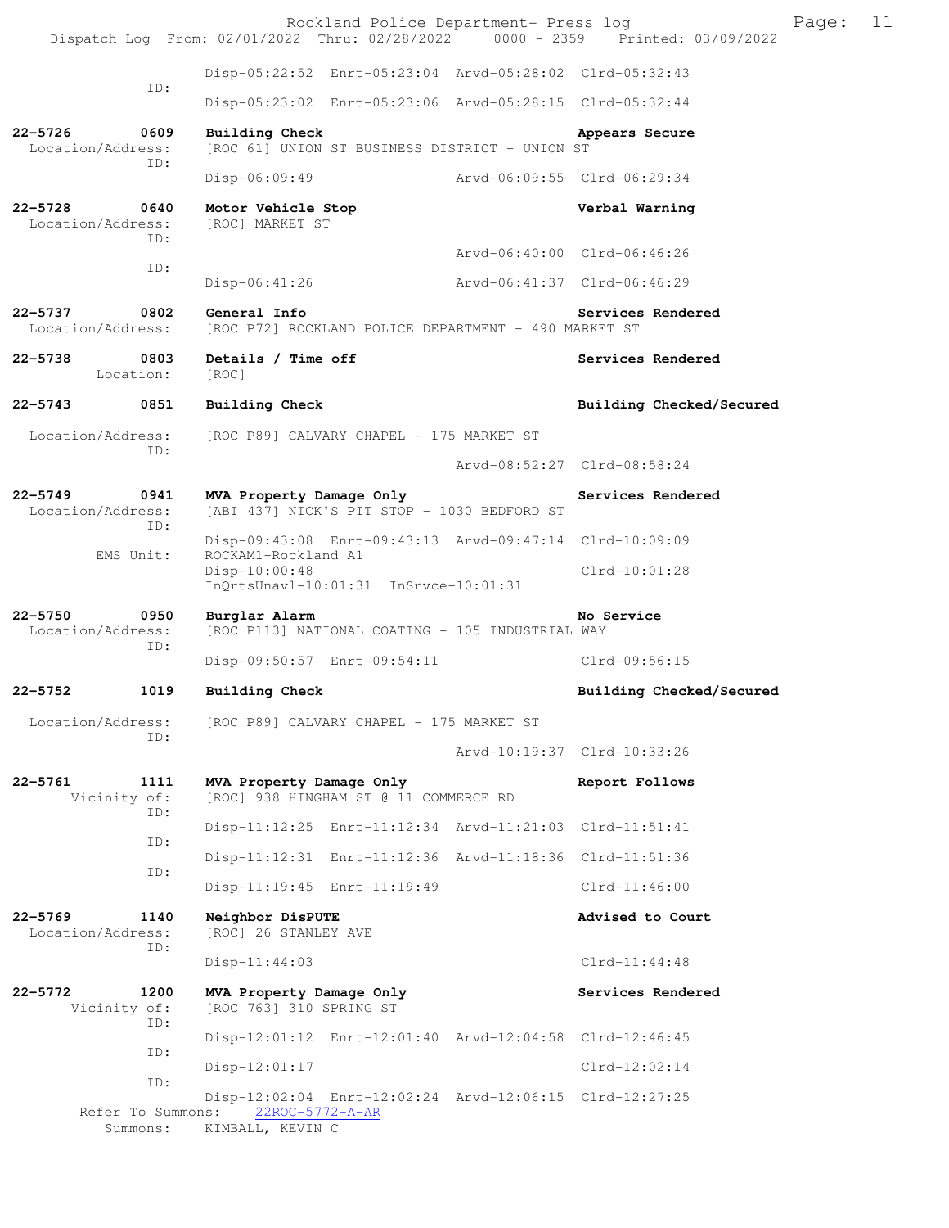Rockland Police Department- Press log Page: 11 Dispatch Log From: 02/01/2022 Thru: 02/28/2022 Disp-05:22:52 Enrt-05:23:04 Arvd-05:28:02 Clrd-05:32:43 ID: Disp-05:23:02 Enrt-05:23:06 Arvd-05:28:15 Clrd-05:32:44 **22-5726 0609 Building Check Appears Secure**  [ROC 61] UNION ST BUSINESS DISTRICT - UNION ST ID: Disp-06:09:49 Arvd-06:09:55 Clrd-06:29:34 **22-5728 0640 Motor Vehicle Stop Verbal Warning**  Location/Address: [ROC] MARKET ST ID: Arvd-06:40:00 Clrd-06:46:26 ID: Disp-06:41:26 Arvd-06:41:37 Clrd-06:46:29 **22-5737 0802 General Info Services Rendered**  Location/Address: [ROC P72] ROCKLAND POLICE DEPARTMENT - 490 MARKET ST 22-5738 0803 Details / Time off **Services Rendered Services** Rendered Location: [ROC] **22-5743 0851 Building Check Building Checked/Secured**  Location/Address: [ROC P89] CALVARY CHAPEL - 175 MARKET ST ID: Arvd-08:52:27 Clrd-08:58:24 **22-5749 0941 MVA Property Damage Only Services Rendered**  Location/Address: [ABI 437] NICK'S PIT STOP - 1030 BEDFORD ST ID: Disp-09:43:08 Enrt-09:43:13 Arvd-09:47:14 Clrd-10:09:09<br>EMS Unit: ROCKAM1-Rockland A1 ROCKAM1-Rockland A1 Disp-10:00:48 Clrd-10:01:28 InQrtsUnavl-10:01:31 InSrvce-10:01:31 **22-5750 0950 Burglar Alarm No Service**  Location/Address: [ROC P113] NATIONAL COATING - 105 INDUSTRIAL WAY ID: Disp-09:50:57 Enrt-09:54:11 Clrd-09:56:15 **22-5752 1019 Building Check Building Checked/Secured**  Location/Address: [ROC P89] CALVARY CHAPEL - 175 MARKET ST ID: Arvd-10:19:37 Clrd-10:33:26 **22-5761 1111 MVA Property Damage Only Report Follows**  Vicinity of: [ROC] 938 HINGHAM ST @ 11 COMMERCE RD ID: Disp-11:12:25 Enrt-11:12:34 Arvd-11:21:03 Clrd-11:51:41 ID: Disp-11:12:31 Enrt-11:12:36 Arvd-11:18:36 Clrd-11:51:36 ID: Disp-11:19:45 Enrt-11:19:49 Clrd-11:46:00 **22-5769 1140 Neighbor DisPUTE Advised to Court**  Location/Address: [ROC] 26 STANLEY AVE ID: Disp-11:44:03 Clrd-11:44:48 **22-5772 1200 MVA Property Damage Only Services Rendered**  Vicinity of: [ROC 763] 310 SPRING ST ID: Disp-12:01:12 Enrt-12:01:40 Arvd-12:04:58 Clrd-12:46:45 ID: Disp-12:01:17 Clrd-12:02:14 ID: Disp-12:02:04 Enrt-12:02:24 Arvd-12:06:15 Clrd-12:27:25 Refer To Summons: 22ROC-5772-A-AR Summons: KIMBALL, KEVIN C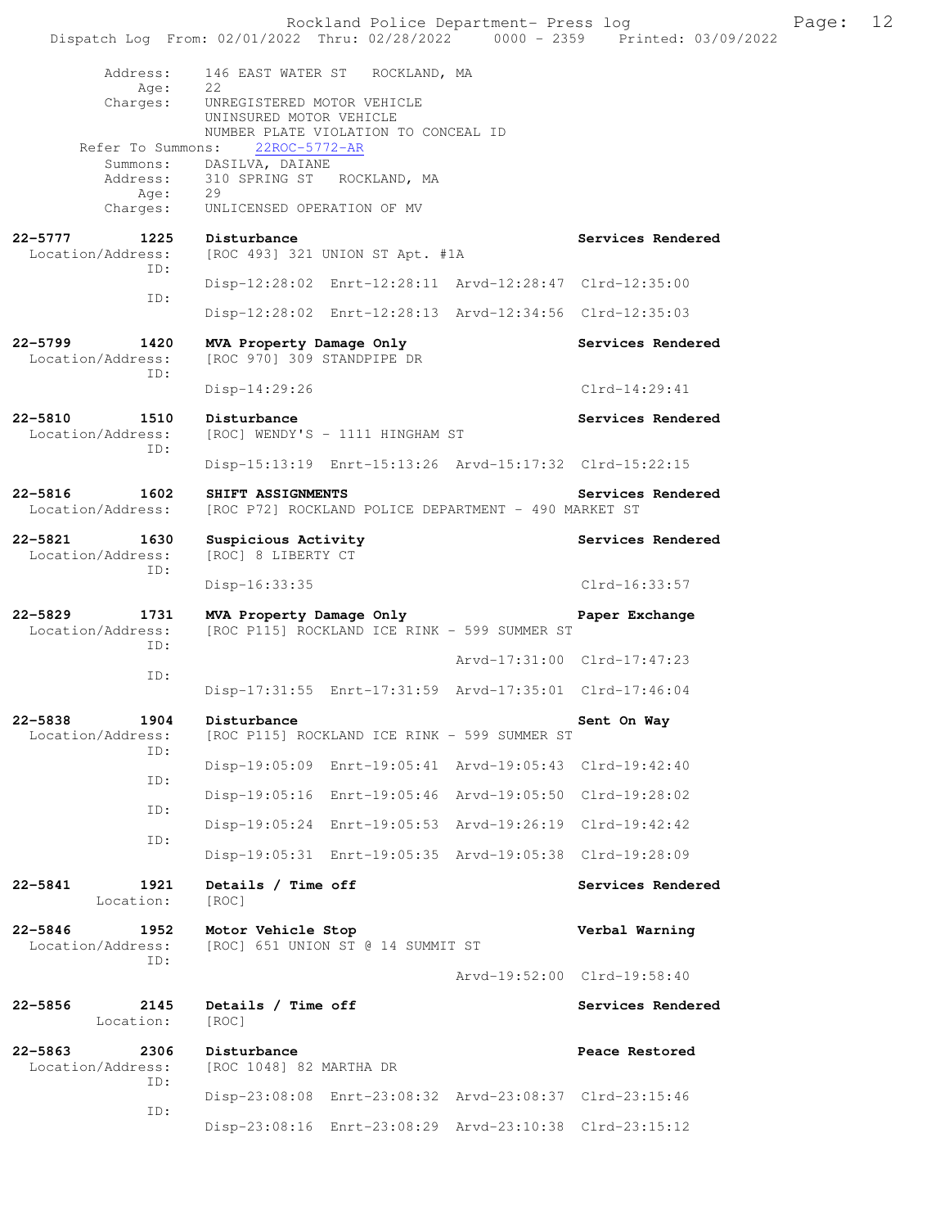|                                                 | Rockland Police Department- Press log<br>Dispatch Log From: 02/01/2022 Thru: 02/28/2022 0000 - 2359 Printed: 03/09/2022 |                             |                   | Page: | 12 |
|-------------------------------------------------|-------------------------------------------------------------------------------------------------------------------------|-----------------------------|-------------------|-------|----|
| Address:                                        | 146 EAST WATER ST ROCKLAND, MA                                                                                          |                             |                   |       |    |
| Age:<br>Charges:                                | 22<br>UNREGISTERED MOTOR VEHICLE<br>UNINSURED MOTOR VEHICLE<br>NUMBER PLATE VIOLATION TO CONCEAL ID                     |                             |                   |       |    |
| Refer To Summons:                               | 22ROC-5772-AR                                                                                                           |                             |                   |       |    |
| Address:                                        | Summons: DASILVA, DAIANE<br>310 SPRING ST ROCKLAND, MA                                                                  |                             |                   |       |    |
| Age:<br>Charges:                                | 29<br>UNLICENSED OPERATION OF MV                                                                                        |                             |                   |       |    |
| 22–5777<br>1225<br>Location/Address:<br>ID:     | Disturbance<br>[ROC 493] 321 UNION ST Apt. #1A                                                                          |                             | Services Rendered |       |    |
| ID:                                             | Disp-12:28:02 Enrt-12:28:11 Arvd-12:28:47 Clrd-12:35:00                                                                 |                             |                   |       |    |
|                                                 | Disp-12:28:02 Enrt-12:28:13 Arvd-12:34:56 Clrd-12:35:03                                                                 |                             |                   |       |    |
| $22 - 5799$<br>1420<br>Location/Address:<br>ID: | MVA Property Damage Only<br>[ROC 970] 309 STANDPIPE DR                                                                  |                             | Services Rendered |       |    |
|                                                 | $Disp-14:29:26$                                                                                                         |                             | $Clrd-14:29:41$   |       |    |
| 22-5810<br>1510<br>Location/Address:<br>ID:     | Disturbance<br>[ROC] WENDY'S - 1111 HINGHAM ST                                                                          |                             | Services Rendered |       |    |
|                                                 | Disp-15:13:19 Enrt-15:13:26 Arvd-15:17:32 Clrd-15:22:15                                                                 |                             |                   |       |    |
| 22-5816<br>1602<br>Location/Address:            | SHIFT ASSIGNMENTS<br>[ROC P72] ROCKLAND POLICE DEPARTMENT - 490 MARKET ST                                               |                             | Services Rendered |       |    |
| 22-5821 1630<br>Location/Address:<br>ID:        | Suspicious Activity<br>[ROC] 8 LIBERTY CT                                                                               |                             | Services Rendered |       |    |
|                                                 | Disp-16:33:35                                                                                                           |                             | $Clrd-16:33:57$   |       |    |
| 22-5829<br>1731<br>Location/Address:<br>ID:     | MVA Property Damage Only<br>[ROC P115] ROCKLAND ICE RINK - 599 SUMMER ST                                                |                             | Paper Exchange    |       |    |
|                                                 |                                                                                                                         | Arvd-17:31:00 Clrd-17:47:23 |                   |       |    |
| ID:                                             | Disp-17:31:55 Enrt-17:31:59 Arvd-17:35:01 Clrd-17:46:04                                                                 |                             |                   |       |    |
| 22-5838<br>1904<br>Location/Address:<br>ID:     | Disturbance<br>[ROC P115] ROCKLAND ICE RINK - 599 SUMMER ST                                                             |                             | Sent On Way       |       |    |
| ID:                                             | Disp-19:05:09 Enrt-19:05:41 Arvd-19:05:43 Clrd-19:42:40                                                                 |                             |                   |       |    |
| ID:                                             | Disp-19:05:16 Enrt-19:05:46 Arvd-19:05:50 Clrd-19:28:02                                                                 |                             |                   |       |    |
| ID:                                             | Disp-19:05:24 Enrt-19:05:53 Arvd-19:26:19 Clrd-19:42:42                                                                 |                             |                   |       |    |
|                                                 | Disp-19:05:31 Enrt-19:05:35 Arvd-19:05:38 Clrd-19:28:09                                                                 |                             |                   |       |    |
| 22-5841<br>1921<br>Location:                    | Details / Time off<br>[ROC]                                                                                             |                             | Services Rendered |       |    |
| 22-5846<br>1952<br>Location/Address:<br>ID:     | Motor Vehicle Stop<br>[ROC] 651 UNION ST @ 14 SUMMIT ST                                                                 |                             | Verbal Warning    |       |    |
|                                                 |                                                                                                                         | Arvd-19:52:00 Clrd-19:58:40 |                   |       |    |
| 2145<br>22-5856<br>Location:                    | Details / Time off<br>[ROC]                                                                                             |                             | Services Rendered |       |    |
| 22-5863<br>2306<br>Location/Address:<br>ID:     | Disturbance<br>[ROC 1048] 82 MARTHA DR                                                                                  |                             | Peace Restored    |       |    |
| ID:                                             | Disp-23:08:08 Enrt-23:08:32 Arvd-23:08:37 Clrd-23:15:46                                                                 |                             |                   |       |    |
|                                                 | Disp-23:08:16 Enrt-23:08:29 Arvd-23:10:38 Clrd-23:15:12                                                                 |                             |                   |       |    |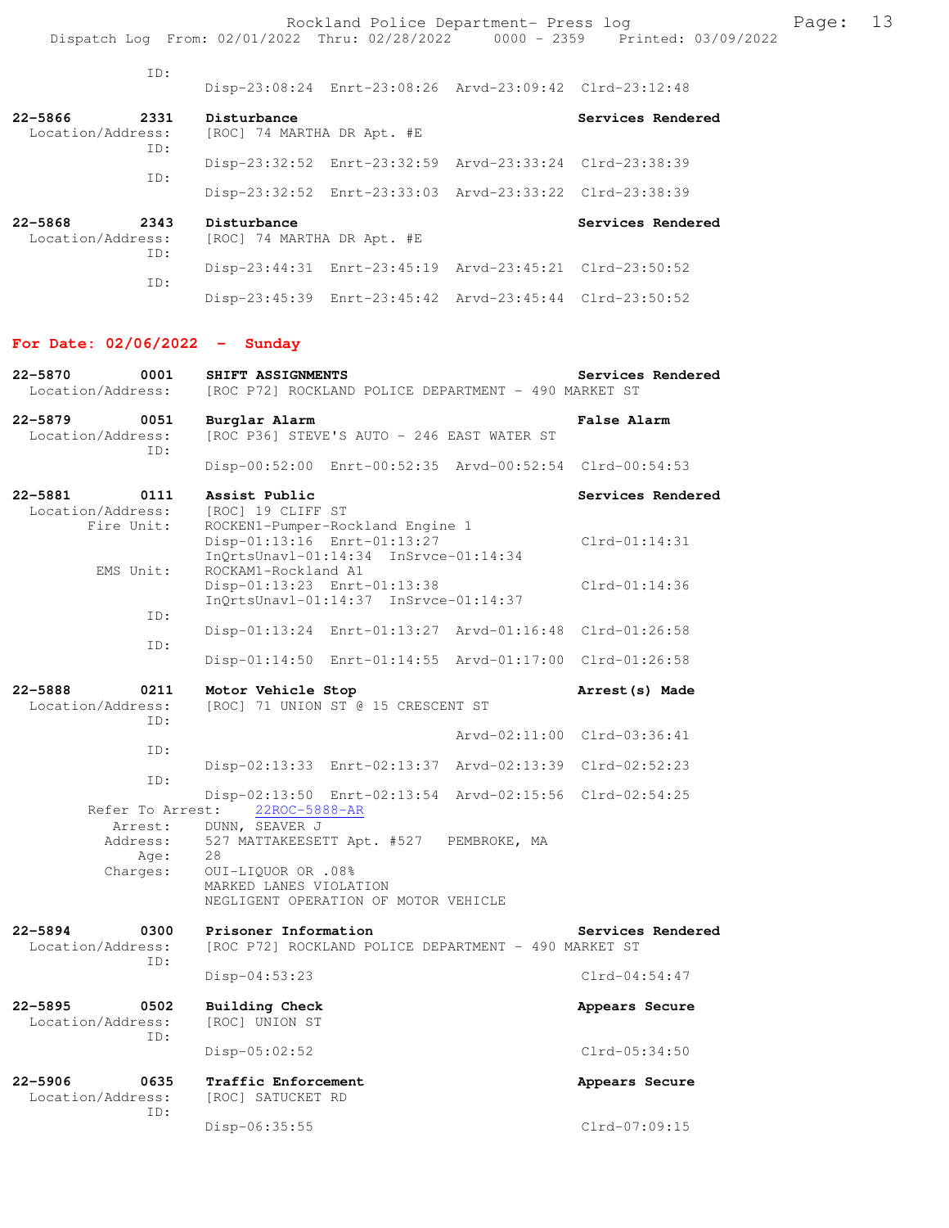Rockland Police Department- Press log entitled and Page: 13 Dispatch Log From: 02/01/2022 Thru: 02/28/2022 0000 - 2359 Printed: 03/09/2022

| ID:                                         |                                           |                                                         |                   |
|---------------------------------------------|-------------------------------------------|---------------------------------------------------------|-------------------|
|                                             |                                           | Disp-23:08:24 Enrt-23:08:26 Arvd-23:09:42 Clrd-23:12:48 |                   |
| 22-5866<br>2331<br>Location/Address:<br>ID: | Disturbance<br>[ROC] 74 MARTHA DR Apt. #E |                                                         | Services Rendered |
|                                             |                                           | Disp-23:32:52 Enrt-23:32:59 Arvd-23:33:24 Clrd-23:38:39 |                   |
| TD:                                         |                                           | Disp-23:32:52 Enrt-23:33:03 Arvd-23:33:22 Clrd-23:38:39 |                   |
| 22-5868<br>2343<br>Location/Address:<br>ID: | Disturbance<br>[ROC] 74 MARTHA DR Apt. #E |                                                         | Services Rendered |
|                                             |                                           | Disp-23:44:31 Enrt-23:45:19 Arvd-23:45:21 Clrd-23:50:52 |                   |
| TD:                                         |                                           | Disp-23:45:39 Enrt-23:45:42 Arvd-23:45:44 Clrd-23:50:52 |                   |

### **For Date: 02/06/2022 - Sunday**

| $22 - 5870$<br>0001<br>Location/Address:           | SHIFT ASSIGNMENTS<br>[ROC P72] ROCKLAND POLICE DEPARTMENT - 490 MARKET ST                                                                               | Services Rendered                    |
|----------------------------------------------------|---------------------------------------------------------------------------------------------------------------------------------------------------------|--------------------------------------|
| $22 - 5879$<br>0051<br>Location/Address:<br>TD:    | Burglar Alarm<br>[ROC P36] STEVE'S AUTO - 246 EAST WATER ST                                                                                             | <b>False Alarm</b>                   |
|                                                    | Disp-00:52:00 Enrt-00:52:35 Arvd-00:52:54 Clrd-00:54:53                                                                                                 |                                      |
| 22-5881<br>0111<br>Location/Address:<br>Fire Unit: | Assist Public<br>[ROC] 19 CLIFF ST<br>ROCKEN1-Pumper-Rockland Engine 1<br>Disp-01:13:16 Enrt-01:13:27                                                   | Services Rendered<br>$Clrd-01:14:31$ |
| EMS Unit:                                          | $InQrtsUnav1-01:14:34$ $InSrvce-01:14:34$<br>ROCKAM1-Rockland A1<br>Disp-01:13:23 Enrt-01:13:38                                                         | $Clrd-01:14:36$                      |
| TD:                                                | InQrtsUnavl-01:14:37 InSrvce-01:14:37                                                                                                                   |                                      |
| TD:                                                | Disp-01:13:24 Enrt-01:13:27 Arvd-01:16:48 Clrd-01:26:58                                                                                                 |                                      |
|                                                    | Disp-01:14:50 Enrt-01:14:55 Arvd-01:17:00 Clrd-01:26:58                                                                                                 |                                      |
| $22 - 5888$<br>0211<br>Location/Address:<br>TD:    | Motor Vehicle Stop<br>[ROC] 71 UNION ST @ 15 CRESCENT ST                                                                                                | Arrest (s) Made                      |
| TD:                                                |                                                                                                                                                         | Arvd-02:11:00 Clrd-03:36:41          |
| ID:                                                | Disp-02:13:33 Enrt-02:13:37 Arvd-02:13:39 Clrd-02:52:23                                                                                                 |                                      |
| Refer To Arrest:                                   | Disp-02:13:50 Enrt-02:13:54 Arvd-02:15:56 Clrd-02:54:25<br>22ROC-5888-AR                                                                                |                                      |
| Arrest:<br>Address:<br>Age:<br>Charges:            | DUNN, SEAVER J<br>527 MATTAKEESETT Apt. #527 PEMBROKE, MA<br>28<br>0UI-LIQUOR OR .08%<br>MARKED LANES VIOLATION<br>NEGLIGENT OPERATION OF MOTOR VEHICLE |                                      |
| $22 - 5894$<br>0300<br>Location/Address:<br>ID:    | Prisoner Information<br>[ROC P72] ROCKLAND POLICE DEPARTMENT - 490 MARKET ST                                                                            | Services Rendered                    |
|                                                    | $Disp-04:53:23$                                                                                                                                         | $Clrd-04:54:47$                      |
| $22 - 5895$<br>0502<br>Location/Address:<br>ID:    | <b>Building Check</b><br>[ROC] UNION ST                                                                                                                 | Appears Secure                       |
|                                                    | $Disp-05:02:52$                                                                                                                                         | $Clrd-05:34:50$                      |
| $22 - 5906$<br>0635<br>Location/Address:<br>TD:    | Traffic Enforcement<br>[ROC] SATUCKET RD                                                                                                                | Appears Secure                       |
|                                                    | Disp-06:35:55                                                                                                                                           | $Clrd-07:09:15$                      |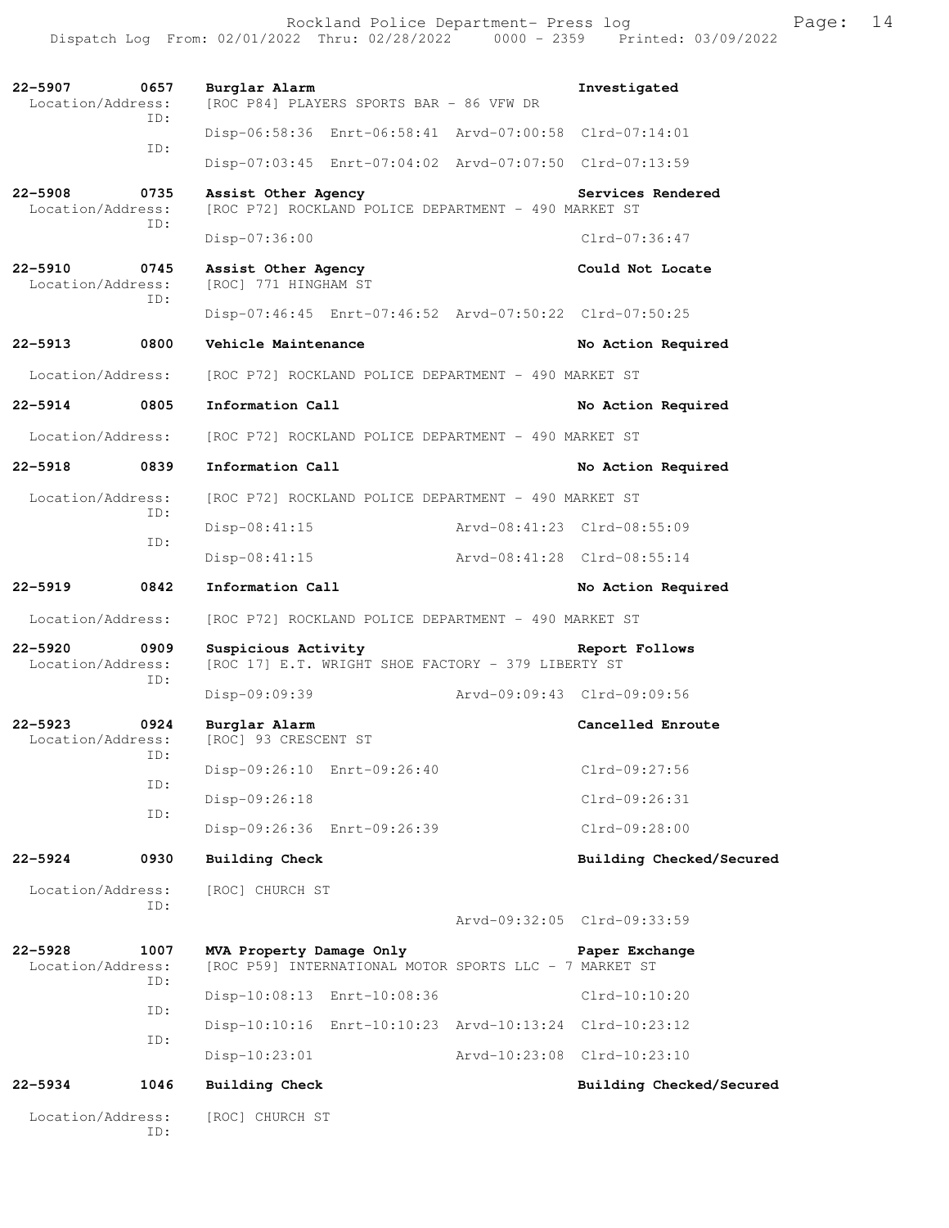| $22 - 5907$<br>Location/Address:         | 0657<br>TD: | Burglar Alarm<br>[ROC P84] PLAYERS SPORTS BAR - 86 VFW DR                          | Investigated                |
|------------------------------------------|-------------|------------------------------------------------------------------------------------|-----------------------------|
|                                          | ID:         | Disp-06:58:36 Enrt-06:58:41 Arvd-07:00:58 Clrd-07:14:01                            |                             |
|                                          |             | Disp-07:03:45 Enrt-07:04:02 Arvd-07:07:50 Clrd-07:13:59                            |                             |
| $22 - 5908$<br>Location/Address:         | 0735        | Assist Other Agency<br>[ROC P72] ROCKLAND POLICE DEPARTMENT - 490 MARKET ST        | Services Rendered           |
|                                          | ID:         | $Disp-07:36:00$                                                                    | Clrd-07:36:47               |
| $22 - 5910$<br>Location/Address:         | 0745<br>ID: | Assist Other Agency<br>[ROC] 771 HINGHAM ST                                        | Could Not Locate            |
|                                          |             | Disp-07:46:45 Enrt-07:46:52 Arvd-07:50:22 Clrd-07:50:25                            |                             |
| $22 - 5913$                              | 0800        | Vehicle Maintenance                                                                | No Action Required          |
| Location/Address:                        |             | [ROC P72] ROCKLAND POLICE DEPARTMENT - 490 MARKET ST                               |                             |
| 22-5914                                  | 0805        | Information Call                                                                   | No Action Required          |
| Location/Address:                        |             | [ROC P72] ROCKLAND POLICE DEPARTMENT - 490 MARKET ST                               |                             |
| $22 - 5918$                              | 0839        | Information Call                                                                   | No Action Required          |
| Location/Address:                        |             | [ROC P72] ROCKLAND POLICE DEPARTMENT - 490 MARKET ST                               |                             |
|                                          | ID:         | $Disp-08:41:15$                                                                    | Arvd-08:41:23 Clrd-08:55:09 |
|                                          | ID:         | $Disp-08:41:15$                                                                    | Arvd-08:41:28 Clrd-08:55:14 |
| $22 - 5919$                              | 0842        | Information Call                                                                   | No Action Required          |
| Location/Address:                        |             | [ROC P72] ROCKLAND POLICE DEPARTMENT - 490 MARKET ST                               |                             |
| $22 - 5920$<br>0909<br>Location/Address: |             | Suspicious Activity<br>[ROC 17] E.T. WRIGHT SHOE FACTORY - 379 LIBERTY ST          | Report Follows              |
|                                          | ID:         | Disp-09:09:39                                                                      | Arvd-09:09:43 Clrd-09:09:56 |
| $22 - 5923$<br>Location/Address:         | 0924        | Burglar Alarm<br>[ROC] 93 CRESCENT ST                                              | Cancelled Enroute           |
|                                          | ID:         |                                                                                    |                             |
|                                          |             | Disp-09:26:10 Enrt-09:26:40                                                        | Clrd-09:27:56               |
|                                          | ID:         | Disp-09:26:18                                                                      | $Clrd-09:26:31$             |
|                                          | ID:         | Disp-09:26:36 Enrt-09:26:39                                                        | Clrd-09:28:00               |
| $22 - 5924$                              | 0930        | <b>Building Check</b>                                                              | Building Checked/Secured    |
| Location/Address:                        |             | [ROC] CHURCH ST                                                                    |                             |
|                                          | ID:         |                                                                                    | Arvd-09:32:05 Clrd-09:33:59 |
| $22 - 5928$<br>Location/Address:         | 1007        | MVA Property Damage Only<br>[ROC P59] INTERNATIONAL MOTOR SPORTS LLC - 7 MARKET ST | Paper Exchange              |
|                                          | ID:         | Disp-10:08:13 Enrt-10:08:36                                                        | $Clrd-10:10:20$             |
|                                          | ID:         | Disp-10:10:16 Enrt-10:10:23 Arvd-10:13:24 Clrd-10:23:12                            |                             |
|                                          | ID:         | Disp-10:23:01                                                                      | Arvd-10:23:08 Clrd-10:23:10 |
| 22-5934                                  | 1046        | Building Check                                                                     | Building Checked/Secured    |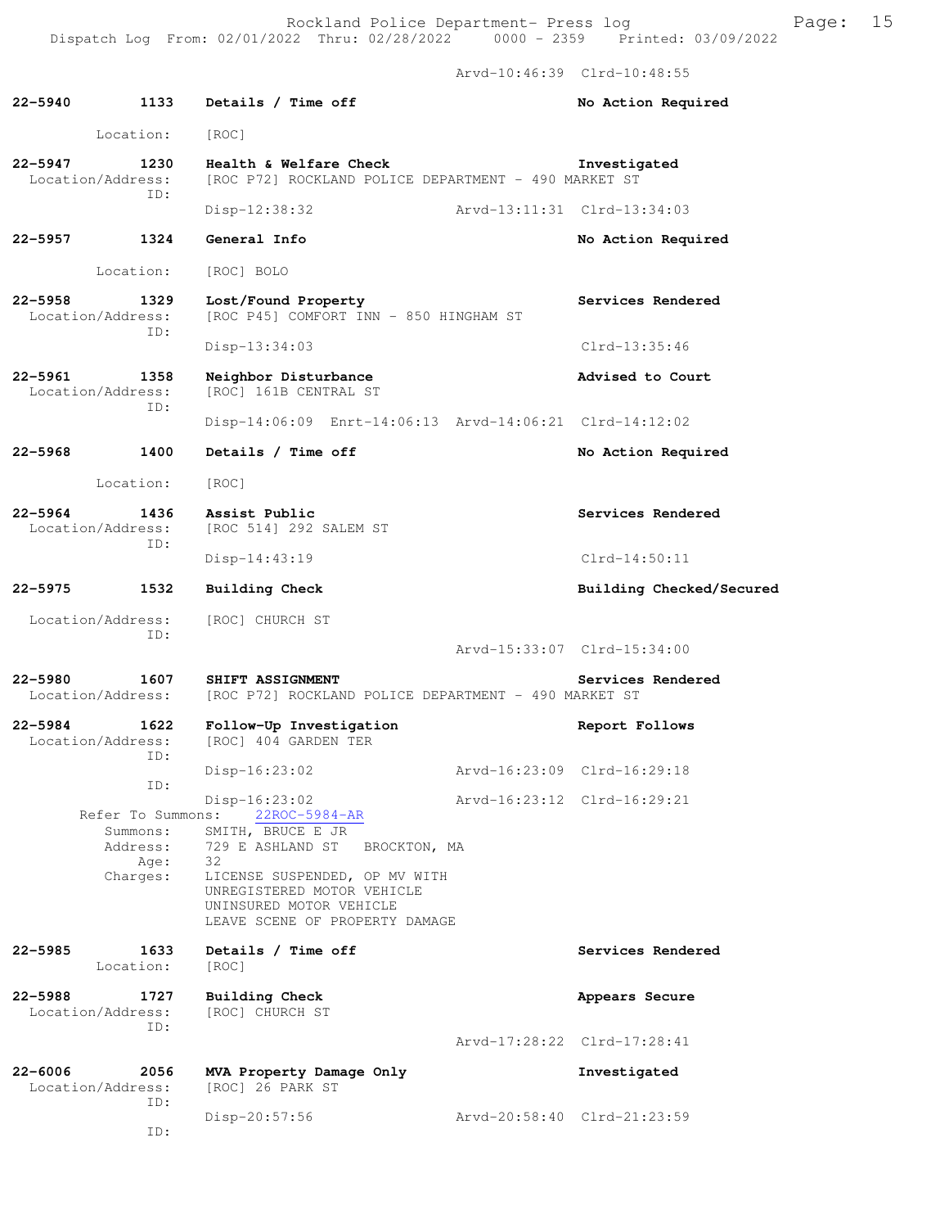Arvd-10:46:39 Clrd-10:48:55

| $22 - 5940$ | 1133                                             | Details / Time off                                                                                                             |                             | No Action Required                    |
|-------------|--------------------------------------------------|--------------------------------------------------------------------------------------------------------------------------------|-----------------------------|---------------------------------------|
|             | Location:                                        | [ROC]                                                                                                                          |                             |                                       |
| $22 - 5947$ | 1230<br>Location/Address:                        | Health & Welfare Check<br>[ROC P72] ROCKLAND POLICE DEPARTMENT - 490 MARKET ST                                                 |                             | Investigated                          |
|             | ID:                                              | Disp-12:38:32                                                                                                                  | Arvd-13:11:31 Clrd-13:34:03 |                                       |
| $22 - 5957$ | 1324                                             | General Info                                                                                                                   |                             | No Action Required                    |
|             | Location:                                        | [ROC] BOLO                                                                                                                     |                             |                                       |
| $22 - 5958$ | 1329<br>Location/Address:<br>TD:                 | Lost/Found Property<br>[ROC P45] COMFORT INN - 850 HINGHAM ST                                                                  |                             | Services Rendered                     |
|             |                                                  | $Disp-13:34:03$                                                                                                                |                             | $Clrd-13:35:46$                       |
| 22-5961     | 1358<br>Location/Address:                        | Neighbor Disturbance<br>[ROC] 161B CENTRAL ST                                                                                  |                             | Advised to Court                      |
|             | ID:                                              | Disp-14:06:09 Enrt-14:06:13 Arvd-14:06:21 Clrd-14:12:02                                                                        |                             |                                       |
| $22 - 5968$ | 1400                                             | Details / Time off                                                                                                             |                             | No Action Required                    |
|             | Location:                                        | [ROC]                                                                                                                          |                             |                                       |
| $22 - 5964$ | 1436<br>Location/Address:                        | Assist Public<br>[ROC 514] 292 SALEM ST                                                                                        |                             | Services Rendered                     |
|             | ID:                                              | $Disp-14:43:19$                                                                                                                |                             | $Clrd-14:50:11$                       |
| $22 - 5975$ | 1532                                             | Building Check                                                                                                                 |                             | Building Checked/Secured              |
|             | Location/Address:<br>ID:                         | [ROC] CHURCH ST                                                                                                                |                             |                                       |
|             |                                                  |                                                                                                                                |                             | Arvd-15:33:07 Clrd-15:34:00           |
| $22 - 5980$ | 1607<br>Location/Address:                        | SHIFT ASSIGNMENT<br>[ROC P72] ROCKLAND POLICE DEPARTMENT - 490 MARKET ST                                                       |                             | Services Rendered                     |
| $22 - 5984$ | 1622<br>Location/Address:                        | Follow-Up Investigation<br>[ROC] 404 GARDEN TER                                                                                |                             | Report Follows                        |
|             | TD:                                              | $Disp-16:23:02$                                                                                                                |                             | Arvd-16:23:09 Clrd-16:29:18           |
|             | ID:<br>Refer To Summons:<br>Summons:<br>Address: | $Disp-16:23:02$<br>$22ROC-5984-AR$<br>SMITH, BRUCE E JR<br>729 E ASHLAND ST<br>BROCKTON, MA                                    |                             | $Arvd-16:23:12 \text{ Clrd}-16:29:21$ |
|             | Age:<br>Charges:                                 | 32<br>LICENSE SUSPENDED, OP MV WITH<br>UNREGISTERED MOTOR VEHICLE<br>UNINSURED MOTOR VEHICLE<br>LEAVE SCENE OF PROPERTY DAMAGE |                             |                                       |
| $22 - 5985$ | 1633<br>Location:                                | Details / Time off<br>[ROC]                                                                                                    |                             | Services Rendered                     |
| $22 - 5988$ | 1727<br>Location/Address:<br>TD:                 | Building Check<br>[ROC] CHURCH ST                                                                                              |                             | Appears Secure                        |
|             |                                                  |                                                                                                                                |                             | Arvd-17:28:22 Clrd-17:28:41           |
| $22 - 6006$ | 2056<br>Location/Address:<br>ID:                 | MVA Property Damage Only<br>[ROC] 26 PARK ST                                                                                   |                             | Investigated                          |
|             |                                                  | Disp-20:57:56                                                                                                                  |                             | Arvd-20:58:40 Clrd-21:23:59           |

ID: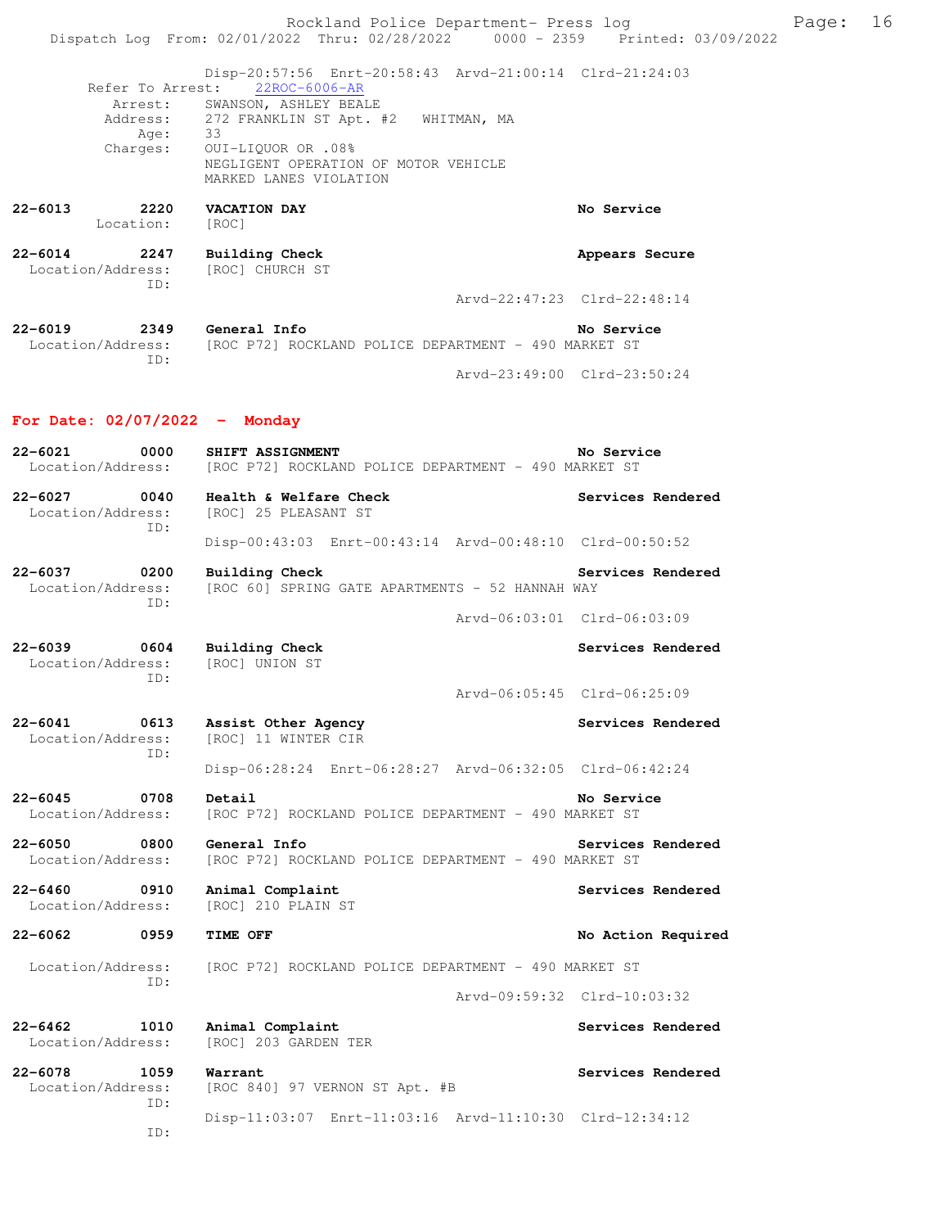Rockland Police Department- Press log Frank Page: 16 Dispatch Log From: 02/01/2022 Thru: 02/28/2022 0000 - 2359 Printed: 03/09/2022

 Disp-20:57:56 Enrt-20:58:43 Arvd-21:00:14 Clrd-21:24:03 Refer To Arrest: Arrest: SWANSON, ASHLEY BEALE Address: 272 FRANKLIN ST Apt. #2 WHITMAN, MA Age: 33 Charges: OUI-LIQUOR OR .08% NEGLIGENT OPERATION OF MOTOR VEHICLE MARKED LANES VIOLATION

**22-6013 2220 VACATION DAY No Service**  Location: [ROC] **22-6014 2247 Building Check Appears Secure**  Location/Address: [ROC] CHURCH ST ID: Arvd-22:47:23 Clrd-22:48:14 **22-6019 2349 General Info No Service** 

 Location/Address: [ROC P72] ROCKLAND POLICE DEPARTMENT - 490 MARKET ST ID: Arvd-23:49:00 Clrd-23:50:24

#### **For Date: 02/07/2022 - Monday**

**22-6021 0000 SHIFT ASSIGNMENT No Service**  Location/Address: [ROC P72] ROCKLAND POLICE DEPARTMENT - 490 MARKET ST

**22-6027 0040 Health & Welfare Check Services Rendered**  Location/Address: [ROC] 25 PLEASANT ST ID:

Disp-00:43:03 Enrt-00:43:14 Arvd-00:48:10 Clrd-00:50:52

**22-6037 0200 Building Check Services Rendered**  Location/Address: [ROC 60] SPRING GATE APARTMENTS - 52 HANNAH WAY ID:

Arvd-06:03:01 Clrd-06:03:09

Arvd-06:05:45 Clrd-06:25:09

**22-6039 0604 Building Check Services Rendered** Services Rendered Location/Address: [ROC] UNION ST Location/Address: ID:

**22-6041 0613 Assist Other Agency Services Rendered** 

 Location/Address: [ROC] 11 WINTER CIR ID:

Disp-06:28:24 Enrt-06:28:27 Arvd-06:32:05 Clrd-06:42:24

**22-6045 0708 Detail No Service**  Location/Address: [ROC P72] ROCKLAND POLICE DEPARTMENT - 490 MARKET ST

**22-6050** 0800 **General Info Services Rendered Location/Address:** [ROC P72] ROCKLAND POLICE DEPARTMENT - 490 MARKET ST [ROC P72] ROCKLAND POLICE DEPARTMENT - 490 MARKET ST

**22-6460 0910 Animal Complaint Services Rendered**  Location/Address: [ROC] 210 PLAIN ST

**22-6062 0959 TIME OFF No Action Required** 

 Location/Address: [ROC P72] ROCKLAND POLICE DEPARTMENT - 490 MARKET ST ID:

Arvd-09:59:32 Clrd-10:03:32

**22-6462 1010 Animal Complaint Services Rendered**  Location/Address: [ROC] 203 GARDEN TER

**22-6078** 1059 Warrant Services Rendered Location/Address: [ROC 840] 97 VERNON ST Apt. #B ID:

ID:

Disp-11:03:07 Enrt-11:03:16 Arvd-11:10:30 Clrd-12:34:12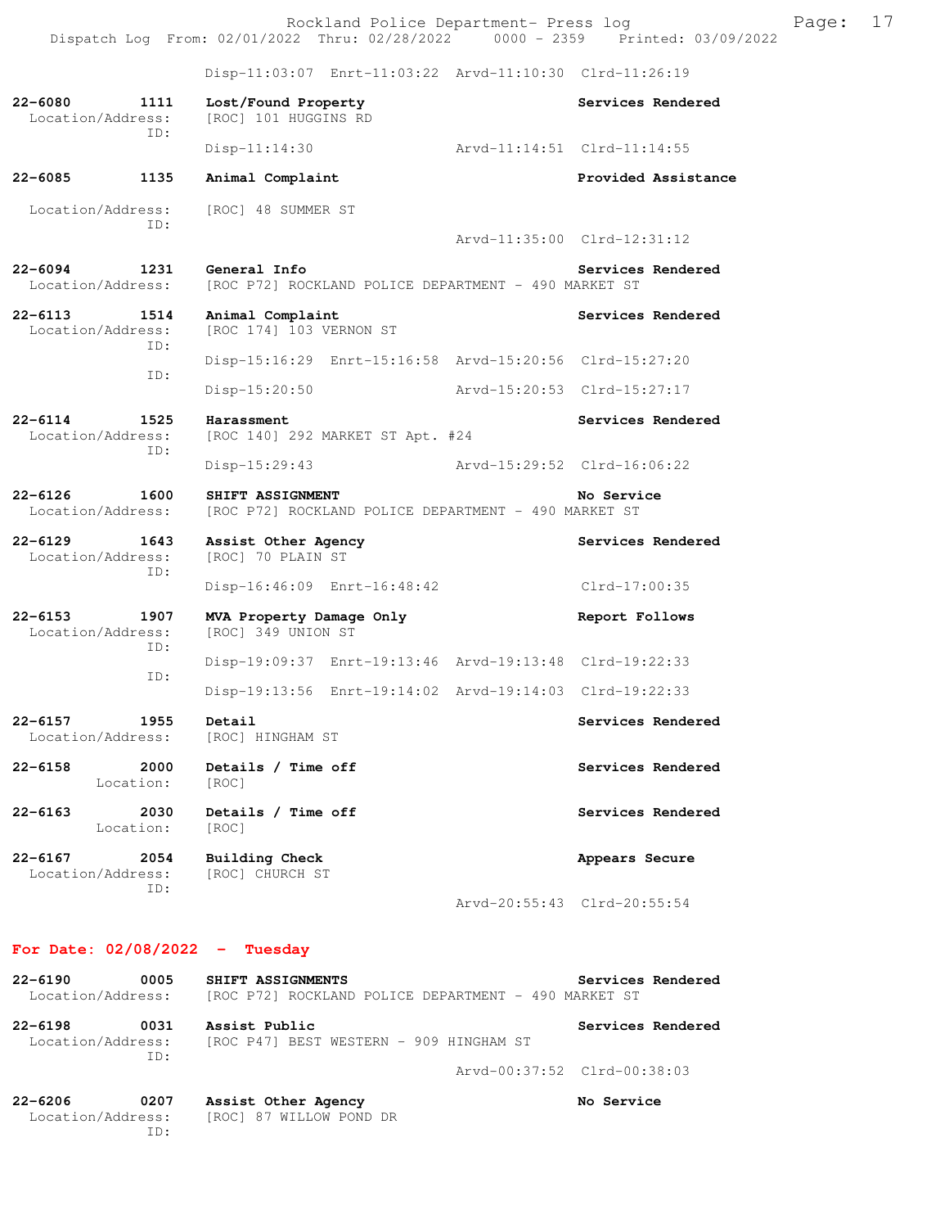Rockland Police Department- Press log Fage: 17 Dispatch Log From: 02/01/2022 Thru: 02/28/2022 0000 - 2359 Printed: 03/09/2022

 Disp-11:03:07 Enrt-11:03:22 Arvd-11:10:30 Clrd-11:26:19 **22-6080 1111 Lost/Found Property Services Rendered**  Location/Address: [ROC] 101 HUGGINS RD ID: Disp-11:14:30 Arvd-11:14:51 Clrd-11:14:55 **22-6085 1135 Animal Complaint Provided Assistance**  Location/Address: [ROC] 48 SUMMER ST ID: Arvd-11:35:00 Clrd-12:31:12 **22-6094 1231 General Info Services Rendered**  Location/Address: [ROC P72] ROCKLAND POLICE DEPARTMENT - 490 MARKET ST **22-6113 1514 Animal Complaint Complaint Services Rendered** Location/Address: [ROC 174] 103 VERNON ST [ROC 174] 103 VERNON ST ID: Disp-15:16:29 Enrt-15:16:58 Arvd-15:20:56 Clrd-15:27:20 ID: Disp-15:20:50 Arvd-15:20:53 Clrd-15:27:17 **22-6114** 1525 Harassment Services Rendered Location/Address: [ROC 140] 292 MARKET ST Apt. #24 ID: Disp-15:29:43 Arvd-15:29:52 Clrd-16:06:22 **22-6126 1600 SHIFT ASSIGNMENT No Service**  Location/Address: [ROC P72] ROCKLAND POLICE DEPARTMENT - 490 MARKET ST 22-6129 1643 Assist Other Agency **1643** Services Rendered Location/Address: [ROC] 70 PLAIN ST ID: Disp-16:46:09 Enrt-16:48:42 Clrd-17:00:35 **22-6153 1907 MVA Property Damage Only Report Follows**<br>
Location/Address: [ROC] 349 UNION ST [ROC] 349 UNION ST ID: Disp-19:09:37 Enrt-19:13:46 Arvd-19:13:48 Clrd-19:22:33 ID: Disp-19:13:56 Enrt-19:14:02 Arvd-19:14:03 Clrd-19:22:33 **22-6157 1955 Detail Services Rendered**  Location/Address: [ROC] HINGHAM ST **22-6158 2000 Details / Time off Services Rendered**  Location: [ROC] **22-6163 2030 Details / Time off Services Rendered**  Location: [ROC] **22-6167 2054 Building Check Appears Secure**  Location/Address: [ROC] CHURCH ST ID: Arvd-20:55:43 Clrd-20:55:54

#### **For Date: 02/08/2022 - Tuesday**

| 22-6190 | 0005              | SHIFT ASSIGNMENTS                                    | Services Rendered |
|---------|-------------------|------------------------------------------------------|-------------------|
|         | Location/Address: | [ROC P72] ROCKLAND POLICE DEPARTMENT - 490 MARKET ST |                   |
|         |                   |                                                      |                   |
| 22-6198 | 0031              | Assist Public                                        | Services Rendered |

 Location/Address: [ROC P47] BEST WESTERN - 909 HINGHAM ST ID:

Arvd-00:37:52 Clrd-00:38:03

**No Service** 

| $22 - 6206$       | 0207 |  | Assist Other Agency     |  |
|-------------------|------|--|-------------------------|--|
| Location/Address: |      |  | [ROC] 87 WILLOW POND DR |  |
|                   | TD:  |  |                         |  |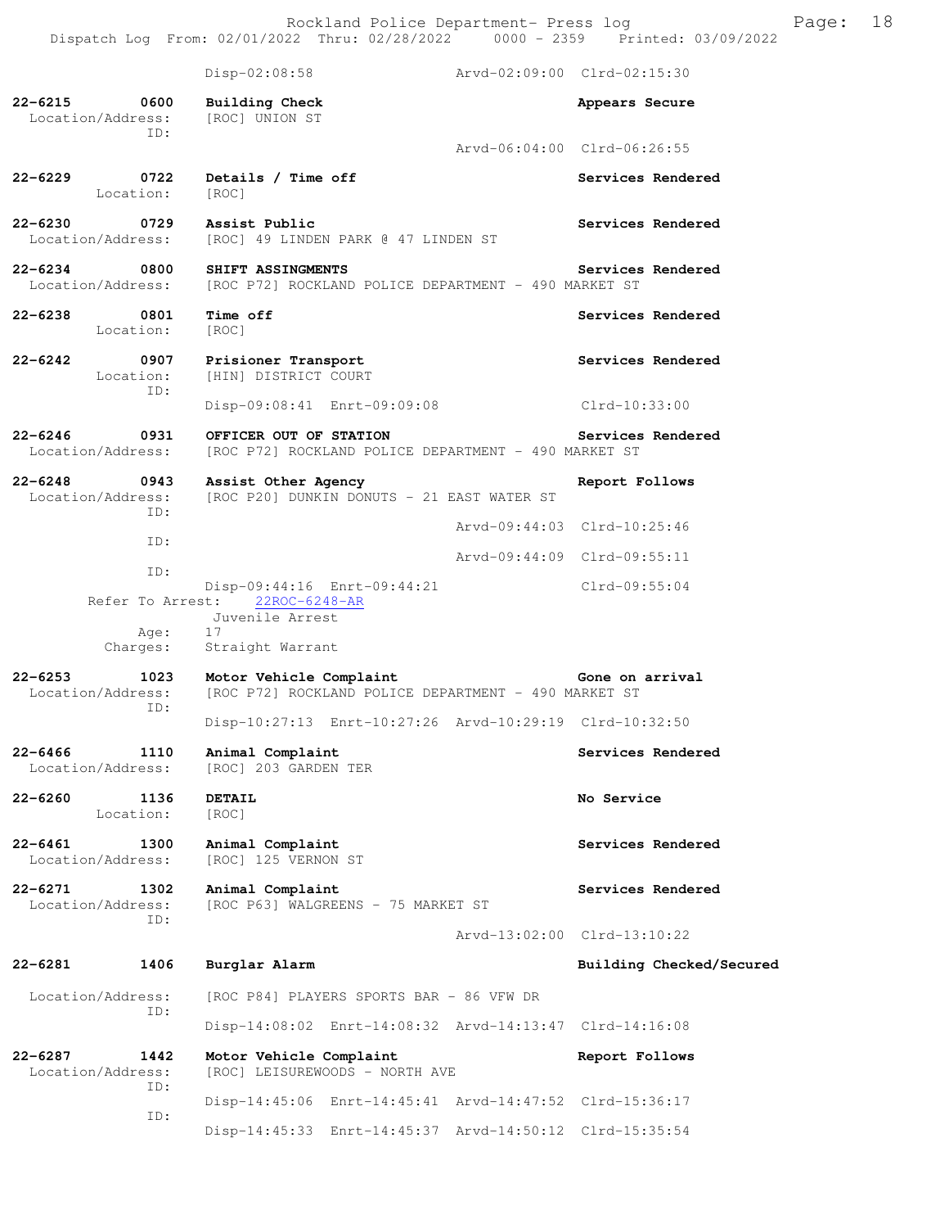Rockland Police Department- Press log Fage: 18 Dispatch Log From: 02/01/2022 Thru: 02/28/2022 0000 - 2359 Printed: 03/09/2022

 Disp-02:08:58 Arvd-02:09:00 Clrd-02:15:30 **22-6215 0600 Building Check Appears Secure**  Location/Address: [ROC] UNION ST ID: Arvd-06:04:00 Clrd-06:26:55 **22-6229 0722 Details / Time off Services Rendered**  Location: [ROC] **22-6230 0729 Assist Public Services Rendered**  Location/Address: [ROC] 49 LINDEN PARK @ 47 LINDEN ST **22-6234 0800 SHIFT ASSINGMENTS Services Rendered**  Location/Address: [ROC P72] ROCKLAND POLICE DEPARTMENT - 490 MARKET ST **22-6238 0801 Time off Services Rendered**  Location: [ROC] **22-6242 0907 Prisioner Transport Services Rendered**  Location: [HIN] DISTRICT COURT ID: Disp-09:08:41 Enrt-09:09:08 Clrd-10:33:00 22-6246 0931 OFFICER OUT OF STATION Services Rendered Location/Address: [ROC P72] ROCKLAND POLICE DEPARTMENT - 490 MARKET ST [ROC P72] ROCKLAND POLICE DEPARTMENT - 490 MARKET ST **22-6248 0943 Assist Other Agency Report Follows**  Location/Address: [ROC P20] DUNKIN DONUTS - 21 EAST WATER ST ID: Arvd-09:44:03 Clrd-10:25:46 ID: Arvd-09:44:09 Clrd-09:55:11 ID: Disp-09:44:16 Enrt-09:44:21 Clrd-09:55:04 Refer To Arrest: 22ROC-6248-AR Juvenile Arrest Age: 17<br>Charges: Str Straight Warrant **22-6253 1023 Motor Vehicle Complaint Gone on arrival**  Location/Address: [ROC P72] ROCKLAND POLICE DEPARTMENT - 490 MARKET ST ID: Disp-10:27:13 Enrt-10:27:26 Arvd-10:29:19 Clrd-10:32:50 **22-6466 1110 Animal Complaint Complaint Services Rendered** Location/Address: [ROC] 203 GARDEN TER Location/Address: [ROC] 203 GARDEN TER **22-6260 1136 DETAIL No Service**  Location: [ROC] **22-6461** 1300 Animal Complaint **Services Rendered** Location/Address: [ROC] 125 VERNON ST [ROC] 125 VERNON ST **22-6271 1302 Animal Complaint Services Rendered**  Location/Address: [ROC P63] WALGREENS - 75 MARKET ST ID: Arvd-13:02:00 Clrd-13:10:22 **22-6281 1406 Burglar Alarm Building Checked/Secured**  Location/Address: [ROC P84] PLAYERS SPORTS BAR - 86 VFW DR ID: Disp-14:08:02 Enrt-14:08:32 Arvd-14:13:47 Clrd-14:16:08 **22-6287 1442 Motor Vehicle Complaint Report Follows**  Location/Address: [ROC] LEISUREWOODS - NORTH AVE ID: Disp-14:45:06 Enrt-14:45:41 Arvd-14:47:52 Clrd-15:36:17 ID: Disp-14:45:33 Enrt-14:45:37 Arvd-14:50:12 Clrd-15:35:54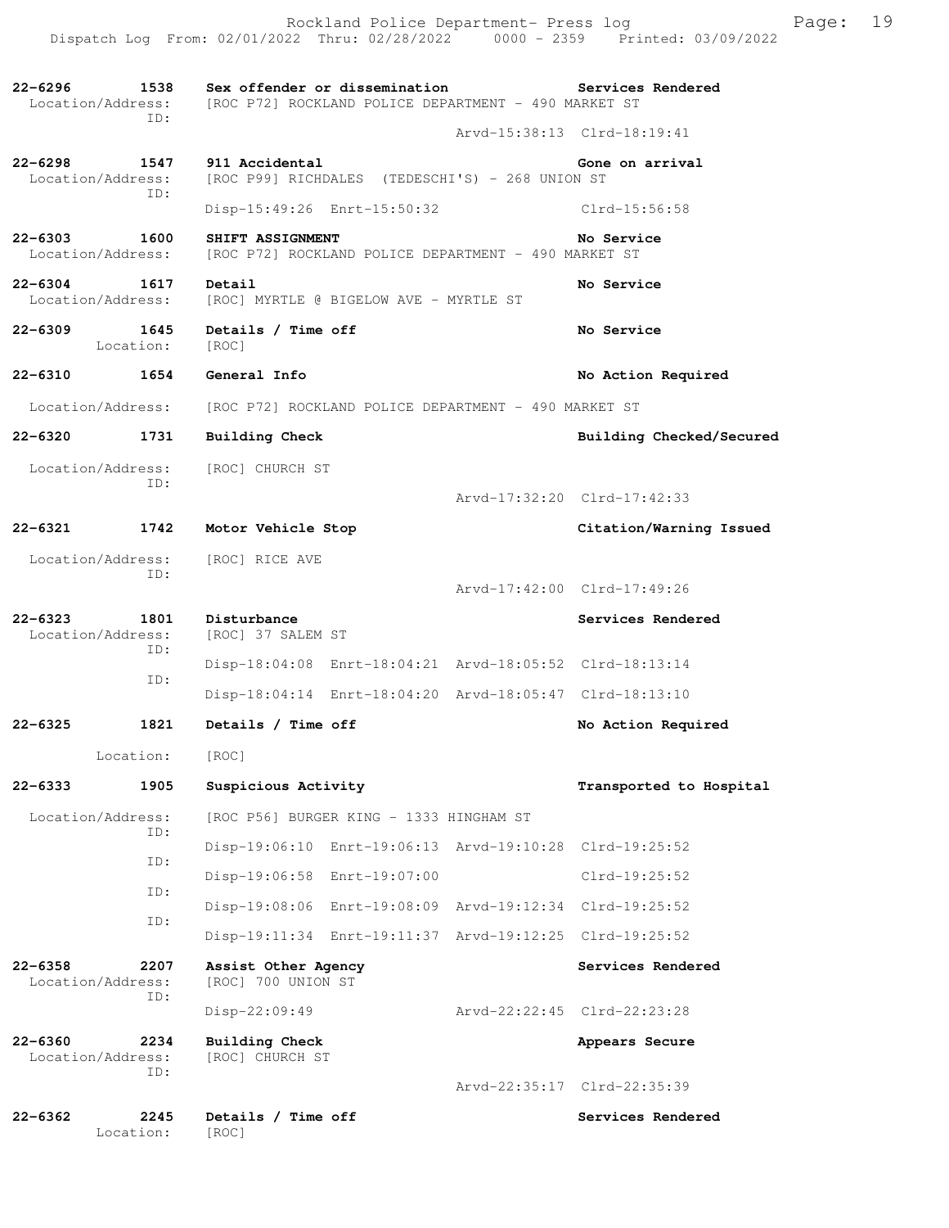| 22-6296                                  | ID:               | 1538 Sex offender or dissemination<br>Location/Address: [ROC P72] ROCKLAND POLICE DEPARTMENT - 490 MARKET ST | Services Rendered           |
|------------------------------------------|-------------------|--------------------------------------------------------------------------------------------------------------|-----------------------------|
|                                          |                   |                                                                                                              | Arvd-15:38:13 Clrd-18:19:41 |
| 22-6298<br>Location/Address:             | ID:               | 1547 911 Accidental<br>[ROC P99] RICHDALES (TEDESCHI'S) - 268 UNION ST                                       | Gone on arrival             |
|                                          |                   | Disp-15:49:26 Enrt-15:50:32                                                                                  | $C1rd-15:56:58$             |
| $22 - 6303$<br>1600<br>Location/Address: |                   | SHIFT ASSIGNMENT<br>[ROC P72] ROCKLAND POLICE DEPARTMENT - 490 MARKET ST                                     | No Service                  |
| 22-6304 1617<br>Location/Address:        |                   | Detail<br>[ROC] MYRTLE @ BIGELOW AVE - MYRTLE ST                                                             | No Service                  |
| 22-6309                                  | Location:         | 1645 Details / Time off<br>[ROC]                                                                             | No Service                  |
| 22-6310                                  |                   | 1654 General Info                                                                                            | No Action Required          |
|                                          |                   | Location/Address: [ROC P72] ROCKLAND POLICE DEPARTMENT - 490 MARKET ST                                       |                             |
| 22-6320                                  | 1731              | <b>Building Check</b>                                                                                        | Building Checked/Secured    |
|                                          | ID:               | Location/Address: [ROC] CHURCH ST                                                                            |                             |
|                                          |                   |                                                                                                              | Arvd-17:32:20 Clrd-17:42:33 |
|                                          |                   | 22-6321 1742 Motor Vehicle Stop                                                                              | Citation/Warning Issued     |
|                                          | ID:               | Location/Address: [ROC] RICE AVE                                                                             | Arvd-17:42:00 Clrd-17:49:26 |
| 22-6323                                  |                   | 1801 Disturbance                                                                                             | Services Rendered           |
| Location/Address:                        | ID:               | [ROC] 37 SALEM ST                                                                                            |                             |
|                                          |                   | Disp-18:04:08 Enrt-18:04:21 Arvd-18:05:52 Clrd-18:13:14                                                      |                             |
|                                          | ID:               | Disp-18:04:14 Enrt-18:04:20 Arvd-18:05:47 Clrd-18:13:10                                                      |                             |
| 22-6325                                  | 1821              | Details / Time off                                                                                           | No Action Required          |
|                                          | Location:         | [ROC]                                                                                                        |                             |
| 22-6333                                  | 1905              | Suspicious Activity                                                                                          | Transported to Hospital     |
| Location/Address:                        |                   | [ROC P56] BURGER KING - 1333 HINGHAM ST                                                                      |                             |
|                                          | ID:               | Disp-19:06:10 Enrt-19:06:13 Arvd-19:10:28 Clrd-19:25:52                                                      |                             |
|                                          | ID:               | Disp-19:06:58 Enrt-19:07:00                                                                                  | Clrd-19:25:52               |
|                                          | ID:               | Disp-19:08:06 Enrt-19:08:09 Arvd-19:12:34 Clrd-19:25:52                                                      |                             |
|                                          | ID:               | Disp-19:11:34 Enrt-19:11:37 Arvd-19:12:25 Clrd-19:25:52                                                      |                             |
| $22 - 6358$<br>Location/Address:         | 2207              | Assist Other Agency<br>[ROC] 700 UNION ST                                                                    | Services Rendered           |
|                                          | ID:               | Disp-22:09:49                                                                                                | Arvd-22:22:45 Clrd-22:23:28 |
| 22-6360<br>Location/Address:             | 2234              | Building Check<br>[ROC] CHURCH ST                                                                            | Appears Secure              |
|                                          | ID:               |                                                                                                              | Arvd-22:35:17 Clrd-22:35:39 |
| 22-6362                                  | 2245<br>Location: | Details / Time off<br>[ROC]                                                                                  | Services Rendered           |

Rockland Police Department- Press log entitled and Page: 19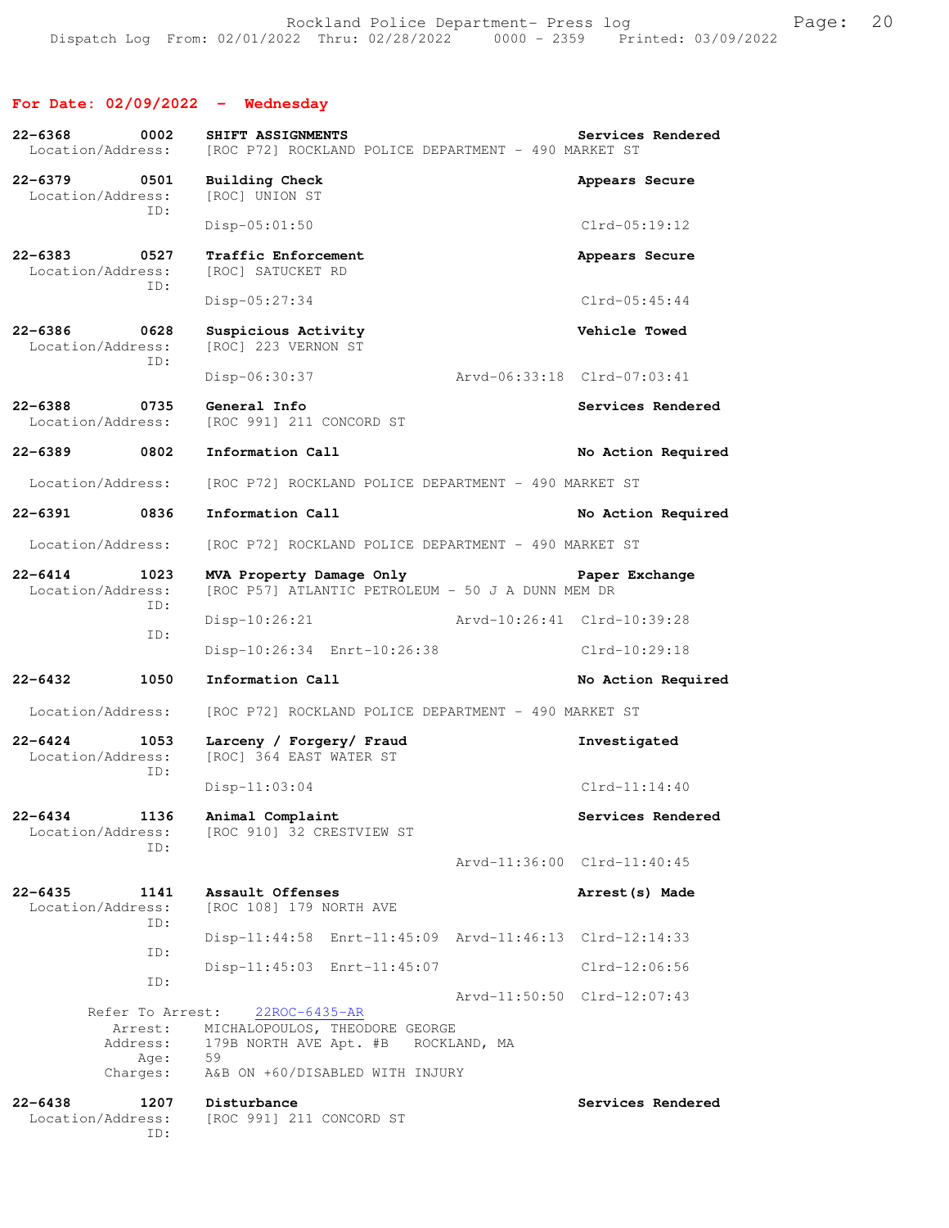## **For Date: 02/09/2022 - Wednesday**

| 22-6368<br>Location/Address:      | 0002                        | SHIFT ASSIGNMENTS<br>[ROC P72] ROCKLAND POLICE DEPARTMENT - 490 MARKET ST                       | Services Rendered           |
|-----------------------------------|-----------------------------|-------------------------------------------------------------------------------------------------|-----------------------------|
| 22-6379 0501<br>Location/Address: | ID:                         | <b>Building Check</b><br>[ROC] UNION ST                                                         | Appears Secure              |
|                                   |                             | $Disp-05:01:50$                                                                                 | $Clrd-05:19:12$             |
| $22 - 6383$<br>Location/Address:  | 0527<br>ID:                 | Traffic Enforcement<br>[ROC] SATUCKET RD                                                        | Appears Secure              |
|                                   |                             | Disp-05:27:34                                                                                   | $Clrd-05:45:44$             |
| 22-6386<br>Location/Address:      | 0628<br>ID:                 | Suspicious Activity<br>[ROC] 223 VERNON ST                                                      | Vehicle Towed               |
|                                   |                             | Disp-06:30:37                                                                                   | Arvd-06:33:18 Clrd-07:03:41 |
| 22-6388<br>Location/Address:      | 0735                        | General Info<br>[ROC 991] 211 CONCORD ST                                                        | Services Rendered           |
| $22 - 6389$                       | 0802                        | Information Call                                                                                | No Action Required          |
| Location/Address:                 |                             | [ROC P72] ROCKLAND POLICE DEPARTMENT - 490 MARKET ST                                            |                             |
| 22-6391 0836                      |                             | Information Call                                                                                | No Action Required          |
| Location/Address:                 |                             | [ROC P72] ROCKLAND POLICE DEPARTMENT - 490 MARKET ST                                            |                             |
| $22 - 6414$<br>Location/Address:  | 1023                        | MVA Property Damage Only<br>[ROC P57] ATLANTIC PETROLEUM - 50 J A DUNN MEM DR                   | Paper Exchange              |
| ID:                               |                             | Disp-10:26:21 Arvd-10:26:41 Clrd-10:39:28                                                       |                             |
|                                   | ID:                         | Disp-10:26:34 Enrt-10:26:38                                                                     | Clrd-10:29:18               |
| $22 - 6432$                       | 1050                        | Information Call                                                                                | No Action Required          |
| Location/Address:                 |                             | [ROC P72] ROCKLAND POLICE DEPARTMENT - 490 MARKET ST                                            |                             |
| $22 - 6424$<br>Location/Address:  | 1053<br>ID:                 | Larceny / Forgery/ Fraud<br>[ROC] 364 EAST WATER ST                                             | Investigated                |
|                                   |                             | $Disp-11:03:04$                                                                                 | $Clrd-11:14:40$             |
| 22–6434<br>Location/Address:      | 1136                        | Animal Complaint<br>[ROC 910] 32 CRESTVIEW ST                                                   | Services Rendered           |
|                                   | ID:                         |                                                                                                 | Arvd-11:36:00 Clrd-11:40:45 |
| $22 - 6435$<br>Location/Address:  | 1141<br>ID:                 | Assault Offenses<br>[ROC 108] 179 NORTH AVE                                                     | Arrest (s) Made             |
|                                   |                             |                                                                                                 |                             |
|                                   |                             | $Disp-11:44:58$ $Enrt-11:45:09$ $Arvd-11:46:13$ $Clrd-12:14:33$                                 |                             |
|                                   | ID:                         | Disp-11:45:03 Enrt-11:45:07                                                                     | $Clrd-12:06:56$             |
|                                   | ID:                         |                                                                                                 | Arvd-11:50:50 Clrd-12:07:43 |
|                                   | Refer To Arrest:<br>Arrest: | 22ROC-6435-AR<br>MICHALOPOULOS, THEODORE GEORGE<br>Address: 179B NORTH AVE Apt. #B ROCKLAND, MA |                             |
|                                   | Age: 59<br>Charges:         | A&B ON +60/DISABLED WITH INJURY                                                                 |                             |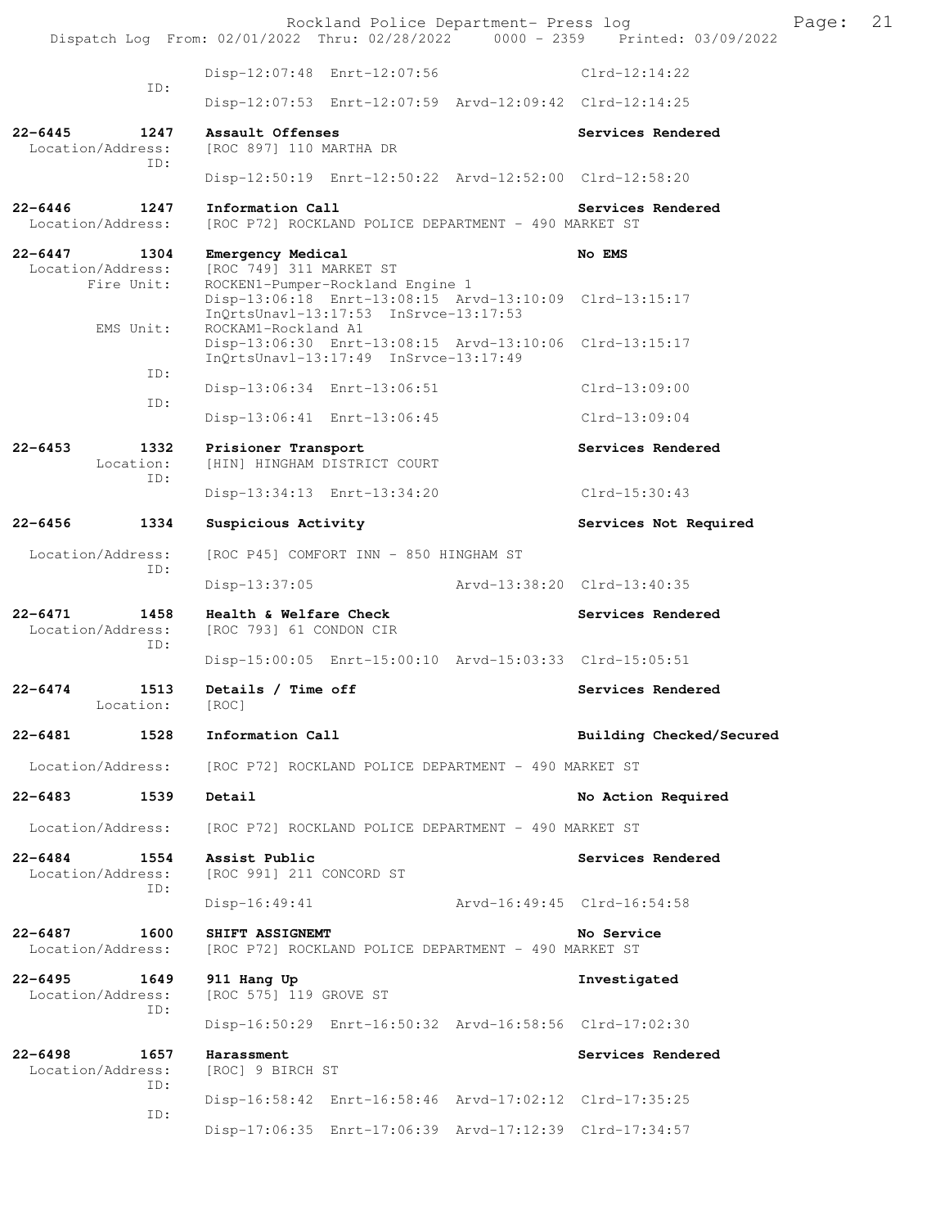Rockland Police Department- Press log Frank Page: 21 Dispatch Log From: 02/01/2022 Thru: 02/28/2022 0000 - 2359 Printed: 03/09/2022 Disp-12:07:48 Enrt-12:07:56 Clrd-12:14:22 ID: Disp-12:07:53 Enrt-12:07:59 Arvd-12:09:42 Clrd-12:14:25 **22-6445 1247 Assault Offenses Services Rendered**  [ROC 897] 110 MARTHA DR ID: Disp-12:50:19 Enrt-12:50:22 Arvd-12:52:00 Clrd-12:58:20 22-6446 1247 Information Call Services Rendered Location/Address: [ROC P72] ROCKLAND POLICE DEPARTMENT - 490 MARKET ST **22-6447 1304 Emergency Medical No EMS**  Location/Address: [ROC 749] 311 MARKET ST Fire Unit: ROCKEN1-Pumper-Rockland Engine 1 Disp-13:06:18 Enrt-13:08:15 Arvd-13:10:09 Clrd-13:15:17 InQrtsUnavl-13:17:53 InSrvce-13:17:53<br>EMS Unit: ROCKAM1-Rockland A1 ROCKAM1-Rockland A1 Disp-13:06:30 Enrt-13:08:15 Arvd-13:10:06 Clrd-13:15:17 InQrtsUnavl-13:17:49 InSrvce-13:17:49 ID: Disp-13:06:34 Enrt-13:06:51 Clrd-13:09:00 ID: Disp-13:06:41 Enrt-13:06:45 Clrd-13:09:04 **22-6453 1332 Prisioner Transport Services Rendered**  Location: [HIN] HINGHAM DISTRICT COURT ID: Disp-13:34:13 Enrt-13:34:20 Clrd-15:30:43 22-6456 1334 Suspicious Activity **1286 1286 1287 Services Not Required**  Location/Address: [ROC P45] COMFORT INN - 850 HINGHAM ST ID: Disp-13:37:05 Arvd-13:38:20 Clrd-13:40:35 **22-6471 1458 Health & Welfare Check Services Rendered**  Location/Address: [ROC 793] 61 CONDON CIR ID: Disp-15:00:05 Enrt-15:00:10 Arvd-15:03:33 Clrd-15:05:51 22-6474 1513 Details / Time off **Services Rendered**  Location: [ROC] **22-6481 1528 Information Call Building Checked/Secured**  Location/Address: [ROC P72] ROCKLAND POLICE DEPARTMENT - 490 MARKET ST **22-6483 1539 Detail No Action Required**  Location/Address: [ROC P72] ROCKLAND POLICE DEPARTMENT - 490 MARKET ST **22-6484 1554 Assist Public Services Rendered**  Location/Address: [ROC 991] 211 CONCORD ST ID: Disp-16:49:41 Arvd-16:49:45 Clrd-16:54:58 **22-6487 1600 SHIFT ASSIGNEMT No Service No Service Location/Address:** [ROC P72] ROCKLAND POLICE DEPARTMENT - 490 MARKET ST [ROC P72] ROCKLAND POLICE DEPARTMENT - 490 MARKET ST **22-6495 1649 911 Hang Up Investigated**  Location/Address: [ROC 575] 119 GROVE ST ID: Disp-16:50:29 Enrt-16:50:32 Arvd-16:58:56 Clrd-17:02:30 22-6498 1657 Harassment Services Rendered Location/Address: [ROC] 9 BIRCH ST ID: Disp-16:58:42 Enrt-16:58:46 Arvd-17:02:12 Clrd-17:35:25 ID: Disp-17:06:35 Enrt-17:06:39 Arvd-17:12:39 Clrd-17:34:57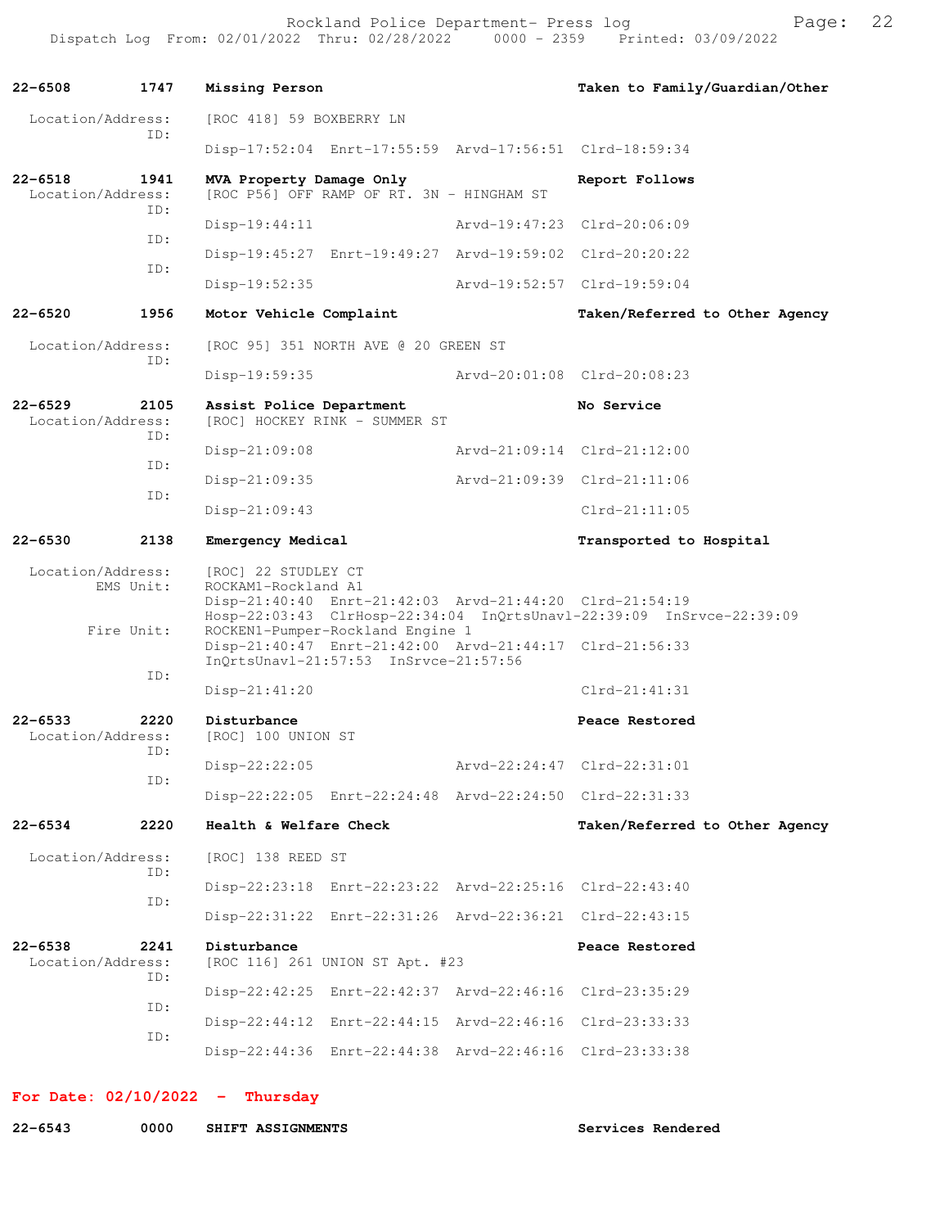Rockland Police Department- Press log Freed Page: 22 Dispatch Log From: 02/01/2022 Thru: 02/28/2022 0000 - 2359 Printed: 03/09/2022

**22-6508 1747 Missing Person Taken to Family/Guardian/Other** Location/Address: [ROC 418] 59 BOXBERRY LN ID: Disp-17:52:04 Enrt-17:55:59 Arvd-17:56:51 Clrd-18:59:34 **22-6518 1941 MVA Property Damage Only Report Follows**  Location/Address: [ROC P56] OFF RAMP OF RT. 3N - HINGHAM ST ID: Disp-19:44:11 Arvd-19:47:23 Clrd-20:06:09 ID: Disp-19:45:27 Enrt-19:49:27 Arvd-19:59:02 Clrd-20:20:22 ID: Disp-19:52:35 Arvd-19:52:57 Clrd-19:59:04 **22-6520 1956 Motor Vehicle Complaint Taken/Referred to Other Agency** Location/Address: [ROC 95] 351 NORTH AVE @ 20 GREEN ST ID: Disp-19:59:35 Arvd-20:01:08 Clrd-20:08:23 **22-6529 2105 Assist Police Department No Service**  Location/Address: [ROC] HOCKEY RINK - SUMMER ST ID: Disp-21:09:08 Arvd-21:09:14 Clrd-21:12:00 ID: Disp-21:09:35 Arvd-21:09:39 Clrd-21:11:06 ID: Disp-21:09:43 Clrd-21:11:05 22-6530 2138 Emergency Medical **Example 2018** Transported to Hospital Location/Address: [ROC] 22 STUDLEY CT<br>EMS Unit: ROCKAM1-Rockland A1 ROCKAM1-Rockland A1 Disp-21:40:40 Enrt-21:42:03 Arvd-21:44:20 Clrd-21:54:19 Hosp-22:03:43 ClrHosp-22:34:04 InQrtsUnavl-22:39:09 InSrvce-22:39:09<br>Fire Unit: ROCKEN1-Pumper-Rockland Engine 1 ROCKEN1-Pumper-Rockland Engine 1 Disp-21:40:47 Enrt-21:42:00 Arvd-21:44:17 Clrd-21:56:33 InQrtsUnavl-21:57:53 InSrvce-21:57:56 ID: Disp-21:41:20 Clrd-21:41:31 **22-6533 2220 Disturbance Peace Restored**  Location/Address: [ROC] 100 UNION ST ID: Disp-22:22:05 Arvd-22:24:47 Clrd-22:31:01 ID: Disp-22:22:05 Enrt-22:24:48 Arvd-22:24:50 Clrd-22:31:33 **22-6534 2220 Health & Welfare Check Taken/Referred to Other Agency** Location/Address: [ROC] 138 REED ST ID: Disp-22:23:18 Enrt-22:23:22 Arvd-22:25:16 Clrd-22:43:40 ID: Disp-22:31:22 Enrt-22:31:26 Arvd-22:36:21 Clrd-22:43:15 **22-6538 2241 Disturbance Peace Restored Peace Restored Disturbance Peace Restored Peace Restored** [ROC 116] 261 UNION ST Apt. #23 ID: Disp-22:42:25 Enrt-22:42:37 Arvd-22:46:16 Clrd-23:35:29 ID: Disp-22:44:12 Enrt-22:44:15 Arvd-22:46:16 Clrd-23:33:33 ID: Disp-22:44:36 Enrt-22:44:38 Arvd-22:46:16 Clrd-23:33:38

**For Date: 02/10/2022 - Thursday**

**22-6543 0000 SHIFT ASSIGNMENTS Services Rendered**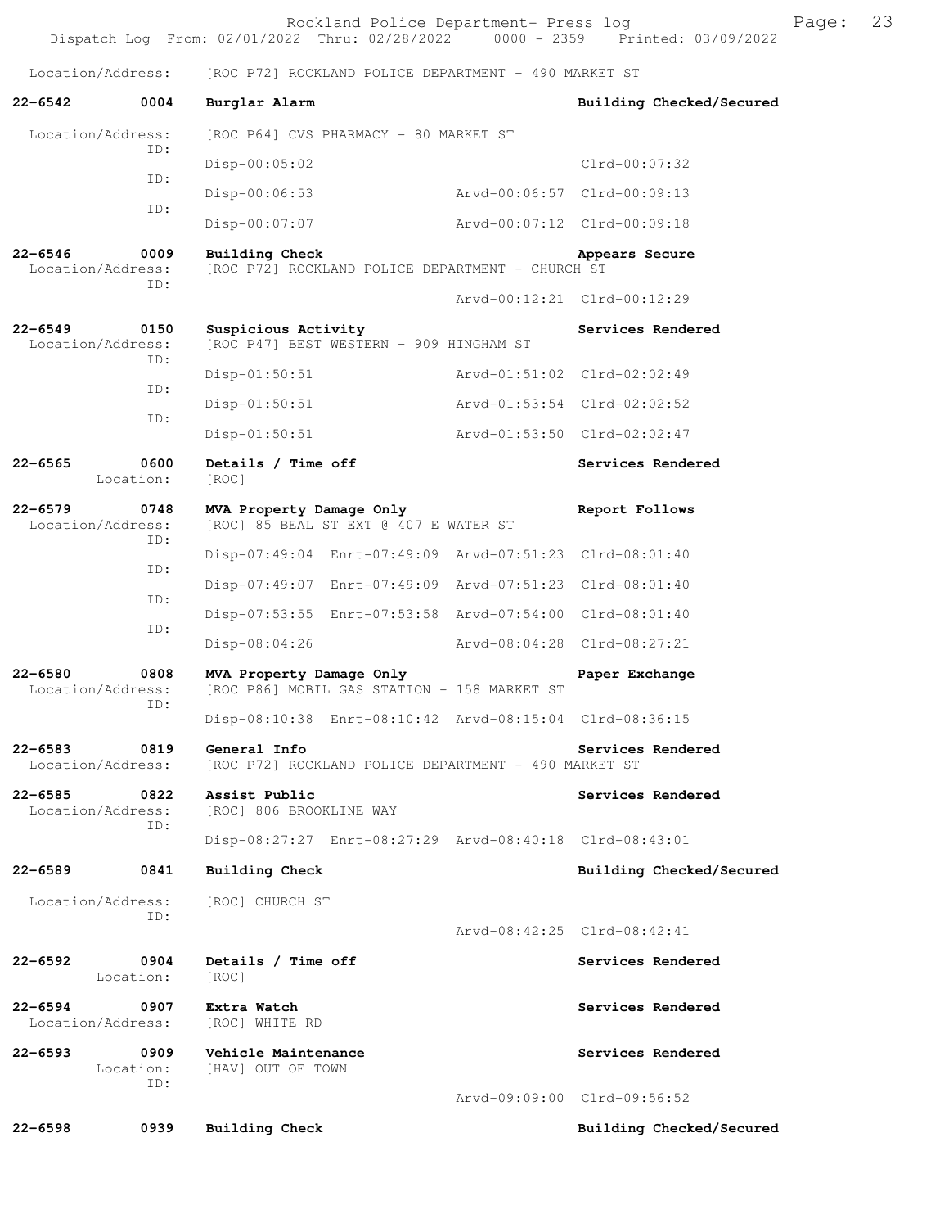|                                                 | Rockland Police Department- Press log<br>Dispatch Log From: 02/01/2022 Thru: 02/28/2022   0000 - 2359   Printed: 03/09/2022 |                                                  | Page: | 23 |
|-------------------------------------------------|-----------------------------------------------------------------------------------------------------------------------------|--------------------------------------------------|-------|----|
| Location/Address:                               | [ROC P72] ROCKLAND POLICE DEPARTMENT - 490 MARKET ST                                                                        |                                                  |       |    |
| $22 - 6542$<br>0004                             | Burglar Alarm                                                                                                               | Building Checked/Secured                         |       |    |
| Location/Address:                               | [ROC P64] CVS PHARMACY - 80 MARKET ST                                                                                       |                                                  |       |    |
| ID:                                             | Disp-00:05:02                                                                                                               | $Clrd-00:07:32$                                  |       |    |
| ID:                                             | $Disp-00:06:53$                                                                                                             | Arvd-00:06:57 Clrd-00:09:13                      |       |    |
| ID:                                             | Disp-00:07:07                                                                                                               | Arvd-00:07:12 Clrd-00:09:18                      |       |    |
| $22 - 6546$<br>0009<br>Location/Address:<br>ID: | Building Check<br>[ROC P72] ROCKLAND POLICE DEPARTMENT - CHURCH ST                                                          | Appears Secure                                   |       |    |
|                                                 |                                                                                                                             | Arvd-00:12:21 Clrd-00:12:29                      |       |    |
| $22 - 6549$<br>0150<br>Location/Address:<br>ID: | Suspicious Activity<br>[ROC P47] BEST WESTERN - 909 HINGHAM ST                                                              | Services Rendered                                |       |    |
| ID:                                             | $Disp-01:50:51$                                                                                                             | Arvd-01:51:02 Clrd-02:02:49                      |       |    |
| ID:                                             | $Disp-01:50:51$                                                                                                             | Arvd-01:53:54 Clrd-02:02:52                      |       |    |
|                                                 | $Disp-01:50:51$                                                                                                             | Arvd-01:53:50 Clrd-02:02:47                      |       |    |
| $22 - 6565$<br>0600<br>Location:                | Details / Time off<br>[ROC]                                                                                                 | Services Rendered                                |       |    |
| $22 - 6579$<br>0748<br>Location/Address:<br>ID: | MVA Property Damage Only<br>[ROC] 85 BEAL ST EXT @ 407 E WATER ST                                                           | Report Follows                                   |       |    |
| ID:                                             | Disp-07:49:04 Enrt-07:49:09 Arvd-07:51:23 Clrd-08:01:40                                                                     |                                                  |       |    |
| ID:                                             | Disp-07:49:07 Enrt-07:49:09 Arvd-07:51:23 Clrd-08:01:40                                                                     |                                                  |       |    |
| ID:                                             | Disp-07:53:55 Enrt-07:53:58 Arvd-07:54:00 Clrd-08:01:40                                                                     |                                                  |       |    |
|                                                 | Disp-08:04:26                                                                                                               | Arvd-08:04:28 Clrd-08:27:21                      |       |    |
| $22 - 6580$<br>0808<br>Location/Address:<br>ID: | MVA Property Damage Only<br>[ROC P86] MOBIL GAS STATION - 158 MARKET ST                                                     | Paper Exchange                                   |       |    |
|                                                 | Disp-08:10:38 Enrt-08:10:42 Arvd-08:15:04 Clrd-08:36:15                                                                     |                                                  |       |    |
| $22 - 6583$<br>0819<br>Location/Address:        | General Info<br>[ROC P72] ROCKLAND POLICE DEPARTMENT - 490 MARKET ST                                                        | Services Rendered                                |       |    |
| $22 - 6585$<br>0822<br>Location/Address:<br>ID: | Assist Public<br>[ROC] 806 BROOKLINE WAY                                                                                    | Services Rendered                                |       |    |
|                                                 | Disp-08:27:27 Enrt-08:27:29 Arvd-08:40:18 Clrd-08:43:01                                                                     |                                                  |       |    |
| $22 - 6589$<br>0841                             | Building Check                                                                                                              | Building Checked/Secured                         |       |    |
| Location/Address:<br>ID:                        | [ROC] CHURCH ST                                                                                                             | Arvd-08:42:25 Clrd-08:42:41                      |       |    |
| $22 - 6592$<br>0904<br>Location:                | Details / Time off<br>[ROC]                                                                                                 | Services Rendered                                |       |    |
| $22 - 6594$<br>0907<br>Location/Address:        | Extra Watch<br>[ROC] WHITE RD                                                                                               | Services Rendered                                |       |    |
| $22 - 6593$<br>0909<br>Location:<br>ID:         | Vehicle Maintenance<br>[HAV] OUT OF TOWN                                                                                    | Services Rendered<br>Arvd-09:09:00 Clrd-09:56:52 |       |    |
| $22 - 6598$<br>0939                             | <b>Building Check</b>                                                                                                       | Building Checked/Secured                         |       |    |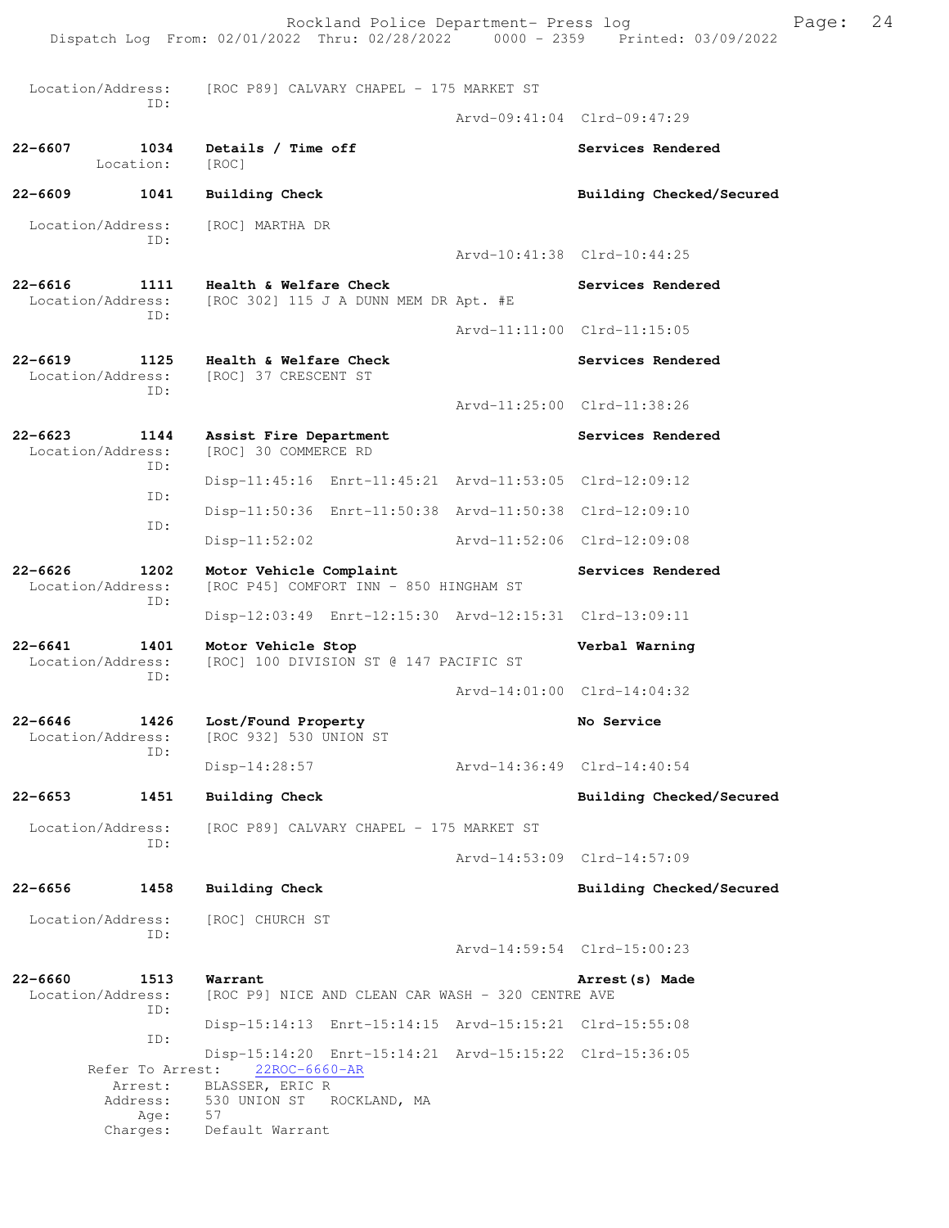|                                      |                                                         | Rockland Police Department- Press log<br>Dispatch Log From: 02/01/2022 Thru: 02/28/2022 0000 - 2359 Printed: 03/09/2022 |                             |                             | Page: | 24 |
|--------------------------------------|---------------------------------------------------------|-------------------------------------------------------------------------------------------------------------------------|-----------------------------|-----------------------------|-------|----|
|                                      | Location/Address:                                       | [ROC P89] CALVARY CHAPEL - 175 MARKET ST                                                                                |                             |                             |       |    |
|                                      | ID:                                                     |                                                                                                                         |                             | Arvd-09:41:04 Clrd-09:47:29 |       |    |
| 22-6607                              | 1034<br>Location:                                       | Details / Time off<br>[ROC]                                                                                             |                             | Services Rendered           |       |    |
| 22-6609                              | 1041                                                    | <b>Building Check</b>                                                                                                   |                             | Building Checked/Secured    |       |    |
|                                      | Location/Address:<br>ID:                                | [ROC] MARTHA DR                                                                                                         |                             | Arvd-10:41:38 Clrd-10:44:25 |       |    |
|                                      |                                                         |                                                                                                                         |                             |                             |       |    |
| 22-6616                              | 1111<br>Location/Address:<br>ID:                        | Health & Welfare Check<br>[ROC 302] 115 J A DUNN MEM DR Apt. #E                                                         |                             | Services Rendered           |       |    |
|                                      |                                                         |                                                                                                                         |                             | Arvd-11:11:00 Clrd-11:15:05 |       |    |
| 22-6619                              | 1125<br>Location/Address:<br>ID:                        | Health & Welfare Check<br>[ROC] 37 CRESCENT ST                                                                          |                             | Services Rendered           |       |    |
|                                      |                                                         |                                                                                                                         |                             | Arvd-11:25:00 Clrd-11:38:26 |       |    |
| 22-6623                              | 1144<br>Location/Address:                               | Assist Fire Department<br>[ROC] 30 COMMERCE RD                                                                          |                             | Services Rendered           |       |    |
|                                      | ID:                                                     | Disp-11:45:16 Enrt-11:45:21 Arvd-11:53:05 Clrd-12:09:12                                                                 |                             |                             |       |    |
|                                      | ID:                                                     | Disp-11:50:36 Enrt-11:50:38 Arvd-11:50:38 Clrd-12:09:10                                                                 |                             |                             |       |    |
|                                      | ID:                                                     | $Disp-11:52:02$                                                                                                         | Arvd-11:52:06 Clrd-12:09:08 |                             |       |    |
| 22-6626                              | 1202<br>Location/Address:                               | Motor Vehicle Complaint<br>[ROC P45] COMFORT INN - 850 HINGHAM ST                                                       |                             | Services Rendered           |       |    |
| ID:                                  | Disp-12:03:49 Enrt-12:15:30 Arvd-12:15:31 Clrd-13:09:11 |                                                                                                                         |                             |                             |       |    |
| 22-6641<br>1401<br>Location/Address: |                                                         | Motor Vehicle Stop<br>[ROC] 100 DIVISION ST @ 147 PACIFIC ST                                                            |                             | Verbal Warning              |       |    |
|                                      | ID:                                                     |                                                                                                                         |                             | Arvd-14:01:00 Clrd-14:04:32 |       |    |
| 22-6646                              | 1426<br>Location/Address:                               | Lost/Found Property<br>[ROC 932] 530 UNION ST                                                                           |                             | No Service                  |       |    |
|                                      | ID:                                                     | $Disp-14:28:57$                                                                                                         | Arvd-14:36:49 Clrd-14:40:54 |                             |       |    |
| 22-6653                              | 1451                                                    | <b>Building Check</b>                                                                                                   |                             | Building Checked/Secured    |       |    |
|                                      | Location/Address:                                       | [ROC P89] CALVARY CHAPEL - 175 MARKET ST                                                                                |                             |                             |       |    |
|                                      | ID:                                                     |                                                                                                                         |                             | Arvd-14:53:09 Clrd-14:57:09 |       |    |
| 22-6656                              | 1458                                                    | <b>Building Check</b>                                                                                                   |                             | Building Checked/Secured    |       |    |
|                                      | Location/Address:                                       | [ROC] CHURCH ST                                                                                                         |                             |                             |       |    |
|                                      | ID:                                                     |                                                                                                                         |                             | Arvd-14:59:54 Clrd-15:00:23 |       |    |
| 22-6660                              | 1513<br>Location/Address:                               | Warrant<br>[ROC P9] NICE AND CLEAN CAR WASH - 320 CENTRE AVE                                                            |                             | Arrest (s) Made             |       |    |
|                                      | ID:                                                     | Disp-15:14:13 Enrt-15:14:15 Arvd-15:15:21 Clrd-15:55:08                                                                 |                             |                             |       |    |
|                                      | ID:<br>Refer To Arrest:                                 | Disp-15:14:20 Enrt-15:14:21 Arvd-15:15:22 Clrd-15:36:05<br>22ROC-6660-AR                                                |                             |                             |       |    |
|                                      | Arrest:<br>Address:                                     | BLASSER, ERIC R<br>530 UNION ST ROCKLAND, MA                                                                            |                             |                             |       |    |
|                                      | Age:<br>Charges:                                        | 57<br>Default Warrant                                                                                                   |                             |                             |       |    |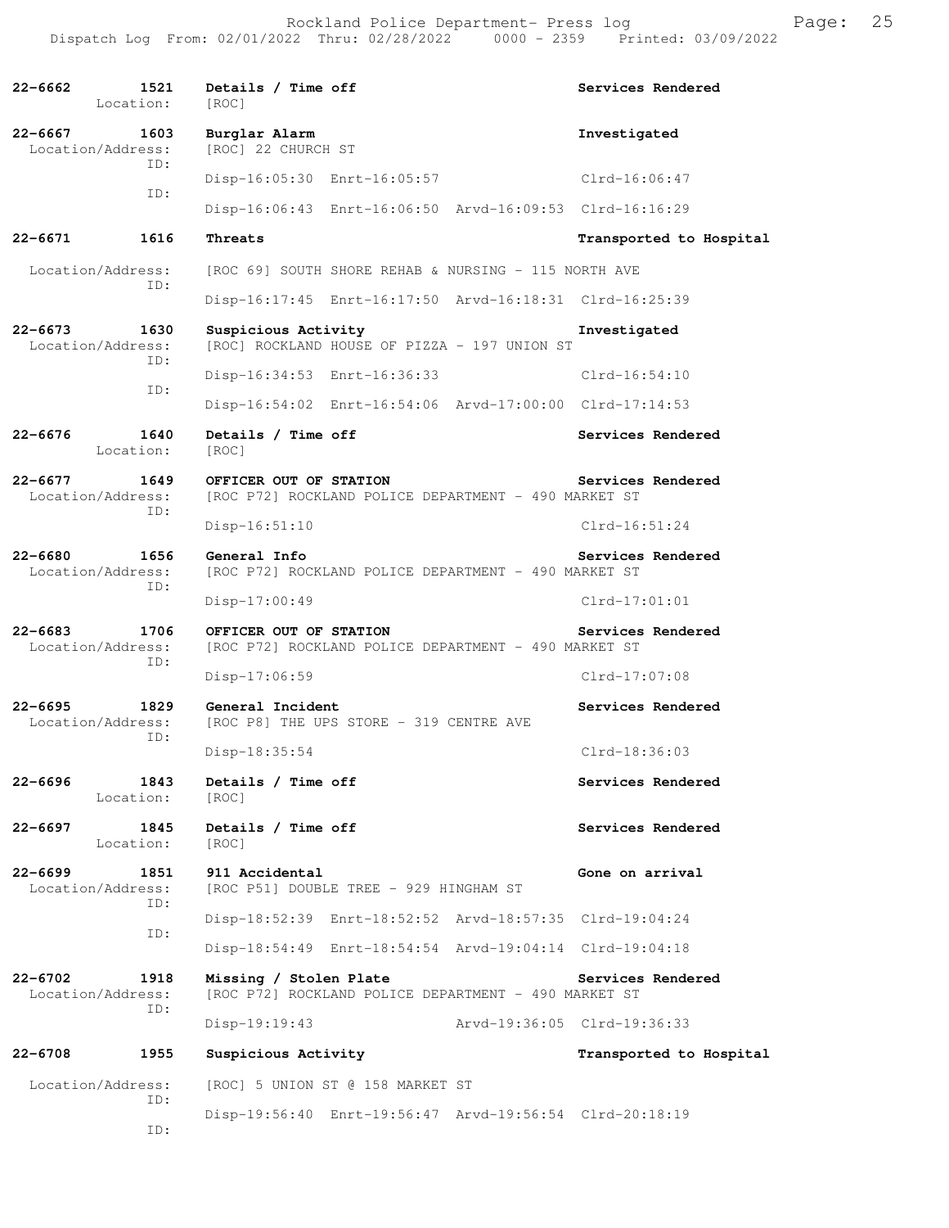**22-6662 1521 Details / Time off Services Rendered**  Location: [ROC] **22-6667 1603 Burglar Alarm Investigated**  [ROC] 22 CHURCH ST ID: Disp-16:05:30 Enrt-16:05:57 Clrd-16:06:47 ID: Disp-16:06:43 Enrt-16:06:50 Arvd-16:09:53 Clrd-16:16:29 **22-6671 1616 Threats Transported to Hospital**  Location/Address: [ROC 69] SOUTH SHORE REHAB & NURSING - 115 NORTH AVE ID: Disp-16:17:45 Enrt-16:17:50 Arvd-16:18:31 Clrd-16:25:39 **22-6673 1630 Suspicious Activity Investigated**  Location/Address: [ROC] ROCKLAND HOUSE OF PIZZA - 197 UNION ST ID: Disp-16:34:53 Enrt-16:36:33 Clrd-16:54:10 ID: Disp-16:54:02 Enrt-16:54:06 Arvd-17:00:00 Clrd-17:14:53 **22-6676 1640 Details / Time off Services Rendered**  Location: [ROC] **22-6677 1649 OFFICER OUT OF STATION Services Rendered**  Location/Address: [ROC P72] ROCKLAND POLICE DEPARTMENT - 490 MARKET ST ID: Disp-16:51:10 Clrd-16:51:24 **22-6680 1656 General Info Services Rendered**  Location/Address: [ROC P72] ROCKLAND POLICE DEPARTMENT - 490 MARKET ST ID: Disp-17:00:49 Clrd-17:01:01 **22-6683** 1706 OFFICER OUT OF STATION Services Rendered Location/Address: [ROC P72] ROCKLAND POLICE DEPARTMENT - 490 MARKET ST [ROC P72] ROCKLAND POLICE DEPARTMENT - 490 MARKET ST ID: Disp-17:06:59 Clrd-17:07:08 **22-6695 1829 General Incident Services Rendered**  Location/Address: [ROC P8] THE UPS STORE - 319 CENTRE AVE ID: Disp-18:35:54 Clrd-18:36:03 22-6696 1843 Details / Time off **Services Rendered**  Location: [ROC] **22-6697 1845 Details / Time off Services Rendered**  Location: [ROC] **22-6699 1851 911 Accidental Gone on arrival**  Location/Address: [ROC P51] DOUBLE TREE - 929 HINGHAM ST ID: Disp-18:52:39 Enrt-18:52:52 Arvd-18:57:35 Clrd-19:04:24 ID: Disp-18:54:49 Enrt-18:54:54 Arvd-19:04:14 Clrd-19:04:18 **22-6702 1918 Missing / Stolen Plate Services Rendered**  Location/Address: [ROC P72] ROCKLAND POLICE DEPARTMENT - 490 MARKET ST ID: Disp-19:19:43 Arvd-19:36:05 Clrd-19:36:33 **22-6708 1955 Suspicious Activity Transported to Hospital**  Location/Address: [ROC] 5 UNION ST @ 158 MARKET ST ID: Disp-19:56:40 Enrt-19:56:47 Arvd-19:56:54 Clrd-20:18:19 ID: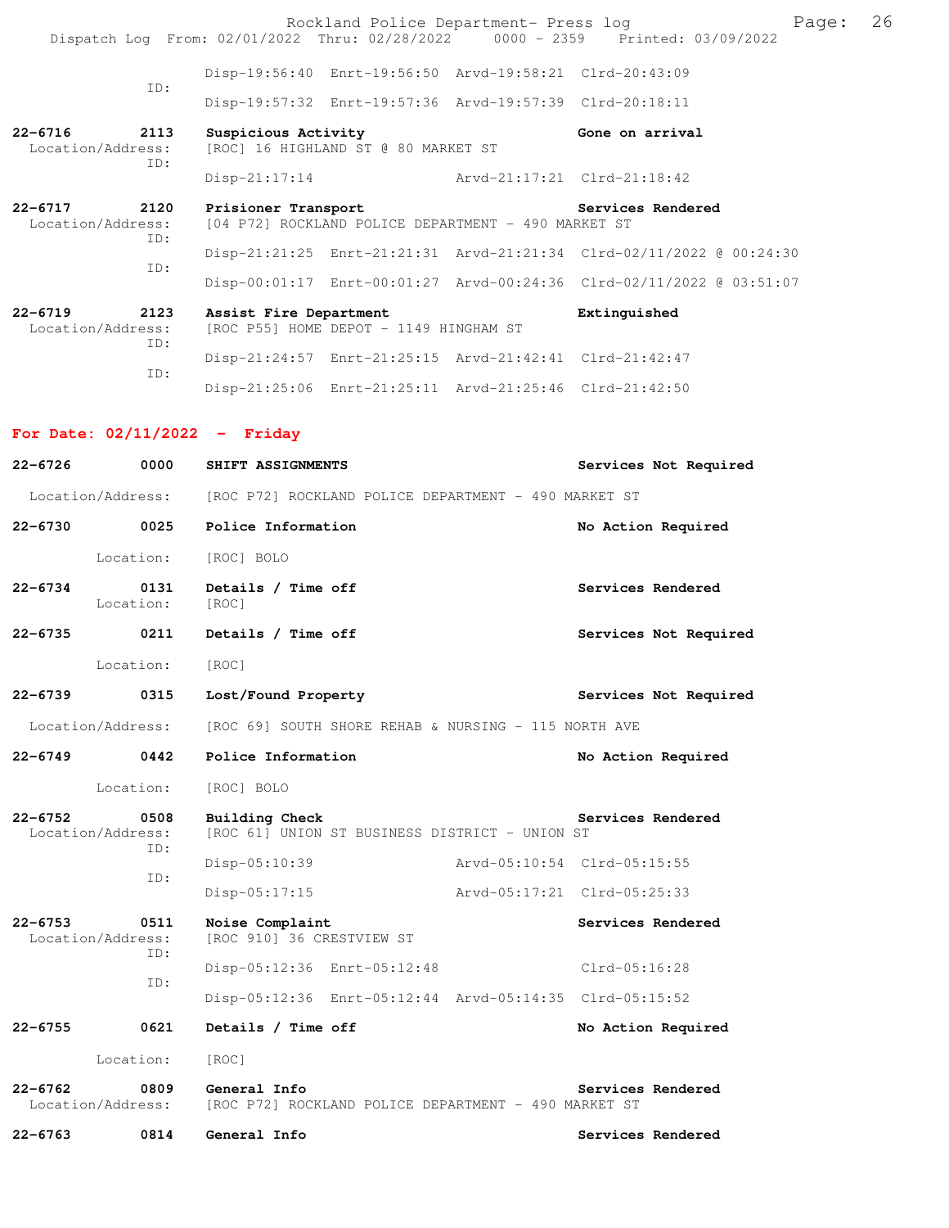Rockland Police Department- Press log Frank Page: 26 Dispatch Log From: 02/01/2022 Thru: 02/28/2022 0000 - 2359 Printed: 03/09/2022 Disp-19:56:40 Enrt-19:56:50 Arvd-19:58:21 Clrd-20:43:09 ID: Disp-19:57:32 Enrt-19:57:36 Arvd-19:57:39 Clrd-20:18:11 **22-6716** 2113 Suspicious Activity<br>
Location/Address: [ROC] 16 HIGHLAND ST @ 80 MARKET ST [ROC] 16 HIGHLAND ST @ 80 MARKET ST ID: Disp-21:17:14 Arvd-21:17:21 Clrd-21:18:42 **22-6717 2120 Prisioner Transport Services Rendered**  Location/Address: [04 P72] ROCKLAND POLICE DEPARTMENT - 490 MARKET ST ID: Disp-21:21:25 Enrt-21:21:31 Arvd-21:21:34 Clrd-02/11/2022 @ 00:24:30 ID: Disp-00:01:17 Enrt-00:01:27 Arvd-00:24:36 Clrd-02/11/2022 @ 03:51:07 **22-6719 2123 Assist Fire Department Extinguished**  Location/Address: [ROC P55] HOME DEPOT - 1149 HINGHAM ST ID: Disp-21:24:57 Enrt-21:25:15 Arvd-21:42:41 Clrd-21:42:47 ID: Disp-21:25:06 Enrt-21:25:11 Arvd-21:25:46 Clrd-21:42:50 **For Date: 02/11/2022 - Friday** 22-6726 0000 SHIFT ASSIGNMENTS **Services Not Required** Location/Address: [ROC P72] ROCKLAND POLICE DEPARTMENT - 490 MARKET ST **22-6730 0025 Police Information No Action Required**  Location: [ROC] BOLO

**22-6734 0131 Details / Time off Services Rendered**  Location: [ROC] **22-6735 0211 Details / Time off Services Not Required** 

Location: [ROC]

22-6739 0315 Lost/Found Property **128 Constant Services Not Required** 

Location/Address: [ROC 69] SOUTH SHORE REHAB & NURSING - 115 NORTH AVE

| $22 - 6749$ | Police Information |  | No Action Required |
|-------------|--------------------|--|--------------------|
|             |                    |  |                    |

Location: [ROC] BOLO

**22-6752 0508 Building Check Services Rendered**  Location/Address: [ROC 61] UNION ST BUSINESS DISTRICT - UNION ST ID: Disp-05:10:39 Arvd-05:10:54 Clrd-05:15:55 ID:

**22-6753 0511 Noise Complaint Complaint Services Rendered** Location/Address: [ROC 910] 36 CRESTVIEW ST [ROC 910] 36 CRESTVIEW ST ID: Disp-05:12:36 Enrt-05:12:48 Clrd-05:16:28 ID: Disp-05:12:36 Enrt-05:12:44 Arvd-05:14:35 Clrd-05:15:52 **22-6755 0621 Details / Time off No Action Required** 

 Location: [ROC] **22-6762 0809 General Info Services Rendered** 

Location/Address: [ROC P72] ROCKLAND POLICE DEPARTMENT - 490 MARKET ST

Disp-05:17:15 Arvd-05:17:21 Clrd-05:25:33

**22-6763 0814 General Info Services Rendered**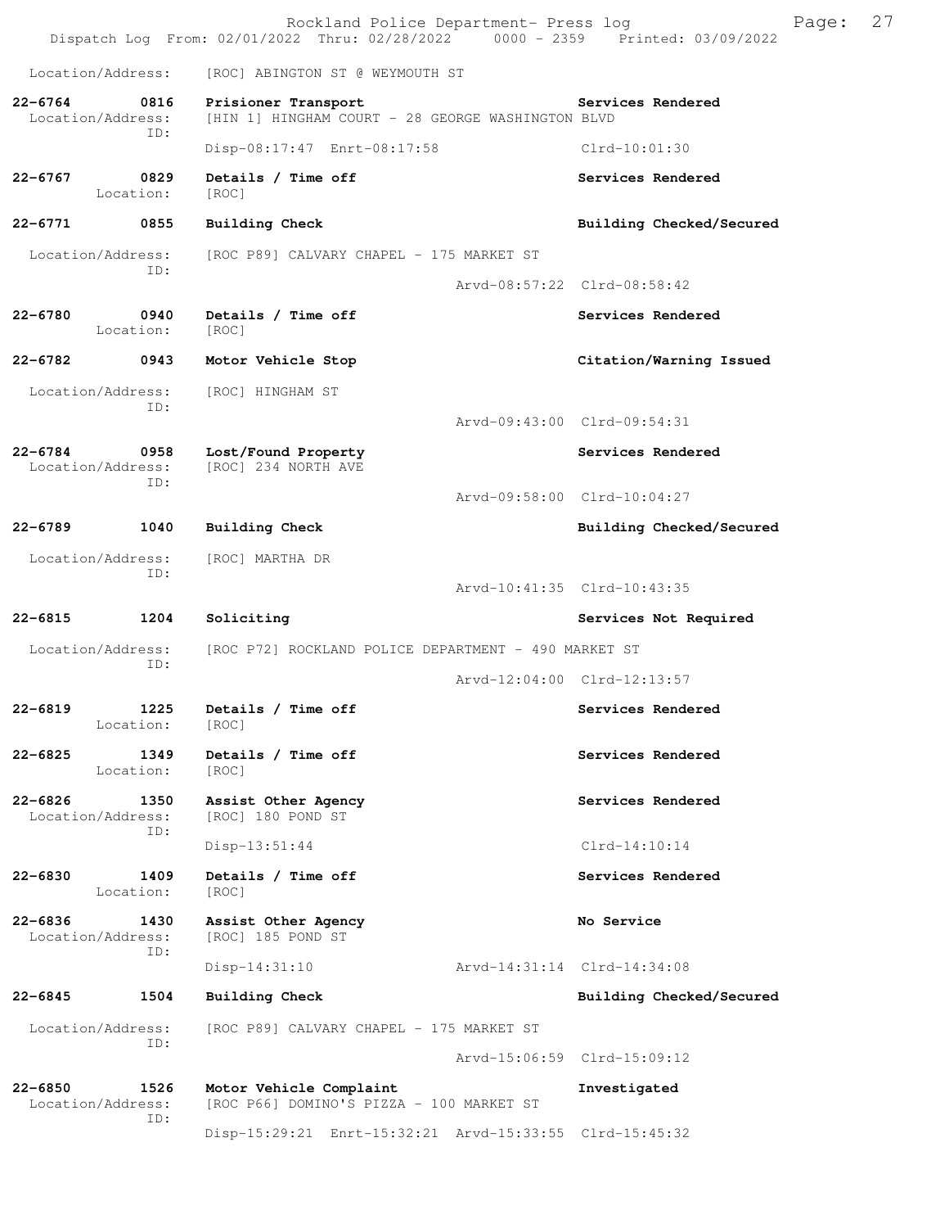|                                                 | Rockland Police Department- Press log<br>Dispatch Log From: 02/01/2022 Thru: 02/28/2022 0000 - 2359 Printed: 03/09/2022 |                             | Page: | 27 |
|-------------------------------------------------|-------------------------------------------------------------------------------------------------------------------------|-----------------------------|-------|----|
| Location/Address:                               | [ROC] ABINGTON ST @ WEYMOUTH ST                                                                                         |                             |       |    |
| $22 - 6764$<br>0816<br>Location/Address:        | Prisioner Transport<br>[HIN 1] HINGHAM COURT - 28 GEORGE WASHINGTON BLVD                                                | Services Rendered           |       |    |
| TD:                                             | Disp-08:17:47 Enrt-08:17:58                                                                                             | Clrd-10:01:30               |       |    |
| $22 - 6767$<br>0829<br>Location:                | Details / Time off<br>[ROC]                                                                                             | Services Rendered           |       |    |
| $22 - 6771$<br>0855                             | <b>Building Check</b>                                                                                                   | Building Checked/Secured    |       |    |
| Location/Address:                               | [ROC P89] CALVARY CHAPEL - 175 MARKET ST                                                                                |                             |       |    |
| ID:                                             |                                                                                                                         | Arvd-08:57:22 Clrd-08:58:42 |       |    |
| $22 - 6780$<br>0940<br>Location:                | Details / Time off<br>[ROC]                                                                                             | Services Rendered           |       |    |
| 22-6782<br>0943                                 | Motor Vehicle Stop                                                                                                      | Citation/Warning Issued     |       |    |
| Location/Address:<br>TD:                        | [ROC] HINGHAM ST                                                                                                        |                             |       |    |
|                                                 |                                                                                                                         | Arvd-09:43:00 Clrd-09:54:31 |       |    |
| $22 - 6784$<br>0958<br>Location/Address:<br>TD: | Lost/Found Property<br>[ROC] 234 NORTH AVE                                                                              | Services Rendered           |       |    |
|                                                 |                                                                                                                         | Arvd-09:58:00 Clrd-10:04:27 |       |    |
| 22-6789<br>1040                                 | <b>Building Check</b>                                                                                                   | Building Checked/Secured    |       |    |
| Location/Address:<br>ID:                        | [ROC] MARTHA DR                                                                                                         |                             |       |    |
|                                                 |                                                                                                                         | Arvd-10:41:35 Clrd-10:43:35 |       |    |
| 22-6815<br>1204                                 | Soliciting                                                                                                              | Services Not Required       |       |    |
| Location/Address:<br>ID:                        | [ROC P72] ROCKLAND POLICE DEPARTMENT - 490 MARKET ST                                                                    |                             |       |    |
|                                                 |                                                                                                                         | Arvd-12:04:00 Clrd-12:13:57 |       |    |
| $22 - 6819$<br>1225<br>Location:                | Details / Time off<br>[ROC]                                                                                             | Services Rendered           |       |    |
| $22 - 6825$<br>1349<br>Location:                | Details / Time off<br>[ROC]                                                                                             | Services Rendered           |       |    |
| $22 - 6826$<br>1350<br>Location/Address:<br>ID: | Assist Other Agency<br>[ROC] 180 POND ST                                                                                | Services Rendered           |       |    |
|                                                 | Disp-13:51:44                                                                                                           | $Clrd-14:10:14$             |       |    |
| $22 - 6830$<br>1409<br>Location:                | Details / Time off<br>[ROC]                                                                                             | Services Rendered           |       |    |
| $22 - 6836$<br>1430<br>Location/Address:<br>ID: | Assist Other Agency<br>[ROC] 185 POND ST                                                                                | No Service                  |       |    |
|                                                 | $Disp-14:31:10$                                                                                                         | Arvd-14:31:14 Clrd-14:34:08 |       |    |
| $22 - 6845$<br>1504                             | Building Check                                                                                                          | Building Checked/Secured    |       |    |
| Location/Address:<br>ID:                        | [ROC P89] CALVARY CHAPEL - 175 MARKET ST                                                                                |                             |       |    |
|                                                 |                                                                                                                         | Arvd-15:06:59 Clrd-15:09:12 |       |    |
| $22 - 6850$<br>1526<br>Location/Address:<br>ID: | Motor Vehicle Complaint<br>[ROC P66] DOMINO'S PIZZA - 100 MARKET ST                                                     | Investigated                |       |    |
|                                                 | Disp-15:29:21 Enrt-15:32:21 Arvd-15:33:55 Clrd-15:45:32                                                                 |                             |       |    |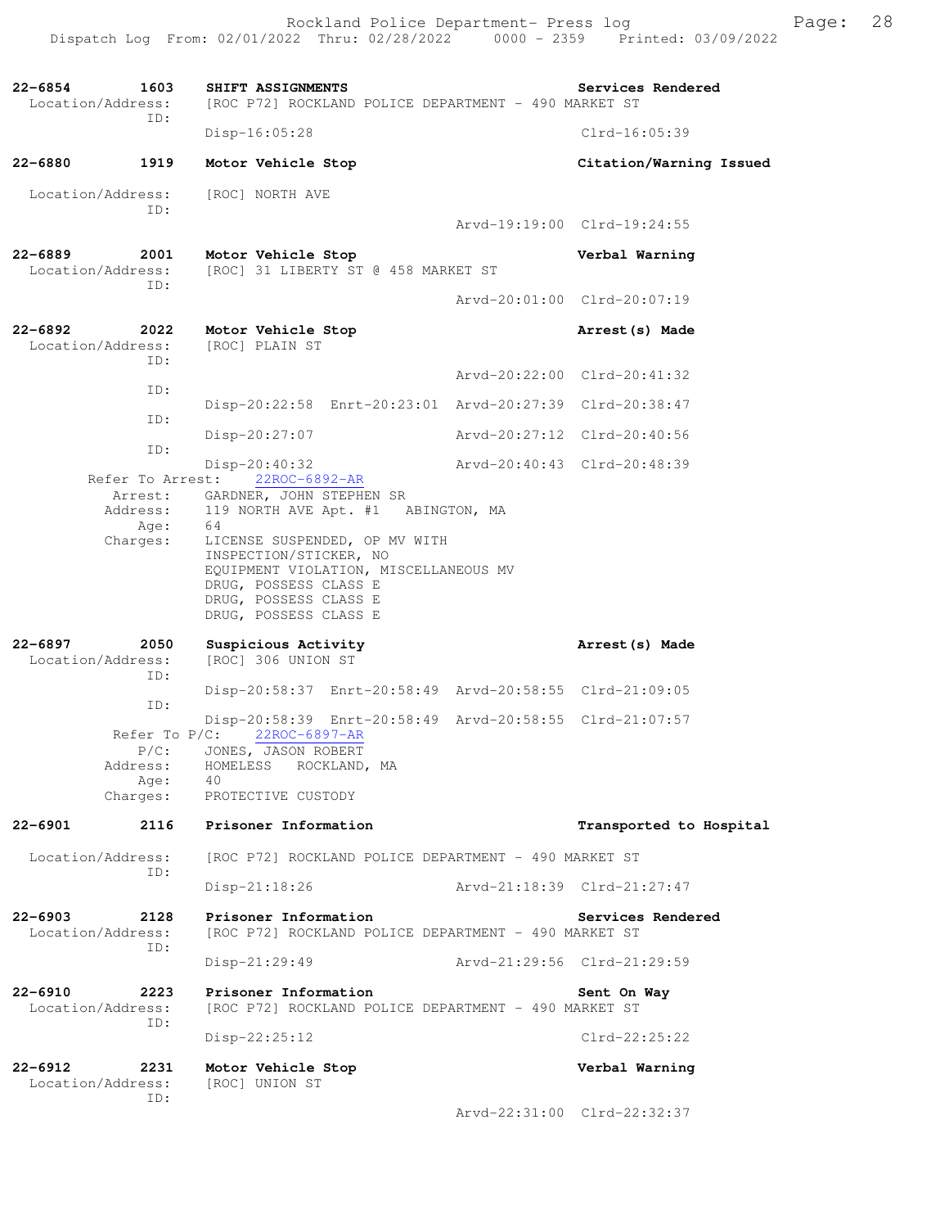| $22 - 6854$<br>Location/Address: | 1603<br>ID:                                                 | SHIFT ASSIGNMENTS<br>[ROC P72] ROCKLAND POLICE DEPARTMENT - 490 MARKET ST                                                                                                   |                             | Services Rendered           |
|----------------------------------|-------------------------------------------------------------|-----------------------------------------------------------------------------------------------------------------------------------------------------------------------------|-----------------------------|-----------------------------|
|                                  |                                                             | $Disp-16:05:28$                                                                                                                                                             |                             | $Clrd-16:05:39$             |
| $22 - 6880$                      | 1919                                                        | Motor Vehicle Stop                                                                                                                                                          |                             | Citation/Warning Issued     |
| Location/Address:                | ID:                                                         | [ROC] NORTH AVE                                                                                                                                                             |                             |                             |
|                                  |                                                             |                                                                                                                                                                             |                             | Arvd-19:19:00 Clrd-19:24:55 |
| 22-6889<br>Location/Address:     | 2001<br>ID:                                                 | Motor Vehicle Stop<br>[ROC] 31 LIBERTY ST @ 458 MARKET ST                                                                                                                   |                             | Verbal Warning              |
|                                  |                                                             |                                                                                                                                                                             |                             | Arvd-20:01:00 Clrd-20:07:19 |
| $22 - 6892$<br>Location/Address: | 2022<br>ID:                                                 | Motor Vehicle Stop<br>[ROC] PLAIN ST                                                                                                                                        |                             | Arrest (s) Made             |
|                                  | ID:                                                         |                                                                                                                                                                             |                             | Arvd-20:22:00 Clrd-20:41:32 |
|                                  | ID:                                                         | Disp-20:22:58 Enrt-20:23:01 Arvd-20:27:39 Clrd-20:38:47                                                                                                                     |                             |                             |
|                                  | ID:                                                         | Disp-20:27:07                                                                                                                                                               |                             | Arvd-20:27:12 Clrd-20:40:56 |
|                                  |                                                             | Disp-20:40:32                                                                                                                                                               | Arvd-20:40:43 Clrd-20:48:39 |                             |
|                                  | Arrest:<br>Address:<br>Age:                                 | Refer To Arrest: 22ROC-6892-AR<br>GARDNER, JOHN STEPHEN SR<br>119 NORTH AVE Apt. #1 ABINGTON, MA<br>64                                                                      |                             |                             |
|                                  | Charges:                                                    | LICENSE SUSPENDED, OP MV WITH<br>INSPECTION/STICKER, NO<br>EQUIPMENT VIOLATION, MISCELLANEOUS MV<br>DRUG, POSSESS CLASS E<br>DRUG, POSSESS CLASS E<br>DRUG, POSSESS CLASS E |                             |                             |
| $22 - 6897$<br>Location/Address: | 2050                                                        | Suspicious Activity<br>[ROC] 306 UNION ST                                                                                                                                   |                             | Arrest (s) Made             |
|                                  | ID:                                                         | Disp-20:58:37 Enrt-20:58:49 Arvd-20:58:55 Clrd-21:09:05                                                                                                                     |                             |                             |
|                                  | ID:                                                         | Disp-20:58:39 Enrt-20:58:49 Arvd-20:58:55 Clrd-21:07:57                                                                                                                     |                             |                             |
|                                  | Refer To $P/C$ :<br>$P/C$ :<br>Address:<br>Aqe:<br>Charges: | 22ROC-6897-AR<br>JONES, JASON ROBERT<br>HOMELESS ROCKLAND, MA<br>40<br>PROTECTIVE CUSTODY                                                                                   |                             |                             |
| $22 - 6901$                      | 2116                                                        | Prisoner Information                                                                                                                                                        |                             | Transported to Hospital     |
| Location/Address:                |                                                             | [ROC P72] ROCKLAND POLICE DEPARTMENT - 490 MARKET ST                                                                                                                        |                             |                             |
|                                  | ID:                                                         | $Disp-21:18:26$                                                                                                                                                             |                             | Arvd-21:18:39 Clrd-21:27:47 |
| $22 - 6903$<br>Location/Address: | 2128                                                        | Prisoner Information<br>[ROC P72] ROCKLAND POLICE DEPARTMENT - 490 MARKET ST                                                                                                |                             | Services Rendered           |
|                                  | ID:                                                         | $Disp-21:29:49$                                                                                                                                                             |                             | Arvd-21:29:56 Clrd-21:29:59 |
| $22 - 6910$<br>Location/Address: | 2223<br>ID:                                                 | Prisoner Information<br>[ROC P72] ROCKLAND POLICE DEPARTMENT - 490 MARKET ST                                                                                                |                             | Sent On Way                 |
|                                  |                                                             | $Disp-22:25:12$                                                                                                                                                             |                             | $Clrd-22:25:22$             |
| $22 - 6912$<br>Location/Address: | 2231                                                        | Motor Vehicle Stop<br>[ROC] UNION ST                                                                                                                                        |                             | Verbal Warning              |
|                                  | ID:                                                         |                                                                                                                                                                             |                             | Arvd-22:31:00 Clrd-22:32:37 |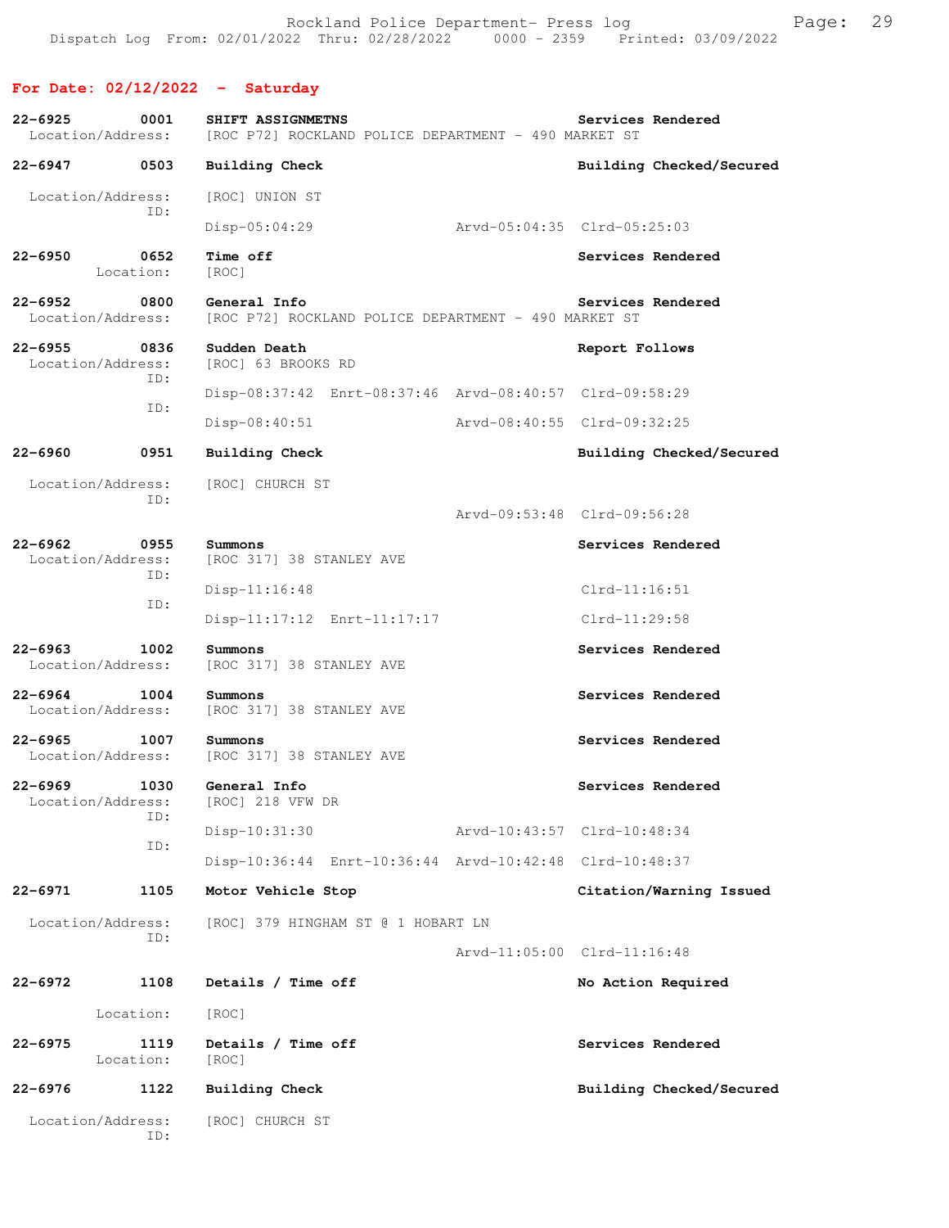## **For Date: 02/12/2022 - Saturday**

| $22 - 6925$<br>Location/Address: | 0001              | SHIFT ASSIGNMETNS<br>[ROC P72] ROCKLAND POLICE DEPARTMENT - 490 MARKET ST | Services Rendered           |
|----------------------------------|-------------------|---------------------------------------------------------------------------|-----------------------------|
| 22-6947                          | 0503              | <b>Building Check</b>                                                     | Building Checked/Secured    |
| Location/Address:                |                   | [ROC] UNION ST                                                            |                             |
|                                  | ID:               | Disp-05:04:29                                                             | Arvd-05:04:35 Clrd-05:25:03 |
| $22 - 6950$                      | 0652<br>Location: | Time off<br>[ROC]                                                         | Services Rendered           |
| $22 - 6952$<br>Location/Address: | 0800              | General Info<br>[ROC P72] ROCKLAND POLICE DEPARTMENT - 490 MARKET ST      | Services Rendered           |
| $22 - 6955$<br>Location/Address: | 0836              | Sudden Death<br>[ROC] 63 BROOKS RD                                        | Report Follows              |
|                                  | ID:<br>ID:        | Disp-08:37:42 Enrt-08:37:46 Arvd-08:40:57 Clrd-09:58:29                   |                             |
|                                  |                   | $Disp-08:40:51$                                                           | Arvd-08:40:55 Clrd-09:32:25 |
| 22-6960                          | 0951              | Building Check                                                            | Building Checked/Secured    |
| Location/Address:                | ID:               | [ROC] CHURCH ST                                                           |                             |
|                                  |                   |                                                                           | Arvd-09:53:48 Clrd-09:56:28 |
| $22 - 6962$<br>Location/Address: | 0955<br>ID:       | Summons<br>[ROC 317] 38 STANLEY AVE                                       | Services Rendered           |
|                                  | ID:               | $Disp-11:16:48$                                                           | $Clrd-11:16:51$             |
|                                  |                   | Disp-11:17:12 Enrt-11:17:17                                               | Clrd-11:29:58               |
| $22 - 6963$<br>Location/Address: | 1002              | Summons<br>[ROC 317] 38 STANLEY AVE                                       | Services Rendered           |
| $22 - 6964$<br>Location/Address: | 1004              | Summons<br>[ROC 317] 38 STANLEY AVE                                       | Services Rendered           |
| $22 - 6965$<br>Location/Address: | 1007              | Summons<br>[ROC 317] 38 STANLEY AVE                                       | Services Rendered           |
| $22 - 6969$<br>Location/Address: | 1030              | General Info<br>[ROC] 218 VFW DR                                          | Services Rendered           |
|                                  | ID:<br>ID:        | Disp-10:31:30                                                             | Arvd-10:43:57 Clrd-10:48:34 |
|                                  |                   | Disp-10:36:44 Enrt-10:36:44 Arvd-10:42:48 Clrd-10:48:37                   |                             |
| $22 - 6971$                      | 1105              | Motor Vehicle Stop                                                        | Citation/Warning Issued     |
| Location/Address:                | ID:               | [ROC] 379 HINGHAM ST @ 1 HOBART LN                                        |                             |
|                                  |                   |                                                                           | Arvd-11:05:00 Clrd-11:16:48 |
| $22 - 6972$                      | 1108              | Details / Time off                                                        | No Action Required          |
|                                  | Location:         | [ROC]                                                                     |                             |
| $22 - 6975$                      | 1119<br>Location: | Details / Time off<br>[ROC]                                               | Services Rendered           |
| $22 - 6976$                      | 1122              | <b>Building Check</b>                                                     | Building Checked/Secured    |
| Location/Address:                | ID:               | [ROC] CHURCH ST                                                           |                             |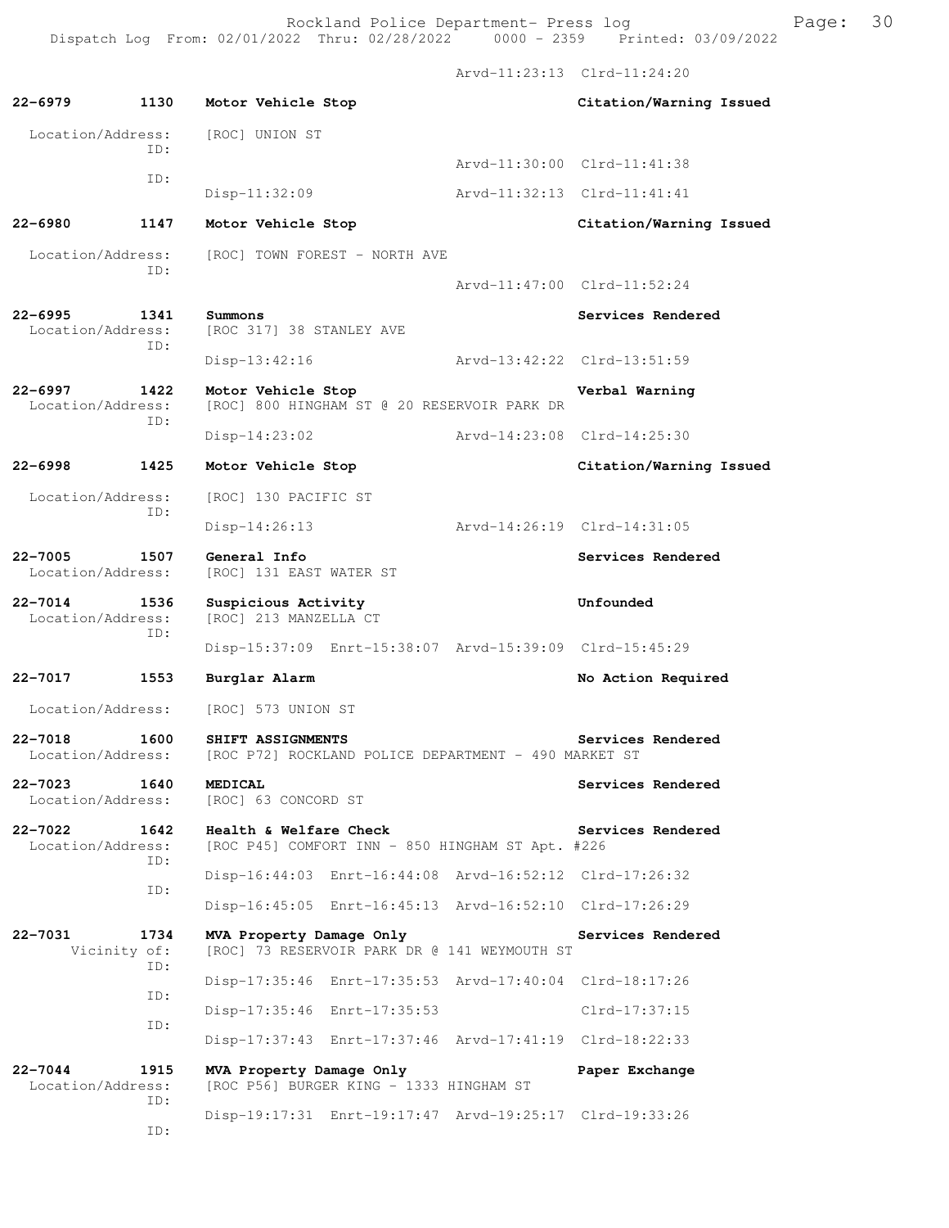Rockland Police Department- Press log France Press 10 Dispatch Log From: 02/01/2022 Thru: 02/28/2022 0000 - 2359 Printed: 03/09/2022

 Arvd-11:23:13 Clrd-11:24:20 **22-6979 1130 Motor Vehicle Stop Citation/Warning Issued**  Location/Address: [ROC] UNION ST ID: Arvd-11:30:00 Clrd-11:41:38 ID: Disp-11:32:09 Arvd-11:32:13 Clrd-11:41:41 **22-6980 1147 Motor Vehicle Stop Citation/Warning Issued**  Location/Address: [ROC] TOWN FOREST - NORTH AVE ID: Arvd-11:47:00 Clrd-11:52:24 **22-6995 1341 Summons Services Rendered**  Location/Address: [ROC 317] 38 STANLEY AVE ID: Disp-13:42:16 Arvd-13:42:22 Clrd-13:51:59 **22-6997 1422 Motor Vehicle Stop Verbal Warning**  Location/Address: [ROC] 800 HINGHAM ST @ 20 RESERVOIR PARK DR ID: Disp-14:23:02 Arvd-14:23:08 Clrd-14:25:30 **22-6998 1425 Motor Vehicle Stop Citation/Warning Issued**  Location/Address: [ROC] 130 PACIFIC ST ID: Disp-14:26:13 Arvd-14:26:19 Clrd-14:31:05 **22-7005 1507 General Info Services Rendered**  Location/Address: [ROC] 131 EAST WATER ST **22-7014 1536 Suspicious Activity Unfounded**  Location/Address: [ROC] 213 MANZELLA CT ID: Disp-15:37:09 Enrt-15:38:07 Arvd-15:39:09 Clrd-15:45:29 **22-7017 1553 Burglar Alarm No Action Required**  Location/Address: [ROC] 573 UNION ST **22-7018 1600 SHIFT ASSIGNMENTS Services Rendered**  Location/Address: [ROC P72] ROCKLAND POLICE DEPARTMENT - 490 MARKET ST **22-7023 1640 MEDICAL Services Rendered Services Rendered Services Rendered Services Rendered** [ROC] 63 CONCORD ST **22-7022 1642 Health & Welfare Check Services Rendered**  Location/Address: [ROC P45] COMFORT INN - 850 HINGHAM ST Apt. #226 ID: Disp-16:44:03 Enrt-16:44:08 Arvd-16:52:12 Clrd-17:26:32 ID: Disp-16:45:05 Enrt-16:45:13 Arvd-16:52:10 Clrd-17:26:29 **22-7031 1734 MVA Property Damage Only Services Rendered**  Vicinity of: [ROC] 73 RESERVOIR PARK DR @ 141 WEYMOUTH ST ID: Disp-17:35:46 Enrt-17:35:53 Arvd-17:40:04 Clrd-18:17:26 ID: Disp-17:35:46 Enrt-17:35:53 Clrd-17:37:15 ID: Disp-17:37:43 Enrt-17:37:46 Arvd-17:41:19 Clrd-18:22:33 **22-7044 1915 MVA Property Damage Only Paper Exchange**  Location/Address: [ROC P56] BURGER KING - 1333 HINGHAM ST ID:

Disp-19:17:31 Enrt-19:17:47 Arvd-19:25:17 Clrd-19:33:26

ID: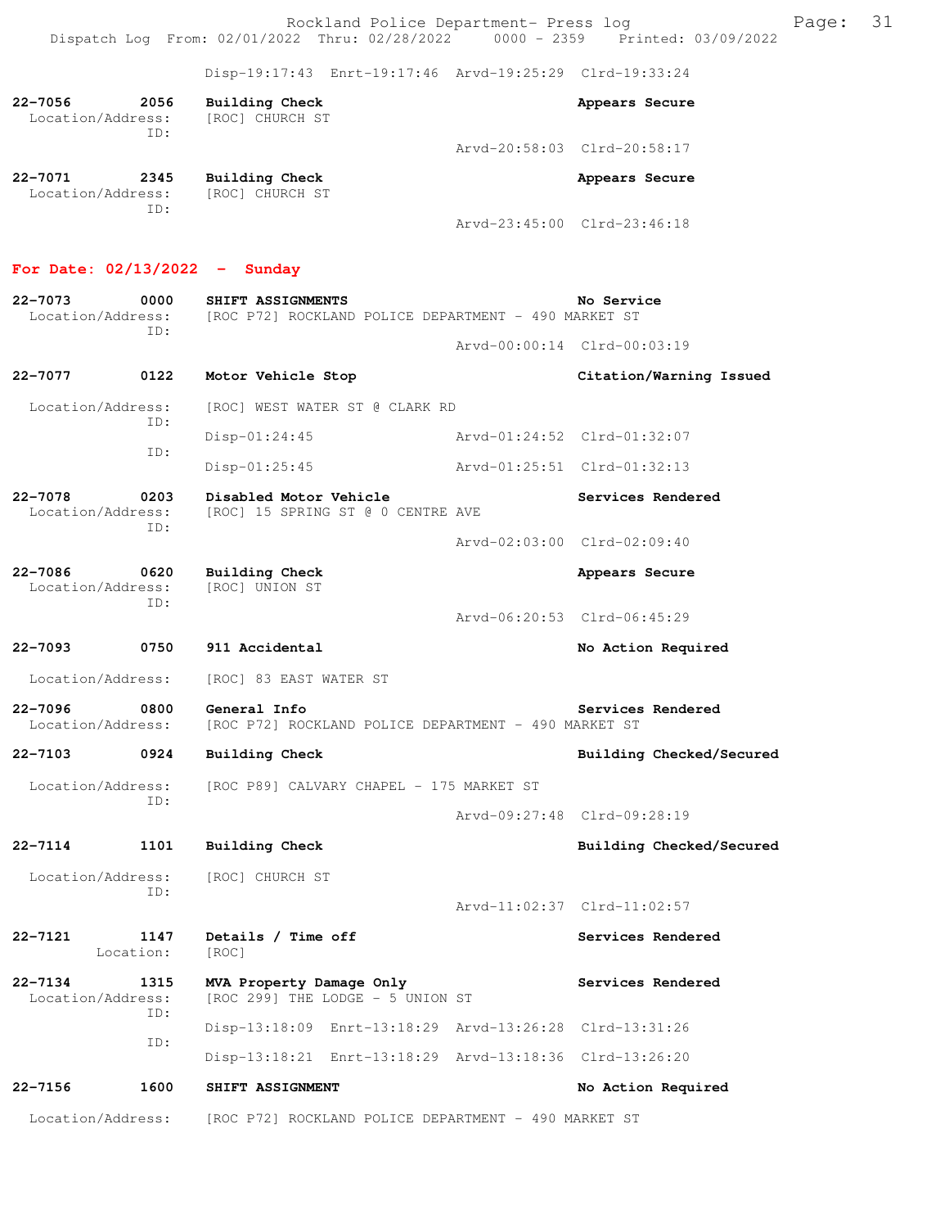Rockland Police Department- Press log Frank Page: 31 Dispatch Log From: 02/01/2022 Thru: 02/28/2022 0000 - 2359 Printed: 03/09/2022

Disp-19:17:43 Enrt-19:17:46 Arvd-19:25:29 Clrd-19:33:24

| $22 - 7056$<br>Location/Address: | 2056 | Building Check<br>[ROC] CHURCH ST |                             | Appears Secure |
|----------------------------------|------|-----------------------------------|-----------------------------|----------------|
|                                  | TD:  |                                   | Arvd-20:58:03 Clrd-20:58:17 |                |
| 22-7071<br>Location/Address:     | 2345 | Building Check<br>[ROC] CHURCH ST |                             | Appears Secure |

Arvd-23:45:00 Clrd-23:46:18

### **For Date: 02/13/2022 - Sunday**

ID:

**22-7073 0000 SHIFT ASSIGNMENTS No Service**  Location/Address: [ROC P72] ROCKLAND POLICE DEPARTMENT - 490 MARKET ST ID: Arvd-00:00:14 Clrd-00:03:19 **22-7077 0122 Motor Vehicle Stop Citation/Warning Issued**  Location/Address: [ROC] WEST WATER ST @ CLARK RD ID: Disp-01:24:45 Arvd-01:24:52 Clrd-01:32:07 ID: Disp-01:25:45 Arvd-01:25:51 Clrd-01:32:13 **22-7078 0203 Disabled Motor Vehicle Services Rendered**  Location/Address: [ROC] 15 SPRING ST @ 0 CENTRE AVE ID: Arvd-02:03:00 Clrd-02:09:40 **22-7086 0620 Building Check Appears Secure** Appears Secure Location/Address: [ROC] UNION ST Location/Address: ID: Arvd-06:20:53 Clrd-06:45:29 **22-7093 0750 911 Accidental No Action Required**  Location/Address: [ROC] 83 EAST WATER ST **22-7096** 0800 General Info<br>
Location/Address: [ROC P72] ROCKLAND POLICE DEPARTMENT - 490 MARKET ST [ROC P72] ROCKLAND POLICE DEPARTMENT - 490 MARKET ST **22-7103 0924 Building Check Building Checked/Secured**  Location/Address: [ROC P89] CALVARY CHAPEL - 175 MARKET ST ID: Arvd-09:27:48 Clrd-09:28:19 **22-7114 1101 Building Check Building Checked/Secured**  Location/Address: [ROC] CHURCH ST ID: Arvd-11:02:37 Clrd-11:02:57 **22-7121 1147 Details / Time off Services Rendered**  Location: [ROC] **22-7134 1315 MVA Property Damage Only Services Rendered**  Location/Address: [ROC 299] THE LODGE - 5 UNION ST ID: Disp-13:18:09 Enrt-13:18:29 Arvd-13:26:28 Clrd-13:31:26 ID: Disp-13:18:21 Enrt-13:18:29 Arvd-13:18:36 Clrd-13:26:20 **22-7156 1600 SHIFT ASSIGNMENT No Action Required** 

Location/Address: [ROC P72] ROCKLAND POLICE DEPARTMENT - 490 MARKET ST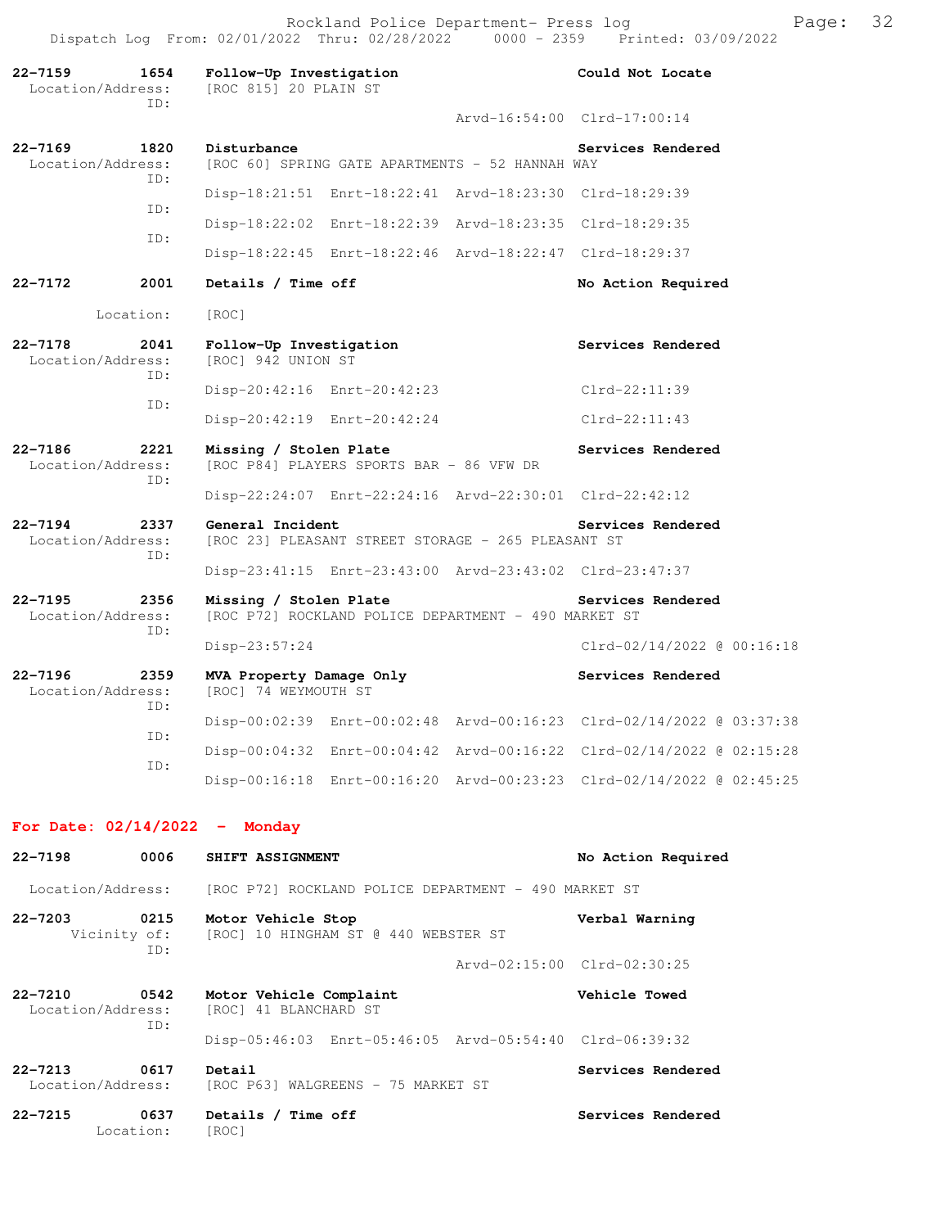Rockland Police Department- Press log Frank Page: 32 Dispatch Log From: 02/01/2022 Thru: 02/28/2022 0000 - 2359 Printed: 03/09/2022

**22-7159 1654 Follow-Up Investigation Could Not Locate**  Location/Address: [ROC 815] 20 PLAIN ST ID: Arvd-16:54:00 Clrd-17:00:14 **22-7169 1820 Disturbance Services Rendered**<br>Location/Address: [ROC 60] SPRING GATE APARTMENTS - 52 HANNAH WAY [ROC 60] SPRING GATE APARTMENTS - 52 HANNAH WAY ID: Disp-18:21:51 Enrt-18:22:41 Arvd-18:23:30 Clrd-18:29:39 ID: Disp-18:22:02 Enrt-18:22:39 Arvd-18:23:35 Clrd-18:29:35 ID: Disp-18:22:45 Enrt-18:22:46 Arvd-18:22:47 Clrd-18:29:37 **22-7172 2001 Details / Time off No Action Required**  Location: [ROC] **22-7178 2041 Follow-Up Investigation Services Rendered**  Location/Address: [ROC] 942 UNION ST ID: Disp-20:42:16 Enrt-20:42:23 Clrd-22:11:39 ID: Disp-20:42:19 Enrt-20:42:24 Clrd-22:11:43 **22-7186 2221 Missing / Stolen Plate Services Rendered**  Location/Address: [ROC P84] PLAYERS SPORTS BAR - 86 VFW DR ID: Disp-22:24:07 Enrt-22:24:16 Arvd-22:30:01 Clrd-22:42:12 **22-7194** 2337 General Incident Services Rendered Location/Address: [ROC 23] PLEASANT STREET STORAGE - 265 PLEASANT ST [ROC 23] PLEASANT STREET STORAGE - 265 PLEASANT ST ID: Disp-23:41:15 Enrt-23:43:00 Arvd-23:43:02 Clrd-23:47:37 **22-7195 2356 Missing / Stolen Plate Services Rendered**  Location/Address: [ROC P72] ROCKLAND POLICE DEPARTMENT - 490 MARKET ST ID: Disp-23:57:24 Clrd-02/14/2022 @ 00:16:18 **22-7196 2359 MVA Property Damage Only Services Rendered**  Location/Address: [ROC] 74 WEYMOUTH ST ID: Disp-00:02:39 Enrt-00:02:48 Arvd-00:16:23 Clrd-02/14/2022 @ 03:37:38 ID: Disp-00:04:32 Enrt-00:04:42 Arvd-00:16:22 Clrd-02/14/2022 @ 02:15:28 ID: Disp-00:16:18 Enrt-00:16:20 Arvd-00:23:23 Clrd-02/14/2022 @ 02:45:25

#### **For Date: 02/14/2022 - Monday**

| $22 - 7198$                      | 0006              | SHIFT ASSIGNMENT                                                        | No Action Required          |
|----------------------------------|-------------------|-------------------------------------------------------------------------|-----------------------------|
| Location/Address:                |                   | [ROC P72] ROCKLAND POLICE DEPARTMENT - 490 MARKET ST                    |                             |
| $22 - 7203$                      | 0215<br>TD:       | Motor Vehicle Stop<br>Vicinity of: [ROC] 10 HINGHAM ST @ 440 WEBSTER ST | Verbal Warning              |
|                                  |                   |                                                                         | Arvd-02:15:00 Clrd-02:30:25 |
| 22-7210<br>Location/Address:     | 0542<br>ID:       | Motor Vehicle Complaint<br>[ROC] 41 BLANCHARD ST                        | Vehicle Towed               |
|                                  |                   | Disp-05:46:03 Enrt-05:46:05 Arvd-05:54:40 Clrd-06:39:32                 |                             |
| $22 - 7213$<br>Location/Address: | 0617              | Detail<br>[ROC P63] WALGREENS - 75 MARKET ST                            | Services Rendered           |
| $22 - 7215$                      | 0637<br>Location: | Details / Time off<br>[ROC]                                             | Services Rendered           |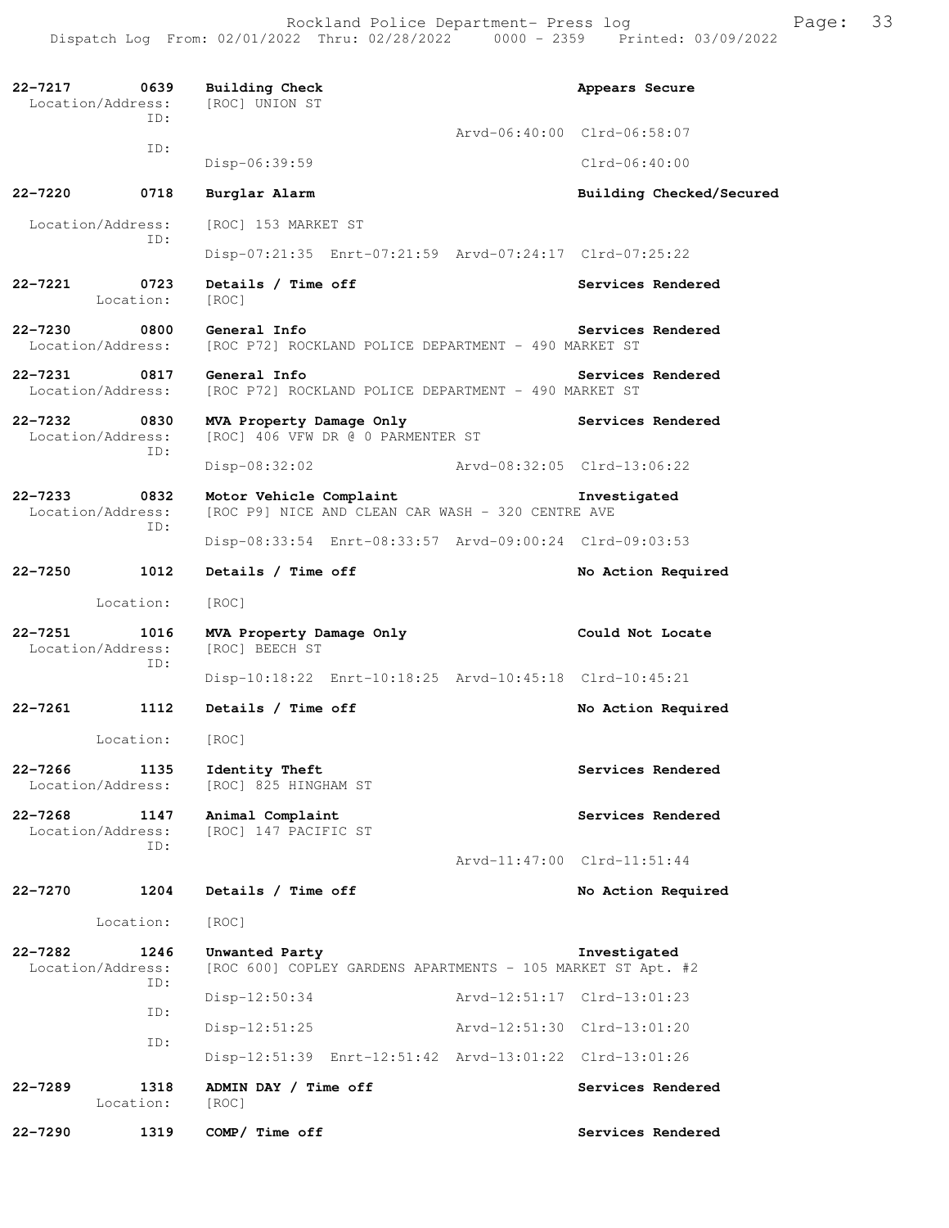Rockland Police Department- Press log Frank Page: 33 Dispatch Log From: 02/01/2022 Thru: 02/28/2022 0000 - 2359 Printed: 03/09/2022

**22-7217 0639 Building Check Appears Secure** Appears Secure Location/Address: [ROC] UNION ST Location/Address: ID: Arvd-06:40:00 Clrd-06:58:07 ID: Disp-06:39:59 Clrd-06:40:00 **22-7220 0718 Burglar Alarm Building Checked/Secured**  Location/Address: [ROC] 153 MARKET ST ID: Disp-07:21:35 Enrt-07:21:59 Arvd-07:24:17 Clrd-07:25:22 **22-7221 0723 Details / Time off Services Rendered**  Location: [ROC] **22-7230 0800 General Info Services Rendered** Location/Address: [ROC P72] ROCKLAND POLICE DEPARTMENT - 490 MARKET ST [ROC P72] ROCKLAND POLICE DEPARTMENT - 490 MARKET ST **22-7231 0817 General Info Services Rendered** Location/Address: [ROC P72] ROCKLAND POLICE DEPARTMENT - 490 MARKET ST [ROC P72] ROCKLAND POLICE DEPARTMENT - 490 MARKET ST **22-7232 0830 MVA Property Damage Only Services Rendered**  Location/Address: [ROC] 406 VFW DR @ 0 PARMENTER ST ID: Disp-08:32:02 Arvd-08:32:05 Clrd-13:06:22 **22-7233 0832 Motor Vehicle Complaint Investigated**  Location/Address: [ROC P9] NICE AND CLEAN CAR WASH - 320 CENTRE AVE ID: Disp-08:33:54 Enrt-08:33:57 Arvd-09:00:24 Clrd-09:03:53 **22-7250 1012 Details / Time off No Action Required**  Location: [ROC] 22-7251 1016 MVA Property Damage Only Could Not Locate Location/Address: [ROC] BEECH ST Location/Address: ID: Disp-10:18:22 Enrt-10:18:25 Arvd-10:45:18 Clrd-10:45:21 **22-7261 1112 Details / Time off No Action Required**  Location: [ROC] 22-7266 1135 Identity Theft **Services Rendered**  Location/Address: [ROC] 825 HINGHAM ST **22-7268 1147 Animal Complaint Services Rendered**  Location/Address: [ROC] 147 PACIFIC ST ID: Arvd-11:47:00 Clrd-11:51:44 **22-7270 1204 Details / Time off No Action Required**  Location: [ROC] **22-7282 1246 Unwanted Party Investigated**  Location/Address: [ROC 600] COPLEY GARDENS APARTMENTS - 105 MARKET ST Apt. #2 ID: Disp-12:50:34 Arvd-12:51:17 Clrd-13:01:23 ID: Disp-12:51:25 Arvd-12:51:30 Clrd-13:01:20 ID: Disp-12:51:39 Enrt-12:51:42 Arvd-13:01:22 Clrd-13:01:26 22-7289 1318 ADMIN DAY / Time off **Services Rendered** Location: [ROC] **22-7290 1319 COMP/ Time off Services Rendered**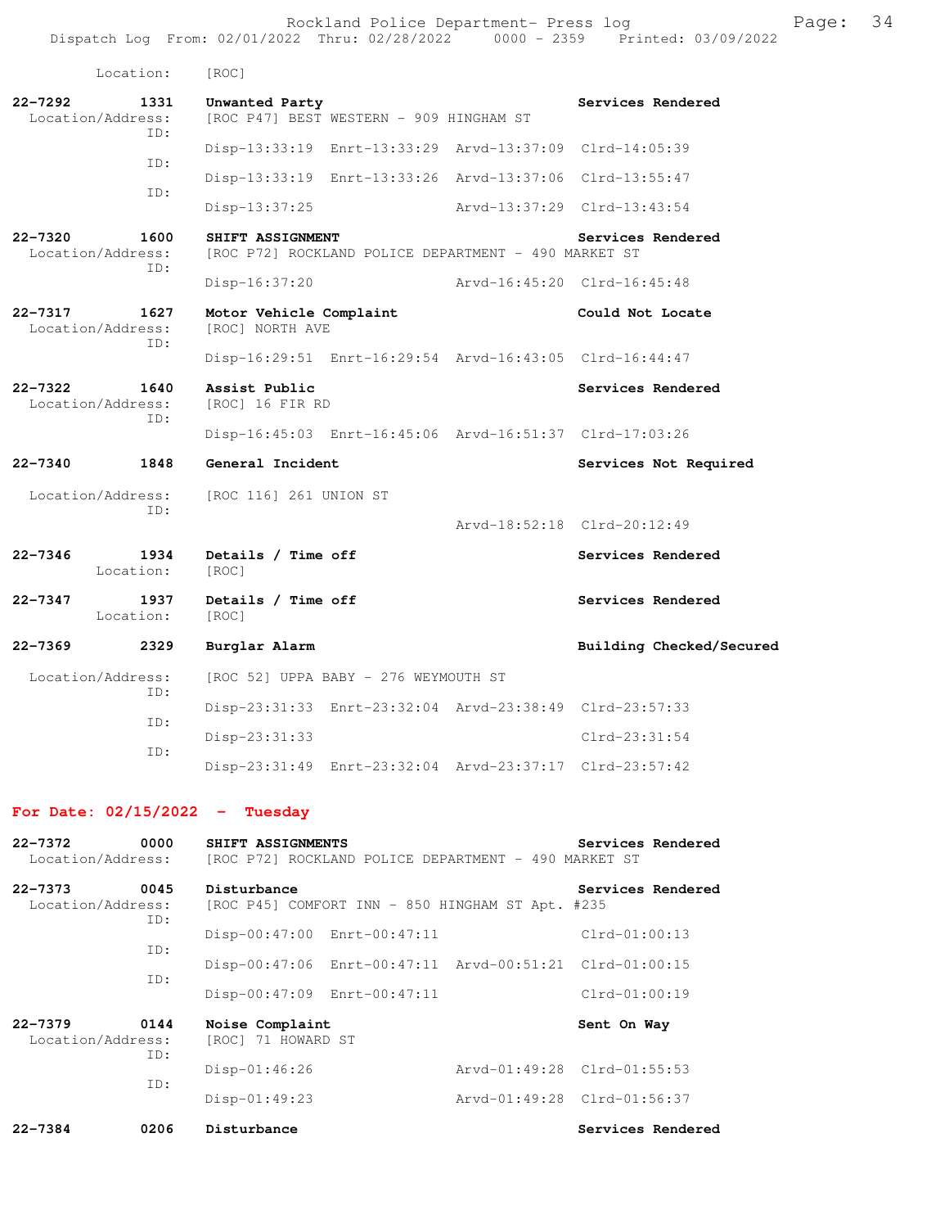|                                                 | Location:                        | [ROC]                                      |                                                         |                             |                             |
|-------------------------------------------------|----------------------------------|--------------------------------------------|---------------------------------------------------------|-----------------------------|-----------------------------|
| $22 - 7292$                                     | 1331<br>Location/Address:<br>TD: | Unwanted Party                             | [ROC P47] BEST WESTERN - 909 HINGHAM ST                 |                             | Services Rendered           |
|                                                 |                                  |                                            | Disp-13:33:19 Enrt-13:33:29 Arvd-13:37:09 Clrd-14:05:39 |                             |                             |
|                                                 | ID:                              |                                            | Disp-13:33:19 Enrt-13:33:26 Arvd-13:37:06 Clrd-13:55:47 |                             |                             |
|                                                 | TD:                              | Disp-13:37:25                              |                                                         | Arvd-13:37:29 Clrd-13:43:54 |                             |
| $22 - 7320$                                     | 1600<br>Location/Address:<br>ID: | SHIFT ASSIGNMENT                           | [ROC P72] ROCKLAND POLICE DEPARTMENT - 490 MARKET ST    |                             | Services Rendered           |
|                                                 |                                  | $Disp-16:37:20$                            |                                                         | Arvd-16:45:20 Clrd-16:45:48 |                             |
| $22 - 7317$                                     | 1627<br>Location/Address:<br>ID: | Motor Vehicle Complaint<br>[ROC] NORTH AVE |                                                         |                             | Could Not Locate            |
|                                                 |                                  |                                            | Disp-16:29:51 Enrt-16:29:54 Arvd-16:43:05 Clrd-16:44:47 |                             |                             |
| $22 - 7322$<br>1640<br>Location/Address:<br>ID: |                                  | Assist Public<br>[ROC] 16 FIR RD           |                                                         |                             | Services Rendered           |
|                                                 |                                  |                                            | Disp-16:45:03 Enrt-16:45:06 Arvd-16:51:37 Clrd-17:03:26 |                             |                             |
| $22 - 7340$                                     | 1848                             | General Incident                           |                                                         |                             | Services Not Required       |
|                                                 | Location/Address:<br>ID:         | [ROC 116] 261 UNION ST                     |                                                         |                             |                             |
|                                                 |                                  |                                            |                                                         |                             | Arvd-18:52:18 Clrd-20:12:49 |
| $22 - 7346$                                     | 1934<br>Location:                | Details / Time off<br>[ROC]                |                                                         |                             | Services Rendered           |
| $22 - 7347$                                     | 1937<br>Location:                | Details / Time off<br>[ROC]                |                                                         |                             | Services Rendered           |
| $22 - 7369$                                     | 2329                             | Burglar Alarm                              |                                                         |                             | Building Checked/Secured    |
|                                                 | Location/Address:<br>ID:         |                                            | [ROC 52] UPPA BABY - 276 WEYMOUTH ST                    |                             |                             |
|                                                 | TD:                              |                                            | Disp-23:31:33 Enrt-23:32:04 Arvd-23:38:49 Clrd-23:57:33 |                             |                             |
|                                                 | ID:                              | $Disp-23:31:33$                            |                                                         |                             | $Clrd-23:31:54$             |
|                                                 |                                  |                                            | Disp-23:31:49 Enrt-23:32:04 Arvd-23:37:17 Clrd-23:57:42 |                             |                             |

## **For Date: 02/15/2022 - Tuesday**

| $22 - 7372$<br>Location/Address: | 0000        | SHIFT ASSIGNMENTS<br>[ROC P72] ROCKLAND POLICE DEPARTMENT - 490 MARKET ST | Services Rendered           |
|----------------------------------|-------------|---------------------------------------------------------------------------|-----------------------------|
| $22 - 7373$<br>Location/Address: | 0045<br>ID: | Disturbance<br>[ROC P45] COMFORT INN - 850 HINGHAM ST Apt. #235           | Services Rendered           |
|                                  | ID:         | Disp-00:47:00 Enrt-00:47:11                                               | $Clrd-01:00:13$             |
|                                  | ID:         | Disp-00:47:06 Enrt-00:47:11 Arvd-00:51:21 Clrd-01:00:15                   |                             |
|                                  |             | Disp-00:47:09 Enrt-00:47:11                                               | $Clrd-01:00:19$             |
| $22 - 7379$<br>Location/Address: | 0144<br>ID: | Noise Complaint<br>[ROC] 71 HOWARD ST                                     | Sent On Way                 |
|                                  | ID:         | $Disp-01:46:26$                                                           | Arvd-01:49:28 Clrd-01:55:53 |
|                                  |             | $Disp-01:49:23$                                                           | Arvd-01:49:28 Clrd-01:56:37 |
| $22 - 7384$                      | 0206        | Disturbance                                                               | Services Rendered           |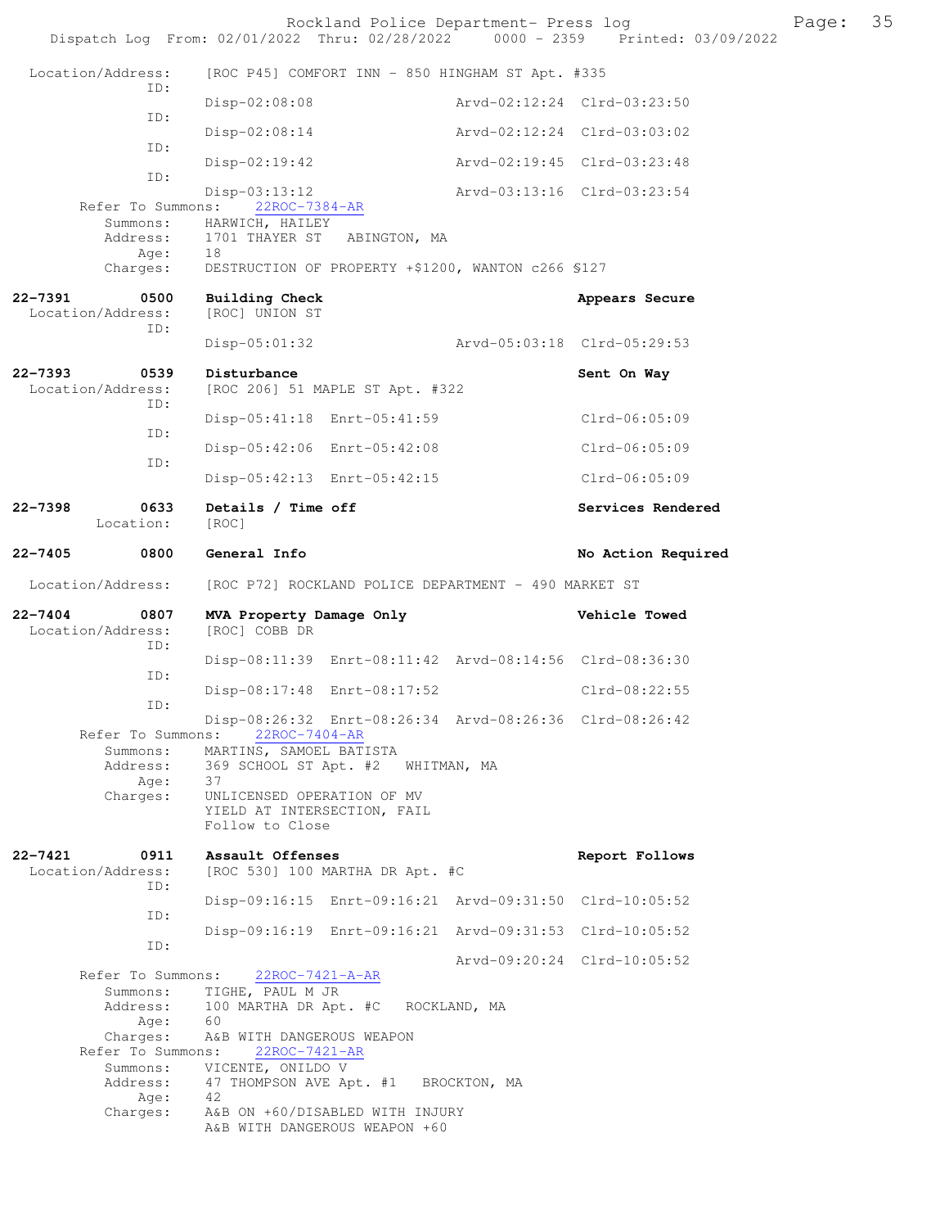|                                             | Rockland Police Department- Press log<br>Dispatch Log From: 02/01/2022 Thru: 02/28/2022 0000 - 2359 Printed: 03/09/2022 |                             | Page: | 35 |
|---------------------------------------------|-------------------------------------------------------------------------------------------------------------------------|-----------------------------|-------|----|
| Location/Address:                           | [ROC P45] COMFORT INN - 850 HINGHAM ST Apt. #335                                                                        |                             |       |    |
| ID:                                         | $Disp-02:08:08$                                                                                                         | Arvd-02:12:24 Clrd-03:23:50 |       |    |
| ID:                                         | $Disp-02:08:14$                                                                                                         | Arvd-02:12:24 Clrd-03:03:02 |       |    |
| ID:                                         | $Disp-02:19:42$                                                                                                         | Arvd-02:19:45 Clrd-03:23:48 |       |    |
| ID:<br>Refer To Summons:                    | $Disp-03:13:12$<br>22ROC-7384-AR                                                                                        | Arvd-03:13:16 Clrd-03:23:54 |       |    |
|                                             | Summons: HARWICH, HAILEY                                                                                                |                             |       |    |
| Address:<br>Age:                            | 1701 THAYER ST ABINGTON, MA<br>18                                                                                       |                             |       |    |
| Charges:                                    | DESTRUCTION OF PROPERTY +\$1200, WANTON c266 \$127                                                                      |                             |       |    |
| 22-7391<br>0500<br>Location/Address:<br>ID: | <b>Building Check</b><br>[ROC] UNION ST                                                                                 | Appears Secure              |       |    |
|                                             | $Disp-05:01:32$                                                                                                         | Arvd-05:03:18 Clrd-05:29:53 |       |    |
| 22-7393<br>0539<br>Location/Address:<br>ID: | Disturbance<br>[ROC 206] 51 MAPLE ST Apt. #322                                                                          | Sent On Way                 |       |    |
| ID:                                         | Disp-05:41:18 Enrt-05:41:59                                                                                             | $Clrd-06:05:09$             |       |    |
| ID:                                         | Disp-05:42:06 Enrt-05:42:08                                                                                             | $Clrd-06:05:09$             |       |    |
|                                             | Disp-05:42:13 Enrt-05:42:15                                                                                             | $Clrd-06:05:09$             |       |    |
| 22-7398<br>0633<br>Location:                | Details / Time off<br>[ROC]                                                                                             | Services Rendered           |       |    |
| 22-7405<br>0800                             | General Info                                                                                                            | No Action Required          |       |    |
| Location/Address:                           | [ROC P72] ROCKLAND POLICE DEPARTMENT - 490 MARKET ST                                                                    |                             |       |    |
| 22-7404<br>0807<br>Location/Address:<br>ID: | MVA Property Damage Only<br>[ROC] COBB DR                                                                               | Vehicle Towed               |       |    |
| ID:                                         | Disp-08:11:39 Enrt-08:11:42 Arvd-08:14:56 Clrd-08:36:30                                                                 |                             |       |    |
| ID:                                         | Disp-08:17:48 Enrt-08:17:52                                                                                             | $Clrd-08:22:55$             |       |    |
| Refer To Summons:                           | Disp-08:26:32 Enrt-08:26:34 Arvd-08:26:36 Clrd-08:26:42<br>22ROC-7404-AR                                                |                             |       |    |
| Summons:<br>Address:                        | MARTINS, SAMOEL BATISTA<br>369 SCHOOL ST Apt. #2 WHITMAN, MA                                                            |                             |       |    |
| Age:<br>Charges:                            | 37<br>UNLICENSED OPERATION OF MV                                                                                        |                             |       |    |
|                                             | YIELD AT INTERSECTION, FAIL<br>Follow to Close                                                                          |                             |       |    |
| 22-7421<br>0911<br>Location/Address:<br>ID: | Assault Offenses<br>[ROC 530] 100 MARTHA DR Apt. #C                                                                     | Report Follows              |       |    |
| ID:                                         | Disp-09:16:15 Enrt-09:16:21 Arvd-09:31:50 Clrd-10:05:52                                                                 |                             |       |    |
| ID:                                         | Disp-09:16:19 Enrt-09:16:21 Arvd-09:31:53 Clrd-10:05:52                                                                 |                             |       |    |
| Refer To Summons:                           | 22ROC-7421-A-AR                                                                                                         | Arvd-09:20:24 Clrd-10:05:52 |       |    |
| Summons:<br>Address:                        | TIGHE, PAUL M JR<br>100 MARTHA DR Apt. #C ROCKLAND, MA                                                                  |                             |       |    |
| Age:<br>Charges:                            | 60<br>A&B WITH DANGEROUS WEAPON                                                                                         |                             |       |    |
| Refer To Summons:<br>Summons:               | 22ROC-7421-AR<br>VICENTE, ONILDO V                                                                                      |                             |       |    |
| Address:<br>Age:                            | 47 THOMPSON AVE Apt. #1 BROCKTON, MA<br>42                                                                              |                             |       |    |
| Charges:                                    | A&B ON +60/DISABLED WITH INJURY                                                                                         |                             |       |    |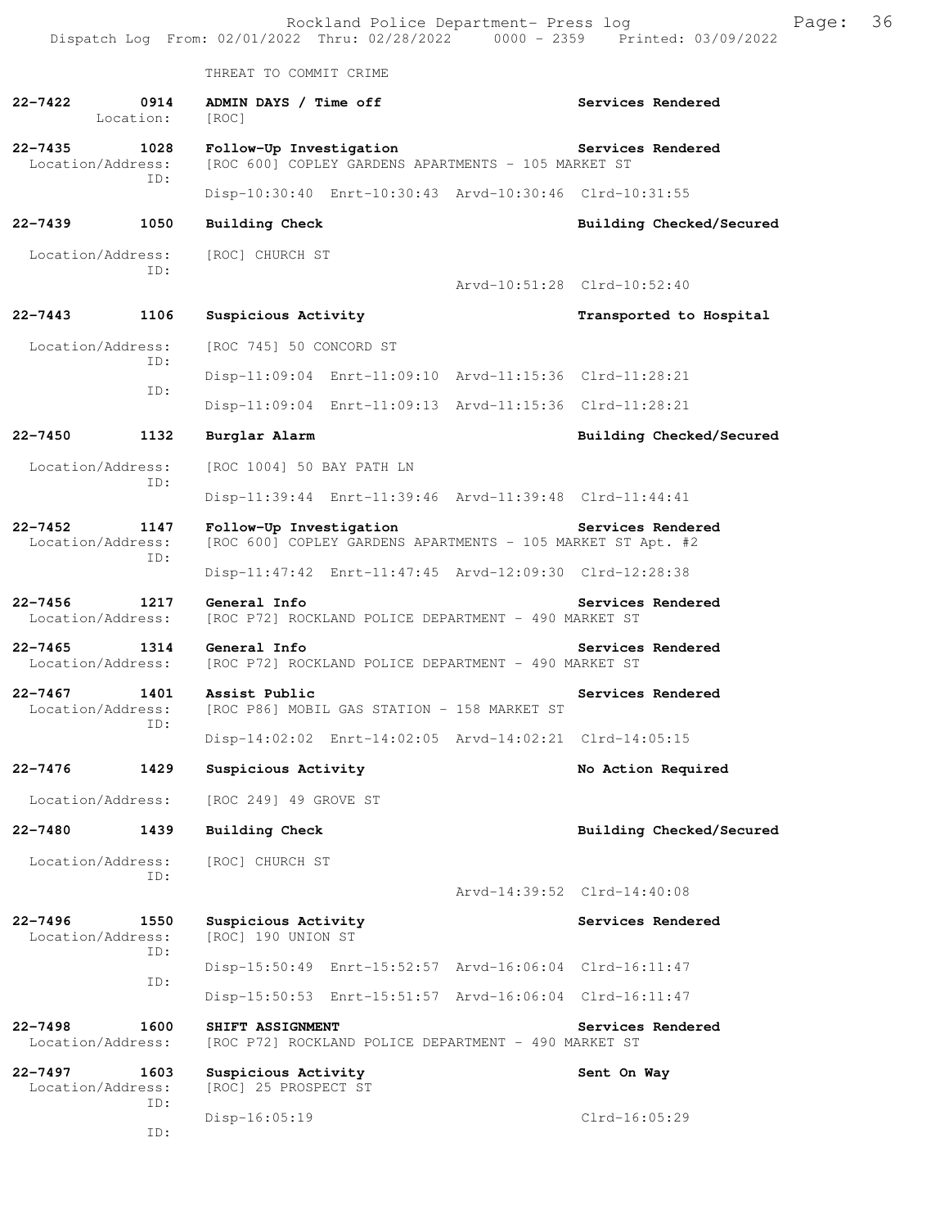Rockland Police Department- Press log Page: 36 Dispatch Log From:  $02/01/2022$  Thru:  $02/28/2022$  0000 - 2359 THREAT TO COMMIT CRIME **22-7422 0914 ADMIN DAYS / Time off Services Rendered**  Location: [ROC] **22-7435 1028 Follow-Up Investigation Services Rendered** Location/Address: [ROC 600] COPLEY GARDENS APARTMENTS - 105 MARKET ST [ROC 600] COPLEY GARDENS APARTMENTS - 105 MARKET ST ID: Disp-10:30:40 Enrt-10:30:43 Arvd-10:30:46 Clrd-10:31:55 **22-7439 1050 Building Check Building Checked/Secured**  Location/Address: [ROC] CHURCH ST ID: Arvd-10:51:28 Clrd-10:52:40 **22-7443 1106 Suspicious Activity Transported to Hospital**  Location/Address: [ROC 745] 50 CONCORD ST ID: Disp-11:09:04 Enrt-11:09:10 Arvd-11:15:36 Clrd-11:28:21 ID: Disp-11:09:04 Enrt-11:09:13 Arvd-11:15:36 Clrd-11:28:21 **22-7450 1132 Burglar Alarm Building Checked/Secured**  Location/Address: [ROC 1004] 50 BAY PATH LN ID: Disp-11:39:44 Enrt-11:39:46 Arvd-11:39:48 Clrd-11:44:41 **22-7452 1147 Follow-Up Investigation Services Rendered**  Location/Address: [ROC 600] COPLEY GARDENS APARTMENTS - 105 MARKET ST Apt. #2 ID: Disp-11:47:42 Enrt-11:47:45 Arvd-12:09:30 Clrd-12:28:38 **22-7456 1217 General Info Services Rendered**  Location/Address: [ROC P72] ROCKLAND POLICE DEPARTMENT - 490 MARKET ST **22-7465** 1314 General Info<br>
Location/Address: [ROC P72] ROCKLAND POLICE DEPARTMENT - 490 MARKET ST [ROC P72] ROCKLAND POLICE DEPARTMENT - 490 MARKET ST **22-7467 1401 Assist Public Services Rendered**  [ROC P86] MOBIL GAS STATION - 158 MARKET ST ID: Disp-14:02:02 Enrt-14:02:05 Arvd-14:02:21 Clrd-14:05:15 **22-7476 1429 Suspicious Activity No Action Required**  Location/Address: [ROC 249] 49 GROVE ST **22-7480 1439 Building Check Building Checked/Secured**  Location/Address: [ROC] CHURCH ST ID: Arvd-14:39:52 Clrd-14:40:08 **22-7496 1550 Suspicious Activity Services Rendered**  Location/Address: [ROC] 190 UNION ST ID: Disp-15:50:49 Enrt-15:52:57 Arvd-16:06:04 Clrd-16:11:47 ID: Disp-15:50:53 Enrt-15:51:57 Arvd-16:06:04 Clrd-16:11:47 22-7498 1600 SHIFT ASSIGNMENT **Services Rendered**  Location/Address: [ROC P72] ROCKLAND POLICE DEPARTMENT - 490 MARKET ST 22-7497 1603 Suspicious Activity **Sent On Way** Location/Address: [ROC] 25 PROSPECT ST ID: Disp-16:05:19 Clrd-16:05:29 ID: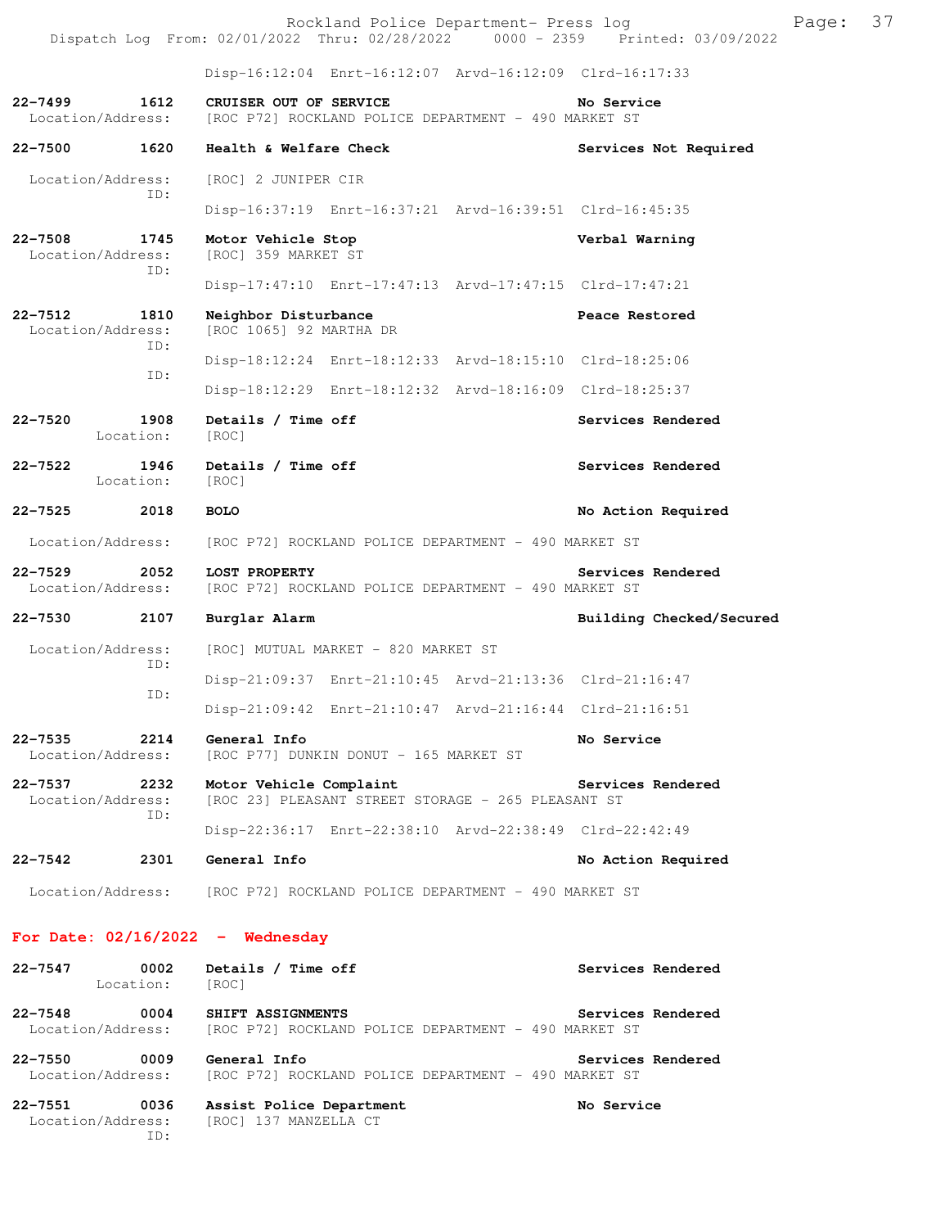|  |                                                |  | Rockland Police Department- Press log |  |                                 | Page: 37 |  |
|--|------------------------------------------------|--|---------------------------------------|--|---------------------------------|----------|--|
|  | Dispatch Log From: 02/01/2022 Thru: 02/28/2022 |  |                                       |  | 0000 - 2359 Printed: 03/09/2022 |          |  |

Disp-16:12:04 Enrt-16:12:07 Arvd-16:12:09 Clrd-16:17:33

### **22-7499 1612 CRUISER OUT OF SERVICE No Service**  Location/Address: [ROC P72] ROCKLAND POLICE DEPARTMENT - 490 MARKET ST

**22-7500 1620 Health & Welfare Check Services Not Required**  Location/Address: [ROC] 2 JUNIPER CIR ID: Disp-16:37:19 Enrt-16:37:21 Arvd-16:39:51 Clrd-16:45:35 **22-7508 1745 Motor Vehicle Stop Verbal Warning**  [ROC] 359 MARKET ST ID: Disp-17:47:10 Enrt-17:47:13 Arvd-17:47:15 Clrd-17:47:21 **22-7512 1810 Neighbor Disturbance Peace Restored**  Location/Address: [ROC 1065] 92 MARTHA DR ID: Disp-18:12:24 Enrt-18:12:33 Arvd-18:15:10 Clrd-18:25:06 ID: Disp-18:12:29 Enrt-18:12:32 Arvd-18:16:09 Clrd-18:25:37 **22-7520 1908 Details / Time off Services Rendered**  Location: [ROC] 22-7522 1946 Details / Time off **Services Rendered**  Location: [ROC] **22-7525 2018 BOLO No Action Required**  Location/Address: [ROC P72] ROCKLAND POLICE DEPARTMENT - 490 MARKET ST **22-7529 2052 LOST PROPERTY Services Rendered**  Location/Address: [ROC P72] ROCKLAND POLICE DEPARTMENT - 490 MARKET ST **22-7530 2107 Burglar Alarm Building Checked/Secured**  Location/Address: [ROC] MUTUAL MARKET - 820 MARKET ST ID: Disp-21:09:37 Enrt-21:10:45 Arvd-21:13:36 Clrd-21:16:47 ID: Disp-21:09:42 Enrt-21:10:47 Arvd-21:16:44 Clrd-21:16:51 **22-7535 2214 General Info No Service**  Location/Address: [ROC P77] DUNKIN DONUT - 165 MARKET ST **22-7537 2232 Motor Vehicle Complaint Services Rendered**  Location/Address: [ROC 23] PLEASANT STREET STORAGE - 265 PLEASANT ST ID: Disp-22:36:17 Enrt-22:38:10 Arvd-22:38:49 Clrd-22:42:49 **22-7542 2301 General Info No Action Required**  Location/Address: [ROC P72] ROCKLAND POLICE DEPARTMENT - 490 MARKET ST

#### **For Date: 02/16/2022 - Wednesday**

| 22-7547<br>22-7548 | 0002<br>Location:<br>0004 | Details / Time off<br>[ROC]<br>SHIFT ASSIGNMENTS     | Services Rendered | Services Rendered |
|--------------------|---------------------------|------------------------------------------------------|-------------------|-------------------|
|                    | Location/Address:         | [ROC P72] ROCKLAND POLICE DEPARTMENT – 490 MARKET ST |                   |                   |
| $22 - 7550$        | nnna                      | Conoral Info                                         | Corvice Pendered  |                   |

**22-7550 0009 General Info Services Rendered**  Location/Address: [ROC P72] ROCKLAND POLICE DEPARTMENT - 490 MARKET ST

**22-7551 0036 Assist Police Department No Service**  Location/Address: [ROC] 137 MANZELLA CT ID: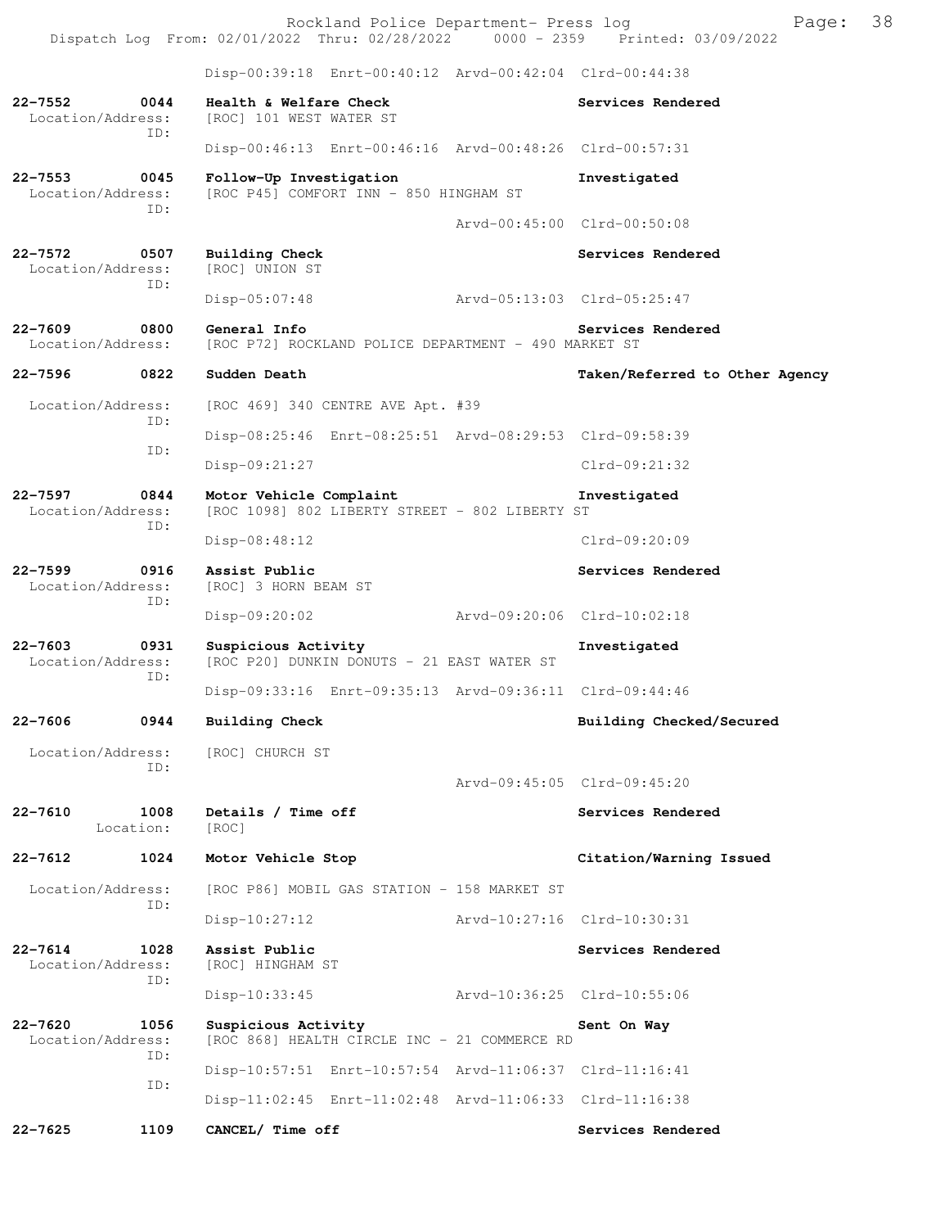Rockland Police Department- Press log Franch Press 10 Dispatch Log From: 02/01/2022 Thru: 02/28/2022 0000 - 2359 Printed: 03/09/2022 Disp-00:39:18 Enrt-00:40:12 Arvd-00:42:04 Clrd-00:44:38 **22-7552 0044 Health & Welfare Check Services Rendered**  Location/Address: [ROC] 101 WEST WATER ST ID: Disp-00:46:13 Enrt-00:46:16 Arvd-00:48:26 Clrd-00:57:31 **22-7553 0045 Follow-Up Investigation Investigated**  Location/Address: [ROC P45] COMFORT INN - 850 HINGHAM ST ID: Arvd-00:45:00 Clrd-00:50:08 **22-7572 0507 Building Check Services Rendered**  Location/Address: [ROC] UNION ST ID: Disp-05:07:48 Arvd-05:13:03 Clrd-05:25:47 **22-7609** 0800 General Info<br>
Location/Address: [ROC P72] ROCKLAND POLICE DEPARTMENT - 490 MARKET ST [ROC P72] ROCKLAND POLICE DEPARTMENT - 490 MARKET ST **22-7596 0822 Sudden Death Taken/Referred to Other Agency** Location/Address: [ROC 469] 340 CENTRE AVE Apt. #39 ID: Disp-08:25:46 Enrt-08:25:51 Arvd-08:29:53 Clrd-09:58:39 ID: Disp-09:21:27 Clrd-09:21:32 **22-7597 0844 Motor Vehicle Complaint Investigated**  Location/Address: [ROC 1098] 802 LIBERTY STREET - 802 LIBERTY ST ID: Disp-08:48:12 Clrd-09:20:09 **22-7599 0916 Assist Public Services Rendered Incontinuity Constrains Services Rendered** [ROC] 3 HORN BEAM ST ID: Disp-09:20:02 Arvd-09:20:06 Clrd-10:02:18 **22-7603 0931 Suspicious Activity Investigated**  Location/Address: [ROC P20] DUNKIN DONUTS - 21 EAST WATER ST ID: Disp-09:33:16 Enrt-09:35:13 Arvd-09:36:11 Clrd-09:44:46 **22-7606 0944 Building Check Building Checked/Secured**  Location/Address: [ROC] CHURCH ST ID: Arvd-09:45:05 Clrd-09:45:20 22-7610 1008 Details / Time off **Services Rendered** Location: [ROC] **22-7612 1024 Motor Vehicle Stop Citation/Warning Issued**  Location/Address: [ROC P86] MOBIL GAS STATION - 158 MARKET ST ID: Disp-10:27:12 Arvd-10:27:16 Clrd-10:30:31 **22-7614 1028 Assist Public Services Rendered Location/Address:** [ROC] HINGHAM ST Location/Address: ID: Disp-10:33:45 Arvd-10:36:25 Clrd-10:55:06 **22-7620 1056 Suspicious Activity Sent On Way**  Location/Address: [ROC 868] HEALTH CIRCLE INC - 21 COMMERCE RD ID: Disp-10:57:51 Enrt-10:57:54 Arvd-11:06:37 Clrd-11:16:41 ID: Disp-11:02:45 Enrt-11:02:48 Arvd-11:06:33 Clrd-11:16:38 **22-7625 1109 CANCEL/ Time off Services Rendered**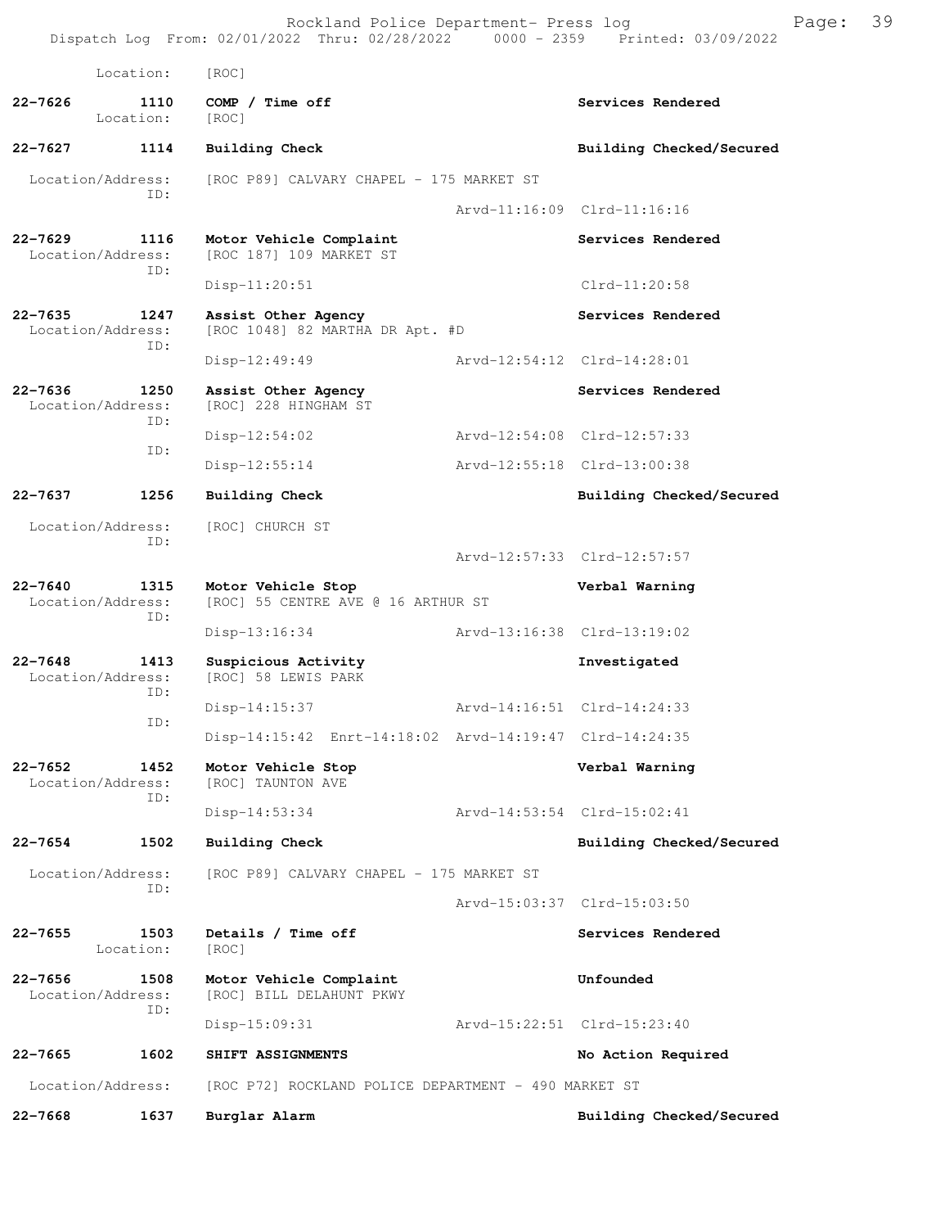Rockland Police Department- Press log Fage: 39 Dispatch Log From: 02/01/2022 Thru: 02/28/2022 0000 - 2359 Printed: 03/09/2022 Location: [ROC] **22-7626 1110 COMP / Time off Services Rendered**  Location: [ROC] **22-7627 1114 Building Check Building Checked/Secured**  Location/Address: [ROC P89] CALVARY CHAPEL - 175 MARKET ST ID: Arvd-11:16:09 Clrd-11:16:16 **22-7629 1116 Motor Vehicle Complaint 6 Services Rendered** Location/Address: [ROC 187] 109 MARKET ST [ROC 187] 109 MARKET ST ID: Disp-11:20:51 Clrd-11:20:58 22-7635 1247 Assist Other Agency **1247 Services Rendered**  Location/Address: [ROC 1048] 82 MARTHA DR Apt. #D ID: Disp-12:49:49 Arvd-12:54:12 Clrd-14:28:01 **22-7636 1250 Assist Other Agency Services Rendered**  Location/Address: [ROC] 228 HINGHAM ST ID: Disp-12:54:02 Arvd-12:54:08 Clrd-12:57:33 ID: Disp-12:55:14 Arvd-12:55:18 Clrd-13:00:38 **22-7637 1256 Building Check Building Checked/Secured**  Location/Address: [ROC] CHURCH ST ID: Arvd-12:57:33 Clrd-12:57:57 **22-7640 1315 Motor Vehicle Stop Verbal Warning**  Location/Address: [ROC] 55 CENTRE AVE @ 16 ARTHUR ST ID: Disp-13:16:34 Arvd-13:16:38 Clrd-13:19:02 **22-7648 1413 Suspicious Activity Investigated**  Location/Address: [ROC] 58 LEWIS PARK ID: Disp-14:15:37 Arvd-14:16:51 Clrd-14:24:33 ID: Disp-14:15:42 Enrt-14:18:02 Arvd-14:19:47 Clrd-14:24:35 **22-7652 1452 Motor Vehicle Stop Verbal Warning**  [ROC] TAUNTON AVE ID: Disp-14:53:34 Arvd-14:53:54 Clrd-15:02:41 **22-7654 1502 Building Check Building Checked/Secured**  Location/Address: [ROC P89] CALVARY CHAPEL - 175 MARKET ST ID: Arvd-15:03:37 Clrd-15:03:50 **22-7655 1503 Details / Time off Services Rendered**  Location: [ROC] **22-7656 1508 Motor Vehicle Complaint Unfounded**  Location/Address: [ROC] BILL DELAHUNT PKWY ID: Disp-15:09:31 Arvd-15:22:51 Clrd-15:23:40 **22-7665 1602 SHIFT ASSIGNMENTS No Action Required**  Location/Address: [ROC P72] ROCKLAND POLICE DEPARTMENT - 490 MARKET ST **22-7668 1637 Burglar Alarm Building Checked/Secured**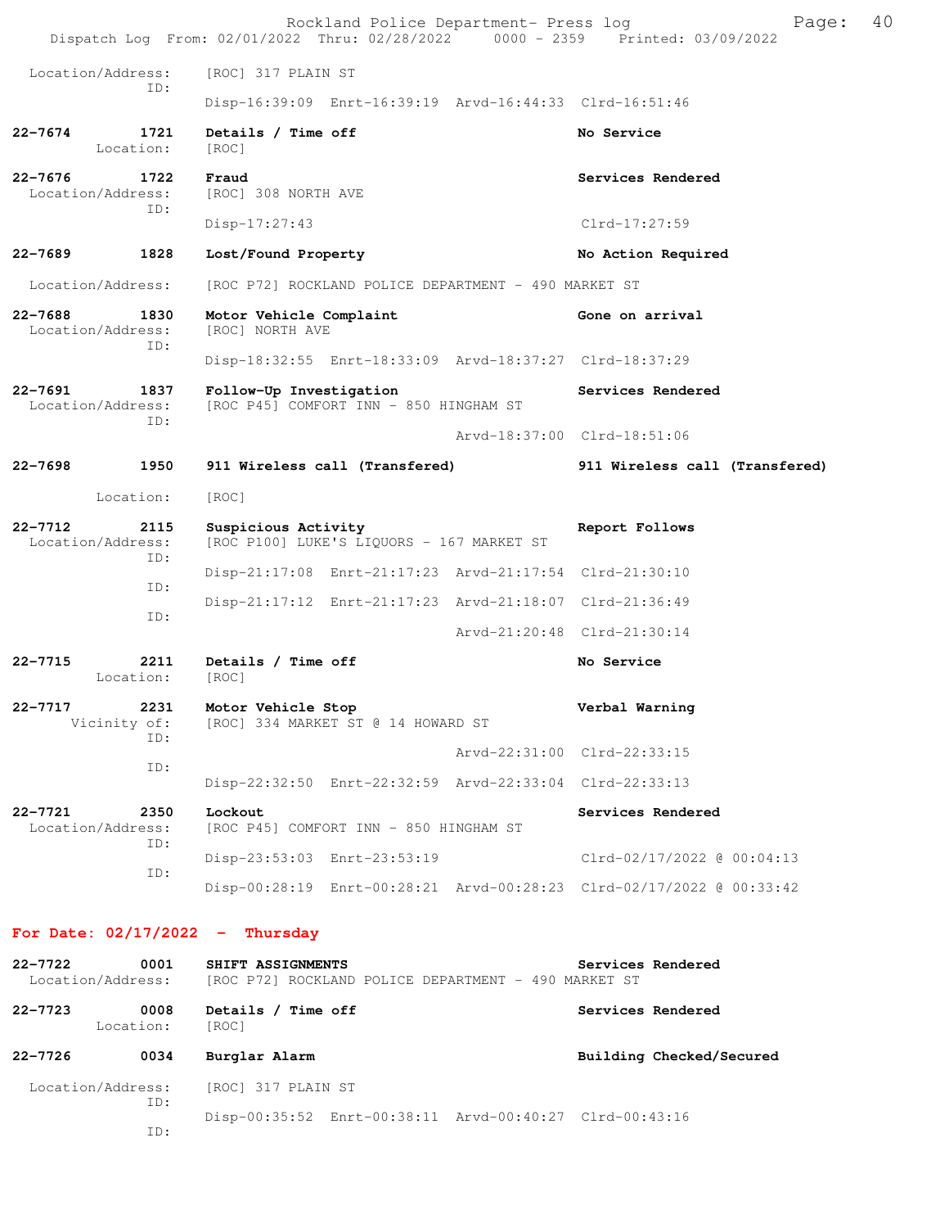|                                                 |                             | Rockland Police Department- Press log<br>Dispatch Log From: 02/01/2022 Thru: 02/28/2022 0000 - 2359 Printed: 03/09/2022 | Page:                          | 40 |  |
|-------------------------------------------------|-----------------------------|-------------------------------------------------------------------------------------------------------------------------|--------------------------------|----|--|
| Location/Address:                               |                             | [ROC] 317 PLAIN ST                                                                                                      |                                |    |  |
|                                                 | ID:                         | Disp-16:39:09 Enrt-16:39:19 Arvd-16:44:33 Clrd-16:51:46                                                                 |                                |    |  |
| $22 - 7674$                                     | 1721<br>Location:           | Details / Time off<br>[ROC]                                                                                             | No Service                     |    |  |
| $22 - 7676$<br>Location/Address:                | 1722<br>ID:                 | Fraud<br>[ROC] 308 NORTH AVE                                                                                            | Services Rendered              |    |  |
|                                                 |                             | $Disp-17:27:43$                                                                                                         | Clrd-17:27:59                  |    |  |
| $22 - 7689$                                     | 1828                        | Lost/Found Property                                                                                                     | No Action Required             |    |  |
| Location/Address:                               |                             | [ROC P72] ROCKLAND POLICE DEPARTMENT - 490 MARKET ST                                                                    |                                |    |  |
| $22 - 7688$<br>Location/Address:                | 1830<br>ID:                 | Motor Vehicle Complaint<br>[ROC] NORTH AVE                                                                              | Gone on arrival                |    |  |
|                                                 |                             | Disp-18:32:55 Enrt-18:33:09 Arvd-18:37:27 Clrd-18:37:29                                                                 |                                |    |  |
| $22 - 7691$<br>1837<br>Location/Address:<br>ID: |                             | Follow-Up Investigation<br>[ROC P45] COMFORT INN - 850 HINGHAM ST                                                       | Services Rendered              |    |  |
|                                                 |                             |                                                                                                                         | Arvd-18:37:00 Clrd-18:51:06    |    |  |
| $22 - 7698$                                     | 1950                        | 911 Wireless call (Transfered)                                                                                          | 911 Wireless call (Transfered) |    |  |
|                                                 | Location:                   | [ROC]                                                                                                                   |                                |    |  |
| $22 - 7712$<br>Location/Address:                | 2115<br>ID:                 | Suspicious Activity<br>[ROC P100] LUKE'S LIQUORS - 167 MARKET ST                                                        | Report Follows                 |    |  |
|                                                 | ID:                         | Disp-21:17:08 Enrt-21:17:23 Arvd-21:17:54 Clrd-21:30:10                                                                 |                                |    |  |
|                                                 | ID:                         | Disp-21:17:12 Enrt-21:17:23 Arvd-21:18:07 Clrd-21:36:49                                                                 |                                |    |  |
|                                                 |                             |                                                                                                                         | Arvd-21:20:48 Clrd-21:30:14    |    |  |
| $22 - 7715$                                     | 2211<br>Location:           | Details / Time off<br>[ROC]                                                                                             | No Service                     |    |  |
| 22–7717                                         | 2231<br>Vicinity of:<br>ID: | Motor Vehicle Stop<br>[ROC] 334 MARKET ST @ 14 HOWARD ST                                                                | Verbal Warning                 |    |  |
|                                                 | ID:                         |                                                                                                                         | Arvd-22:31:00 Clrd-22:33:15    |    |  |
|                                                 |                             | Disp-22:32:50 Enrt-22:32:59 Arvd-22:33:04 Clrd-22:33:13                                                                 |                                |    |  |
| 22-7721<br>Location/Address:                    | 2350                        | Lockout<br>[ROC P45] COMFORT INN - 850 HINGHAM ST                                                                       | Services Rendered              |    |  |
|                                                 | ID:<br>ID:                  | Disp-23:53:03 Enrt-23:53:19                                                                                             | Clrd-02/17/2022 @ 00:04:13     |    |  |
|                                                 |                             | Disp-00:28:19 Enrt-00:28:21 Arvd-00:28:23 Clrd-02/17/2022 @ 00:33:42                                                    |                                |    |  |
|                                                 |                             |                                                                                                                         |                                |    |  |

# **For Date: 02/17/2022 - Thursday**

| $22 - 7722$<br>Location/Address: | 0001 | SHIFT ASSIGNMENTS<br>[ROC P72] ROCKLAND POLICE DEPARTMENT - 490 MARKET ST | Services Rendered        |
|----------------------------------|------|---------------------------------------------------------------------------|--------------------------|
| $22 - 7723$<br>Location:         | 0008 | Details / Time off<br>[ROC]                                               | Services Rendered        |
| $22 - 7726$                      | 0034 | Burglar Alarm                                                             | Building Checked/Secured |
| Location/Address:<br>ID:         |      | [ROC] 317 PLAIN ST                                                        |                          |
|                                  | ID:  | Disp-00:35:52 Enrt-00:38:11 Arvd-00:40:27 Clrd-00:43:16                   |                          |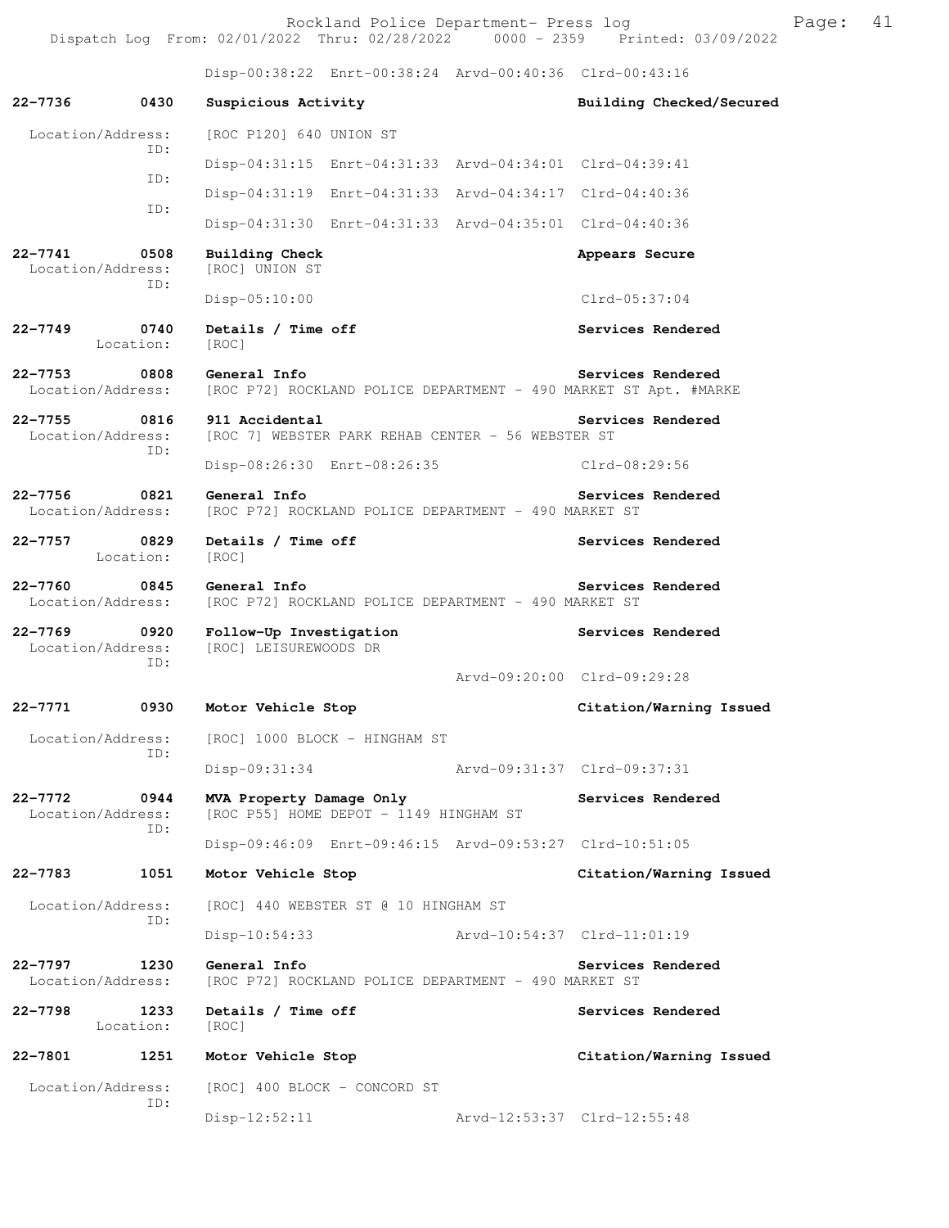Rockland Police Department- Press log Frank Page: 41 Dispatch Log From: 02/01/2022 Thru: 02/28/2022 0000 - 2359 Printed: 03/09/2022

Disp-00:38:22 Enrt-00:38:24 Arvd-00:40:36 Clrd-00:43:16

**22-7736 0430 Suspicious Activity Building Checked/Secured**  Location/Address: [ROC P120] 640 UNION ST ID: Disp-04:31:15 Enrt-04:31:33 Arvd-04:34:01 Clrd-04:39:41 ID: Disp-04:31:19 Enrt-04:31:33 Arvd-04:34:17 Clrd-04:40:36 ID: Disp-04:31:30 Enrt-04:31:33 Arvd-04:35:01 Clrd-04:40:36 **22-7741 0508 Building Check Appears Secure**  Location/Address: [ROC] UNION ST ID: Disp-05:10:00 Clrd-05:37:04 **22-7749 0740 Details / Time off Services Rendered**  Location: [ROC] **22-7753 0808 General Info Services Rendered**  Location/Address: [ROC P72] ROCKLAND POLICE DEPARTMENT - 490 MARKET ST Apt. #MARKE **22-7755 0816 911 Accidental Services Rendered**  Location/Address: [ROC 7] WEBSTER PARK REHAB CENTER - 56 WEBSTER ST ID: Disp-08:26:30 Enrt-08:26:35 Clrd-08:29:56 **22-7756 0821 General Info Services Rendered**  Location/Address: [ROC P72] ROCKLAND POLICE DEPARTMENT - 490 MARKET ST **22-7757 0829 Details / Time off Services Rendered**  Location: [ROC] **22-7760 0845 General Info Services Rendered**  Location/Address: [ROC P72] ROCKLAND POLICE DEPARTMENT - 490 MARKET ST **22-7769 0920 Follow-Up Investigation Services Rendered**  Location/Address: [ROC] LEISUREWOODS DR ID: Arvd-09:20:00 Clrd-09:29:28 **22-7771 0930 Motor Vehicle Stop Citation/Warning Issued**  Location/Address: [ROC] 1000 BLOCK - HINGHAM ST ID: Disp-09:31:34 Arvd-09:31:37 Clrd-09:37:31 **22-7772 0944 MVA Property Damage Only Services Rendered**  Location/Address: [ROC P55] HOME DEPOT - 1149 HINGHAM ST ID: Disp-09:46:09 Enrt-09:46:15 Arvd-09:53:27 Clrd-10:51:05 **22-7783 1051 Motor Vehicle Stop Citation/Warning Issued**  Location/Address: [ROC] 440 WEBSTER ST @ 10 HINGHAM ST ID: Disp-10:54:33 Arvd-10:54:37 Clrd-11:01:19 **22-7797 1230 General Info Services Rendered**  Location/Address: [ROC P72] ROCKLAND POLICE DEPARTMENT - 490 MARKET ST 22-7798 1233 Details / Time off **Services Rendered**  Location: [ROC] **22-7801 1251 Motor Vehicle Stop Citation/Warning Issued**  Location/Address: [ROC] 400 BLOCK - CONCORD ST ID: Disp-12:52:11 Arvd-12:53:37 Clrd-12:55:48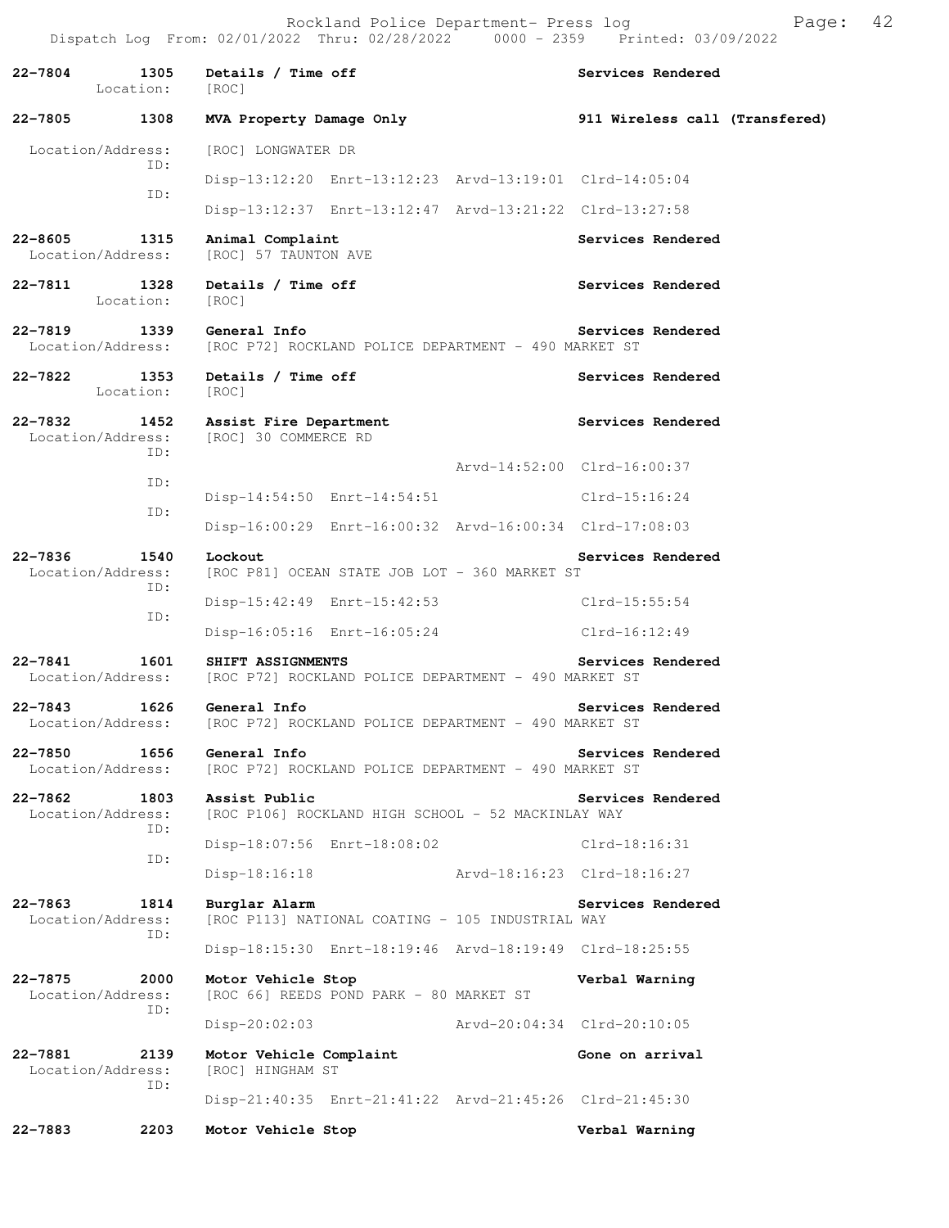22-7804 1305 Details / Time off **Services Rendered**  Location: [ROC] **22-7805 1308 MVA Property Damage Only 911 Wireless call (Transfered)** Location/Address: [ROC] LONGWATER DR ID: Disp-13:12:20 Enrt-13:12:23 Arvd-13:19:01 Clrd-14:05:04 ID: Disp-13:12:37 Enrt-13:12:47 Arvd-13:21:22 Clrd-13:27:58 **22-8605 1315 Animal Complaint Services Rendered**  [ROC] 57 TAUNTON AVE **22-7811 1328 Details / Time off Services Rendered Services Rendered Integrals** Location: **22-7819 1339 General Info Services Rendered**  Location/Address: [ROC P72] ROCKLAND POLICE DEPARTMENT - 490 MARKET ST **22-7822 1353 Details / Time off Services Rendered**  Location: [ROC] **22-7832 1452 Assist Fire Department Services Rendered**  Location/Address: [ROC] 30 COMMERCE RD ID: Arvd-14:52:00 Clrd-16:00:37 ID: Disp-14:54:50 Enrt-14:54:51 Clrd-15:16:24 ID: Disp-16:00:29 Enrt-16:00:32 Arvd-16:00:34 Clrd-17:08:03 **22-7836 1540 Lockout Services Rendered Australian Services Rendered Services Rendered Services Rendered Services**  Location/Address: [ROC P81] OCEAN STATE JOB LOT - 360 MARKET ST ID: Disp-15:42:49 Enrt-15:42:53 Clrd-15:55:54 ID: Disp-16:05:16 Enrt-16:05:24 Clrd-16:12:49 **22-7841 1601 SHIFT ASSIGNMENTS Services Rendered**  Location/Address: [ROC P72] ROCKLAND POLICE DEPARTMENT - 490 MARKET ST **22-7843 1626 General Info Services Rendered**  Location/Address: [ROC P72] ROCKLAND POLICE DEPARTMENT - 490 MARKET ST **22-7850 1656 General Info Services Rendered**  Location/Address: [ROC P72] ROCKLAND POLICE DEPARTMENT - 490 MARKET ST **22-7862 1803 Assist Public Services Rendered**  Location/Address: [ROC P106] ROCKLAND HIGH SCHOOL - 52 MACKINLAY WAY ID: Disp-18:07:56 Enrt-18:08:02 Clrd-18:16:31 ID: Disp-18:16:18 Arvd-18:16:23 Clrd-18:16:27 22-7863 1814 Burglar Alarm **Services Rendered Services Rendered Indianal Burglar Alarm Services Rendered Indianal Burglar Rendered** [ROC P113] NATIONAL COATING - 105 INDUSTRIAL WAY ID: Disp-18:15:30 Enrt-18:19:46 Arvd-18:19:49 Clrd-18:25:55 **22-7875 2000 Motor Vehicle Stop Verbal Warning**  Location/Address: [ROC 66] REEDS POND PARK - 80 MARKET ST ID: Disp-20:02:03 Arvd-20:04:34 Clrd-20:10:05 **22-7881 2139 Motor Vehicle Complaint Gone on arrival**  Location/Address: [ROC] HINGHAM ST ID: Disp-21:40:35 Enrt-21:41:22 Arvd-21:45:26 Clrd-21:45:30 **22-7883 2203 Motor Vehicle Stop Verbal Warning**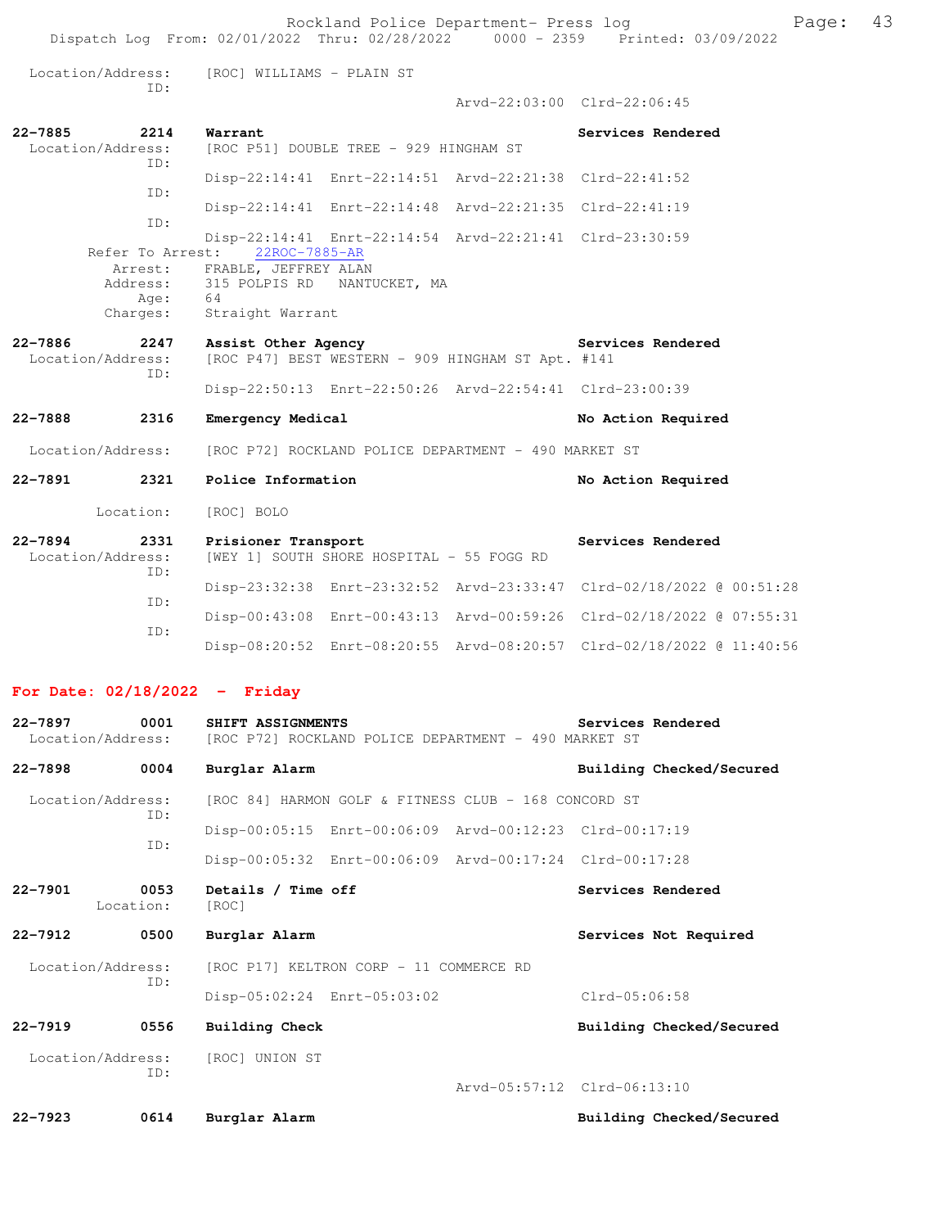Location/Address: [ROC] WILLIAMS - PLAIN ST ID:

Arvd-22:03:00 Clrd-22:06:45

| 22-7885<br>2214<br>Location/Address:<br>ID: | Warrant<br>[ROC P51] DOUBLE TREE - 929 HINGHAM ST                          | Services Rendered |
|---------------------------------------------|----------------------------------------------------------------------------|-------------------|
| ID:                                         | Disp-22:14:41 Enrt-22:14:51 Arvd-22:21:38 Clrd-22:41:52                    |                   |
| ID:                                         | Disp-22:14:41 Enrt-22:14:48 Arvd-22:21:35 Clrd-22:41:19                    |                   |
| Refer To Arrest:                            | Disp-22:14:41 Enrt-22:14:54 Arvd-22:21:41 Clrd-23:30:59<br>22ROC-7885-AR   |                   |
| Age:                                        | Arrest: FRABLE, JEFFREY ALAN<br>Address: 315 POLPIS RD NANTUCKET, MA<br>64 |                   |
| Charges:                                    | Straight Warrant                                                           | Services Rendered |
| 22-7886<br>2247<br>Location/Address:        | Assist Other Agency<br>[ROC P47] BEST WESTERN - 909 HINGHAM ST Apt. #141   |                   |

### ID: Disp-22:50:13 Enrt-22:50:26 Arvd-22:54:41 Clrd-23:00:39

### **22-7888 2316 Emergency Medical No Action Required**

Location/Address: [ROC P72] ROCKLAND POLICE DEPARTMENT - 490 MARKET ST

**22-7891 2321 Police Information No Action Required**  Location: [ROC] BOLO **22-7894 2331 Prisioner Transport Services Rendered**  [WEY 1] SOUTH SHORE HOSPITAL - 55 FOGG RD ID: Disp-23:32:38 Enrt-23:32:52 Arvd-23:33:47 Clrd-02/18/2022 @ 00:51:28

| TD . |  |                                                                      |  |
|------|--|----------------------------------------------------------------------|--|
|      |  | Disp-00:43:08 Enrt-00:43:13 Arvd-00:59:26 Clrd-02/18/2022 @ 07:55:31 |  |
| TD:  |  | Disp-08:20:52 Enrt-08:20:55 Arvd-08:20:57 Clrd-02/18/2022 @ 11:40:56 |  |

#### **For Date: 02/18/2022 - Friday**

| $22 - 7897$<br>Location/Address: | 0001              | SHIFT ASSIGNMENTS<br>[ROC P72] ROCKLAND POLICE DEPARTMENT - 490 MARKET ST | Services Rendered           |  |  |
|----------------------------------|-------------------|---------------------------------------------------------------------------|-----------------------------|--|--|
| $22 - 7898$                      | 0004              | Burglar Alarm                                                             | Building Checked/Secured    |  |  |
| Location/Address:                | TD:               | [ROC 84] HARMON GOLF & FITNESS CLUB - 168 CONCORD ST                      |                             |  |  |
|                                  |                   | Disp-00:05:15 Enrt-00:06:09 Arvd-00:12:23 Clrd-00:17:19                   |                             |  |  |
|                                  | ID:               | Disp-00:05:32 Enrt-00:06:09 Arvd-00:17:24 Clrd-00:17:28                   |                             |  |  |
| $22 - 7901$                      | 0053<br>Location: | Details / Time off<br>[ROC]                                               | Services Rendered           |  |  |
| $22 - 7912$                      | 0500              | Burglar Alarm                                                             | Services Not Required       |  |  |
| Location/Address:                |                   | [ROC P17] KELTRON CORP - 11 COMMERCE RD                                   |                             |  |  |
|                                  | ID:               | Disp-05:02:24 Enrt-05:03:02                                               | $Clrd-05:06:58$             |  |  |
| $22 - 7919$                      | 0556              | Building Check                                                            | Building Checked/Secured    |  |  |
|                                  | ID:               | Location/Address: [ROC] UNION ST                                          |                             |  |  |
|                                  |                   |                                                                           | Arvd-05:57:12 Clrd-06:13:10 |  |  |
| $22 - 7923$                      | 0614              | Burglar Alarm                                                             | Building Checked/Secured    |  |  |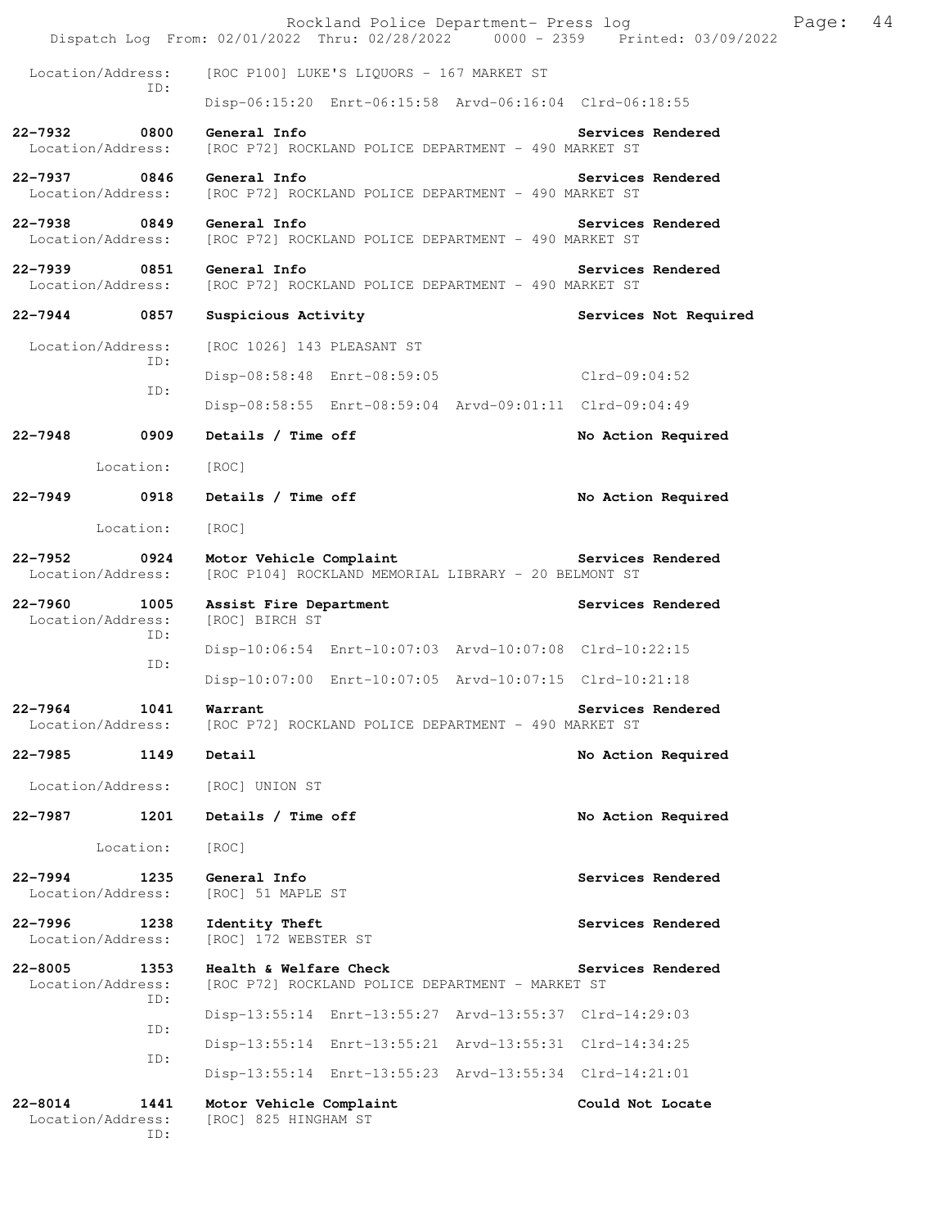|             |                                   | Rockland Police Department- Press log<br>Dispatch Log From: 02/01/2022 Thru: 02/28/2022 0000 - 2359 Printed: 03/09/2022 |                       | Page: | 44 |
|-------------|-----------------------------------|-------------------------------------------------------------------------------------------------------------------------|-----------------------|-------|----|
|             | Location/Address:                 | [ROC P100] LUKE'S LIQUORS - 167 MARKET ST                                                                               |                       |       |    |
|             | ID:                               | Disp-06:15:20 Enrt-06:15:58 Arvd-06:16:04 Clrd-06:18:55                                                                 |                       |       |    |
|             | 22-7932 0800<br>Location/Address: | General Info<br>[ROC P72] ROCKLAND POLICE DEPARTMENT - 490 MARKET ST                                                    | Services Rendered     |       |    |
|             | 22-7937 0846<br>Location/Address: | General Info<br>[ROC P72] ROCKLAND POLICE DEPARTMENT - 490 MARKET ST                                                    | Services Rendered     |       |    |
|             | 22-7938 0849<br>Location/Address: | General Info<br>[ROC P72] ROCKLAND POLICE DEPARTMENT - 490 MARKET ST                                                    | Services Rendered     |       |    |
| 22-7939     | 0851<br>Location/Address:         | General Info<br>[ROC P72] ROCKLAND POLICE DEPARTMENT - 490 MARKET ST                                                    | Services Rendered     |       |    |
|             | 22-7944 0857                      | Suspicious Activity                                                                                                     | Services Not Required |       |    |
|             | Location/Address:                 | [ROC 1026] 143 PLEASANT ST                                                                                              |                       |       |    |
|             | ID:                               | Disp-08:58:48 Enrt-08:59:05 Clrd-09:04:52                                                                               |                       |       |    |
|             | ID:                               | Disp-08:58:55 Enrt-08:59:04 Arvd-09:01:11 Clrd-09:04:49                                                                 |                       |       |    |
| $22 - 7948$ | 0909                              | Details / Time off                                                                                                      | No Action Required    |       |    |
|             | Location:                         | [ROC]                                                                                                                   |                       |       |    |
| 22–7949     | 0918                              | Details / Time off                                                                                                      | No Action Required    |       |    |
|             | Location:                         | [ROC]                                                                                                                   |                       |       |    |
| 22-7952     | 0924<br>Location/Address:         | Motor Vehicle Complaint<br>[ROC P104] ROCKLAND MEMORIAL LIBRARY - 20 BELMONT ST                                         | Services Rendered     |       |    |
| $22 - 7960$ | 1005<br>Location/Address:<br>ID:  | Assist Fire Department<br>[ROC] BIRCH ST                                                                                | Services Rendered     |       |    |
|             | ID:                               | Disp-10:06:54 Enrt-10:07:03 Arvd-10:07:08 Clrd-10:22:15                                                                 |                       |       |    |
|             |                                   | Disp-10:07:00 Enrt-10:07:05 Arvd-10:07:15 Clrd-10:21:18                                                                 |                       |       |    |
| $22 - 7964$ | 1041<br>Location/Address:         | Warrant<br>[ROC P72] ROCKLAND POLICE DEPARTMENT - 490 MARKET ST                                                         | Services Rendered     |       |    |
| 22-7985     | 1149                              | Detail                                                                                                                  | No Action Required    |       |    |
|             | Location/Address:                 | [ROC] UNION ST                                                                                                          |                       |       |    |
| 22-7987     | 1201                              | Details / Time off                                                                                                      | No Action Required    |       |    |
|             | Location:                         | [ROC]                                                                                                                   |                       |       |    |
| $22 - 7994$ | 1235<br>Location/Address:         | General Info<br>[ROC] 51 MAPLE ST                                                                                       | Services Rendered     |       |    |
| $22 - 7996$ | 1238<br>Location/Address:         | Identity Theft<br>[ROC] 172 WEBSTER ST                                                                                  | Services Rendered     |       |    |
| $22 - 8005$ | 1353<br>Location/Address:<br>ID:  | Health & Welfare Check<br>[ROC P72] ROCKLAND POLICE DEPARTMENT - MARKET ST                                              | Services Rendered     |       |    |
|             | ID:                               | Disp-13:55:14 Enrt-13:55:27 Arvd-13:55:37 Clrd-14:29:03                                                                 |                       |       |    |
|             | ID:                               | Disp-13:55:14 Enrt-13:55:21 Arvd-13:55:31 Clrd-14:34:25                                                                 |                       |       |    |
|             |                                   | Disp-13:55:14 Enrt-13:55:23 Arvd-13:55:34 Clrd-14:21:01                                                                 |                       |       |    |
| 22-8014     | 1441<br>Location/Address:<br>ID:  | Motor Vehicle Complaint<br>[ROC] 825 HINGHAM ST                                                                         | Could Not Locate      |       |    |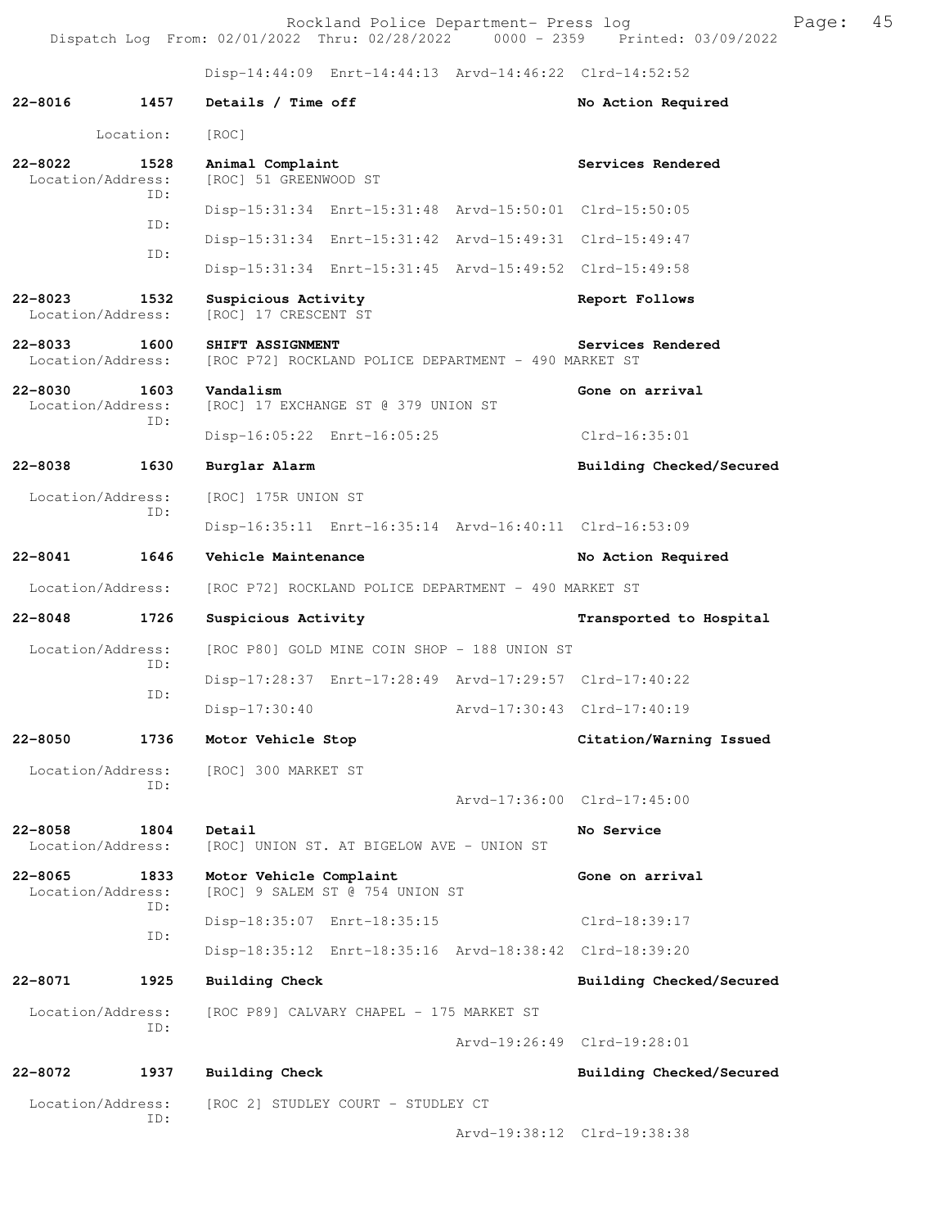Rockland Police Department- Press log entitled and Page: 45 Dispatch Log From: 02/01/2022 Thru: 02/28/2022 0000 - 2359 Printed: 03/09/2022

Disp-14:44:09 Enrt-14:44:13 Arvd-14:46:22 Clrd-14:52:52

| $22 - 8016$                      | 1457        | Details / Time off                                                       |                 | No Action Required          |  |  |
|----------------------------------|-------------|--------------------------------------------------------------------------|-----------------|-----------------------------|--|--|
|                                  | Location:   | [ROC]                                                                    |                 |                             |  |  |
| $22 - 8022$<br>Location/Address: | 1528        | Animal Complaint<br>[ROC] 51 GREENWOOD ST                                |                 | Services Rendered           |  |  |
|                                  | ID:         | Disp-15:31:34 Enrt-15:31:48 Arvd-15:50:01 Clrd-15:50:05                  |                 |                             |  |  |
|                                  | ID:         | Disp-15:31:34 Enrt-15:31:42 Arvd-15:49:31 Clrd-15:49:47                  |                 |                             |  |  |
|                                  | ID:         | Disp-15:31:34 Enrt-15:31:45 Arvd-15:49:52 Clrd-15:49:58                  |                 |                             |  |  |
| $22 - 8023$<br>Location/Address: | 1532        | Suspicious Activity<br>[ROC] 17 CRESCENT ST                              |                 | Report Follows              |  |  |
| $22 - 8033$<br>Location/Address: | 1600        | SHIFT ASSIGNMENT<br>[ROC P72] ROCKLAND POLICE DEPARTMENT - 490 MARKET ST |                 | Services Rendered           |  |  |
| $22 - 8030$<br>Location/Address: | 1603<br>ID: | Vandalism<br>[ROC] 17 EXCHANGE ST @ 379 UNION ST                         | Gone on arrival |                             |  |  |
|                                  |             | Disp-16:05:22 Enrt-16:05:25                                              | $Clrd-16:35:01$ |                             |  |  |
| $22 - 8038$                      | 1630        | Burglar Alarm                                                            |                 | Building Checked/Secured    |  |  |
| Location/Address:                |             | [ROC] 175R UNION ST                                                      |                 |                             |  |  |
|                                  | ID:         | Disp-16:35:11 Enrt-16:35:14 Arvd-16:40:11 Clrd-16:53:09                  |                 |                             |  |  |
| $22 - 8041$                      | 1646        | Vehicle Maintenance                                                      |                 | No Action Required          |  |  |
| Location/Address:                |             | [ROC P72] ROCKLAND POLICE DEPARTMENT - 490 MARKET ST                     |                 |                             |  |  |
| $22 - 8048$                      | 1726        | Suspicious Activity                                                      |                 | Transported to Hospital     |  |  |
| Location/Address:                |             | [ROC P80] GOLD MINE COIN SHOP - 188 UNION ST                             |                 |                             |  |  |
|                                  | ID:<br>ID:  | Disp-17:28:37 Enrt-17:28:49 Arvd-17:29:57 Clrd-17:40:22                  |                 |                             |  |  |
|                                  |             | $Disp-17:30:40$                                                          |                 | Arvd-17:30:43 Clrd-17:40:19 |  |  |
| $22 - 8050$                      | 1736        | Motor Vehicle Stop                                                       |                 | Citation/Warning Issued     |  |  |
| Location/Address:                |             | [ROC] 300 MARKET ST                                                      |                 |                             |  |  |
|                                  | ID:         |                                                                          |                 | Arvd-17:36:00 Clrd-17:45:00 |  |  |
| $22 - 8058$<br>Location/Address: | 1804        | Detail<br>[ROC] UNION ST. AT BIGELOW AVE - UNION ST                      |                 | No Service                  |  |  |
| $22 - 8065$<br>Location/Address: | 1833<br>ID: | Motor Vehicle Complaint<br>[ROC] 9 SALEM ST @ 754 UNION ST               |                 | Gone on arrival             |  |  |
|                                  | ID:         | Disp-18:35:07 Enrt-18:35:15                                              |                 | Clrd-18:39:17               |  |  |
|                                  |             | Disp-18:35:12 Enrt-18:35:16 Arvd-18:38:42 Clrd-18:39:20                  |                 |                             |  |  |
| 22-8071                          | 1925        | <b>Building Check</b>                                                    |                 | Building Checked/Secured    |  |  |
| Location/Address:                | ID:         | [ROC P89] CALVARY CHAPEL - 175 MARKET ST                                 |                 |                             |  |  |
|                                  |             |                                                                          |                 | Arvd-19:26:49 Clrd-19:28:01 |  |  |
| $22 - 8072$                      | 1937        | <b>Building Check</b>                                                    |                 | Building Checked/Secured    |  |  |
| Location/Address:                | ID:         | [ROC 2] STUDLEY COURT - STUDLEY CT                                       |                 |                             |  |  |
|                                  |             |                                                                          |                 | Arvd-19:38:12 Clrd-19:38:38 |  |  |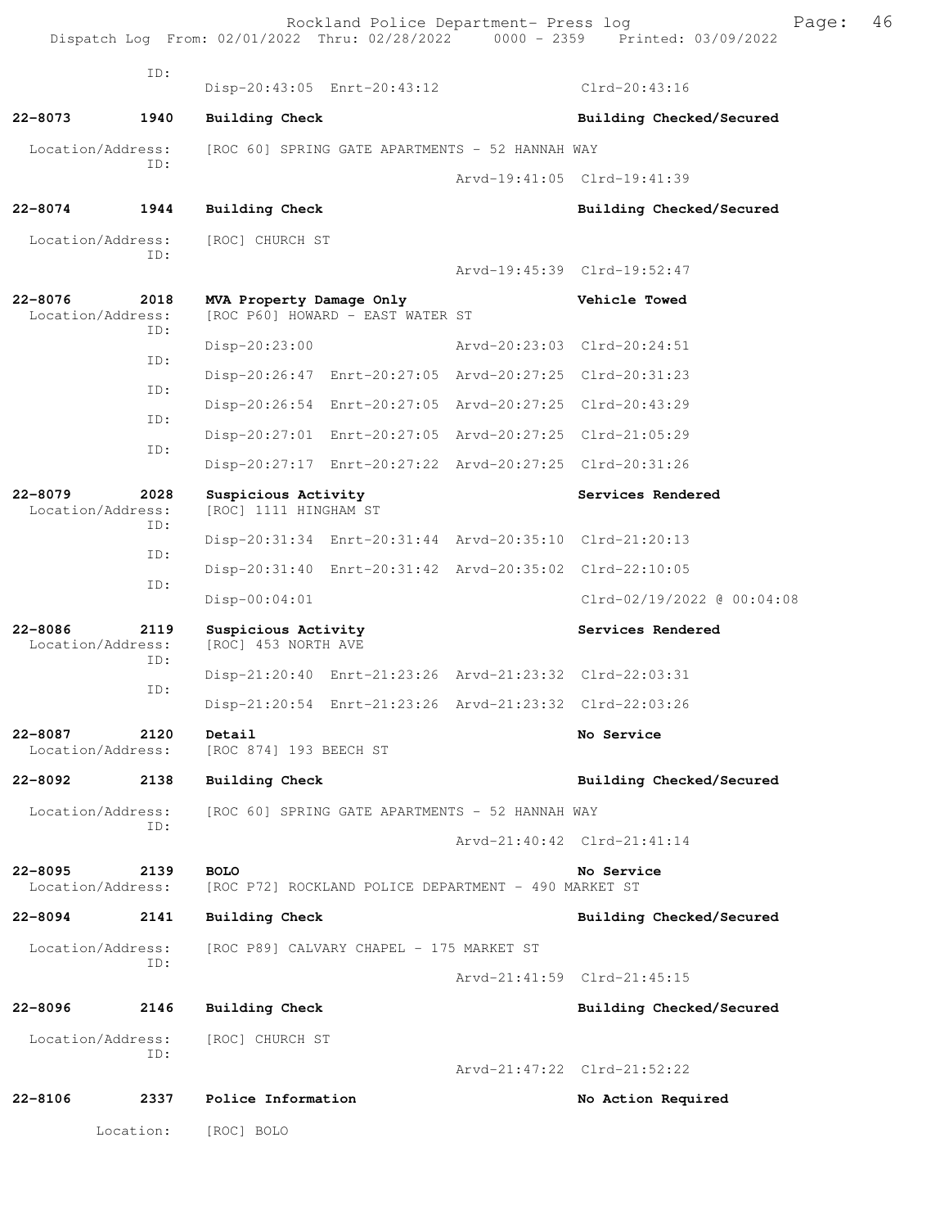Rockland Police Department- Press log Page: 46 Dispatch Log From: 02/01/2022 Thru: 02/28/2022 ID: Disp-20:43:05 Enrt-20:43:12 Clrd-20:43:16 22-8073 1940 Building Check **Building Checked/Secured**  Location/Address: [ROC 60] SPRING GATE APARTMENTS - 52 HANNAH WAY ID: Arvd-19:41:05 Clrd-19:41:39 **22-8074 1944 Building Check Building Checked/Secured**  Location/Address: [ROC] CHURCH ST ID: Arvd-19:45:39 Clrd-19:52:47 **22-8076 2018 MVA Property Damage Only Vehicle Towed**  Location/Address: [ROC P60] HOWARD - EAST WATER ST ID: Disp-20:23:00 Arvd-20:23:03 Clrd-20:24:51 ID: Disp-20:26:47 Enrt-20:27:05 Arvd-20:27:25 Clrd-20:31:23 ID: Disp-20:26:54 Enrt-20:27:05 Arvd-20:27:25 Clrd-20:43:29 ID: Disp-20:27:01 Enrt-20:27:05 Arvd-20:27:25 Clrd-21:05:29 ID: Disp-20:27:17 Enrt-20:27:22 Arvd-20:27:25 Clrd-20:31:26 **22-8079 2028 Suspicious Activity Services Rendered Location/Address:** [ROC] 1111 HINGHAM ST [ROC] 1111 HINGHAM ST ID: Disp-20:31:34 Enrt-20:31:44 Arvd-20:35:10 Clrd-21:20:13 ID: Disp-20:31:40 Enrt-20:31:42 Arvd-20:35:02 Clrd-22:10:05 ID: Disp-00:04:01 Clrd-02/19/2022 @ 00:04:08 22-8086 2119 Suspicious Activity **120 Services Rendered** Location/Address: [ROC] 453 NORTH AVE ID: Disp-21:20:40 Enrt-21:23:26 Arvd-21:23:32 Clrd-22:03:31 ID: Disp-21:20:54 Enrt-21:23:26 Arvd-21:23:32 Clrd-22:03:26 **22-8087 2120 Detail No Service**  [ROC 874] 193 BEECH ST **22-8092 2138 Building Check Building Checked/Secured**  Location/Address: [ROC 60] SPRING GATE APARTMENTS - 52 HANNAH WAY ID: Arvd-21:40:42 Clrd-21:41:14 **22-8095 2139 BOLO No Service**  [ROC P72] ROCKLAND POLICE DEPARTMENT - 490 MARKET ST **22-8094 2141 Building Check Building Checked/Secured**  Location/Address: [ROC P89] CALVARY CHAPEL - 175 MARKET ST ID: Arvd-21:41:59 Clrd-21:45:15 **22-8096 2146 Building Check Building Checked/Secured**  Location/Address: [ROC] CHURCH ST ID: Arvd-21:47:22 Clrd-21:52:22 **22-8106 2337 Police Information No Action Required**  Location: [ROC] BOLO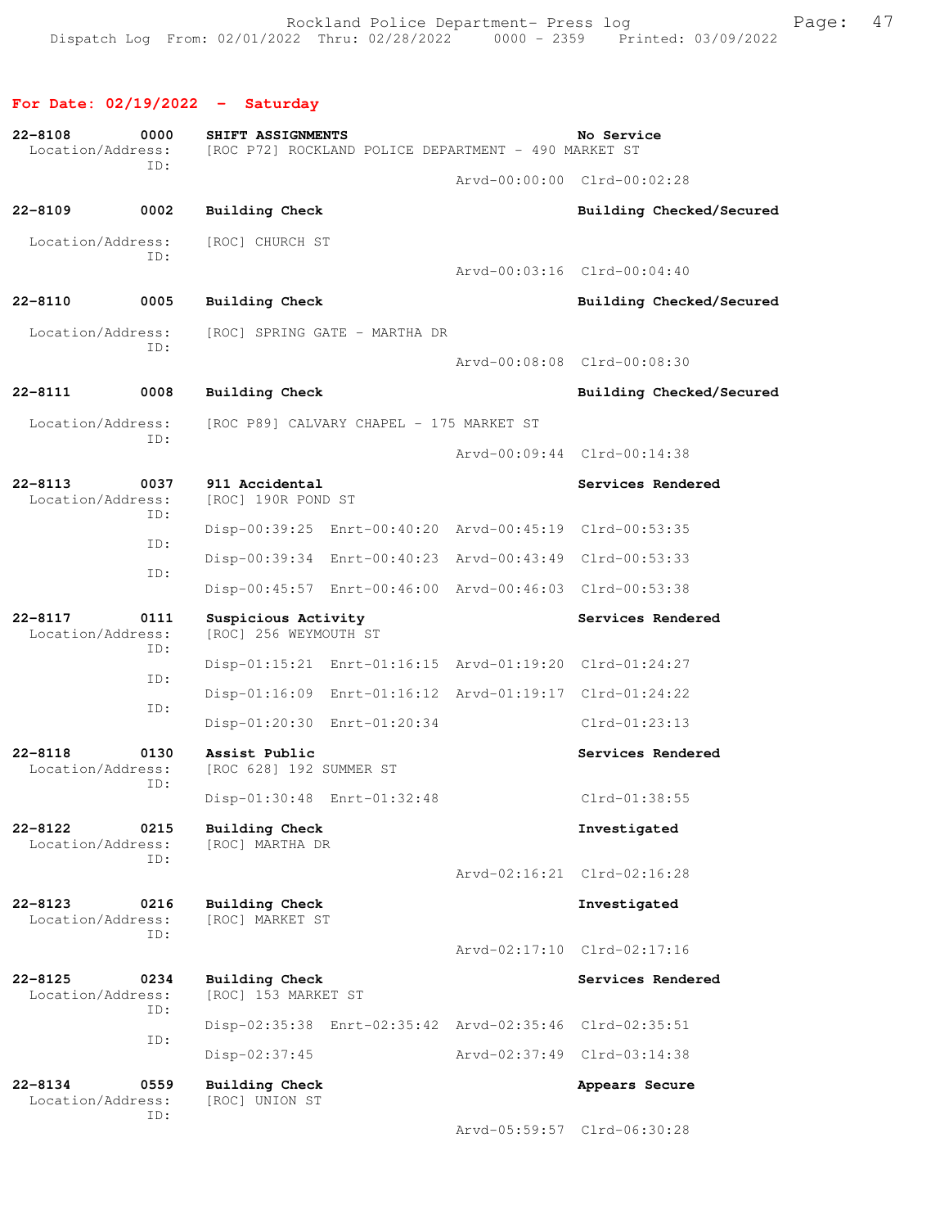## **For Date: 02/19/2022 - Saturday**

| $22 - 8108$<br>Location/Address: | 0000        | SHIFT ASSIGNMENTS<br>[ROC P72] ROCKLAND POLICE DEPARTMENT - 490 MARKET ST |                                                         |  | No Service                  |  |
|----------------------------------|-------------|---------------------------------------------------------------------------|---------------------------------------------------------|--|-----------------------------|--|
|                                  | ID:         |                                                                           |                                                         |  | Arvd-00:00:00 Clrd-00:02:28 |  |
| $22 - 8109$                      | 0002        | <b>Building Check</b>                                                     |                                                         |  | Building Checked/Secured    |  |
| Location/Address:                | ID:         | [ROC] CHURCH ST                                                           |                                                         |  |                             |  |
|                                  |             |                                                                           |                                                         |  | Arvd-00:03:16 Clrd-00:04:40 |  |
| $22 - 8110$                      | 0005        | <b>Building Check</b>                                                     |                                                         |  | Building Checked/Secured    |  |
| Location/Address:                | ID:         |                                                                           | [ROC] SPRING GATE - MARTHA DR                           |  |                             |  |
|                                  |             |                                                                           |                                                         |  | Arvd-00:08:08 Clrd-00:08:30 |  |
| $22 - 8111$                      | 0008        | <b>Building Check</b>                                                     |                                                         |  | Building Checked/Secured    |  |
| Location/Address:                | ID:         |                                                                           | [ROC P89] CALVARY CHAPEL - 175 MARKET ST                |  |                             |  |
|                                  |             |                                                                           |                                                         |  | Arvd-00:09:44 Clrd-00:14:38 |  |
| $22 - 8113$<br>Location/Address: | 0037<br>ID: | 911 Accidental<br>[ROC] 190R POND ST                                      |                                                         |  | Services Rendered           |  |
|                                  | ID:         |                                                                           | Disp-00:39:25 Enrt-00:40:20 Arvd-00:45:19 Clrd-00:53:35 |  |                             |  |
|                                  | ID:         |                                                                           | Disp-00:39:34 Enrt-00:40:23 Arvd-00:43:49 Clrd-00:53:33 |  |                             |  |
|                                  |             |                                                                           | Disp-00:45:57 Enrt-00:46:00 Arvd-00:46:03 Clrd-00:53:38 |  |                             |  |
| $22 - 8117$<br>Location/Address: | 0111<br>ID: | Suspicious Activity<br>[ROC] 256 WEYMOUTH ST                              |                                                         |  | Services Rendered           |  |
|                                  | ID:         |                                                                           | Disp-01:15:21 Enrt-01:16:15 Arvd-01:19:20 Clrd-01:24:27 |  |                             |  |
|                                  | ID:         |                                                                           | Disp-01:16:09 Enrt-01:16:12 Arvd-01:19:17 Clrd-01:24:22 |  |                             |  |
|                                  |             |                                                                           | Disp-01:20:30 Enrt-01:20:34                             |  | $Clrd-01:23:13$             |  |
| $22 - 8118$<br>Location/Address: | 0130<br>ID: | Assist Public<br>[ROC 628] 192 SUMMER ST                                  |                                                         |  | Services Rendered           |  |
|                                  |             |                                                                           | Disp-01:30:48 Enrt-01:32:48                             |  | Clrd-01:38:55               |  |
| 22-8122<br>Location/Address:     | 0215<br>ID: | <b>Building Check</b><br>[ROC] MARTHA DR                                  |                                                         |  | Investigated                |  |
|                                  |             |                                                                           |                                                         |  | Arvd-02:16:21 Clrd-02:16:28 |  |
| $22 - 8123$<br>Location/Address: | 0216        | Building Check<br>[ROC] MARKET ST                                         |                                                         |  | Investigated                |  |
|                                  | ID:         |                                                                           |                                                         |  | Arvd-02:17:10 Clrd-02:17:16 |  |
| $22 - 8125$<br>Location/Address: | 0234        | <b>Building Check</b><br>[ROC] 153 MARKET ST                              |                                                         |  | Services Rendered           |  |
|                                  | ID:         |                                                                           | Disp-02:35:38 Enrt-02:35:42 Arvd-02:35:46 Clrd-02:35:51 |  |                             |  |
|                                  | ID:         | Disp-02:37:45                                                             |                                                         |  | Arvd-02:37:49 Clrd-03:14:38 |  |
| $22 - 8134$<br>Location/Address: | 0559        | <b>Building Check</b><br>[ROC] UNION ST                                   |                                                         |  | Appears Secure              |  |
|                                  | ID:         |                                                                           |                                                         |  | Arvd-05:59:57 Clrd-06:30:28 |  |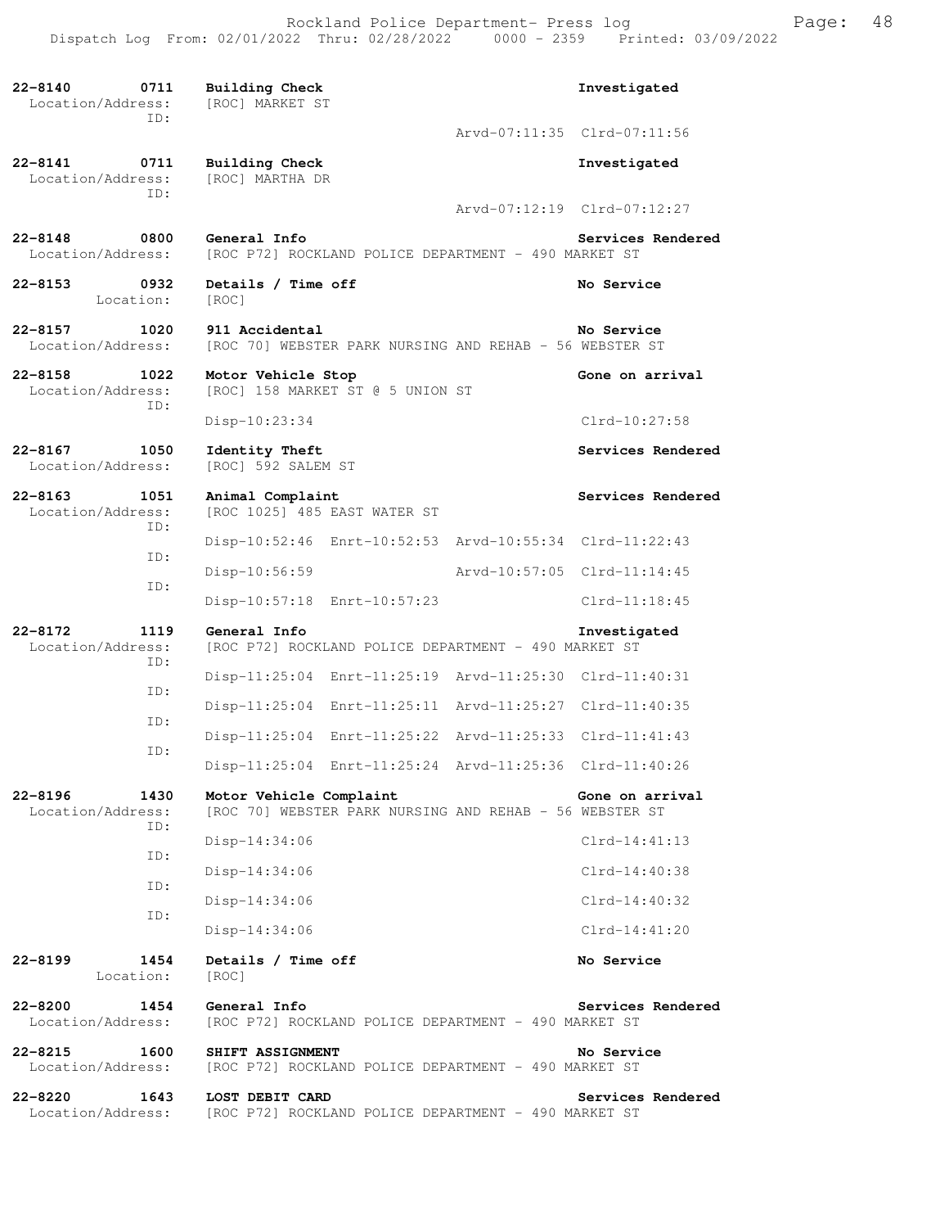Rockland Police Department- Press log entitled and Page: 48 Dispatch Log From: 02/01/2022 Thru: 02/28/2022 0000 - 2359 Printed: 03/09/2022

| 22-8140<br>0711<br>Location/Address:<br>TD:     | Building Check<br>[ROC] MARKET ST                                                  | Investigated                |
|-------------------------------------------------|------------------------------------------------------------------------------------|-----------------------------|
|                                                 |                                                                                    | Arvd-07:11:35 Clrd-07:11:56 |
| 22-8141<br>0711<br>Location/Address:<br>TD:     | Building Check<br>[ROC] MARTHA DR                                                  | Investigated                |
|                                                 |                                                                                    | Arvd-07:12:19 Clrd-07:12:27 |
| 22-8148<br>0800<br>Location/Address:            | General Info<br>[ROC P72] ROCKLAND POLICE DEPARTMENT - 490 MARKET ST               | Services Rendered           |
| $22 - 8153$<br>0932<br>Location:                | Details / Time off<br>[ROC]                                                        | No Service                  |
| 22-8157<br>1020<br>Location/Address:            | 911 Accidental<br>[ROC 70] WEBSTER PARK NURSING AND REHAB - 56 WEBSTER ST          | No Service                  |
| $22 - 8158$<br>1022<br>Location/Address:<br>ID: | Motor Vehicle Stop<br>[ROC] 158 MARKET ST @ 5 UNION ST                             | Gone on arrival             |
|                                                 | Disp-10:23:34                                                                      | Clrd-10:27:58               |
| $22 - 8167$<br>1050<br>Location/Address:        | Identity Theft<br>[ROC] 592 SALEM ST                                               | Services Rendered           |
| $22 - 8163$<br>1051<br>Location/Address:        | Animal Complaint<br>[ROC 1025] 485 EAST WATER ST                                   | Services Rendered           |
| ID:                                             | Disp-10:52:46 Enrt-10:52:53 Arvd-10:55:34 Clrd-11:22:43                            |                             |
| ID:                                             | Arvd-10:57:05<br>Disp-10:56:59                                                     | $Clrd-11:14:45$             |
| ID:                                             | Disp-10:57:18 Enrt-10:57:23                                                        | $Clrd-11:18:45$             |
| 22-8172<br>1119<br>Location/Address:<br>ID:     | General Info<br>[ROC P72] ROCKLAND POLICE DEPARTMENT - 490 MARKET ST               | Investigated                |
| ID:                                             | Disp-11:25:04 Enrt-11:25:19 Arvd-11:25:30 Clrd-11:40:31                            |                             |
| ID:                                             | Disp-11:25:04 Enrt-11:25:11 Arvd-11:25:27 Clrd-11:40:35                            |                             |
| ID:                                             | Disp-11:25:04 Enrt-11:25:22 Arvd-11:25:33 Clrd-11:41:43                            |                             |
|                                                 | Disp-11:25:04<br>Arvd-11:25:36<br>Enrt-11:25:24                                    | $Clrd-11:40:26$             |
| $22 - 8196$<br>1430<br>Location/Address:<br>ID: | Motor Vehicle Complaint<br>[ROC 70] WEBSTER PARK NURSING AND REHAB - 56 WEBSTER ST | Gone on arrival             |
| ID:                                             | $Disp-14:34:06$                                                                    | $Clrd-14:41:13$             |
| ID:                                             | $Disp-14:34:06$                                                                    | Clrd-14:40:38               |
| ID:                                             | $Disp-14:34:06$                                                                    | $Clrd-14:40:32$             |
|                                                 | $Disp-14:34:06$                                                                    | $Clrd-14:41:20$             |
| 22-8199<br>1454<br>Location:                    | Details / Time off<br>[ROC]                                                        | No Service                  |
| $22 - 8200$<br>1454<br>Location/Address:        | General Info<br>[ROC P72] ROCKLAND POLICE DEPARTMENT - 490 MARKET ST               | Services Rendered           |
| 22-8215<br>1600<br>Location/Address:            | SHIFT ASSIGNMENT<br>[ROC P72] ROCKLAND POLICE DEPARTMENT - 490 MARKET ST           | No Service                  |
| $22 - 8220$<br>1643<br>Location/Address:        | LOST DEBIT CARD<br>[ROC P72] ROCKLAND POLICE DEPARTMENT - 490 MARKET ST            | Services Rendered           |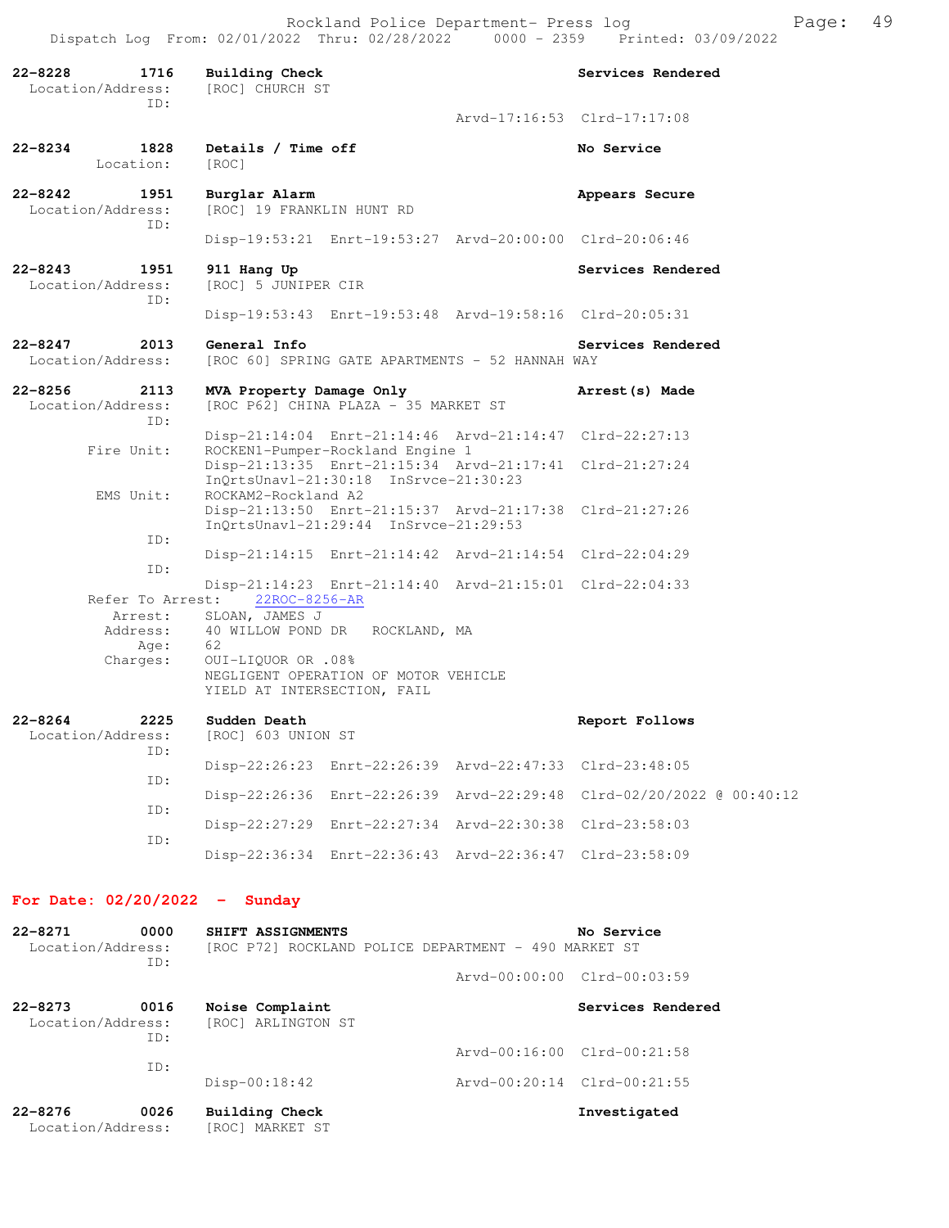| $22 - 8228$<br>1716<br>Location/Address:<br>ID: | <b>Building Check</b><br>[ROC] CHURCH ST                                                                                | Services Rendered           |
|-------------------------------------------------|-------------------------------------------------------------------------------------------------------------------------|-----------------------------|
|                                                 |                                                                                                                         | Arvd-17:16:53 Clrd-17:17:08 |
| 1828<br>22-8234<br>Location:                    | Details / Time off<br>[ROC]                                                                                             | No Service                  |
| 22-8242<br>1951<br>Location/Address:<br>ID:     | Burglar Alarm<br>[ROC] 19 FRANKLIN HUNT RD                                                                              | Appears Secure              |
|                                                 | Disp-19:53:21 Enrt-19:53:27 Arvd-20:00:00 Clrd-20:06:46                                                                 |                             |
| 22-8243<br>1951<br>Location/Address:<br>TD:     | 911 Hang Up<br>[ROC] 5 JUNIPER CIR                                                                                      | Services Rendered           |
|                                                 | Disp-19:53:43 Enrt-19:53:48 Arvd-19:58:16 Clrd-20:05:31                                                                 |                             |
| 2013<br>22-8247<br>Location/Address:            | General Info<br>[ROC 60] SPRING GATE APARTMENTS - 52 HANNAH WAY                                                         | Services Rendered           |
| $22 - 8256$<br>2113<br>Location/Address:<br>ID: | MVA Property Damage Only<br>[ROC P62] CHINA PLAZA - 35 MARKET ST                                                        | Arrest (s) Made             |
| Fire Unit:                                      | Disp-21:14:04 Enrt-21:14:46 Arvd-21:14:47 Clrd-22:27:13<br>ROCKEN1-Pumper-Rockland Engine 1                             |                             |
|                                                 | Disp-21:13:35 Enrt-21:15:34 Arvd-21:17:41 Clrd-21:27:24<br>InQrtsUnavl-21:30:18 InSrvce-21:30:23                        |                             |
| EMS Unit:                                       | ROCKAM2-Rockland A2<br>Disp-21:13:50 Enrt-21:15:37 Arvd-21:17:38 Clrd-21:27:26<br>InQrtsUnavl-21:29:44 InSrvce-21:29:53 |                             |
| ID:                                             | Disp-21:14:15 Enrt-21:14:42 Arvd-21:14:54 Clrd-22:04:29                                                                 |                             |
| ID:<br>Refer To Arrest:<br>Arrest:              | Disp-21:14:23 Enrt-21:14:40 Arvd-21:15:01 Clrd-22:04:33<br>22ROC-8256-AR<br>SLOAN, JAMES J                              |                             |
| Address:<br>Age:                                | 40 WILLOW POND DR ROCKLAND, MA<br>62                                                                                    |                             |
| Charges:                                        | OUI-LIQUOR OR .08%<br>NEGLIGENT OPERATION OF MOTOR VEHICLE<br>YIELD AT INTERSECTION, FAIL                               |                             |
| $22 - 8264$<br>2225<br>Location/Address:<br>ID: | Sudden Death<br>[ROC] 603 UNION ST                                                                                      | Report Follows              |
| ID:                                             | Disp-22:26:23<br>Enrt-22:26:39 Arvd-22:47:33                                                                            | Clrd-23:48:05               |
| ID:                                             | Disp-22:26:36<br>Enrt-22:26:39 Arvd-22:29:48                                                                            | Clrd-02/20/2022 @ 00:40:12  |
| ID:                                             | Disp-22:27:29 Enrt-22:27:34 Arvd-22:30:38                                                                               | $Clrd-23:58:03$             |
|                                                 | Disp-22:36:34 Enrt-22:36:43 Arvd-22:36:47                                                                               | Clrd-23:58:09               |
|                                                 |                                                                                                                         |                             |

**For Date: 02/20/2022 - Sunday**

| $22 - 8271$<br>0000<br>Location/Address: |             | SHIFT ASSIGNMENTS<br>[ROC P72] ROCKLAND POLICE DEPARTMENT - 490 MARKET ST |  | No Service                  |  |  |
|------------------------------------------|-------------|---------------------------------------------------------------------------|--|-----------------------------|--|--|
|                                          | ID:         |                                                                           |  | Arvd-00:00:00 Clrd-00:03:59 |  |  |
| $22 - 8273$<br>Location/Address:         | 0016<br>TD: | Noise Complaint<br>[ROC] ARLINGTON ST                                     |  | Services Rendered           |  |  |
|                                          | TD:         |                                                                           |  | Arvd-00:16:00 Clrd-00:21:58 |  |  |
|                                          |             | $Disp-00:18:42$                                                           |  | Arvd-00:20:14 Clrd-00:21:55 |  |  |
| $22 - 8276$<br>Location/Address:         | 0026        | Building Check<br>[ROC] MARKET ST                                         |  | Investigated                |  |  |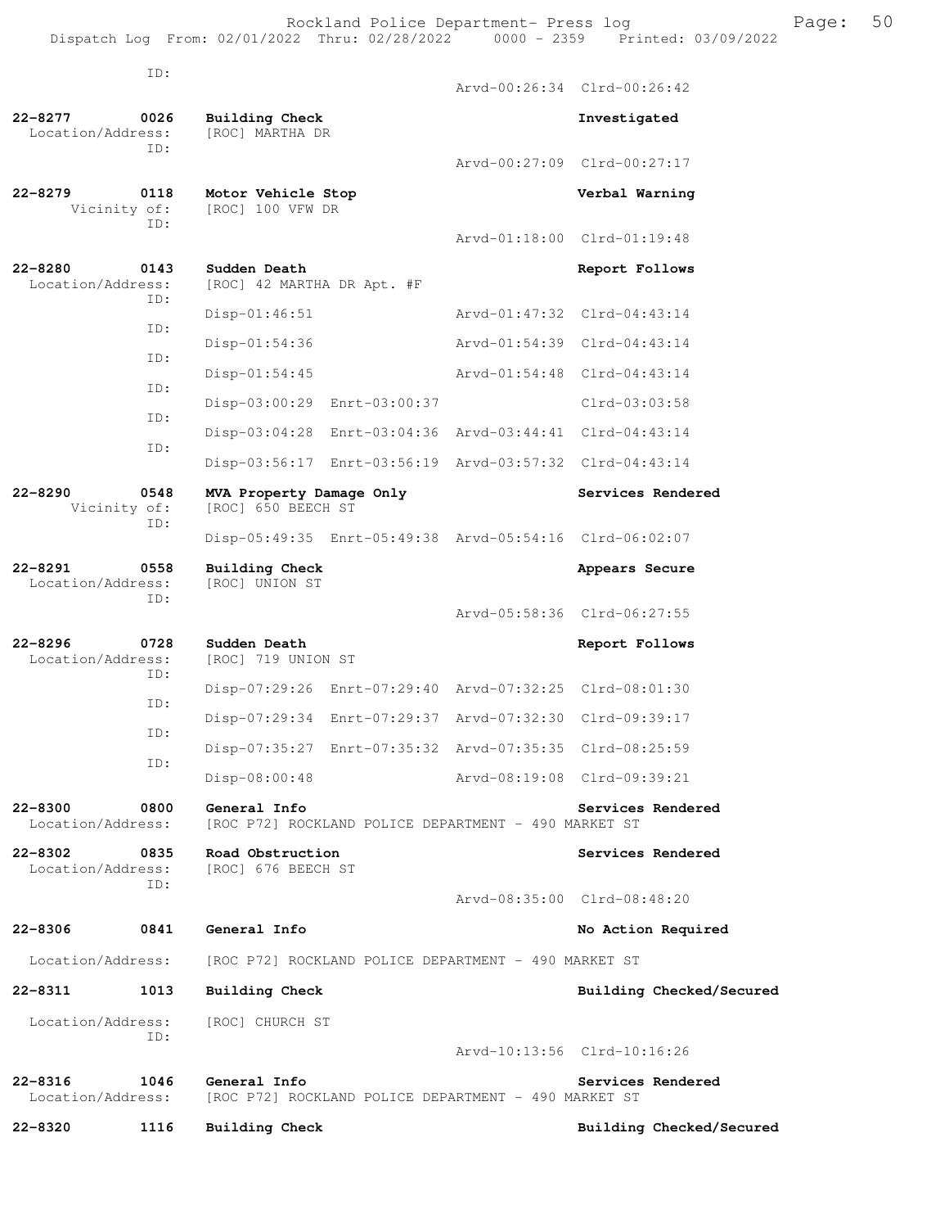Rockland Police Department- Press log entitled and Page: 50 Dispatch Log From: 02/01/2022 Thru: 02/28/2022 0000 - 2359 Printed: 03/09/2022

|                                  | ID:         |                                                |                                                                  |               | Arvd-00:26:34 Clrd-00:26:42 |
|----------------------------------|-------------|------------------------------------------------|------------------------------------------------------------------|---------------|-----------------------------|
| $22 - 8277$                      | 0026        | Building Check                                 |                                                                  |               | Investigated                |
| Location/Address:                | TD:         | [ROC] MARTHA DR                                |                                                                  |               |                             |
|                                  |             |                                                |                                                                  |               | Arvd-00:27:09 Clrd-00:27:17 |
| $22 - 8279$<br>Vicinity of:      | 0118        | Motor Vehicle Stop<br>[ROC] 100 VFW DR         |                                                                  |               | Verbal Warning              |
|                                  | ID:         |                                                |                                                                  |               | Aryd-01:18:00 Clrd-01:19:48 |
| $22 - 8280$<br>Location/Address: | 0143<br>ID: | Sudden Death<br>[ROC] 42 MARTHA DR Apt. #F     |                                                                  |               | Report Follows              |
|                                  |             | $Disp-01:46:51$                                |                                                                  |               | Arvd-01:47:32 Clrd-04:43:14 |
|                                  | ID:         | $Disp-01:54:36$                                |                                                                  | Arvd-01:54:39 | $Clrd-04:43:14$             |
|                                  | ID:         | Disp-01:54:45                                  |                                                                  | Arvd-01:54:48 | $Clrd-04:43:14$             |
|                                  | ID:         | Disp-03:00:29 Enrt-03:00:37                    |                                                                  |               | Clrd-03:03:58               |
|                                  | ID:         |                                                | Disp-03:04:28 Enrt-03:04:36 Arvd-03:44:41 Clrd-04:43:14          |               |                             |
|                                  | ID:         |                                                | Disp-03:56:17    Enrt-03:56:19    Arvd-03:57:32    Clrd-04:43:14 |               |                             |
| $22 - 8290$<br>Vicinity of:      | 0548        | MVA Property Damage Only<br>[ROC] 650 BEECH ST |                                                                  |               | Services Rendered           |
|                                  | ID:         |                                                | Disp-05:49:35 Enrt-05:49:38 Arvd-05:54:16 Clrd-06:02:07          |               |                             |
| $22 - 8291$<br>Location/Address: | 0558        | <b>Building Check</b><br>[ROC] UNION ST        |                                                                  |               | Appears Secure              |
|                                  | ID:         |                                                |                                                                  |               | Arvd-05:58:36 Clrd-06:27:55 |
| $22 - 8296$<br>Location/Address: | 0728<br>ID: | Sudden Death<br>[ROC] 719 UNION ST             |                                                                  |               | Report Follows              |
|                                  | ID:         |                                                | Disp-07:29:26 Enrt-07:29:40 Arvd-07:32:25 Clrd-08:01:30          |               |                             |
|                                  |             |                                                | Disp-07:29:34 Enrt-07:29:37 Arvd-07:32:30                        |               | Clrd-09:39:17               |
|                                  | ID:         |                                                | Disp-07:35:27 Enrt-07:35:32 Arvd-07:35:35 Clrd-08:25:59          |               |                             |
|                                  | ID:         | Disp-08:00:48                                  |                                                                  |               | Arvd-08:19:08 Clrd-09:39:21 |
| $22 - 8300$<br>Location/Address: | 0800        | General Info                                   | [ROC P72] ROCKLAND POLICE DEPARTMENT - 490 MARKET ST             |               | Services Rendered           |
| $22 - 8302$<br>Location/Address: | 0835        | Road Obstruction<br>[ROC] 676 BEECH ST         |                                                                  |               | Services Rendered           |
|                                  | ID:         |                                                |                                                                  |               | Aryd-08:35:00 Clrd-08:48:20 |
| $22 - 8306$                      | 0841        | General Info                                   |                                                                  |               | No Action Required          |
| Location/Address:                |             |                                                | [ROC P72] ROCKLAND POLICE DEPARTMENT - 490 MARKET ST             |               |                             |
| 22-8311                          | 1013        | Building Check                                 |                                                                  |               | Building Checked/Secured    |
| Location/Address:                | ID:         | [ROC] CHURCH ST                                |                                                                  |               |                             |
|                                  |             |                                                |                                                                  |               | Arvd-10:13:56 Clrd-10:16:26 |
| $22 - 8316$<br>Location/Address: | 1046        | General Info                                   | [ROC P72] ROCKLAND POLICE DEPARTMENT - 490 MARKET ST             |               | Services Rendered           |
| 22-8320                          | 1116        | <b>Building Check</b>                          |                                                                  |               | Building Checked/Secured    |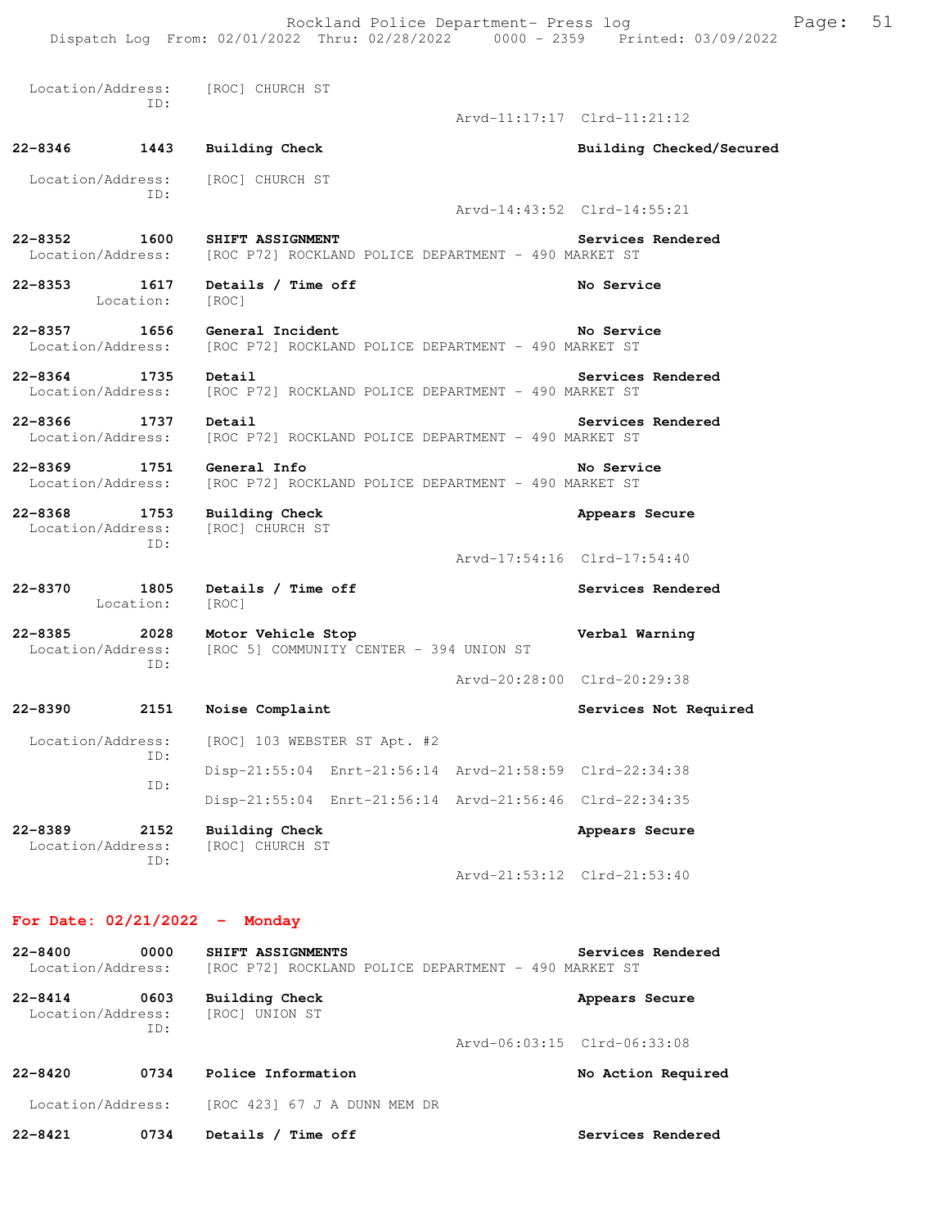| $22 - 8400$<br>0000<br>Location/Address:        | SHIFT ASSIGNMENTS<br>[ROC P72] ROCKLAND POLICE DEPARTMENT - 490 MARKET ST | Services Rendered           |
|-------------------------------------------------|---------------------------------------------------------------------------|-----------------------------|
| For Date: $02/21/2022 -$ Monday                 |                                                                           |                             |
|                                                 |                                                                           | Arvd-21:53:12 Clrd-21:53:40 |
| $22 - 8389$<br>2152<br>Location/Address:<br>ID: | <b>Building Check</b><br>[ROC] CHURCH ST                                  | Appears Secure              |
|                                                 | Disp-21:55:04 Enrt-21:56:14 Arvd-21:56:46 Clrd-22:34:35                   |                             |
| ID:                                             | Disp-21:55:04 Enrt-21:56:14 Arvd-21:58:59 Clrd-22:34:38                   |                             |
| Location/Address:<br>ID:                        | [ROC] 103 WEBSTER ST Apt. #2                                              |                             |
| 22-8390<br>2151                                 | Noise Complaint                                                           | Services Not Required       |
| Location/Address:<br>ID:                        | [ROC 5] COMMUNITY CENTER - 394 UNION ST                                   | Arvd-20:28:00 Clrd-20:29:38 |
| Location:<br>$22 - 8385$<br>2028                | [ROC]<br>Motor Vehicle Stop                                               | Verbal Warning              |
| $22 - 8370$<br>1805                             | Details / Time off                                                        | Services Rendered           |
| Location/Address:<br>ID:                        | [ROC] CHURCH ST                                                           | Arvd-17:54:16 Clrd-17:54:40 |
| $22 - 8368$<br>1753                             | <b>Building Check</b>                                                     | Appears Secure              |
| 22-8369 1751<br>Location/Address:               | General Info<br>[ROC P72] ROCKLAND POLICE DEPARTMENT - 490 MARKET ST      | No Service                  |
| 22-8366<br>1737<br>Location/Address:            | Detail<br>[ROC P72] ROCKLAND POLICE DEPARTMENT - 490 MARKET ST            | Services Rendered           |
| 22-8364 1735<br>Location/Address:               | Detail<br>[ROC P72] ROCKLAND POLICE DEPARTMENT - 490 MARKET ST            | Services Rendered           |
| 22-8357 1656<br>Location/Address:               | General Incident<br>[ROC P72] ROCKLAND POLICE DEPARTMENT - 490 MARKET ST  | No Service                  |
| 1617<br>22-8353<br>Location:                    | Details / Time off<br>[ROC]                                               | No Service                  |
| 22-8352 1600<br>Location/Address:               | SHIFT ASSIGNMENT<br>[ROC P72] ROCKLAND POLICE DEPARTMENT - 490 MARKET ST  | Services Rendered           |
| Location/Address:<br>ID:                        | [ROC] CHURCH ST                                                           | Arvd-14:43:52 Clrd-14:55:21 |
| 22-8346<br>1443                                 | <b>Building Check</b>                                                     | Building Checked/Secured    |
|                                                 |                                                                           | Arvd-11:17:17 Clrd-11:21:12 |
| Location/Address: [ROC] CHURCH ST<br>TD:        |                                                                           |                             |

22-8414 0603 Building Check **Appears Secure**  Location/Address: [ROC] UNION ST ID: Arvd-06:03:15 Clrd-06:33:08 22-8420 0734 Police Information **No Action Required** 

Location/Address: [ROC 423] 67 J A DUNN MEM DR

**22-8421 0734 Details / Time off Services Rendered**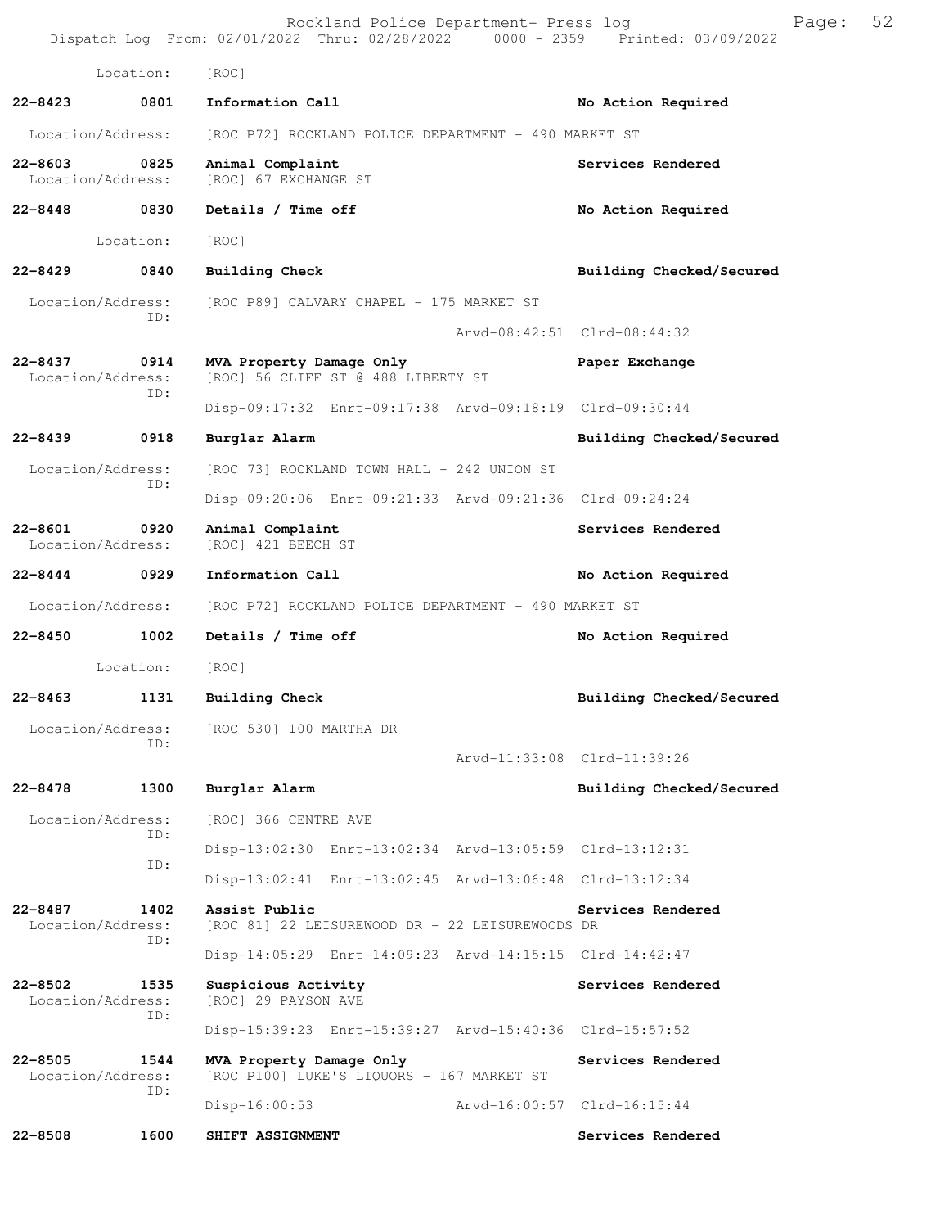|             |                                  | Rockland Police Department- Press log<br>Dispatch Log From: 02/01/2022 Thru: 02/28/2022 0000 - 2359 Printed: 03/09/2022 |                             | Page: | 52 |
|-------------|----------------------------------|-------------------------------------------------------------------------------------------------------------------------|-----------------------------|-------|----|
|             | Location:                        | [ROC]                                                                                                                   |                             |       |    |
| $22 - 8423$ | 0801                             | Information Call                                                                                                        | No Action Required          |       |    |
|             | Location/Address:                | [ROC P72] ROCKLAND POLICE DEPARTMENT - 490 MARKET ST                                                                    |                             |       |    |
| $22 - 8603$ | 0825<br>Location/Address:        | Animal Complaint<br>[ROC] 67 EXCHANGE ST                                                                                | Services Rendered           |       |    |
|             | 22-8448 0830                     | Details / Time off                                                                                                      | No Action Required          |       |    |
|             | Location:                        | [ROC]                                                                                                                   |                             |       |    |
| $22 - 8429$ | 0840                             | Building Check                                                                                                          | Building Checked/Secured    |       |    |
|             | Location/Address:<br>ID:         | [ROC P89] CALVARY CHAPEL - 175 MARKET ST                                                                                |                             |       |    |
|             |                                  |                                                                                                                         | Arvd-08:42:51 Clrd-08:44:32 |       |    |
| $22 - 8437$ | 0914<br>Location/Address:<br>ID: | MVA Property Damage Only<br>[ROC] 56 CLIFF ST @ 488 LIBERTY ST                                                          | Paper Exchange              |       |    |
|             |                                  | Disp-09:17:32 Enrt-09:17:38 Arvd-09:18:19 Clrd-09:30:44                                                                 |                             |       |    |
| $22 - 8439$ | 0918                             | Burglar Alarm                                                                                                           | Building Checked/Secured    |       |    |
|             | Location/Address:<br>ID:         | [ROC 73] ROCKLAND TOWN HALL - 242 UNION ST                                                                              |                             |       |    |
|             |                                  | Disp-09:20:06 Enrt-09:21:33 Arvd-09:21:36 Clrd-09:24:24                                                                 |                             |       |    |
| $22 - 8601$ | 0920<br>Location/Address:        | Animal Complaint<br>[ROC] 421 BEECH ST                                                                                  | Services Rendered           |       |    |
|             | 22-8444 0929                     | Information Call                                                                                                        | No Action Required          |       |    |
|             | Location/Address:                | [ROC P72] ROCKLAND POLICE DEPARTMENT - 490 MARKET ST                                                                    |                             |       |    |
| 22-8450     | 1002                             | Details / Time off                                                                                                      | No Action Required          |       |    |
|             | Location:                        | [ROC]                                                                                                                   |                             |       |    |
| $22 - 8463$ | 1131                             | Building Check                                                                                                          | Building Checked/Secured    |       |    |
|             | Location/Address:<br>ID:         | [ROC 530] 100 MARTHA DR                                                                                                 | Arvd-11:33:08 Clrd-11:39:26 |       |    |
| 22-8478     | 1300                             | Burglar Alarm                                                                                                           | Building Checked/Secured    |       |    |
|             | Location/Address:                | [ROC] 366 CENTRE AVE                                                                                                    |                             |       |    |
|             | ID:                              | Disp-13:02:30 Enrt-13:02:34 Arvd-13:05:59 Clrd-13:12:31                                                                 |                             |       |    |
|             | ID:                              | Disp-13:02:41 Enrt-13:02:45 Arvd-13:06:48 Clrd-13:12:34                                                                 |                             |       |    |
| 22-8487     | 1402<br>Location/Address:        | Assist Public<br>[ROC 81] 22 LEISUREWOOD DR - 22 LEISUREWOODS DR                                                        | Services Rendered           |       |    |
|             | ID:                              | Disp-14:05:29 Enrt-14:09:23 Arvd-14:15:15 Clrd-14:42:47                                                                 |                             |       |    |
| $22 - 8502$ | 1535<br>Location/Address:<br>ID: | Suspicious Activity<br>[ROC] 29 PAYSON AVE                                                                              | Services Rendered           |       |    |
|             |                                  | Disp-15:39:23 Enrt-15:39:27 Arvd-15:40:36 Clrd-15:57:52                                                                 |                             |       |    |
| $22 - 8505$ | 1544<br>Location/Address:<br>ID: | MVA Property Damage Only<br>[ROC P100] LUKE'S LIQUORS - 167 MARKET ST                                                   | Services Rendered           |       |    |
|             |                                  | $Disp-16:00:53$                                                                                                         | Arvd-16:00:57 Clrd-16:15:44 |       |    |
| $22 - 8508$ | 1600                             | SHIFT ASSIGNMENT                                                                                                        | Services Rendered           |       |    |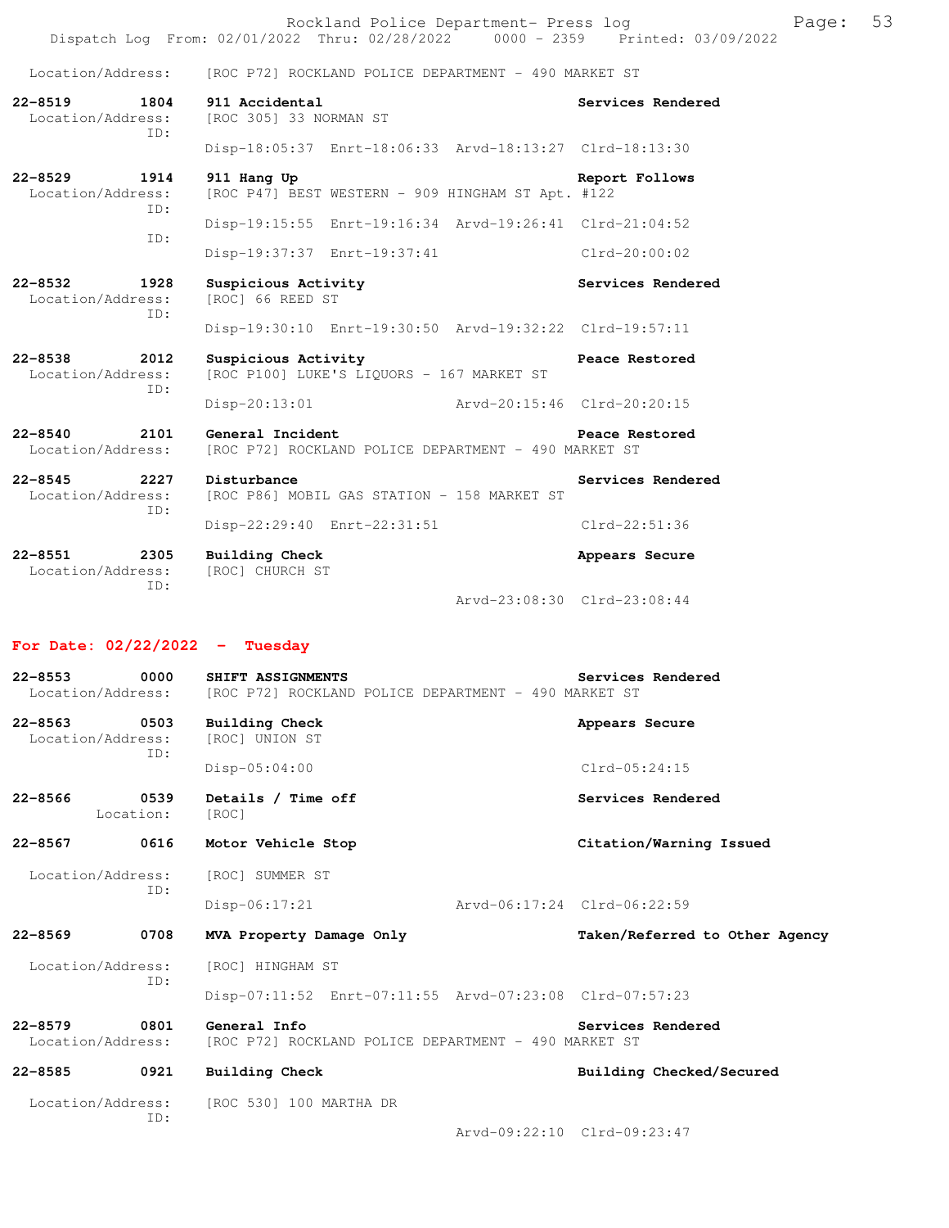|                                                |  |  | Rockland Police Department- Press log |  |                                 | Page: 53 |  |
|------------------------------------------------|--|--|---------------------------------------|--|---------------------------------|----------|--|
| Dispatch Log From: 02/01/2022 Thru: 02/28/2022 |  |  |                                       |  | 0000 - 2359 Printed: 03/09/2022 |          |  |

Disp-18:05:37 Enrt-18:06:33 Arvd-18:13:27 Clrd-18:13:30

Disp-19:15:55 Enrt-19:16:34 Arvd-19:26:41 Clrd-21:04:52

Disp-19:37:37 Enrt-19:37:41 Clrd-20:00:02

Disp-19:30:10 Enrt-19:30:50 Arvd-19:32:22 Clrd-19:57:11

Location/Address: [ROC P72] ROCKLAND POLICE DEPARTMENT - 490 MARKET ST

[ROC 305] 33 NORMAN ST

**22-8519 1804 911 Accidental Services Rendered**  ID:

**22-8529 1914 911 Hang Up Report Follows**  Location/Address: [ROC P47] BEST WESTERN - 909 HINGHAM ST Apt. #122 ID: ID:

**22-8532 1928 Suspicious Activity 1928 Suspicious Activity** Services Rendered Location/Address: [ROC] 66 REED ST Location/Address: ID:

**22-8538 2012 Suspicious Activity Peace Restored**  ID:

 Location/Address: [ROC P100] LUKE'S LIQUORS - 167 MARKET ST Disp-20:13:01 Arvd-20:15:46 Clrd-20:20:15

**22-8540 2101 General Incident Peace Restored**  Location/Address: [ROC P72] ROCKLAND POLICE DEPARTMENT - 490 MARKET ST

**22-8545 2227 Disturbance Services Rendered**  ID:

**22-8551 2305 Building Check Appears Secure**  Location/Address:

Location/Address: [ROC P86] MOBIL GAS STATION - 158 MARKET ST Disp-22:29:40 Enrt-22:31:51 Clrd-22:51:36

ID:

Arvd-23:08:30 Clrd-23:08:44

#### **For Date: 02/22/2022 - Tuesday**

**22-8553 0000 SHIFT ASSIGNMENTS Services Rendered**  Location/Address: [ROC P72] ROCKLAND POLICE DEPARTMENT - 490 MARKET ST **22-8563 0503 Building Check Appears Secure**  Location/Address: [ROC] UNION ST ID: Disp-05:04:00 Clrd-05:24:15 22-8566 0539 Details / Time off **Services Rendered**  Location: [ROC] **22-8567 0616 Motor Vehicle Stop Citation/Warning Issued**  Location/Address: [ROC] SUMMER ST ID: Disp-06:17:21 Arvd-06:17:24 Clrd-06:22:59 **22-8569 0708 MVA Property Damage Only Taken/Referred to Other Agency** Location/Address: [ROC] HINGHAM ST ID: Disp-07:11:52 Enrt-07:11:55 Arvd-07:23:08 Clrd-07:57:23 **22-8579 0801 General Info Services Rendered**  Location/Address: [ROC P72] ROCKLAND POLICE DEPARTMENT - 490 MARKET ST **22-8585 0921 Building Check Building Checked/Secured**  Location/Address: [ROC 530] 100 MARTHA DR ID:

Arvd-09:22:10 Clrd-09:23:47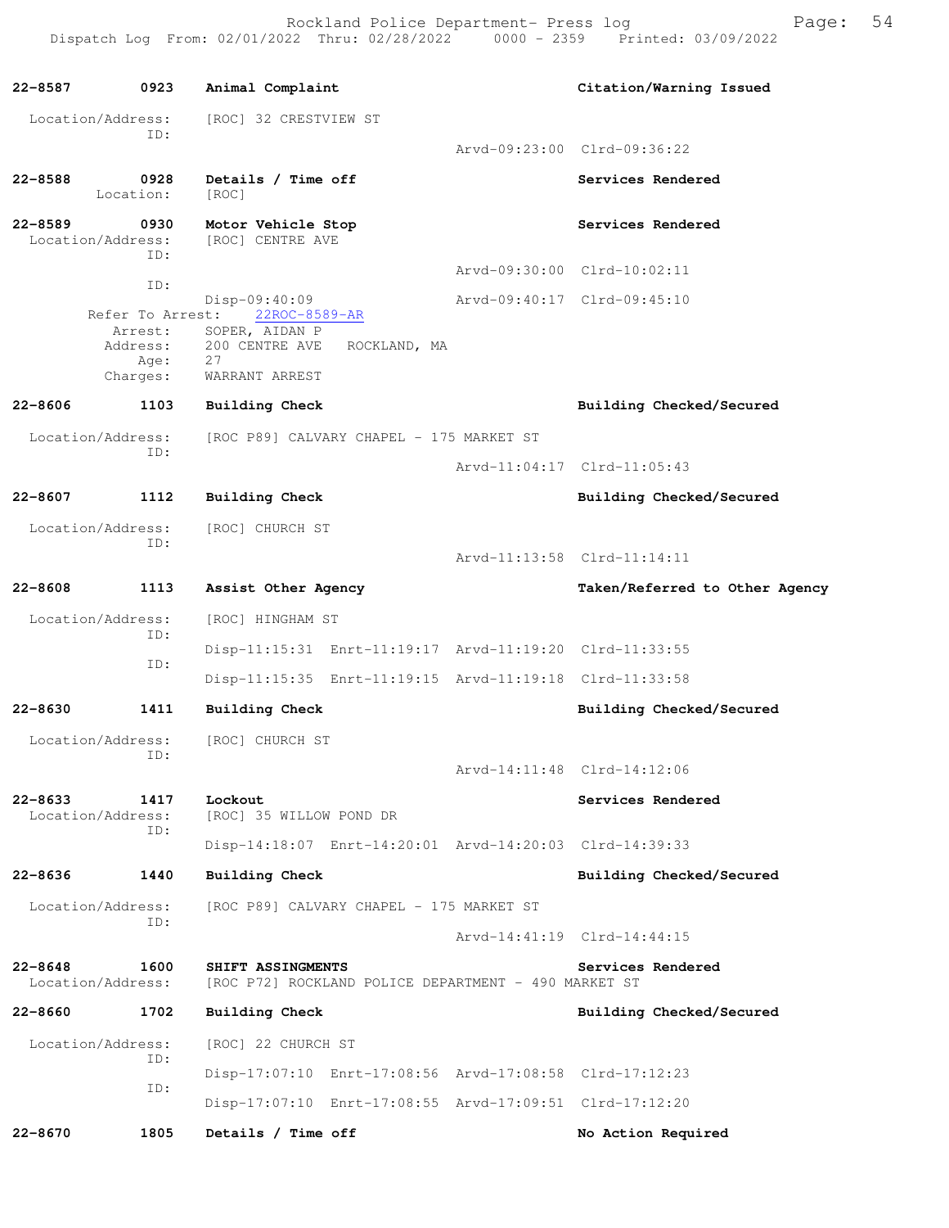**22-8587 0923 Animal Complaint Citation/Warning Issued**  Location/Address: [ROC] 32 CRESTVIEW ST ID: Arvd-09:23:00 Clrd-09:36:22 **22-8588 0928 Details / Time off Services Rendered**  Location: [ROC] 22-8589 0930 Motor Vehicle Stop **Services Rendered Services** Rendered Location/Address: [ROC] CENTRE AVE ID: Arvd-09:30:00 Clrd-10:02:11 ID: Disp-09:40:09 <br>st: 22ROC-8589-AR <br>Arvd-09:40:17 Clrd-09:45:10 Refer To Arrest: Arrest: SOPER, AIDAN P Address: 200 CENTRE AVE ROCKLAND, MA Age: 27 Charges: WARRANT ARREST **22-8606 1103 Building Check Building Checked/Secured**  Location/Address: [ROC P89] CALVARY CHAPEL - 175 MARKET ST ID: Arvd-11:04:17 Clrd-11:05:43 **22-8607 1112 Building Check Building Checked/Secured**  Location/Address: [ROC] CHURCH ST ID: Arvd-11:13:58 Clrd-11:14:11 **22-8608 1113 Assist Other Agency Taken/Referred to Other Agency** Location/Address: [ROC] HINGHAM ST ID: Disp-11:15:31 Enrt-11:19:17 Arvd-11:19:20 Clrd-11:33:55 ID: Disp-11:15:35 Enrt-11:19:15 Arvd-11:19:18 Clrd-11:33:58 **22-8630 1411 Building Check Building Checked/Secured**  Location/Address: [ROC] CHURCH ST ID: Arvd-14:11:48 Clrd-14:12:06 **22-8633 1417 Lockout Services Rendered**  Location/Address: [ROC] 35 WILLOW POND DR ID: Disp-14:18:07 Enrt-14:20:01 Arvd-14:20:03 Clrd-14:39:33 **22-8636 1440 Building Check Building Checked/Secured**  Location/Address: [ROC P89] CALVARY CHAPEL - 175 MARKET ST ID: Arvd-14:41:19 Clrd-14:44:15 **22-8648 1600 SHIFT ASSINGMENTS Services Rendered**  Location/Address: [ROC P72] ROCKLAND POLICE DEPARTMENT - 490 MARKET ST 22-8660 1702 Building Check **Building Checked/Secured** Location/Address: [ROC] 22 CHURCH ST ID: Disp-17:07:10 Enrt-17:08:56 Arvd-17:08:58 Clrd-17:12:23 ID: Disp-17:07:10 Enrt-17:08:55 Arvd-17:09:51 Clrd-17:12:20 **22-8670 1805 Details / Time off No Action Required**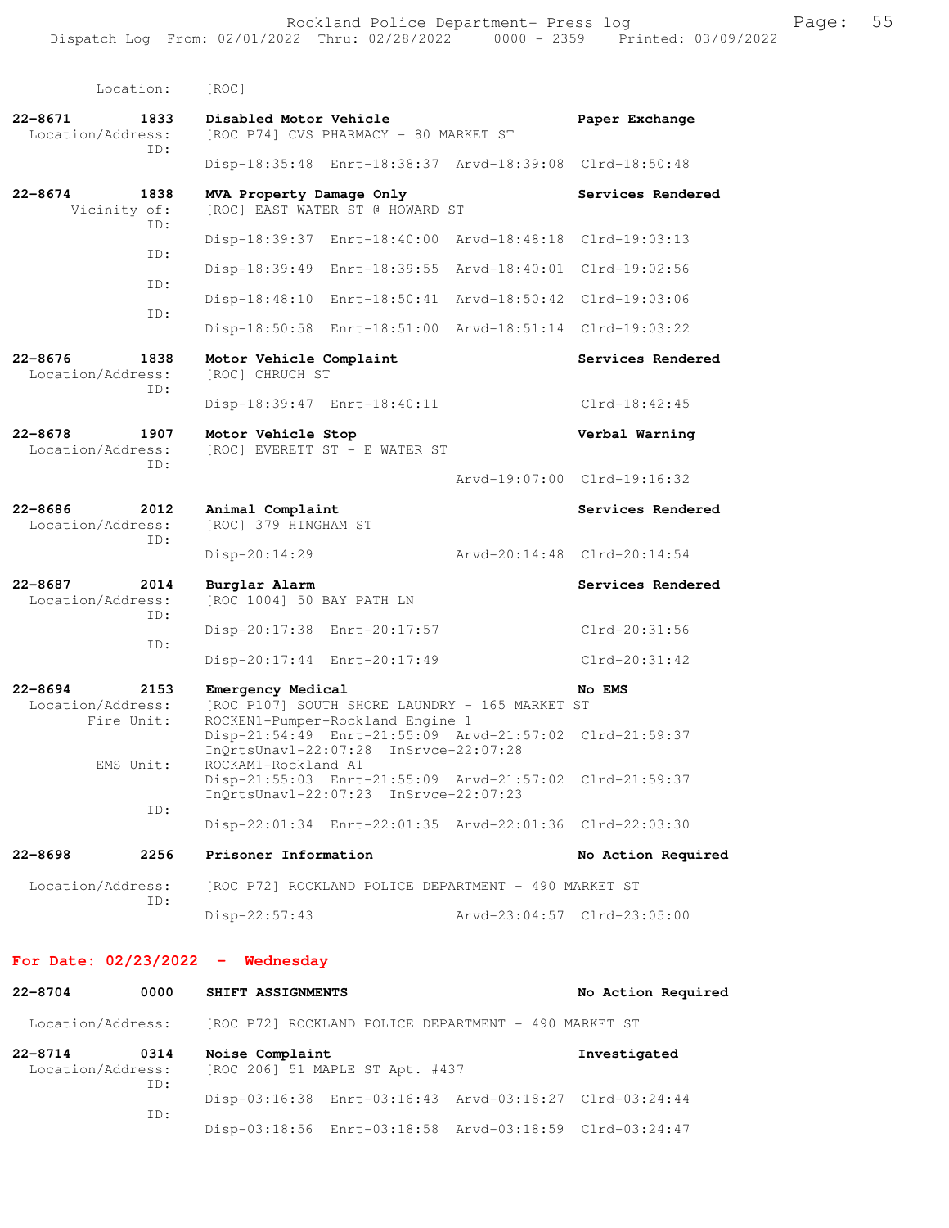| Location:                                              | [ROC]                                                                                                                   |                             |
|--------------------------------------------------------|-------------------------------------------------------------------------------------------------------------------------|-----------------------------|
| $22 - 8671$<br>1833<br>Location/Address:<br>ID:        | Disabled Motor Vehicle<br>[ROC P74] CVS PHARMACY - 80 MARKET ST                                                         | Paper Exchange              |
|                                                        | Disp-18:35:48 Enrt-18:38:37 Arvd-18:39:08 Clrd-18:50:48                                                                 |                             |
| $22 - 8674$<br>1838<br>Vicinity of:<br>ID:             | MVA Property Damage Only<br>[ROC] EAST WATER ST @ HOWARD ST                                                             | Services Rendered           |
| ID:                                                    | Disp-18:39:37 Enrt-18:40:00                                                                                             | Arvd-18:48:18 Clrd-19:03:13 |
| ID:                                                    | Disp-18:39:49 Enrt-18:39:55<br>Arvd-18:40:01                                                                            | Clrd-19:02:56               |
| ID:                                                    | Disp-18:48:10 Enrt-18:50:41                                                                                             | Arvd-18:50:42 Clrd-19:03:06 |
|                                                        | Disp-18:50:58 Enrt-18:51:00 Arvd-18:51:14 Clrd-19:03:22                                                                 |                             |
| $22 - 8676$<br>1838<br>Location/Address:<br>ID:        | Motor Vehicle Complaint<br>[ROC] CHRUCH ST                                                                              | Services Rendered           |
|                                                        | Disp-18:39:47 Enrt-18:40:11                                                                                             | $Clrd-18:42:45$             |
| $22 - 8678$<br>1907<br>Location/Address:<br>ID:        | Motor Vehicle Stop<br>[ROC] EVERETT ST - E WATER ST                                                                     | Verbal Warning              |
|                                                        |                                                                                                                         | Arvd-19:07:00 Clrd-19:16:32 |
| $22 - 8686$<br>2012<br>Location/Address:<br>ID:        | Animal Complaint<br>[ROC] 379 HINGHAM ST                                                                                | Services Rendered           |
|                                                        | Disp-20:14:29                                                                                                           | Arvd-20:14:48 Clrd-20:14:54 |
| $22 - 8687$<br>2014<br>Location/Address:<br>TD:        | Burglar Alarm<br>[ROC 1004] 50 BAY PATH LN                                                                              | Services Rendered           |
| ID:                                                    | Disp-20:17:38 Enrt-20:17:57                                                                                             | Clrd-20:31:56               |
|                                                        | Disp-20:17:44 Enrt-20:17:49                                                                                             | $Clrd-20:31:42$             |
| $22 - 8694$<br>2153<br>Location/Address:<br>Fire Unit: | Emergency Medical<br>[ROC P107] SOUTH SHORE LAUNDRY - 165 MARKET ST<br>ROCKEN1-Pumper-Rockland Engine 1                 | No EMS                      |
| EMS Unit:                                              | Disp-21:54:49 Enrt-21:55:09 Arvd-21:57:02 Clrd-21:59:37<br>InOrtsUnav1-22:07:28 InSrvce-22:07:28<br>ROCKAM1-Rockland A1 |                             |
| ID:                                                    | Disp-21:55:03 Enrt-21:55:09 Arvd-21:57:02 Clrd-21:59:37<br>InOrtsUnav1-22:07:23 InSrvce-22:07:23                        |                             |
|                                                        | Disp-22:01:34 Enrt-22:01:35 Arvd-22:01:36 Clrd-22:03:30                                                                 |                             |
| $22 - 8698$<br>2256                                    | Prisoner Information                                                                                                    | No Action Required          |
| Location/Address:<br>ID:                               | [ROC P72] ROCKLAND POLICE DEPARTMENT - 490 MARKET ST                                                                    |                             |
|                                                        | Disp-22:57:43                                                                                                           | Arvd-23:04:57 Clrd-23:05:00 |
|                                                        |                                                                                                                         |                             |

### **For Date: 02/23/2022 - Wednesday**

| $22 - 8704$                      | 0000        | SHIFT ASSIGNMENTS                                       | No Action Required |
|----------------------------------|-------------|---------------------------------------------------------|--------------------|
| Location/Address:                |             | [ROC P72] ROCKLAND POLICE DEPARTMENT - 490 MARKET ST    |                    |
| $22 - 8714$<br>Location/Address: | 0314<br>TD: | Noise Complaint<br>[ROC 206] 51 MAPLE ST Apt. #437      | Investigated       |
|                                  |             | Disp-03:16:38 Enrt-03:16:43 Arvd-03:18:27 Clrd-03:24:44 |                    |
|                                  | ID:         | Disp-03:18:56 Enrt-03:18:58 Arvd-03:18:59 Clrd-03:24:47 |                    |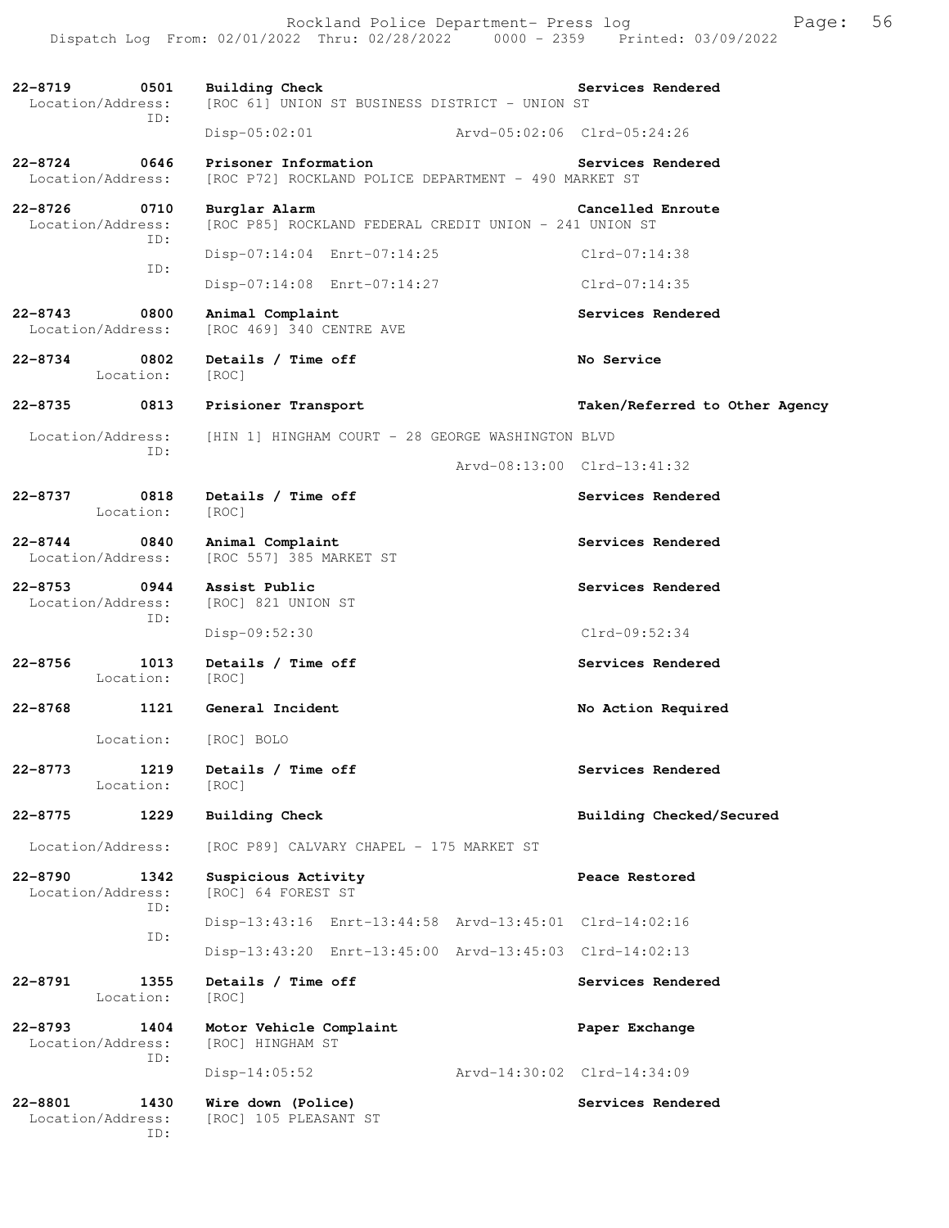Dispatch Log From: 02/01/2022 Thru: 02/28/2022 0000 - 2359 Printed: 03/09/2022 **22-8719 0501 Building Check Services Rendered**  Location/Address: [ROC 61] UNION ST BUSINESS DISTRICT - UNION ST ID: Disp-05:02:01 Arvd-05:02:06 Clrd-05:24:26 22-8724 0646 Prisoner Information **Services Rendered** Location/Address: [ROC P72] ROCKLAND POLICE DEPARTMENT - 490 MARKET ST [ROC P72] ROCKLAND POLICE DEPARTMENT - 490 MARKET ST **22-8726 0710 Burglar Alarm Cancelled Enroute**  Location/Address: [ROC P85] ROCKLAND FEDERAL CREDIT UNION - 241 UNION ST ID: Disp-07:14:04 Enrt-07:14:25 Clrd-07:14:38 ID: Disp-07:14:08 Enrt-07:14:27 Clrd-07:14:35 **22-8743 0800 Animal Complaint Services Rendered**  Location/Address: [ROC 469] 340 CENTRE AVE **22-8734 0802 Details / Time off No Service**  Location: [ROC] **22-8735 0813 Prisioner Transport Taken/Referred to Other Agency** Location/Address: [HIN 1] HINGHAM COURT - 28 GEORGE WASHINGTON BLVD ID: Arvd-08:13:00 Clrd-13:41:32 **22-8737 0818 Details / Time off Services Rendered**  Location: [ROC] **22-8744 0840 Animal Complaint Complexion Services Rendered** Location/Address: [ROC 557] 385 MARKET ST [ROC 557] 385 MARKET ST **22-8753 0944 Assist Public Services Rendered**  Location/Address: [ROC] 821 UNION ST ID: Disp-09:52:30 Clrd-09:52:34 **22-8756 1013 Details / Time off Services Rendered**  Location: [ROC] **22-8768 1121 General Incident No Action Required**  Location: [ROC] BOLO **22-8773 1219 Details / Time off Services Rendered**  Location: [ROC] **22-8775 1229 Building Check Building Checked/Secured**  Location/Address: [ROC P89] CALVARY CHAPEL - 175 MARKET ST **22-8790 1342 Suspicious Activity Peace Restored**  Location/Address: [ROC] 64 FOREST ST ID: Disp-13:43:16 Enrt-13:44:58 Arvd-13:45:01 Clrd-14:02:16 ID: Disp-13:43:20 Enrt-13:45:00 Arvd-13:45:03 Clrd-14:02:13 22-8791 1355 Details / Time off **Services Rendered Services** Rendered Location: [ROC] **22-8793 1404 Motor Vehicle Complaint Paper Exchange**  Location/Address: [ROC] HINGHAM ST ID: Disp-14:05:52 Arvd-14:30:02 Clrd-14:34:09 **22-8801 1430 Wire down (Police) Services Rendered**  Location/Address: [ROC] 105 PLEASANT ST ID:

Rockland Police Department- Press log Freed Page: 56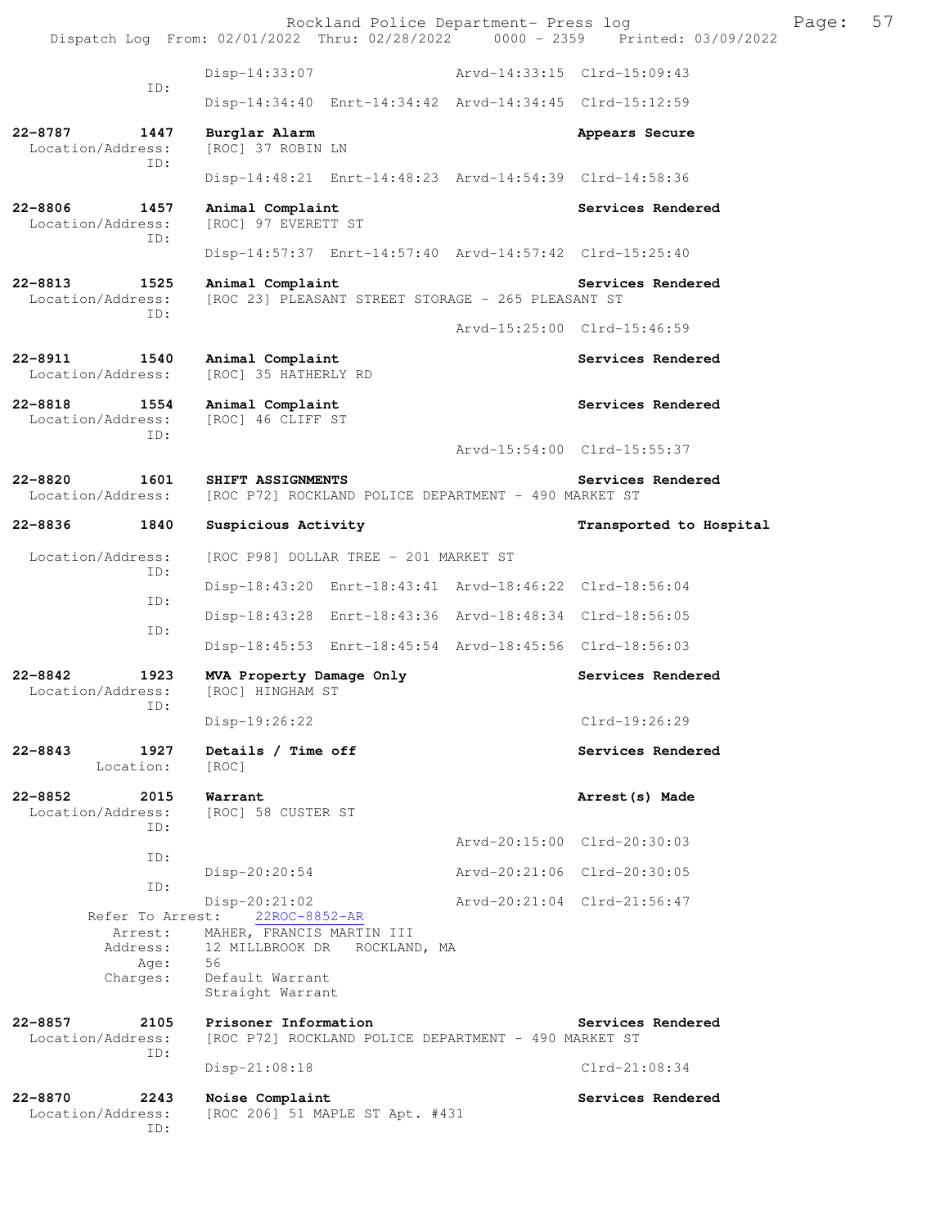|                                                 | Rockland Police Department- Press log<br>Dispatch Log From: 02/01/2022 Thru: 02/28/2022 0000 - 2359 Printed: 03/09/2022 |                             |                             | Page: | 57 |
|-------------------------------------------------|-------------------------------------------------------------------------------------------------------------------------|-----------------------------|-----------------------------|-------|----|
|                                                 | Disp-14:33:07                                                                                                           | Arvd-14:33:15 Clrd-15:09:43 |                             |       |    |
| ID:                                             | Disp-14:34:40 Enrt-14:34:42 Arvd-14:34:45 Clrd-15:12:59                                                                 |                             |                             |       |    |
| 22-8787 1447<br>Location/Address:               | Burglar Alarm<br>[ROC] 37 ROBIN LN                                                                                      |                             | Appears Secure              |       |    |
| ID:                                             | Disp-14:48:21 Enrt-14:48:23 Arvd-14:54:39 Clrd-14:58:36                                                                 |                             |                             |       |    |
| 22-8806<br>1457<br>Location/Address:<br>ID:     | Animal Complaint<br>[ROC] 97 EVERETT ST                                                                                 |                             | Services Rendered           |       |    |
|                                                 | Disp-14:57:37 Enrt-14:57:40 Arvd-14:57:42 Clrd-15:25:40                                                                 |                             |                             |       |    |
| 22-8813<br>1525<br>Location/Address:<br>ID:     | Animal Complaint<br>[ROC 23] PLEASANT STREET STORAGE - 265 PLEASANT ST                                                  |                             | Services Rendered           |       |    |
|                                                 |                                                                                                                         |                             | Arvd-15:25:00 Clrd-15:46:59 |       |    |
| $22 - 8911$<br>1540<br>Location/Address:        | Animal Complaint<br>[ROC] 35 HATHERLY RD                                                                                |                             | Services Rendered           |       |    |
| 22-8818<br>1554<br>Location/Address:<br>ID:     | Animal Complaint<br>[ROC] 46 CLIFF ST                                                                                   |                             | Services Rendered           |       |    |
|                                                 |                                                                                                                         |                             | Arvd-15:54:00 Clrd-15:55:37 |       |    |
| 22-8820<br>1601<br>Location/Address:            | SHIFT ASSIGNMENTS<br>[ROC P72] ROCKLAND POLICE DEPARTMENT - 490 MARKET ST                                               |                             | Services Rendered           |       |    |
| 22-8836<br>1840                                 | Suspicious Activity                                                                                                     |                             | Transported to Hospital     |       |    |
| Location/Address:<br>ID:                        | [ROC P98] DOLLAR TREE - 201 MARKET ST                                                                                   |                             |                             |       |    |
| ID:                                             | Disp-18:43:20 Enrt-18:43:41 Arvd-18:46:22 Clrd-18:56:04                                                                 |                             |                             |       |    |
| ID:                                             | Disp-18:43:28 Enrt-18:43:36 Arvd-18:48:34 Clrd-18:56:05                                                                 |                             |                             |       |    |
|                                                 | Disp-18:45:53 Enrt-18:45:54 Arvd-18:45:56 Clrd-18:56:03                                                                 |                             |                             |       |    |
| $22 - 8842$<br>1923<br>Location/Address:<br>ID: | MVA Property Damage Only<br>[ROC] HINGHAM ST                                                                            |                             | Services Rendered           |       |    |
|                                                 | Disp-19:26:22                                                                                                           |                             | $C1rd-19:26:29$             |       |    |
| $22 - 8843$<br>1927<br>Location:                | Details / Time off<br>[ROC]                                                                                             |                             | Services Rendered           |       |    |
| $22 - 8852$<br>2015<br>Location/Address:<br>ID: | Warrant<br>[ROC] 58 CUSTER ST                                                                                           |                             | Arrest (s) Made             |       |    |
| ID:                                             |                                                                                                                         |                             | Arvd-20:15:00 Clrd-20:30:03 |       |    |
| ID:                                             | $Disp-20:20:54$                                                                                                         |                             | Arvd-20:21:06 Clrd-20:30:05 |       |    |
| Refer To Arrest:                                | $Disp-20:21:02$<br>22ROC-8852-AR                                                                                        |                             | Arvd-20:21:04 Clrd-21:56:47 |       |    |
| Arrest:<br>Address:<br>Age:<br>Charges:         | MAHER, FRANCIS MARTIN III<br>12 MILLBROOK DR ROCKLAND, MA<br>56<br>Default Warrant<br>Straight Warrant                  |                             |                             |       |    |
| 2105<br>$22 - 8857$<br>Location/Address:<br>ID: | Prisoner Information<br>[ROC P72] ROCKLAND POLICE DEPARTMENT - 490 MARKET ST                                            |                             | Services Rendered           |       |    |
|                                                 | $Disp-21:08:18$                                                                                                         |                             | $Clrd-21:08:34$             |       |    |
| 22-8870<br>2243<br>Location/Address:<br>ID:     | Noise Complaint<br>[ROC 206] 51 MAPLE ST Apt. #431                                                                      |                             | Services Rendered           |       |    |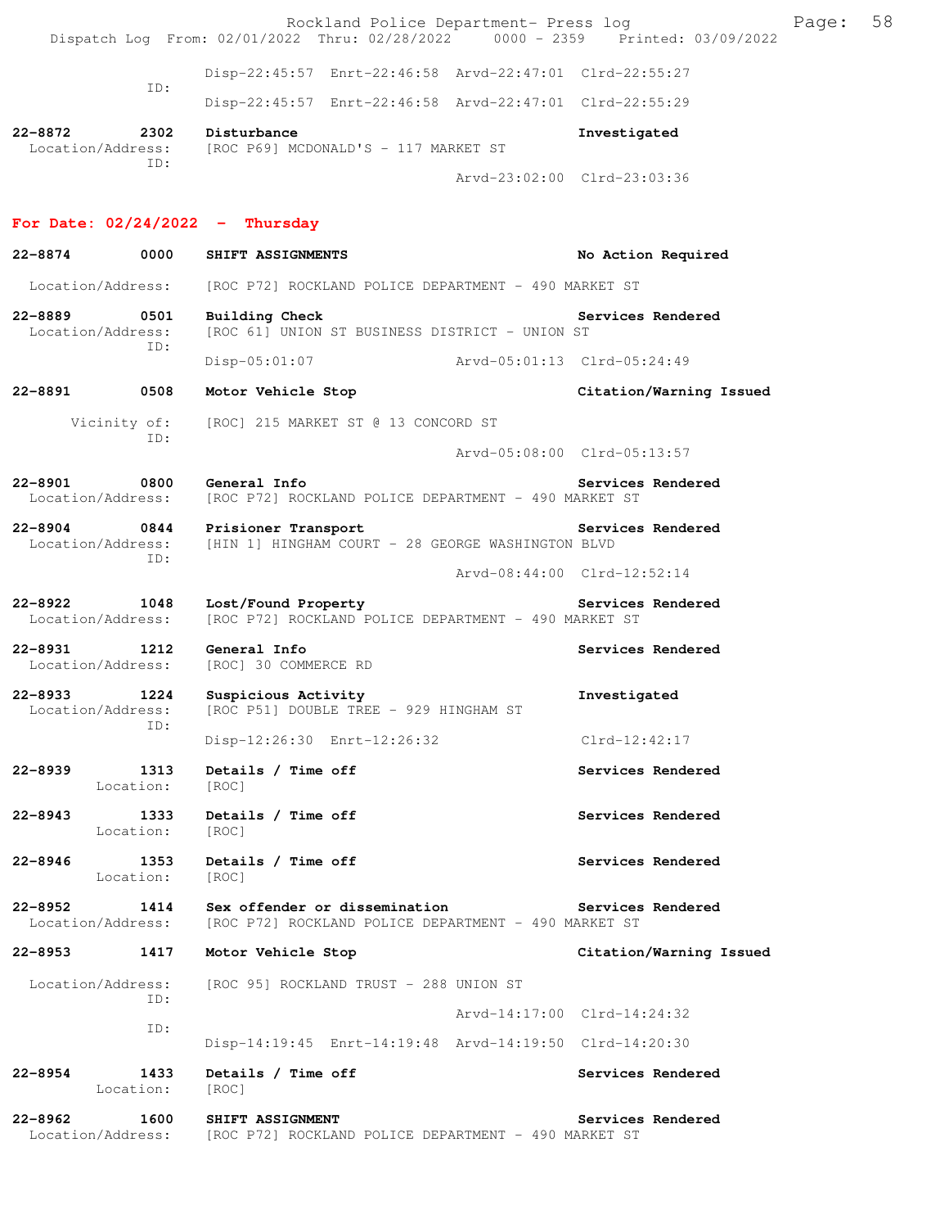Rockland Police Department- Press log France Press 100 Dispatch Log From: 02/01/2022 Thru: 02/28/2022 0000 - 2359 Printed: 03/09/2022 Disp-22:45:57 Enrt-22:46:58 Arvd-22:47:01 Clrd-22:55:27 ID: Disp-22:45:57 Enrt-22:46:58 Arvd-22:47:01 Clrd-22:55:29 **22-8872 2302 Disturbance Investigated**  Location/Address: [ROC P69] MCDONALD'S - 117 MARKET ST ID: Arvd-23:02:00 Clrd-23:03:36 **For Date: 02/24/2022 - Thursday 22-8874 0000 SHIFT ASSIGNMENTS No Action Required**  Location/Address: [ROC P72] ROCKLAND POLICE DEPARTMENT - 490 MARKET ST 22-8889 0501 Building Check Services Rendered Services Rendered Location/Address: [ROC 61] UNION ST BUSINESS DISTRICT - UNION ST [ROC 61] UNION ST BUSINESS DISTRICT - UNION ST ID: Disp-05:01:07 Arvd-05:01:13 Clrd-05:24:49 **22-8891 0508 Motor Vehicle Stop Citation/Warning Issued**  Vicinity of: [ROC] 215 MARKET ST @ 13 CONCORD ST ID: Arvd-05:08:00 Clrd-05:13:57 **22-8901 0800 General Info Services Rendered**  Location/Address: [ROC P72] ROCKLAND POLICE DEPARTMENT - 490 MARKET ST **22-8904 0844 Prisioner Transport Services Rendered**  Location/Address: [HIN 1] HINGHAM COURT - 28 GEORGE WASHINGTON BLVD ID: Arvd-08:44:00 Clrd-12:52:14 **22-8922 1048 Lost/Found Property Services Rendered**  Location/Address: [ROC P72] ROCKLAND POLICE DEPARTMENT - 490 MARKET ST **22-8931 1212 General Info Services Rendered Info Services Rendered** Services Rendered **Services** Rendered [ROC] 30 COMMERCE RD **22-8933 1224 Suspicious Activity Investigated**  Location/Address: [ROC P51] DOUBLE TREE - 929 HINGHAM ST ID: Disp-12:26:30 Enrt-12:26:32 Clrd-12:42:17 **22-8939 1313 Details / Time off Services Rendered**  Location: [ROC] **22-8943 1333 Details / Time off Services Rendered**  Location: [ROC] **22-8946 1353 Details / Time off Services Rendered**  Location: [ROC] **22-8952 1414 Sex offender or dissemination Services Rendered** Location/Address: [ROC P72] ROCKLAND POLICE DEPARTMENT - 490 MARKET ST [ROC P72] ROCKLAND POLICE DEPARTMENT - 490 MARKET ST **22-8953 1417 Motor Vehicle Stop Citation/Warning Issued**  Location/Address: [ROC 95] ROCKLAND TRUST - 288 UNION ST ID: Arvd-14:17:00 Clrd-14:24:32 ID: Disp-14:19:45 Enrt-14:19:48 Arvd-14:19:50 Clrd-14:20:30 **22-8954 1433 Details / Time off Services Rendered**  Location: [ROC] **22-8962 1600 SHIFT ASSIGNMENT Services Rendered**  Location/Address: [ROC P72] ROCKLAND POLICE DEPARTMENT - 490 MARKET ST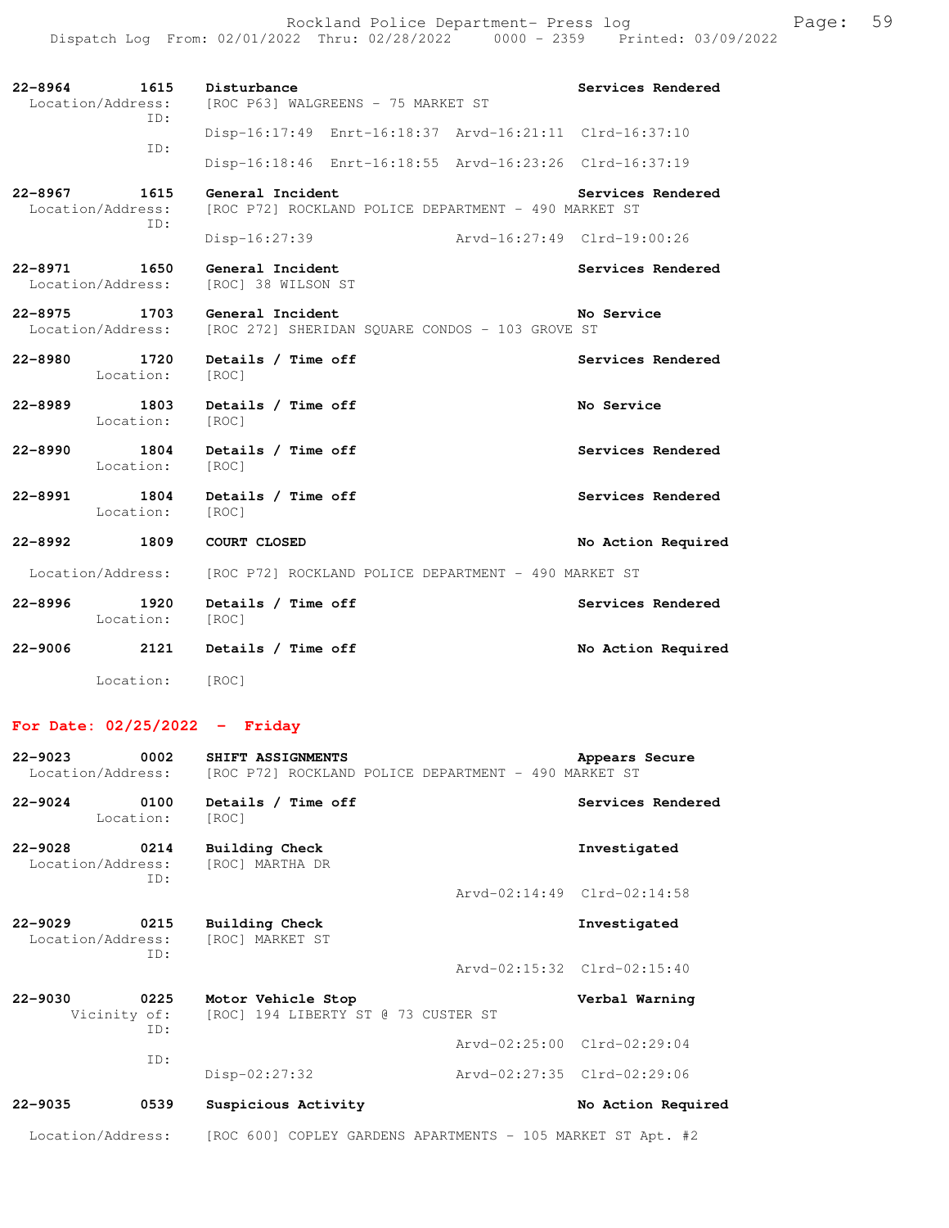Rockland Police Department- Press log entitled and Page: 59 Dispatch Log From: 02/01/2022 Thru: 02/28/2022 0000 - 2359 Printed: 03/09/2022

| $22 - 8964$<br>1615<br>Location/Address:<br>ID: | Disturbance<br>[ROC P63] WALGREENS - 75 MARKET ST                        | Services Rendered  |
|-------------------------------------------------|--------------------------------------------------------------------------|--------------------|
| TD:                                             | Disp-16:17:49 Enrt-16:18:37 Arvd-16:21:11 Clrd-16:37:10                  |                    |
|                                                 | Disp-16:18:46 Enrt-16:18:55 Arvd-16:23:26 Clrd-16:37:19                  |                    |
| 22-8967<br>1615<br>Location/Address:<br>ID:     | General Incident<br>[ROC P72] ROCKLAND POLICE DEPARTMENT - 490 MARKET ST | Services Rendered  |
|                                                 | Disp-16:27:39<br>Arvd-16:27:49 Clrd-19:00:26                             |                    |
| 22-8971 1650<br>Location/Address:               | General Incident<br>[ROC] 38 WILSON ST                                   | Services Rendered  |
| 22-8975 1703<br>Location/Address:               | General Incident<br>[ROC 272] SHERIDAN SQUARE CONDOS - 103 GROVE ST      | No Service         |
| $22 - 8980$<br>1720<br>Location:                | Details / Time off<br>[ROC]                                              | Services Rendered  |
| 22-8989<br>Location:                            | 1803 Details / Time off<br>[ROC]                                         | No Service         |
| $22 - 8990$<br>1804<br>Location:                | Details / Time off<br>[ROC]                                              | Services Rendered  |
| 22-8991<br>1804<br>Location:                    | Details / Time off<br>[ROC]                                              | Services Rendered  |
| 22-8992 1809                                    | COURT CLOSED                                                             | No Action Required |
| Location/Address:                               | [ROC P72] ROCKLAND POLICE DEPARTMENT - 490 MARKET ST                     |                    |
| 1920<br>22-8996<br>Location:                    | Details / Time off<br>[ROC]                                              | Services Rendered  |
| 22-9006<br>2121                                 | Details / Time off                                                       | No Action Required |
| Location:                                       | [ROC]                                                                    |                    |

## **For Date: 02/25/2022 - Friday**

| $22 - 9023$<br>Location/Address: | 0002                        | SHIFT ASSIGNMENTS<br>[ROC P72] ROCKLAND POLICE DEPARTMENT - 490 MARKET ST | Appears Secure              |
|----------------------------------|-----------------------------|---------------------------------------------------------------------------|-----------------------------|
| $22 - 9024$                      | 0100<br>Location:           | Details / Time off<br>[ROC]                                               | Services Rendered           |
| $22 - 9028$<br>Location/Address: | 0214<br>ID:                 | <b>Building Check</b><br>[ROC] MARTHA DR                                  | Investigated                |
|                                  |                             |                                                                           | Arvd-02:14:49 Clrd-02:14:58 |
| $22 - 9029$<br>Location/Address: | 0215<br>ID:                 | <b>Building Check</b><br>[ROC] MARKET ST                                  | Investigated                |
|                                  |                             |                                                                           | Arvd-02:15:32 Clrd-02:15:40 |
| $22 - 9030$                      | 0225<br>Vicinity of:<br>TD: | Motor Vehicle Stop<br>[ROC] 194 LIBERTY ST @ 73 CUSTER ST                 | Verbal Warning              |
|                                  | ID:                         |                                                                           | Arvd-02:25:00 Clrd-02:29:04 |
|                                  |                             | $Disp-02:27:32$                                                           | Arvd-02:27:35 Clrd-02:29:06 |
| $22 - 9035$                      | 0539                        | Suspicious Activity                                                       | No Action Required          |
| Location/Address:                |                             | [ROC 600] COPLEY GARDENS APARTMENTS - 105 MARKET ST Apt. #2               |                             |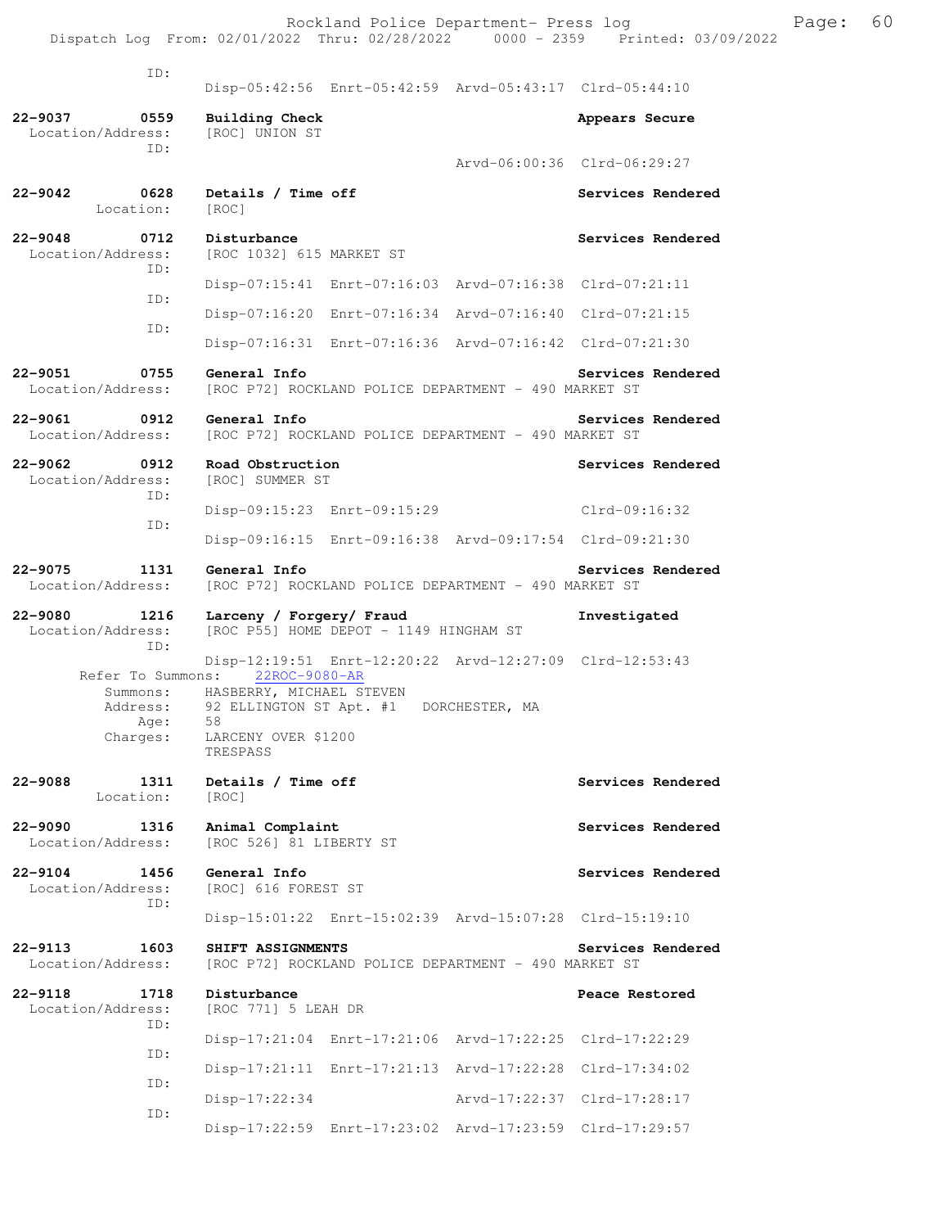| ID:                                               |                                                                                             |                                                         |                             |
|---------------------------------------------------|---------------------------------------------------------------------------------------------|---------------------------------------------------------|-----------------------------|
|                                                   |                                                                                             | Disp-05:42:56 Enrt-05:42:59 Arvd-05:43:17 Clrd-05:44:10 |                             |
| $22 - 9037$<br>0559<br>Location/Address:<br>ID:   | <b>Building Check</b><br>[ROC] UNION ST                                                     |                                                         | Appears Secure              |
|                                                   |                                                                                             |                                                         | Arvd-06:00:36 Clrd-06:29:27 |
| $22 - 9042$<br>0628<br>Location:                  | Details / Time off<br>[ROC]                                                                 |                                                         | Services Rendered           |
| $22 - 9048$<br>0712<br>Location/Address:<br>ID:   | Disturbance<br>[ROC 1032] 615 MARKET ST                                                     |                                                         | Services Rendered           |
| ID:                                               |                                                                                             | Disp-07:15:41 Enrt-07:16:03 Arvd-07:16:38 Clrd-07:21:11 |                             |
| ID:                                               |                                                                                             | Disp-07:16:20 Enrt-07:16:34 Arvd-07:16:40 Clrd-07:21:15 |                             |
|                                                   |                                                                                             | Disp-07:16:31 Enrt-07:16:36 Arvd-07:16:42 Clrd-07:21:30 |                             |
| 22-9051<br>0755<br>Location/Address:              | General Info                                                                                | [ROC P72] ROCKLAND POLICE DEPARTMENT - 490 MARKET ST    | Services Rendered           |
| 22-9061<br>0912<br>Location/Address:              | General Info                                                                                | [ROC P72] ROCKLAND POLICE DEPARTMENT - 490 MARKET ST    | Services Rendered           |
| 22-9062<br>0912<br>Location/Address:              | Road Obstruction<br>[ROC] SUMMER ST                                                         |                                                         | Services Rendered           |
| TD:                                               |                                                                                             | Disp-09:15:23 Enrt-09:15:29                             | $Clrd-09:16:32$             |
| ID:                                               |                                                                                             | Disp-09:16:15 Enrt-09:16:38 Arvd-09:17:54 Clrd-09:21:30 |                             |
| 22-9075<br>1131<br>Location/Address:              | General Info                                                                                | [ROC P72] ROCKLAND POLICE DEPARTMENT - 490 MARKET ST    | Services Rendered           |
|                                                   |                                                                                             |                                                         |                             |
| $22 - 9080$<br>1216<br>Location/Address:          | Larceny / Forgery/ Fraud                                                                    | [ROC P55] HOME DEPOT - 1149 HINGHAM ST                  | Investigated                |
| ID:                                               |                                                                                             | Disp-12:19:51 Enrt-12:20:22 Arvd-12:27:09 Clrd-12:53:43 |                             |
| Refer To Summons:<br>Address:<br>Age:<br>Charges: | 22ROC-9080-AR<br>Summons: HASBERRY, MICHAEL STEVEN<br>58<br>LARCENY OVER \$1200<br>TRESPASS | 92 ELLINGTON ST Apt. #1 DORCHESTER, MA                  |                             |
| 22-9088<br>1311<br>Location:                      | Details / Time off<br>[ROC]                                                                 |                                                         | Services Rendered           |
| $22 - 9090$<br>1316<br>Location/Address:          | Animal Complaint<br>[ROC 526] 81 LIBERTY ST                                                 |                                                         | Services Rendered           |
| 22-9104<br>1456<br>Location/Address:              | General Info<br>[ROC] 616 FOREST ST                                                         |                                                         | Services Rendered           |
| ID:                                               |                                                                                             | Disp-15:01:22 Enrt-15:02:39 Arvd-15:07:28 Clrd-15:19:10 |                             |
| 22-9113<br>1603<br>Location/Address:              | SHIFT ASSIGNMENTS                                                                           | [ROC P72] ROCKLAND POLICE DEPARTMENT - 490 MARKET ST    | Services Rendered           |
| 22-9118<br>1718<br>Location/Address:              | Disturbance<br>[ROC 771] 5 LEAH DR                                                          |                                                         | Peace Restored              |
| ID:                                               |                                                                                             | Disp-17:21:04 Enrt-17:21:06 Arvd-17:22:25 Clrd-17:22:29 |                             |
| ID:                                               |                                                                                             | Disp-17:21:11 Enrt-17:21:13 Arvd-17:22:28 Clrd-17:34:02 |                             |
| ID:<br>ID:                                        | $Disp-17:22:34$                                                                             |                                                         | Arvd-17:22:37 Clrd-17:28:17 |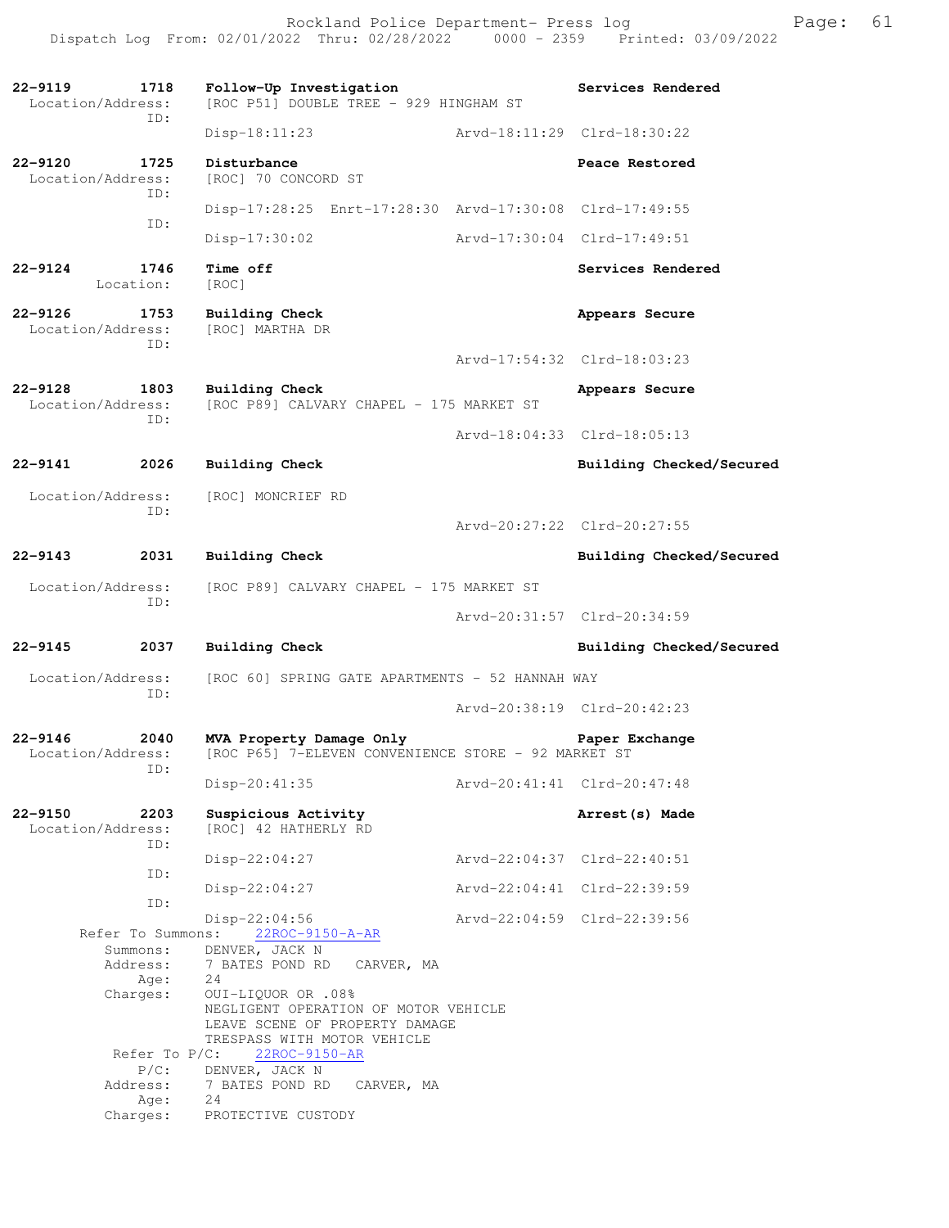**22-9119 1718 Follow-Up Investigation Services Rendered**  Location/Address: [ROC P51] DOUBLE TREE - 929 HINGHAM ST ID: Disp-18:11:23 Arvd-18:11:29 Clrd-18:30:22 **22-9120 1725 Disturbance Peace Restored Peace Restored Peace Restored Peace Restored** [ROC] 70 CONCORD ST ID: Disp-17:28:25 Enrt-17:28:30 Arvd-17:30:08 Clrd-17:49:55 ID: Disp-17:30:02 Arvd-17:30:04 Clrd-17:49:51 **22-9124 1746 Time off Services Rendered**  Location: [ROC] **22-9126 1753 Building Check Appears Secure**  Location/Address: [ROC] MARTHA DR ID: Arvd-17:54:32 Clrd-18:03:23 **22-9128 1803 Building Check Appears Secure**  Location/Address: [ROC P89] CALVARY CHAPEL - 175 MARKET ST ID: Arvd-18:04:33 Clrd-18:05:13 **22-9141 2026 Building Check Building Checked/Secured**  Location/Address: [ROC] MONCRIEF RD ID: Arvd-20:27:22 Clrd-20:27:55 **22-9143 2031 Building Check Building Checked/Secured**  Location/Address: [ROC P89] CALVARY CHAPEL - 175 MARKET ST ID: Arvd-20:31:57 Clrd-20:34:59 **22-9145 2037 Building Check Building Checked/Secured**  Location/Address: [ROC 60] SPRING GATE APARTMENTS - 52 HANNAH WAY ID: Arvd-20:38:19 Clrd-20:42:23 **22-9146 2040 MVA Property Damage Only Paper Exchange**  Location/Address: [ROC P65] 7-ELEVEN CONVENIENCE STORE - 92 MARKET ST ID: Disp-20:41:35 Arvd-20:41:41 Clrd-20:47:48 **22-9150 2203 Suspicious Activity Arrest(s) Made**  Location/Address: [ROC] 42 HATHERLY RD ID: Disp-22:04:27 Arvd-22:04:37 Clrd-22:40:51 ID: Disp-22:04:27 Arvd-22:04:41 Clrd-22:39:59 ID: Disp-22:04:56 Arvd-22:04:59 Clrd-22:39:56 Refer To Summons: 22ROC-9150-A-AR Summons: DENVER, JACK N Address: 7 BATES POND RD CARVER, MA Age: 24 Charges: OUI-LIQUOR OR .08% NEGLIGENT OPERATION OF MOTOR VEHICLE LEAVE SCENE OF PROPERTY DAMAGE TRESPASS WITH MOTOR VEHICLE Refer To P/C: 22ROC-9150-AR P/C: DENVER, JACK N Address: 7 BATES POND RD CARVER, MA Age: 24 Charges: PROTECTIVE CUSTODY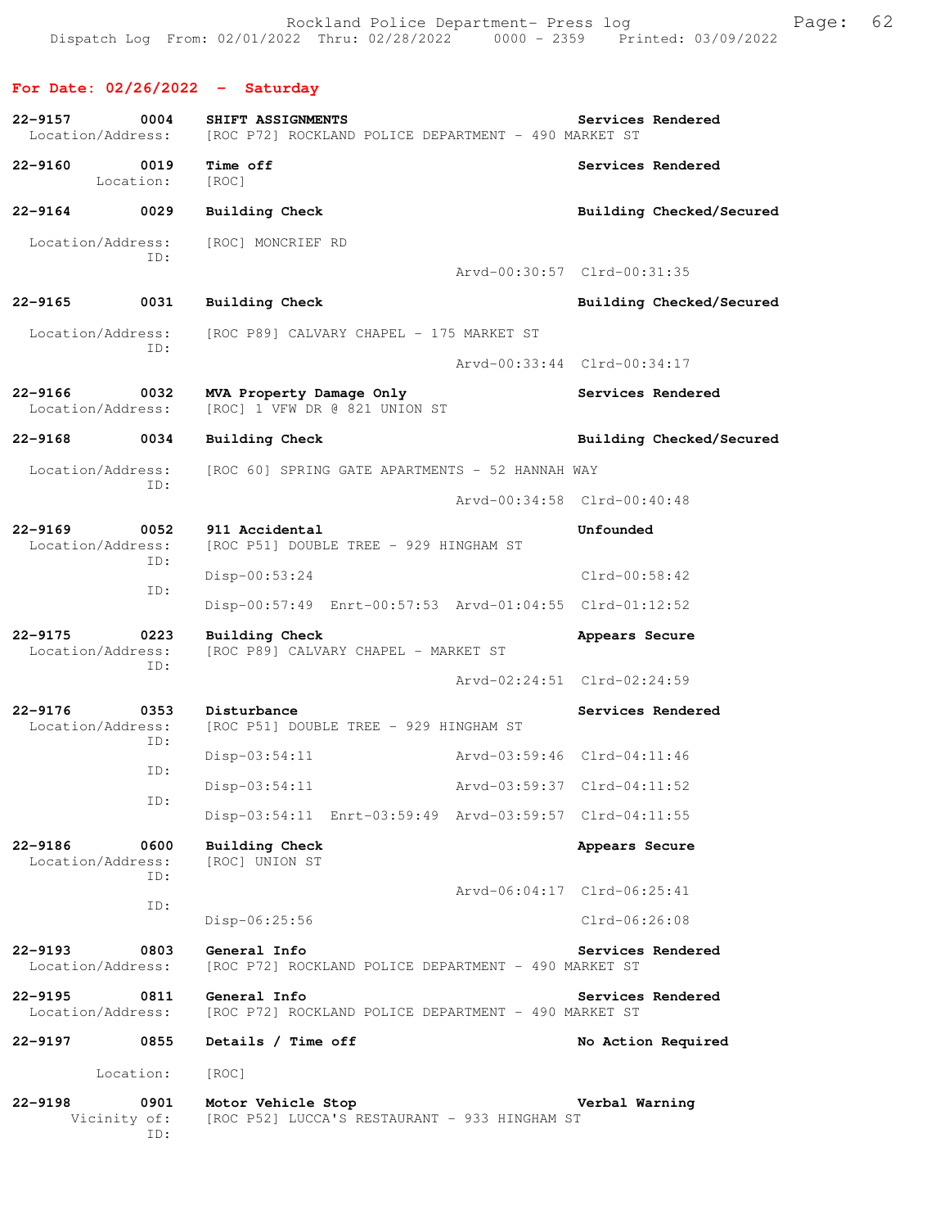## **For Date: 02/26/2022 - Saturday**

| $22 - 9157$<br>0004<br>Location/Address:        | SHIFT ASSIGNMENTS<br>[ROC P72] ROCKLAND POLICE DEPARTMENT - 490 MARKET ST |                             | Services Rendered           |
|-------------------------------------------------|---------------------------------------------------------------------------|-----------------------------|-----------------------------|
| 0019<br>$22 - 9160$<br>Location:                | Time off<br>[ROC]                                                         |                             | Services Rendered           |
| $22 - 9164$<br>0029                             | <b>Building Check</b>                                                     |                             | Building Checked/Secured    |
| Location/Address:<br>ID:                        | [ROC] MONCRIEF RD                                                         |                             |                             |
|                                                 |                                                                           | Arvd-00:30:57 Clrd-00:31:35 |                             |
| $22 - 9165$<br>0031                             | <b>Building Check</b>                                                     |                             | Building Checked/Secured    |
| Location/Address:<br>ID:                        | [ROC P89] CALVARY CHAPEL - 175 MARKET ST                                  |                             |                             |
|                                                 |                                                                           |                             | Arvd-00:33:44 Clrd-00:34:17 |
| $22 - 9166$<br>0032<br>Location/Address:        | MVA Property Damage Only<br>[ROC] 1 VFW DR @ 821 UNION ST                 |                             | Services Rendered           |
| $22 - 9168$<br>0034                             | Building Check                                                            |                             | Building Checked/Secured    |
| Location/Address:<br>ID:                        | [ROC 60] SPRING GATE APARTMENTS - 52 HANNAH WAY                           |                             |                             |
|                                                 |                                                                           | Arvd-00:34:58 Clrd-00:40:48 |                             |
| $22 - 9169$<br>0052<br>Location/Address:        | 911 Accidental<br>[ROC P51] DOUBLE TREE - 929 HINGHAM ST                  |                             | Unfounded                   |
| ID:<br>ID:                                      | $Disp-00:53:24$                                                           |                             | $Clrd-00:58:42$             |
|                                                 | Disp-00:57:49 Enrt-00:57:53 Arvd-01:04:55 Clrd-01:12:52                   |                             |                             |
| $22 - 9175$<br>0223<br>Location/Address:<br>ID: | <b>Building Check</b><br>[ROC P89] CALVARY CHAPEL - MARKET ST             |                             | Appears Secure              |
|                                                 |                                                                           | Arvd-02:24:51 Clrd-02:24:59 |                             |
| $22 - 9176$<br>0353<br>Location/Address:<br>ID: | Disturbance<br>[ROC P51] DOUBLE TREE - 929 HINGHAM ST                     |                             | Services Rendered           |
| ID:                                             | $Disp-03:54:11$                                                           | Arvd-03:59:46 Clrd-04:11:46 |                             |
| ID:                                             | $Disp-03:54:11$                                                           | Arvd-03:59:37 Clrd-04:11:52 |                             |
|                                                 | Disp-03:54:11 Enrt-03:59:49 Arvd-03:59:57 Clrd-04:11:55                   |                             |                             |
| 22-9186<br>0600<br>Location/Address:<br>ID:     | <b>Building Check</b><br>[ROC] UNION ST                                   |                             | Appears Secure              |
| ID:                                             |                                                                           | Arvd-06:04:17 Clrd-06:25:41 |                             |
|                                                 | Disp-06:25:56                                                             |                             | $Clrd-06:26:08$             |
| $22 - 9193$<br>0803<br>Location/Address:        | General Info<br>[ROC P72] ROCKLAND POLICE DEPARTMENT - 490 MARKET ST      |                             | Services Rendered           |
| $22 - 9195$<br>0811<br>Location/Address:        | General Info<br>[ROC P72] ROCKLAND POLICE DEPARTMENT - 490 MARKET ST      |                             | Services Rendered           |
| $22 - 9197$<br>0855                             | Details / Time off                                                        |                             | No Action Required          |
| Location:                                       | [ROC]                                                                     |                             |                             |
| $22 - 9198$<br>0901<br>Vicinity of:<br>ID:      | Motor Vehicle Stop<br>[ROC P52] LUCCA'S RESTAURANT - 933 HINGHAM ST       |                             | Verbal Warning              |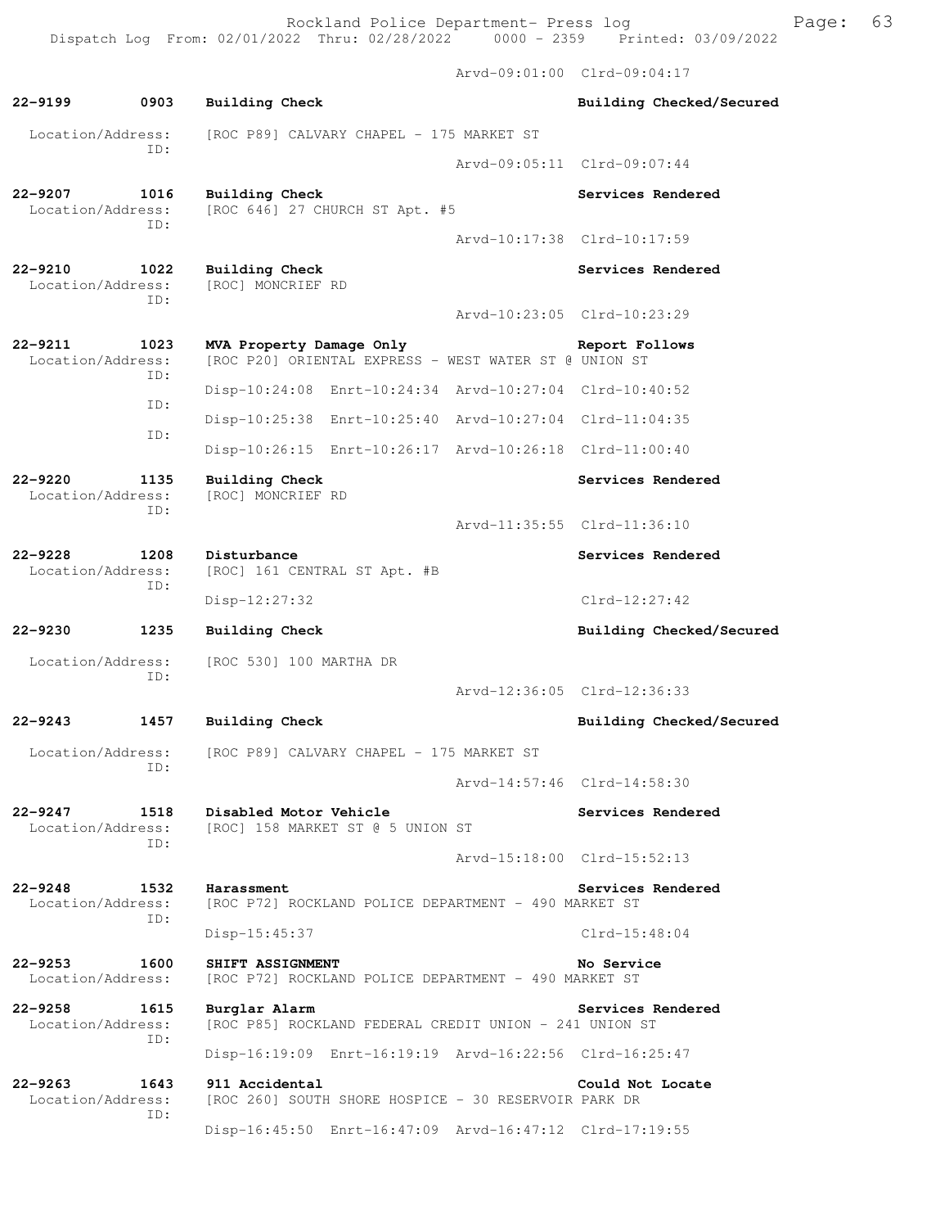Rockland Police Department- Press log Freed Page: 63 Dispatch Log From: 02/01/2022 Thru: 02/28/2022 0000 - 2359 Printed: 03/09/2022

 Arvd-09:01:00 Clrd-09:04:17 **22-9199 0903 Building Check Building Checked/Secured**  Location/Address: [ROC P89] CALVARY CHAPEL - 175 MARKET ST ID: Arvd-09:05:11 Clrd-09:07:44 **22-9207 1016 Building Check Services Rendered**  Location/Address: [ROC 646] 27 CHURCH ST Apt. #5 ID: Arvd-10:17:38 Clrd-10:17:59 **22-9210 1022 Building Check Services Rendered**  Location/Address: [ROC] MONCRIEF RD ID: Arvd-10:23:05 Clrd-10:23:29 **22-9211 1023 MVA Property Damage Only Report Follows**  Location/Address: [ROC P20] ORIENTAL EXPRESS - WEST WATER ST @ UNION ST ID: Disp-10:24:08 Enrt-10:24:34 Arvd-10:27:04 Clrd-10:40:52 ID: Disp-10:25:38 Enrt-10:25:40 Arvd-10:27:04 Clrd-11:04:35 ID: Disp-10:26:15 Enrt-10:26:17 Arvd-10:26:18 Clrd-11:00:40 **22-9220 1135 Building Check Services Rendered**  Location/Address: [ROC] MONCRIEF RD ID: Arvd-11:35:55 Clrd-11:36:10 **22-9228 1208 Disturbance Services Rendered Services Rendered Location/Address:** [ROC] 161 CENTRAL ST Apt. #B [ROC] 161 CENTRAL ST Apt. #B ID: Disp-12:27:32 Clrd-12:27:42 **22-9230 1235 Building Check Building Checked/Secured**  Location/Address: [ROC 530] 100 MARTHA DR ID: Arvd-12:36:05 Clrd-12:36:33 **22-9243 1457 Building Check Building Checked/Secured**  Location/Address: [ROC P89] CALVARY CHAPEL - 175 MARKET ST ID: Arvd-14:57:46 Clrd-14:58:30 **22-9247 1518 Disabled Motor Vehicle Services Rendered**  Location/Address: [ROC] 158 MARKET ST @ 5 UNION ST ID: Arvd-15:18:00 Clrd-15:52:13 **22-9248 1532 Harassment Services Rendered**  Location/Address: [ROC P72] ROCKLAND POLICE DEPARTMENT - 490 MARKET ST ID: Disp-15:45:37 Clrd-15:48:04 **22-9253 1600 SHIFT ASSIGNMENT No Service**  Location/Address: [ROC P72] ROCKLAND POLICE DEPARTMENT - 490 MARKET ST **22-9258 1615 Burglar Alarm Services Rendered**  Location/Address: [ROC P85] ROCKLAND FEDERAL CREDIT UNION - 241 UNION ST ID: Disp-16:19:09 Enrt-16:19:19 Arvd-16:22:56 Clrd-16:25:47 **22-9263 1643 911 Accidental Could Not Locate**  [ROC 260] SOUTH SHORE HOSPICE - 30 RESERVOIR PARK DR

Disp-16:45:50 Enrt-16:47:09 Arvd-16:47:12 Clrd-17:19:55

ID: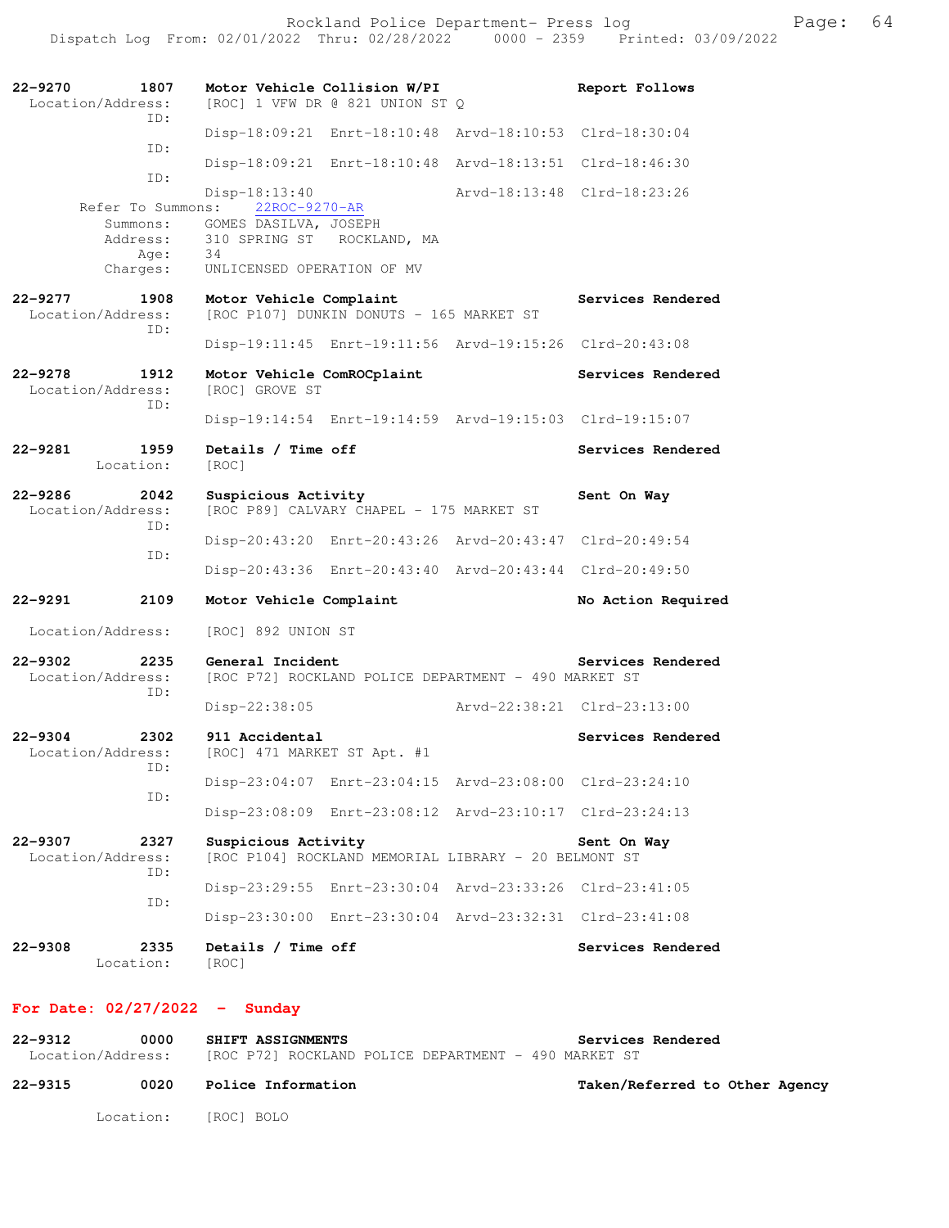| $22 - 9270$<br>1807                             | Motor Vehicle Collision W/PI                                                | Report Follows              |
|-------------------------------------------------|-----------------------------------------------------------------------------|-----------------------------|
| Location/Address:<br>ID:                        | [ROC] 1 VFW DR @ 821 UNION ST Q                                             |                             |
| ID:                                             | Disp-18:09:21 Enrt-18:10:48 Arvd-18:10:53 Clrd-18:30:04                     |                             |
| ID:                                             | Disp-18:09:21 Enrt-18:10:48 Arvd-18:13:51 Clrd-18:46:30                     |                             |
| Refer To Summons:                               | $Disp-18:13:40$<br>22ROC-9270-AR                                            | Arvd-18:13:48 Clrd-18:23:26 |
| Summons:                                        | GOMES DASILVA, JOSEPH                                                       |                             |
| Address:<br>Age:                                | 310 SPRING ST ROCKLAND, MA<br>34                                            |                             |
| Charges:                                        | UNLICENSED OPERATION OF MV                                                  |                             |
| $22 - 9277$<br>1908<br>Location/Address:<br>ID: | Motor Vehicle Complaint<br>[ROC P107] DUNKIN DONUTS - 165 MARKET ST         | Services Rendered           |
|                                                 | Disp-19:11:45 Enrt-19:11:56 Arvd-19:15:26 Clrd-20:43:08                     |                             |
| $22 - 9278$<br>1912<br>Location/Address:<br>ID: | Motor Vehicle ComROCplaint<br>[ROC] GROVE ST                                | Services Rendered           |
|                                                 | Disp-19:14:54 Enrt-19:14:59 Arvd-19:15:03 Clrd-19:15:07                     |                             |
| 22-9281<br>1959<br>Location:                    | Details / Time off<br>[ROC]                                                 | Services Rendered           |
| $22 - 9286$<br>2042<br>Location/Address:<br>ID: | Suspicious Activity<br>[ROC P89] CALVARY CHAPEL - 175 MARKET ST             | Sent On Way                 |
|                                                 | Disp-20:43:20 Enrt-20:43:26 Arvd-20:43:47 Clrd-20:49:54                     |                             |
| ID:                                             | Disp-20:43:36 Enrt-20:43:40 Arvd-20:43:44 Clrd-20:49:50                     |                             |
| 22-9291<br>2109                                 | Motor Vehicle Complaint                                                     | No Action Required          |
| Location/Address:                               | [ROC] 892 UNION ST                                                          |                             |
| 2235<br>$22 - 9302$<br>Location/Address:<br>ID: | General Incident<br>[ROC P72] ROCKLAND POLICE DEPARTMENT - 490 MARKET ST    | Services Rendered           |
|                                                 | $Disp-22:38:05$                                                             | Arvd-22:38:21 Clrd-23:13:00 |
| $22 - 9304$<br>2302<br>Location/Address:<br>ID: | 911 Accidental<br>[ROC] 471 MARKET ST Apt. #1                               | Services Rendered           |
| ID:                                             | Disp-23:04:07 Enrt-23:04:15 Arvd-23:08:00 Clrd-23:24:10                     |                             |
|                                                 | Disp-23:08:09 Enrt-23:08:12 Arvd-23:10:17 Clrd-23:24:13                     |                             |
| $22 - 9307$<br>2327<br>Location/Address:<br>ID: | Suspicious Activity<br>[ROC P104] ROCKLAND MEMORIAL LIBRARY - 20 BELMONT ST | Sent On Way                 |
|                                                 | Disp-23:29:55 Enrt-23:30:04 Arvd-23:33:26 Clrd-23:41:05                     |                             |
| ID:                                             | Disp-23:30:00 Enrt-23:30:04 Arvd-23:32:31 Clrd-23:41:08                     |                             |
| $22 - 9308$<br>2335<br>Location:                | Details / Time off<br>[ROC]                                                 | Services Rendered           |
| For Date: $02/27/2022 -$                        | Sunday                                                                      |                             |

| 22-9312           | 0000 |  | <b>SHIFT ASSIGNMENTS</b> |                                                      |  |  | Services Rendered |  |
|-------------------|------|--|--------------------------|------------------------------------------------------|--|--|-------------------|--|
| Location/Address: |      |  |                          | [ROC P72] ROCKLAND POLICE DEPARTMENT - 490 MARKET ST |  |  |                   |  |

**22-9315 0020 Police Information Taken/Referred to Other Agency** Location: [ROC] BOLO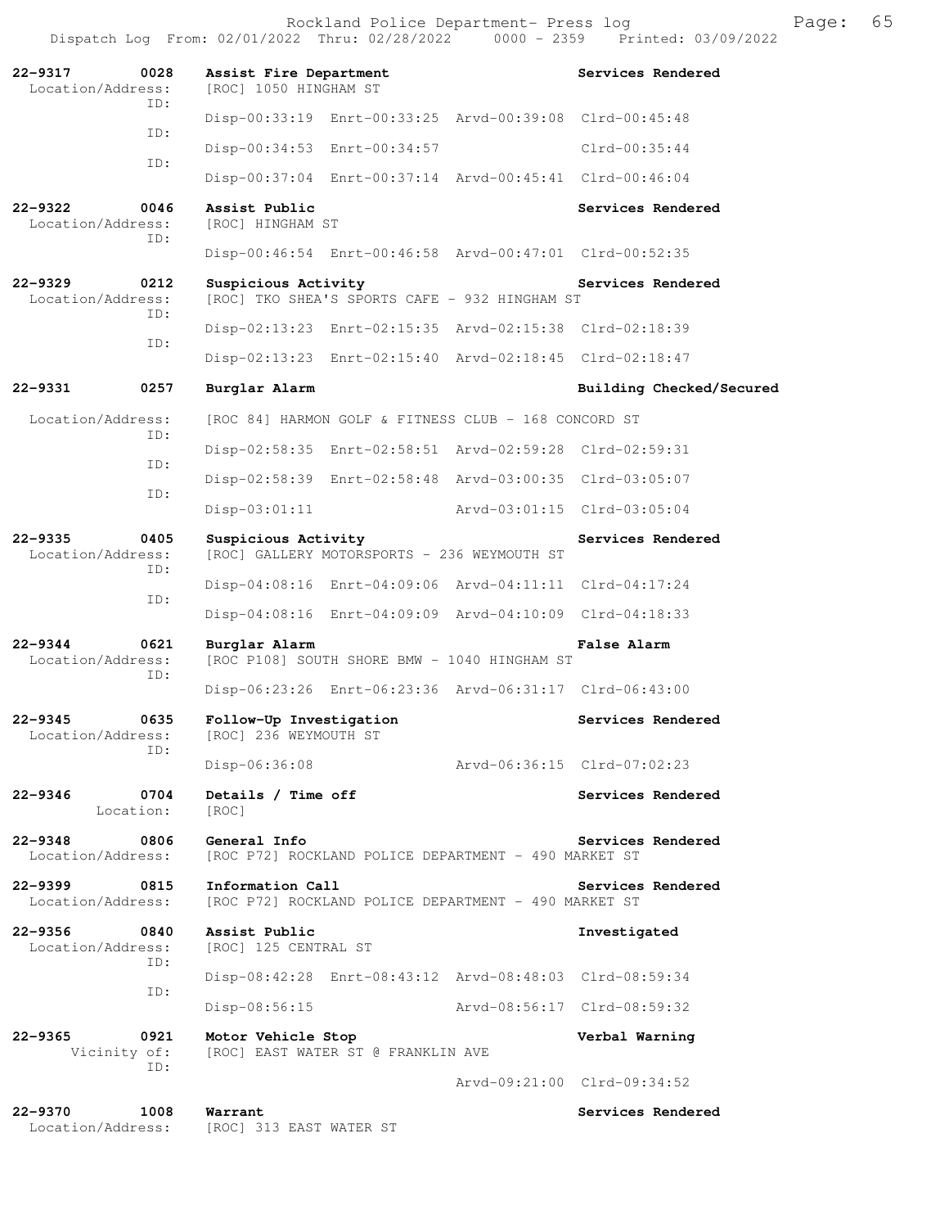| $22 - 9317$<br>0028<br>Location/Address:<br>TD: | Assist Fire Department<br>[ROC] 1050 HINGHAM ST                          | Services Rendered           |
|-------------------------------------------------|--------------------------------------------------------------------------|-----------------------------|
| ID:                                             | Disp-00:33:19 Enrt-00:33:25 Arvd-00:39:08 Clrd-00:45:48                  |                             |
| ID:                                             | Disp-00:34:53 Enrt-00:34:57                                              | $Clrd-00:35:44$             |
|                                                 | Disp-00:37:04 Enrt-00:37:14 Arvd-00:45:41 Clrd-00:46:04                  |                             |
| $22 - 9322$<br>0046<br>Location/Address:<br>ID: | Assist Public<br>[ROC] HINGHAM ST                                        | Services Rendered           |
|                                                 | Disp-00:46:54 Enrt-00:46:58 Arvd-00:47:01 Clrd-00:52:35                  |                             |
| $22 - 9329$<br>0212<br>Location/Address:<br>ID: | Suspicious Activity<br>[ROC] TKO SHEA'S SPORTS CAFE - 932 HINGHAM ST     | Services Rendered           |
| ID:                                             | Disp-02:13:23 Enrt-02:15:35 Arvd-02:15:38 Clrd-02:18:39                  |                             |
|                                                 | Disp-02:13:23 Enrt-02:15:40 Arvd-02:18:45 Clrd-02:18:47                  |                             |
| $22 - 9331$<br>0257                             | Burglar Alarm                                                            | Building Checked/Secured    |
| Location/Address:<br>ID:                        | [ROC 84] HARMON GOLF & FITNESS CLUB - 168 CONCORD ST                     |                             |
|                                                 | Disp-02:58:35 Enrt-02:58:51 Arvd-02:59:28 Clrd-02:59:31                  |                             |
| ID:                                             | Disp-02:58:39 Enrt-02:58:48 Arvd-03:00:35 Clrd-03:05:07                  |                             |
| ID:                                             | $Disp-03:01:11$<br>Arvd-03:01:15 Clrd-03:05:04                           |                             |
| $22 - 9335$<br>0405<br>Location/Address:<br>ID: | Suspicious Activity<br>[ROC] GALLERY MOTORSPORTS - 236 WEYMOUTH ST       | Services Rendered           |
| ID:                                             | Disp-04:08:16 Enrt-04:09:06 Arvd-04:11:11 Clrd-04:17:24                  |                             |
|                                                 | Disp-04:08:16 Enrt-04:09:09 Arvd-04:10:09 Clrd-04:18:33                  |                             |
| $22 - 9344$<br>0621<br>Location/Address:<br>ID: | Burglar Alarm<br>[ROC P108] SOUTH SHORE BMW - 1040 HINGHAM ST            | <b>False Alarm</b>          |
|                                                 | Disp-06:23:26 Enrt-06:23:36 Arvd-06:31:17 Clrd-06:43:00                  |                             |
| $22 - 9345$<br>0635<br>Location/Address:<br>ID: | Follow-Up Investigation<br>[ROC] 236 WEYMOUTH ST                         | Services Rendered           |
|                                                 | Disp-06:36:08                                                            | Arvd-06:36:15 Clrd-07:02:23 |
| $22 - 9346$<br>0704<br>Location:                | Details / Time off<br>[ROC]                                              | Services Rendered           |
| $22 - 9348$<br>0806<br>Location/Address:        | General Info<br>[ROC P72] ROCKLAND POLICE DEPARTMENT - 490 MARKET ST     | Services Rendered           |
| $22 - 9399$<br>0815<br>Location/Address:        | Information Call<br>[ROC P72] ROCKLAND POLICE DEPARTMENT - 490 MARKET ST | Services Rendered           |
| $22 - 9356$<br>0840<br>Location/Address:<br>ID: | Assist Public<br>[ROC] 125 CENTRAL ST                                    | Investigated                |
| ID:                                             | Disp-08:42:28 Enrt-08:43:12 Arvd-08:48:03 Clrd-08:59:34                  |                             |
|                                                 | $Disp-08:56:15$<br>Arvd-08:56:17 Clrd-08:59:32                           |                             |
| $22 - 9365$<br>0921<br>Vicinity of:             | Motor Vehicle Stop<br>[ROC] EAST WATER ST @ FRANKLIN AVE                 | Verbal Warning              |
| ID:                                             |                                                                          | Arvd-09:21:00 Clrd-09:34:52 |
| $22 - 9370$<br>1008<br>Location/Address:        | Warrant<br>[ROC] 313 EAST WATER ST                                       | Services Rendered           |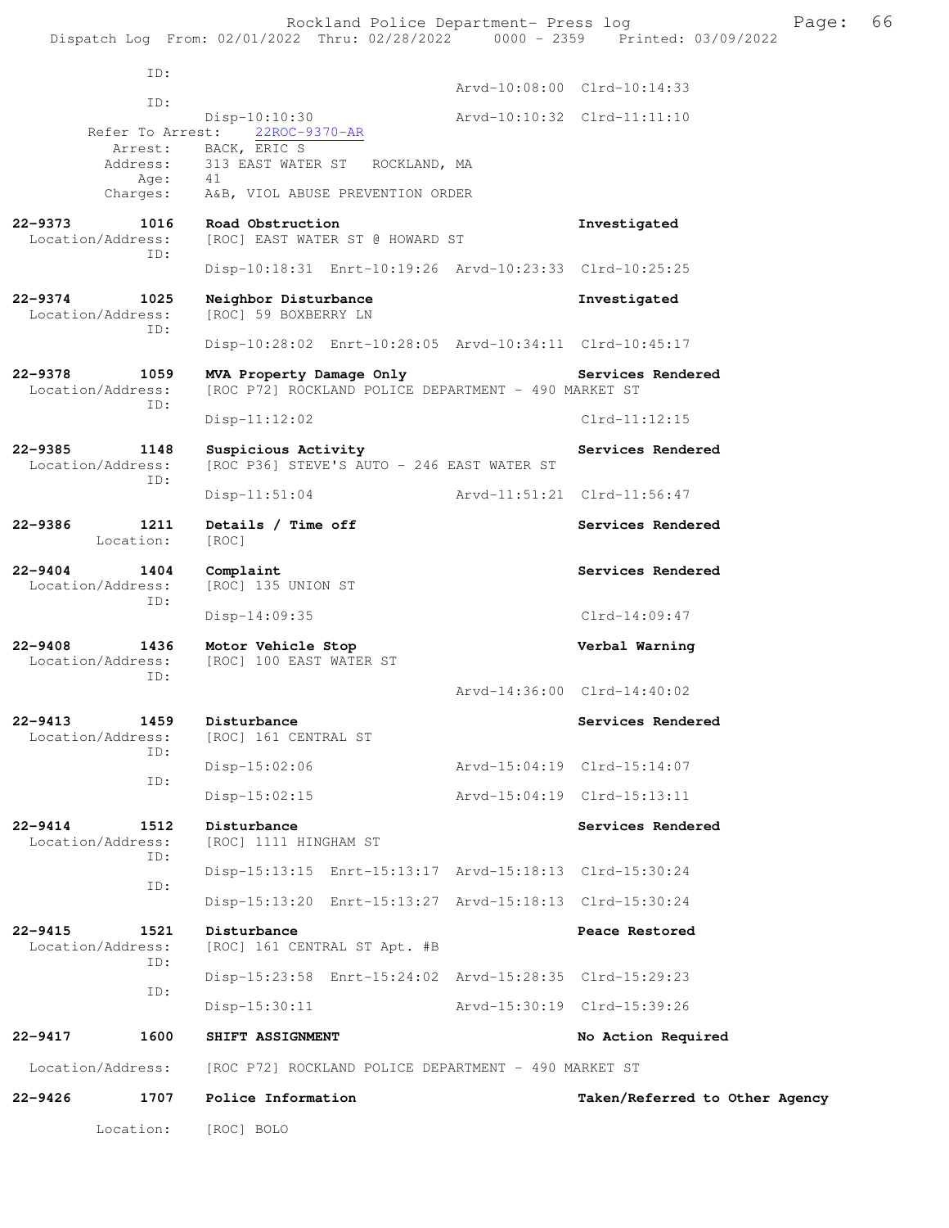Rockland Police Department- Press log Freed Page: 66 Dispatch Log From: 02/01/2022 Thru: 02/28/2022 0000 - 2359 Printed: 03/09/2022

 ID: Arvd-10:08:00 Clrd-10:14:33 ID: Disp-10:10:30<br>st: 22ROC-9370-AR<br>Displays Arvd-10:10:32 Clrd-11:11:10 Refer To Arrest: Arrest: BACK, ERIC S Address: 313 EAST WATER ST ROCKLAND, MA Age: 41 Charges: A&B, VIOL ABUSE PREVENTION ORDER **22-9373 1016 Road Obstruction Investigated Investigated Location/Address:** [ROC] EAST WATER ST @ HOWARD ST [ROC] EAST WATER ST @ HOWARD ST ID: Disp-10:18:31 Enrt-10:19:26 Arvd-10:23:33 Clrd-10:25:25 **22-9374 1025 Neighbor Disturbance Investigated**  Location/Address: [ROC] 59 BOXBERRY LN ID: Disp-10:28:02 Enrt-10:28:05 Arvd-10:34:11 Clrd-10:45:17 **22-9378 1059 MVA Property Damage Only Services Rendered**  Location/Address: [ROC P72] ROCKLAND POLICE DEPARTMENT - 490 MARKET ST ID: Disp-11:12:02 Clrd-11:12:15 22-9385 1148 Suspicious Activity **128 Services Rendered**  Location/Address: [ROC P36] STEVE'S AUTO - 246 EAST WATER ST ID: Disp-11:51:04 Arvd-11:51:21 Clrd-11:56:47 22-9386 1211 Details / Time off Services Rendered Location: [ROC] **22-9404 1404 Complaint Services Rendered**  Location/Address: [ROC] 135 UNION ST ID: Disp-14:09:35 Clrd-14:09:47 **22-9408 1436 Motor Vehicle Stop Verbal Warning**  [ROC] 100 EAST WATER ST ID: Arvd-14:36:00 Clrd-14:40:02 **22-9413 1459 Disturbance Services Rendered**  Location/Address: [ROC] 161 CENTRAL ST ID: Disp-15:02:06 Arvd-15:04:19 Clrd-15:14:07 ID: Disp-15:02:15 Arvd-15:04:19 Clrd-15:13:11 **22-9414 1512 Disturbance Services Rendered**  Location/Address: [ROC] 1111 HINGHAM ST ID: Disp-15:13:15 Enrt-15:13:17 Arvd-15:18:13 Clrd-15:30:24 ID: Disp-15:13:20 Enrt-15:13:27 Arvd-15:18:13 Clrd-15:30:24 **22-9415 1521 Disturbance Beach Restored Beach Peace Restored Peace Restored Included** Location/Address: [ROC] 161 CENTRAL ST Apt. #B [ROC] 161 CENTRAL ST Apt. #B ID: Disp-15:23:58 Enrt-15:24:02 Arvd-15:28:35 Clrd-15:29:23 ID: Disp-15:30:11 Arvd-15:30:19 Clrd-15:39:26 **22-9417 1600 SHIFT ASSIGNMENT No Action Required**  Location/Address: [ROC P72] ROCKLAND POLICE DEPARTMENT - 490 MARKET ST **22-9426 1707 Police Information Taken/Referred to Other Agency** Location: [ROC] BOLO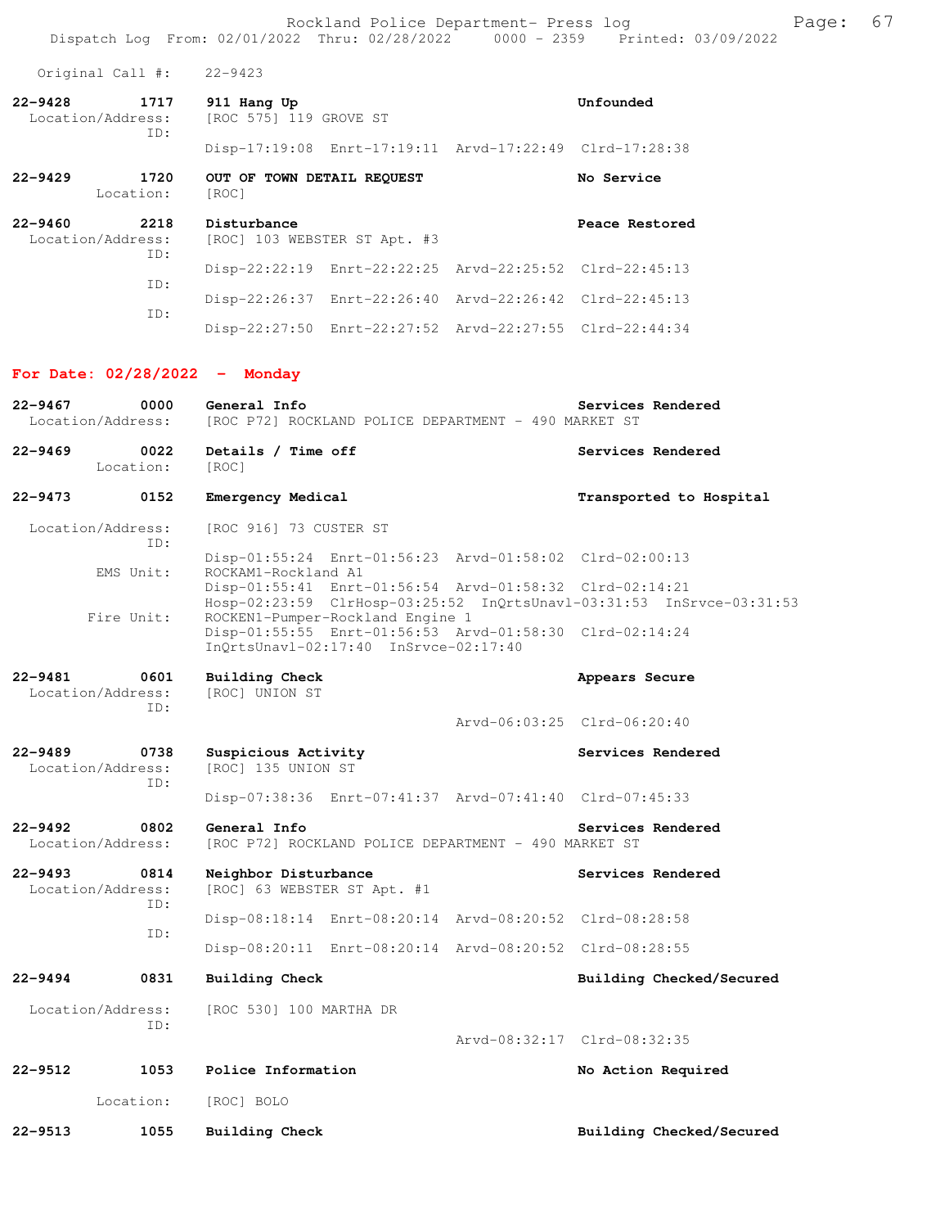Rockland Police Department- Press log entitled and Page: 67 Dispatch Log From: 02/01/2022 Thru: 02/28/2022 0000 - 2359 Printed: 03/09/2022

Original Call #: 22-9423

| 22-9428           | 1717 | 911 Hang Up            |                                                         | Unfounded |
|-------------------|------|------------------------|---------------------------------------------------------|-----------|
| Location/Address: |      | [ROC 575] 119 GROVE ST |                                                         |           |
|                   | TD:  |                        |                                                         |           |
|                   |      |                        | Disp-17:19:08 Enrt-17:19:11 Arvd-17:22:49 Clrd-17:28:38 |           |

Location: [ROC]

| $22 - 9429$ | 1720<br>Location: | OUT OF TOWN DETAIL REOUEST<br>[ROC] | <b>No Service</b> |
|-------------|-------------------|-------------------------------------|-------------------|
| $22 - 9460$ | 2218              | Disturbance                         | Peace Restored    |
|             | Location/Address: | [ROC] 103 WEBSTER ST Apt. #3        |                   |

| TD: |                                                         |  |
|-----|---------------------------------------------------------|--|
| TD: | Disp-22:22:19 Enrt-22:22:25 Arvd-22:25:52 Clrd-22:45:13 |  |
|     | Disp-22:26:37 Enrt-22:26:40 Arvd-22:26:42 Clrd-22:45:13 |  |
| TD: | Disp-22:27:50 Enrt-22:27:52 Arvd-22:27:55 Clrd-22:44:34 |  |

### **For Date: 02/28/2022 - Monday**

| $22 - 9467$ | 0000<br>Location/Address:        | General Info<br>[ROC P72] ROCKLAND POLICE DEPARTMENT - 490 MARKET ST                                                                      | Services Rendered           |
|-------------|----------------------------------|-------------------------------------------------------------------------------------------------------------------------------------------|-----------------------------|
| 22-9469     | 0022<br>Location:                | Details / Time off<br>[ROC]                                                                                                               | Services Rendered           |
| $22 - 9473$ | 0152                             | Emergency Medical                                                                                                                         | Transported to Hospital     |
|             | Location/Address:<br>TD:         | [ROC 916] 73 CUSTER ST                                                                                                                    |                             |
|             | EMS Unit:                        | Disp-01:55:24 Enrt-01:56:23 Arvd-01:58:02 Clrd-02:00:13<br>ROCKAM1-Rockland A1<br>Disp-01:55:41 Enrt-01:56:54 Arvd-01:58:32 Clrd-02:14:21 |                             |
|             | Fire Unit:                       | Hosp-02:23:59 ClrHosp-03:25:52 InQrtsUnavl-03:31:53 InSrvce-03:31:53<br>ROCKEN1-Pumper-Rockland Engine 1                                  |                             |
|             |                                  | Disp-01:55:55 Enrt-01:56:53 Arvd-01:58:30 Clrd-02:14:24<br>InQrtsUnavl-02:17:40 InSrvce-02:17:40                                          |                             |
| 22-9481     | 0601<br>Location/Address:<br>TD: | <b>Building Check</b><br>[ROC] UNION ST                                                                                                   | Appears Secure              |
|             |                                  |                                                                                                                                           | Arvd-06:03:25 Clrd-06:20:40 |
| $22 - 9489$ | 0738<br>Location/Address:<br>TD: | Suspicious Activity<br>[ROC] 135 UNION ST                                                                                                 | Services Rendered           |
|             |                                  | Disp-07:38:36 Enrt-07:41:37 Arvd-07:41:40 Clrd-07:45:33                                                                                   |                             |
| 22-9492     | 0802<br>Location/Address:        | General Info<br>[ROC P72] ROCKLAND POLICE DEPARTMENT - 490 MARKET ST                                                                      | Services Rendered           |
| $22 - 9493$ | 0814<br>Location/Address:<br>ID: | Neighbor Disturbance<br>[ROC] 63 WEBSTER ST Apt. #1                                                                                       | Services Rendered           |
|             | ID:                              | Disp-08:18:14 Enrt-08:20:14 Arvd-08:20:52 Clrd-08:28:58                                                                                   |                             |
|             |                                  | Disp-08:20:11 Enrt-08:20:14 Arvd-08:20:52 Clrd-08:28:55                                                                                   |                             |
| $22 - 9494$ | 0831                             | Building Check                                                                                                                            | Building Checked/Secured    |
|             | Location/Address:                | [ROC 530] 100 MARTHA DR                                                                                                                   |                             |
|             | ID:                              |                                                                                                                                           | Arvd-08:32:17 Clrd-08:32:35 |
| 22-9512     | 1053                             | Police Information                                                                                                                        | No Action Required          |
|             | Location:                        | [ROC] BOLO                                                                                                                                |                             |
| 22-9513     | 1055                             | Building Check                                                                                                                            | Building Checked/Secured    |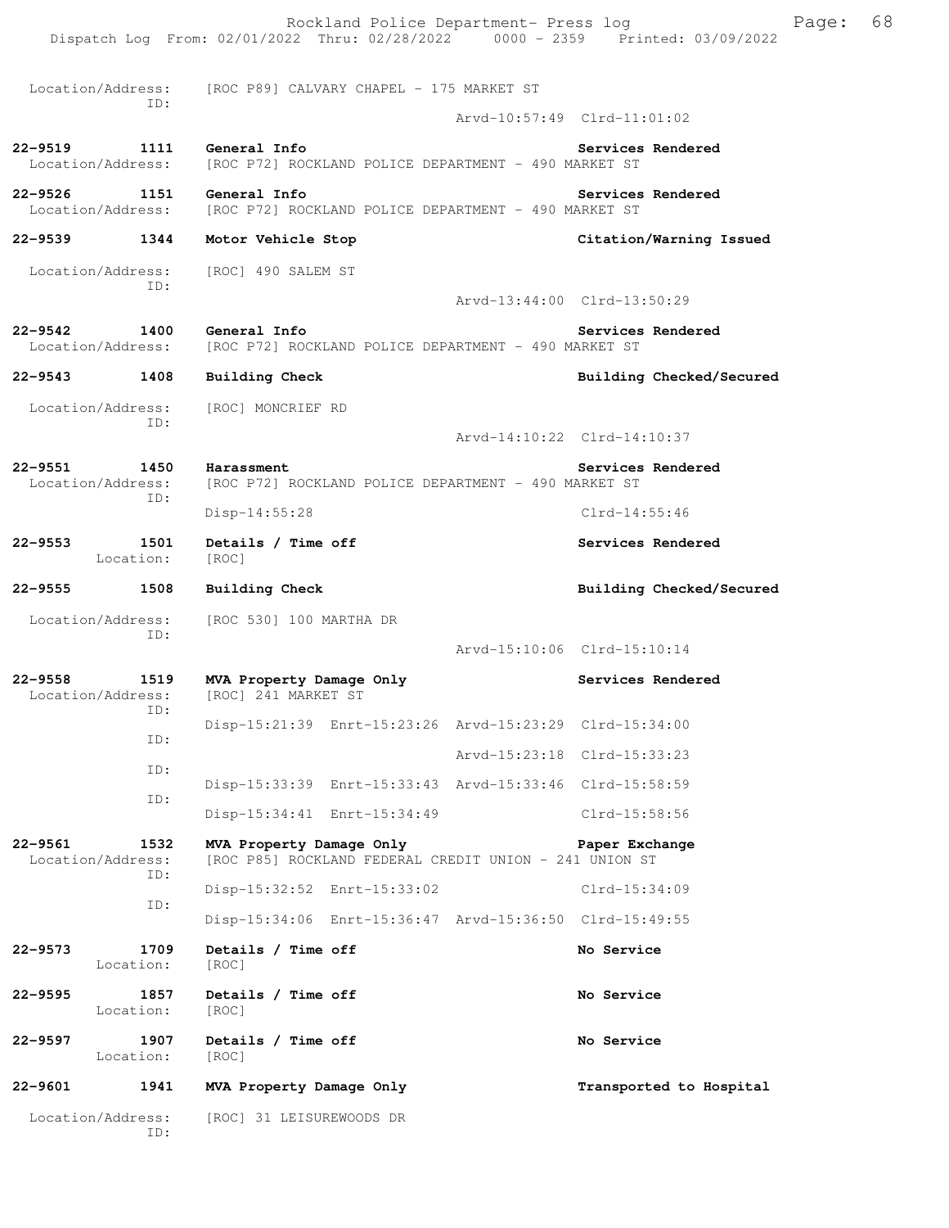|         |                                   | Dispatch Log From: 02/01/2022 Thru: 02/28/2022 0000 - 2359 Printed: 03/09/2022     | Rockland Police Department- Press log |                             | Page: | 68 |
|---------|-----------------------------------|------------------------------------------------------------------------------------|---------------------------------------|-----------------------------|-------|----|
|         |                                   | Location/Address: [ROC P89] CALVARY CHAPEL - 175 MARKET ST                         |                                       |                             |       |    |
|         | ID:                               |                                                                                    |                                       | Arvd-10:57:49 Clrd-11:01:02 |       |    |
|         | 22-9519 1111<br>Location/Address: | General Info<br>[ROC P72] ROCKLAND POLICE DEPARTMENT - 490 MARKET ST               |                                       | Services Rendered           |       |    |
| 22-9526 | Location/Address:                 | 1151 General Info<br>[ROC P72] ROCKLAND POLICE DEPARTMENT - 490 MARKET ST          |                                       | Services Rendered           |       |    |
|         | 22-9539 1344                      | Motor Vehicle Stop                                                                 |                                       | Citation/Warning Issued     |       |    |
|         | Location/Address:<br>ID:          | [ROC] 490 SALEM ST                                                                 |                                       | Arvd-13:44:00 Clrd-13:50:29 |       |    |
| 22–9542 | 1400                              | General Info                                                                       |                                       | Services Rendered           |       |    |
|         | Location/Address:                 | [ROC P72] ROCKLAND POLICE DEPARTMENT - 490 MARKET ST                               |                                       |                             |       |    |
|         | 22-9543 1408                      | <b>Building Check</b>                                                              |                                       | Building Checked/Secured    |       |    |
|         | Location/Address:                 | [ROC] MONCRIEF RD                                                                  |                                       |                             |       |    |
|         | ID:                               |                                                                                    |                                       | Arvd-14:10:22 Clrd-14:10:37 |       |    |
| 22-9551 | 1450<br>Location/Address:         | Harassment<br>[ROC P72] ROCKLAND POLICE DEPARTMENT - 490 MARKET ST                 |                                       | Services Rendered           |       |    |
|         | ID:                               | $Disp-14:55:28$                                                                    |                                       | $Clrd-14:55:46$             |       |    |
| 22–9553 | 1501<br>Location:                 | Details / Time off<br>[ROC]                                                        |                                       | Services Rendered           |       |    |
| 22–9555 | 1508                              | <b>Building Check</b>                                                              |                                       | Building Checked/Secured    |       |    |
|         | Location/Address:<br>ID:          | [ROC 530] 100 MARTHA DR                                                            |                                       | Arvd-15:10:06 Clrd-15:10:14 |       |    |
|         |                                   |                                                                                    |                                       | Services Rendered           |       |    |
| 22-9558 | 1519<br>Location/Address:<br>ID:  | MVA Property Damage Only<br>[ROC] 241 MARKET ST                                    |                                       |                             |       |    |
|         | ID:                               | Disp-15:21:39 Enrt-15:23:26 Arvd-15:23:29 Clrd-15:34:00                            |                                       |                             |       |    |
|         | ID:                               |                                                                                    |                                       | Arvd-15:23:18 Clrd-15:33:23 |       |    |
|         | ID:                               | Disp-15:33:39 Enrt-15:33:43 Arvd-15:33:46 Clrd-15:58:59                            |                                       |                             |       |    |
|         |                                   | Disp-15:34:41 Enrt-15:34:49                                                        |                                       | Clrd-15:58:56               |       |    |
| 22-9561 | 1532<br>Location/Address:<br>ID:  | MVA Property Damage Only<br>[ROC P85] ROCKLAND FEDERAL CREDIT UNION - 241 UNION ST |                                       | Paper Exchange              |       |    |
|         | ID:                               | Disp-15:32:52 Enrt-15:33:02                                                        |                                       | Clrd-15:34:09               |       |    |
|         |                                   | Disp-15:34:06 Enrt-15:36:47 Arvd-15:36:50 Clrd-15:49:55                            |                                       |                             |       |    |
| 22-9573 | 1709<br>Location:                 | Details / Time off<br>[ROC]                                                        |                                       | No Service                  |       |    |
| 22–9595 | 1857<br>Location:                 | Details / Time off<br>[ROC]                                                        |                                       | No Service                  |       |    |
| 22–9597 | 1907<br>Location:                 | Details / Time off<br>[ROC]                                                        |                                       | No Service                  |       |    |
| 22-9601 | 1941                              | MVA Property Damage Only                                                           |                                       | Transported to Hospital     |       |    |
|         | Location/Address:<br>ID:          | [ROC] 31 LEISUREWOODS DR                                                           |                                       |                             |       |    |